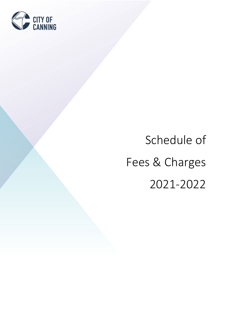

# Schedule of Fees & Charges 2021-2022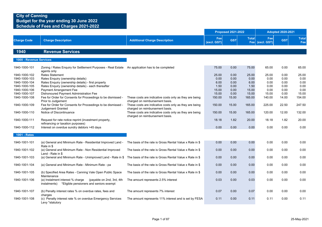## **City of Canning Budget for the year ending 30 June 2022**

**Schedule of Fees and Charges 2021-2022**

|                                |                                                                                                                      |                                                          |                    | <b>Proposed 2021-2022</b> |                 |                        | <b>Adopted 2020-2021</b> |                     |
|--------------------------------|----------------------------------------------------------------------------------------------------------------------|----------------------------------------------------------|--------------------|---------------------------|-----------------|------------------------|--------------------------|---------------------|
| <b>Charge Code</b>             | <b>Charge Description</b>                                                                                            | <b>Additional Charge Description</b>                     | Fee<br>(excl. GST) | <b>GST</b>                | <b>Total</b>    | Fee<br>Fee (excl. GST) | <b>GST</b>               | <b>Total</b><br>Fee |
| 1940                           | <b>Revenue Services</b>                                                                                              |                                                          |                    |                           |                 |                        |                          |                     |
| 1000 - Revenue Services        |                                                                                                                      |                                                          |                    |                           |                 |                        |                          |                     |
|                                |                                                                                                                      |                                                          |                    |                           |                 |                        |                          |                     |
| 1940-1000-101                  | Zoning / Rates Enquiry for Settlement Purposes - Real Estate An application has to be completed<br>agents only       |                                                          | 75.00              | 0.00                      | 75.00           | 65.00                  | 0.00                     | 65.00               |
| 1940-1000-102                  | Rates Statement                                                                                                      |                                                          | 25.00              | 0.00                      | 25.00           | 25.00                  | 0.00                     | 25.00               |
| 1940-1000-103                  | Rates Enquiry (ownership details)                                                                                    |                                                          | 0.00               | 0.00                      | 0.00            | 0.00                   | 0.00                     | 0.00                |
| 1940-1000-104                  | Rates Enquiry (ownership details) - first property                                                                   |                                                          | 6.00               | 0.00                      | 6.00            | 0.00                   | 0.00                     | 0.00                |
| 1940-1000-105                  | Rates Enquiry (ownership details) - each thereafter                                                                  |                                                          | 1.50               | 0.00                      | 1.50            | 0.00                   | 0.00                     | 0.00                |
| 1940-1000-106                  | <b>Payment Arrangement Fee</b>                                                                                       |                                                          | 15.00              | 0.00                      | 15.00           | 0.00                   | 0.00                     | 0.00                |
| 1940-1000-107<br>1940-1000-108 | Dishonoured Payment Administration Fee<br>Fee for Order for Consents for Proceedings to be dismissed -               | These costs are indicative costs only as they are being  | 15.00<br>150.00    | 0.00<br>15.00             | 15.00<br>165.00 | 15.00<br>140.00        | 0.00<br>14.00            | 15.00<br>154.00     |
|                                | Prior to Judgement                                                                                                   | charged on reimbursement basis.                          |                    |                           |                 |                        |                          |                     |
| 1940-1000-109                  | Fee for Order for Consents for Proceedings to be dismissed -                                                         | These costs are indicative costs only as they are being  | 150.00             | 15.00                     | 165.00          | 225.00                 | 22.50                    | 247.50              |
|                                | Judgement Granted                                                                                                    | charged on reimbursement basis.                          |                    |                           |                 |                        |                          |                     |
| 1940-1000-110                  | Notice of Discontinuance                                                                                             | These costs are indicative costs only as they are being  | 150.00             | 15.00                     | 165.00          | 120.00                 | 12.00                    | 132.00              |
|                                |                                                                                                                      | charged on reimbursement basis.                          |                    |                           |                 |                        |                          |                     |
| 1940-1000-111                  | Request for rate notice reprint (investment property,<br>refinancing or taxation purposes)                           |                                                          | 18.18              | 1.82                      | 20.00           | 18.18                  | 1.82                     | 20.00               |
| 1940-1000-112                  | Interest on overdue sundry debtors >45 days                                                                          |                                                          | 0.00               | 0.00                      | 0.00            | 0.00                   | 0.00                     | 0.00                |
|                                |                                                                                                                      |                                                          |                    |                           |                 |                        |                          |                     |
| 1001 - Rates                   |                                                                                                                      |                                                          |                    |                           |                 |                        |                          |                     |
| 1940-1001-101                  | (a) General and Minimum Rate - Residential Improved Land -                                                           | The basis of the rate is Gross Rental Value x Rate in \$ | 0.00               | 0.00                      | 0.00            | 0.00                   | 0.00                     | 0.00                |
|                                | Rate in \$                                                                                                           |                                                          |                    |                           |                 |                        |                          |                     |
| 1940-1001-102                  | (a) General and Minimum Rate - Non Residential Improved                                                              | The basis of the rate is Gross Rental Value x Rate in \$ | 0.00               | 0.00                      | 0.00            | 0.00                   | 0.00                     | 0.00                |
|                                | Land - Rate in \$                                                                                                    |                                                          |                    |                           |                 |                        |                          |                     |
| 1940-1001-103                  | (a) General and Minimum Rate - Unimproved Land - Rate in \$ The basis of the rate is Gross Rental Value x Rate in \$ |                                                          | 0.00               | 0.00                      | 0.00            | 0.00                   | 0.00                     | 0.00                |
|                                |                                                                                                                      |                                                          |                    |                           |                 |                        |                          |                     |
| 1940-1001-104                  | (a) General and Minimum Rate - Minimum Rate - pa                                                                     | The basis of the rate is Gross Rental Value x Rate in \$ | 0.00               | 0.00                      | 0.00            | 0.00                   | 0.00                     | 0.00                |
| 1940-1001-105                  | (b) Specified Area Rates - Canning Vale Open Public Space                                                            | The basis of the rate is Gross Rental Value x Rate in \$ | 0.00               | 0.00                      | 0.00            | 0.00                   | 0.00                     | 0.00                |
|                                | Maintenance                                                                                                          |                                                          |                    |                           |                 |                        |                          |                     |
| 1940-1001-106                  | (a) Instalment interest % charge<br>(payable on 2nd, 3rd, 4th                                                        | The amount represents 2.5% interest                      | 0.03               | 0.00                      | 0.03            | 0.00                   | 0.00                     | 0.00                |
|                                | *Eligible pensioners and seniors exempt<br>instalments)                                                              |                                                          |                    |                           |                 |                        |                          |                     |
|                                |                                                                                                                      |                                                          |                    |                           |                 |                        |                          |                     |
| 1940-1001-107                  | (b) Penalty interest rates % on overdue rates, fees and                                                              | The amount represents 7% interest                        | 0.07               | 0.00                      | 0.07            | 0.00                   | 0.00                     | 0.00                |
| 1940-1001-108                  | charges<br>(c) Penalty interest rate % on overdue Emergency Services                                                 | The amount represents 11% interest and is set by FESA    | 0.11               | 0.00                      | 0.11            | 0.11                   | 0.00                     | 0.11                |
|                                | Levy *statutory                                                                                                      |                                                          |                    |                           |                 |                        |                          |                     |
|                                |                                                                                                                      |                                                          |                    |                           |                 |                        |                          |                     |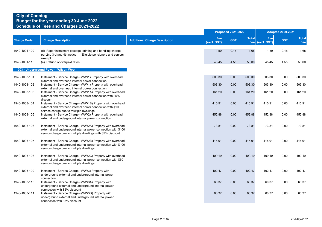|                    |                                                                                                                                                                                            |                                      |                    | <b>Proposed 2021-2022</b> |              |                        | <b>Adopted 2020-2021</b> |                     |
|--------------------|--------------------------------------------------------------------------------------------------------------------------------------------------------------------------------------------|--------------------------------------|--------------------|---------------------------|--------------|------------------------|--------------------------|---------------------|
| <b>Charge Code</b> | <b>Charge Description</b>                                                                                                                                                                  | <b>Additional Charge Description</b> | Fee<br>(excl. GST) | <b>GST</b>                | <b>Total</b> | Fee<br>Fee (excl. GST) | <b>GST</b>               | <b>Total</b><br>Fee |
| 1940-1001-109      | (d) Paper instalment postage, printing and handling charge<br>per 2nd 3rd and 4th notice *Eligible pensioners and seniors                                                                  |                                      | 1.50               | 0.15                      | 1.65         | 1.50                   | 0.15                     | 1.65                |
| 1940-1001-110      | exempt<br>(e) Refund of overpaid rates                                                                                                                                                     |                                      | 45.45              | 4.55                      | 50.00        | 45.45                  | 4.55                     | 50.00               |
|                    | 1003 - Underground Power - Wilson West                                                                                                                                                     |                                      |                    |                           |              |                        |                          |                     |
| 1940-1003-101      | Instalment - Service Charge - (WW1) Property with overhead<br>external and overhead internal power connection                                                                              |                                      | 503.30             | 0.00                      | 503.30       | 503.30                 | 0.00                     | 503.30              |
| 1940-1003-102      | Instalment - Service Charge - (WW1) Property with overhead<br>external and overhead internal power connection                                                                              |                                      | 503.30             | 0.00                      | 503.30       | 503.30                 | 0.00                     | 503.30              |
| 1940-1003-103      | Instalment - Service Charge - (WW1A) Property with overhead<br>external and overhead internal power connection with 85%<br>discount                                                        |                                      | 161.20             | 0.00                      | 161.20       | 161.20                 | 0.00                     | 161.20              |
| 1940-1003-104      | Instalment - Service Charge - (WW1B) Property with overhead<br>external and overhead internal power connection with \$100<br>service charge due to multiple dwellings                      |                                      | 415.91             | 0.00                      | 415.91       | 415.91                 | 0.00                     | 415.91              |
| 1940-1003-105      | Instalment - Service Charge - (WW2) Property with overhead<br>external and underground internal power connection                                                                           |                                      | 452.88             | 0.00                      | 452.88       | 452.88                 | 0.00                     | 452.88              |
| 1940-1003-106      | Instalment - Service Charge - (WW2A) Property with overhead<br>external and underground internal power connection with \$100<br>service charge due to multiple dwellings with 85% discount |                                      | 73.81              | 0.00                      | 73.81        | 73.81                  | 0.00                     | 73.81               |
| 1940-1003-107      | Instalment - Service Charge - (WW2B) Property with overhead<br>external and underground internal power connection with \$100<br>service charge due to multiple dwellings                   |                                      | 415.91             | 0.00                      | 415.91       | 415.91                 | 0.00                     | 415.91              |
| 1940-1003-108      | Instalment - Service Charge - (WW2C) Property with overhead<br>external and underground internal power connection with \$50<br>service charge due to multiple dwellings                    |                                      | 409.19             | 0.00                      | 409.19       | 409.19                 | 0.00                     | 409.19              |
| 1940-1003-109      | Instalment - Service Charge - (WW3) Property with<br>underground external and underground internal power<br>connection                                                                     |                                      | 402.47             | 0.00                      | 402.47       | 402.47                 | 0.00                     | 402.47              |
| 1940-1003-110      | Instalment - Service Charge - (WW3A) Property with<br>underground external and underground internal power<br>connection with 85% discount                                                  |                                      | 60.37              | 0.00                      | 60.37        | 60.37                  | 0.00                     | 60.37               |
| 1940-1003-111      | Instalment - Service Charge - (WW3D) Property with<br>underground external and underground internal power<br>connection with 85% discount                                                  |                                      | 60.37              | 0.00                      | 60.37        | 60.37                  | 0.00                     | 60.37               |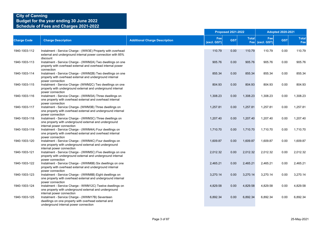|                    |                                                                                                                                                   |                                      |                    | <b>Proposed 2021-2022</b> |                     |                    | <b>Adopted 2020-2021</b> |                     |
|--------------------|---------------------------------------------------------------------------------------------------------------------------------------------------|--------------------------------------|--------------------|---------------------------|---------------------|--------------------|--------------------------|---------------------|
| <b>Charge Code</b> | <b>Charge Description</b>                                                                                                                         | <b>Additional Charge Description</b> | Fee<br>(excl. GST) | <b>GST</b>                | <b>Total</b><br>Fee | Fee<br>(excl. GST) | <b>GST</b>               | <b>Total</b><br>Fee |
| 1940-1003-112      | Instalment - Service Charge - (WW3E) Property with overhead<br>external and underground internal power connection with 85%<br>discount            |                                      | 110.79             | 0.00                      | 110.79              | 110.79             | 0.00                     | 110.79              |
| 1940-1003-113      | Instalment - Service Charge - (WWM2A) Two dwellings on one<br>property with overhead external and overhead internal power<br>connection           |                                      | 905.76             | 0.00                      | 905.76              | 905.76             | 0.00                     | 905.76              |
| 1940-1003-114      | Instalment - Service Charge - (WWM2B) Two dwellings on one<br>property with overhead external and underground internal<br>power connection        |                                      | 855.34             | 0.00                      | 855.34              | 855.34             | 0.00                     | 855.34              |
| 1940-1003-115      | Instalment - Service Charge- (WWM2C) Two dwellings on one<br>property with underground external and underground internal<br>power connection      |                                      | 804.93             | 0.00                      | 804.93              | 804.93             | 0.00                     | 804.93              |
| 1940-1003-116      | Instalment - Service Charge - (WWM3A) Three dwellings on<br>one property with overhead external and overhead internal<br>power connection         |                                      | 1,308.23           | 0.00                      | 1,308.23            | 1,308.23           | 0.00                     | 1,308.23            |
| 1940-1003-117      | Instalment - Service Charge- (WWM3B) Three dwellings on<br>one property with overhead external and underground internal<br>power connection       |                                      | 1,257.81           | 0.00                      | 1,257.81            | 1,257.81           | 0.00                     | 1,257.81            |
| 1940-1003-118      | Instalment - Service Charge - (WWM3C) Three dwellings on<br>one property with underground external and underground<br>internal power connection   |                                      | 1,207.40           | 0.00                      | 1,207.40            | 1,207.40           | 0.00                     | 1,207.40            |
| 1940-1003-119      | Instalment - Service Charge - (WWM4A) Four dwellings on<br>one property with overhead external and overhead internal<br>power connection          |                                      | 1,710.70           | 0.00                      | 1,710.70            | 1,710.70           | 0.00                     | 1,710.70            |
| 1940-1003-120      | Instalment - Service Charge - (WWM4C) Four dwellings on<br>one property with underground external and underground<br>internal power connection    |                                      | 1,609.87           | 0.00                      | 1,609.87            | 1,609.87           | 0.00                     | 1,609.87            |
| 1940-1003-121      | Instalment - Service Charge - (WWM5C) Five dwellings on one<br>property with underground external and underground internal<br>power connection    |                                      | 2,012.32           | 0.00                      | 2,012.32            | 2,012.32           | 0.00                     | 2,012.32            |
| 1940-1003-122      | Instalment - Service Charge - (WWM6B) Six dwellings on one<br>property with overhead external and underground internal<br>power connection        |                                      | 2,465.21           | 0.00                      | 2,465.21            | 2,465.21           | 0.00                     | 2,465.21            |
| 1940-1003-123      | Instalment - Service Charge - (WWM8B) Eight dwellings on<br>one property with overhead external and underground internal<br>power connection      |                                      | 3,270.14           | 0.00                      | 3,270.14            | 3,270.14           | 0.00                     | 3,270.14            |
| 1940-1003-124      | Instalment - Service Charge - WWM12C) Twelve dwellings on<br>one property with underground external and underground<br>internal power connection  |                                      | 4,829.58           | 0.00                      | 4,829.58            | 4,829.58           | 0.00                     | 4,829.58            |
| 1940-1003-125      | Instalment - Service Charge - (WWM17B) Seventeen<br>dwellings on one property with overhead external and<br>underground internal power connection |                                      | 6,892.34           | 0.00                      | 6,892.34            | 6,892.34           | 0.00                     | 6,892.34            |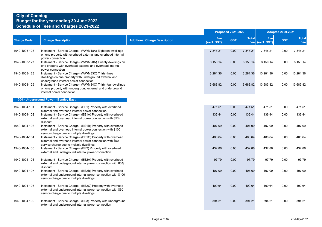|                    |                                                                                                                                                                          |                                      |                    | <b>Proposed 2021-2022</b> |                     |                    | <b>Adopted 2020-2021</b> |                     |
|--------------------|--------------------------------------------------------------------------------------------------------------------------------------------------------------------------|--------------------------------------|--------------------|---------------------------|---------------------|--------------------|--------------------------|---------------------|
| <b>Charge Code</b> | <b>Charge Description</b>                                                                                                                                                | <b>Additional Charge Description</b> | Fee<br>(excl. GST) | <b>GST</b>                | <b>Total</b><br>Fee | Fee<br>(excl. GST) | <b>GST</b>               | <b>Total</b><br>Fee |
| 1940-1003-126      | Instalment - Service Charge - (WWM18A) Eighteen dwellings<br>on one property with overhead external and overhead internal<br>power connection                            |                                      | 7,345.21           | 0.00                      | 7,345.21            | 7,345.21           | 0.00                     | 7,345.21            |
| 1940-1003-127      | Instalment - Service Charge - (WWM20A) Twenty dwellings on<br>one property with overhead external and overhead internal<br>power connection                              |                                      | 8,150.14           | 0.00                      | 8,150.14            | 8,150.14           | 0.00                     | 8,150.14            |
| 1940-1003-128      | Instalment - Service Charge - (WWM33C) Thirty-three<br>dwellings on one property with underground external and<br>underground internal power connection                  |                                      | 13,281.36          | 0.00                      | 13,281.36           | 13,281.36          | 0.00                     | 13,281.36           |
| 1940-1003-129      | Instalment - Service Charge - (WWM34C) Thirty-four dwellings<br>on one property with underground external and underground<br>internal power connection                   |                                      | 13,683.82          | 0.00                      | 13,683.82           | 13,683.82          | 0.00                     | 13,683.82           |
|                    | 1004 - Underground Power - Bentley East                                                                                                                                  |                                      |                    |                           |                     |                    |                          |                     |
| 1940-1004-101      | Instalment - Service Charge - (BE1) Property with overhead<br>external and overhead internal power connection                                                            |                                      | 471.51             | 0.00                      | 471.51              | 471.51             | 0.00                     | 471.51              |
| 1940-1004-102      | Instalment - Service Charge - (BE1A) Property with overhead<br>external and overhead internal power connection with 85%<br>discount                                      |                                      | 136.44             | 0.00                      | 136.44              | 136.44             | 0.00                     | 136.44              |
| 1940-1004-103      | Instalment - Service Charge - (BE1B) Property with overhead<br>external and overhead internal power connection with \$100<br>service charge due to multiple dwellings    |                                      | 407.09             | 0.00                      | 407.09              | 407.09             | 0.00                     | 407.09              |
| 1940-1004-104      | Instalment - Service Charge - (BE1C) Property with overhead<br>external and overhead internal power connection with \$50<br>service charge due to multiple dwellings     |                                      | 400.64             | 0.00                      | 400.64              | 400.64             | 0.00                     | 400.64              |
| 1940-1004-105      | Instalment - Service Charge - (BE2) Property with overhead<br>external and underground internal power connection                                                         |                                      | 432.86             | 0.00                      | 432.86              | 432.86             | 0.00                     | 432.86              |
| 1940-1004-106      | Instalment - Service Charge - (BE2A) Property with overhead<br>external and underground internal power connection with 85%<br>discount                                   |                                      | 97.79              | 0.00                      | 97.79               | 97.79              | 0.00                     | 97.79               |
| 1940-1004-107      | Instalment - Service Charge - (BE2B) Property with overhead<br>external and underground internal power connection with \$100<br>service charge due to multiple dwellings |                                      | 407.09             | 0.00                      | 407.09              | 407.09             | 0.00                     | 407.09              |
| 1940-1004-108      | Instalment - Service Charge - (BE2C) Property with overhead<br>external and underground internal power connection with \$50<br>service charge due to multiple dwellings  |                                      | 400.64             | 0.00                      | 400.64              | 400.64             | 0.00                     | 400.64              |
| 1940-1004-109      | Instalment - Service Charge - (BE3) Property with underground<br>external and underground internal power connection                                                      |                                      | 394.21             | 0.00                      | 394.21              | 394.21             | 0.00                     | 394.21              |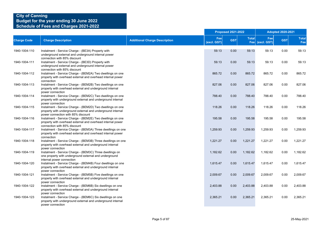|                    |                                                                                                                                                                           |                                      |                    | <b>Proposed 2021-2022</b> |              |                        | <b>Adopted 2020-2021</b> |                     |
|--------------------|---------------------------------------------------------------------------------------------------------------------------------------------------------------------------|--------------------------------------|--------------------|---------------------------|--------------|------------------------|--------------------------|---------------------|
| <b>Charge Code</b> | <b>Charge Description</b>                                                                                                                                                 | <b>Additional Charge Description</b> | Fee<br>(excl. GST) | <b>GST</b>                | <b>Total</b> | Fee<br>Fee (excl. GST) | <b>GST</b>               | <b>Total</b><br>Fee |
| 1940-1004-110      | Instalment - Service Charge - (BE3A) Property with<br>underground external and underground internal power                                                                 |                                      | 59.13              | 0.00                      | 59.13        | 59.13                  | 0.00                     | 59.13               |
| 1940-1004-111      | connection with 85% discount<br>Instalment - Service Charge - (BE3D) Property with<br>underground external and underground internal power<br>connection with 85% discount |                                      | 59.13              | 0.00                      | 59.13        | 59.13                  | 0.00                     | 59.13               |
| 1940-1004-112      | Instalment - Service Charge - (BEM2A) Two dwellings on one<br>property with overhead external and overhead internal power<br>connection                                   |                                      | 865.72             | 0.00                      | 865.72       | 865.72                 | 0.00                     | 865.72              |
| 1940-1004-113      | Instalment - Service Charge - (BEM2B) Two dwellings on one<br>property with overhead external and underground internal<br>power connection                                |                                      | 827.06             | 0.00                      | 827.06       | 827.06                 | 0.00                     | 827.06              |
| 1940-1004-114      | Instalment - Service Charge - (BEM2C) Two dwellings on one<br>property with underground external and underground internal<br>power connection                             |                                      | 788.40             | 0.00                      | 788.40       | 788.40                 | 0.00                     | 788.40              |
| 1940-1004-115      | Instalment - Service Charge - (BEM2D) Two dwellings on one<br>property with underground external and underground internal<br>power connection with 85% discount           |                                      | 118.26             | 0.00                      | 118.26       | 118.26                 | 0.00                     | 118.26              |
| 1940-1004-116      | Instalment - Service Charge - (BEM2E) Two dwellings on one<br>property with overhead external and overhead internal power<br>connection with 85% discount                 |                                      | 195.58             | 0.00                      | 195.58       | 195.58                 | 0.00                     | 195.58              |
| 1940-1004-117      | Instalment - Service Charge - (BEM3A) Three dwellings on one<br>property with overhead external and overhead internal power<br>connection                                 |                                      | 1,259.93           | 0.00                      | 1,259.93     | 1,259.93               | 0.00                     | 1,259.93            |
| 1940-1004-118      | Instalment - Service Charge - (BEM3B) Three dwellings on one<br>property with overhead external and underground internal<br>power connection                              |                                      | 1,221.27           | 0.00                      | 1,221.27     | 1,221.27               | 0.00                     | 1,221.27            |
| 1940-1004-119      | Instalment - Service Charge - (BEM3C) Three dwellings on<br>one property with underground external and underground<br>internal power connection                           |                                      | 1.182.62           | 0.00                      | 1,182.62     | 1,182.62               | 0.00                     | 1,182.62            |
| 1940-1004-120      | Instalment - Service Charge - (BEM4B) Four dwellings on one<br>property with overhead external and underground internal<br>power connection                               |                                      | 1,615.47           | 0.00                      | 1,615.47     | 1,615.47               | 0.00                     | 1,615.47            |
| 1940-1004-121      | Instalment - Service Charge - (BEM5B) Five dwellings on one<br>property with overhead external and underground internal<br>power connection                               |                                      | 2,009.67           | 0.00                      | 2,009.67     | 2,009.67               | 0.00                     | 2,009.67            |
| 1940-1004-122      | Instalment - Service Charge - (BEM6B) Six dwellings on one<br>property with overhead external and underground internal<br>power connection                                |                                      | 2,403.88           | 0.00                      | 2,403.88     | 2,403.88               | 0.00                     | 2,403.88            |
| 1940-1004-123      | Instalment - Service Charge - (BEM6C) Six dwellings on one<br>property with underground external and underground internal<br>power connection                             |                                      | 2,365.21           | 0.00                      | 2,365.21     | 2,365.21               | 0.00                     | 2,365.21            |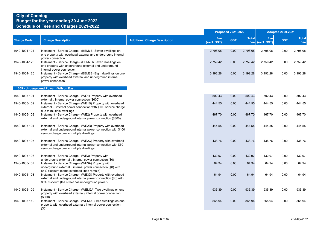|                    |                                                                                                                                                                                 |                                      |                    | <b>Proposed 2021-2022</b> |                     |                    | <b>Adopted 2020-2021</b> |                     |
|--------------------|---------------------------------------------------------------------------------------------------------------------------------------------------------------------------------|--------------------------------------|--------------------|---------------------------|---------------------|--------------------|--------------------------|---------------------|
| <b>Charge Code</b> | <b>Charge Description</b>                                                                                                                                                       | <b>Additional Charge Description</b> | Fee<br>(excl. GST) | <b>GST</b>                | <b>Total</b><br>Fee | Fee<br>(excl. GST) | <b>GST</b>               | <b>Total</b><br>Fee |
| 1940-1004-124      | Instalment - Service Charge - (BEM7B) Seven dwellings on<br>one property with overhead external and underground internal<br>power connection                                    |                                      | 2,798.08           | 0.00                      | 2,798.08            | 2,798.08           | 0.00                     | 2,798.08            |
| 1940-1004-125      | Instalment - Service Charge - (BEM7C) Seven dwellings on<br>one property with underground external and underground                                                              |                                      | 2,759.42           | 0.00                      | 2,759.42            | 2,759.42           | 0.00                     | 2,759.42            |
| 1940-1004-126      | internal power connection<br>Instalment - Service Charge - (BEM8B) Eight dwellings on one<br>property with overhead external and underground internal<br>power connection       |                                      | 3,192.28           | 0.00                      | 3,192.28            | 3,192.28           | 0.00                     | 3,192.28            |
|                    | 1005 - Underground Power - Wilson East                                                                                                                                          |                                      |                    |                           |                     |                    |                          |                     |
| 1940-1005-101      | Instalment - Service Charge - (WE1) Property with overhead<br>external / internal power connection (\$600)                                                                      |                                      | 502.43             | 0.00                      | 502.43              | 502.43             | 0.00                     | 502.43              |
| 1940-1005-102      | Instalment - Service Charge - (WE1B) Property with overhead<br>external / internal power connection with \$100 service charge<br>due to multiple dwellings                      |                                      | 444.55             | 0.00                      | 444.55              | 444.55             | 0.00                     | 444.55              |
| 1940-1005-103      | Instalment - Service Charge - (WE2) Property with overhead<br>external and underground internal power connection (\$300)                                                        |                                      | 467.70             | 0.00                      | 467.70              | 467.70             | 0.00                     | 467.70              |
| 1940-1005-104      | Instalment - Service Charge - (WE2B) Property with overhead<br>external and underground internal power connection with \$100<br>service charge due to multiple dwellings        |                                      | 444.55             | 0.00                      | 444.55              | 444.55             | 0.00                     | 444.55              |
| 1940-1005-105      | Instalment - Service Charge - (WE2C) Property with overhead<br>external and underground internal power connection with \$50<br>service charge due to multiple dwellings         |                                      | 438.76             | 0.00                      | 438.76              | 438.76             | 0.00                     | 438.76              |
| 1940-1005-106      | Instalment - Service Charge - (WE3) Property with<br>underground external / internal power connection (\$0)                                                                     |                                      | 432.97             | 0.00                      | 432.97              | 432.97             | 0.00                     | 432.97              |
| 1940-1005-107      | Instalment - Service Charge - (WE3A) Property with<br>underground external / internal power connection (\$0) with<br>85% discount (some overhead lines remain)                  |                                      | 64.94              | 0.00                      | 64.94               | 64.94              | 0.00                     | 64.94               |
| 1940-1005-108      | Instalment - Service Charge - (WE3D) Property with overhead<br>external and underground internal power connection (\$0) with<br>85% discount (the street has underground power) |                                      | 64.94              | 0.00                      | 64.94               | 64.94              | 0.00                     | 64.94               |
| 1940-1005-109      | Instalment - Service Charge - (WEM2A) Two dwellings on one<br>property with overhead external / internal power connection<br>$($ \$600)                                         |                                      | 935.39             | 0.00                      | 935.39              | 935.39             | 0.00                     | 935.39              |
| 1940-1005-110      | Instalment - Service Charge - (WEM2C) Two dwellings on one<br>property with overhead external / internal power connection<br>(50)                                               |                                      | 865.94             | 0.00                      | 865.94              | 865.94             | 0.00                     | 865.94              |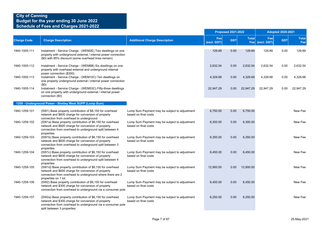|                    |                                                                                                                                                                                                               |                                                                       |                    | <b>Proposed 2021-2022</b> |              |                        | <b>Adopted 2020-2021</b> |                     |
|--------------------|---------------------------------------------------------------------------------------------------------------------------------------------------------------------------------------------------------------|-----------------------------------------------------------------------|--------------------|---------------------------|--------------|------------------------|--------------------------|---------------------|
| <b>Charge Code</b> | <b>Charge Description</b>                                                                                                                                                                                     | <b>Additional Charge Description</b>                                  | Fee<br>(excl. GST) | <b>GST</b>                | <b>Total</b> | Fee<br>Fee (excl. GST) | <b>GST</b>               | <b>Total</b><br>Fee |
| 1940-1005-111      | Instalment - Service Charge - (WEM2E) Two dwellings on one<br>property with underground external / internal power connection<br>(\$0) with 85% discount (some overhead lines remain)                          |                                                                       | 129.89             | 0.00                      | 129.89       | 129.89                 | 0.00                     | 129.89              |
| 1940-1005-112      | Instalment - Service Charge - (WEM6B) Six dwellings on one<br>property with overhead external and underground internal<br>power connection (\$300)                                                            |                                                                       | 2,632.54           | 0.00                      | 2,632.54     | 2,632.54               | 0.00                     | 2,632.54            |
| 1940-1005-113      | Instalment - Service Charge - (WEM10C) Ten dwellings on<br>one property underground external / internal power connection<br>(50)                                                                              |                                                                       | 4,329.68           | 0.00                      | 4,329.68     | 4,329.68               | 0.00                     | 4,329.68            |
| 1940-1005-114      | Instalment - Service Charge - (WEM53C) Fifty-three dwellings<br>on one property with underground external / internal power<br>connection (\$0)                                                                |                                                                       | 22,947.29          | 0.00                      | 22,947.29    | 22,947.29              | 0.00                     | 22,947.29           |
|                    | 1259 - Underground Power - Shelley West SUPP (Lump Sum)                                                                                                                                                       |                                                                       |                    |                           |              |                        |                          |                     |
| 1940-1259-101      | (SW1) Base property contribution of \$6,150 for overhead<br>network and \$600 charge for conversion of property<br>connection from overhead to underground                                                    | Lump Sum Payment may be subject to adjustment<br>based on final costs | 6,750.00           | 0.00                      | 6,750.00     |                        |                          | New Fee             |
| 1940-1259-102      | (SW1a) Base property contribution of \$6,150 for overhead<br>network and \$600 charge for conversion of property<br>connection from overhead to underground split between 4<br>properties                     | Lump Sum Payment may be subject to adjustment<br>based on final costs | 6,300.00           | 0.00                      | 6,300.00     |                        |                          | New Fee             |
| 1940-1259-103      | (SW1b) Base property contribution of \$6,150 for overhead<br>network and \$600 charge for conversion of property<br>connection from overhead to underground split between 3<br>properties                     | Lump Sum Payment may be subject to adjustment<br>based on final costs | 6,350.00           | 0.00                      | 6,350.00     |                        |                          | New Fee             |
| 1940-1259-104      | (SW1c) Base property contribution of \$6,150 for overhead<br>network and \$600 charge for conversion of property<br>connection from overhead to underground split between 4<br>properties                     | Lump Sum Payment may be subject to adjustment<br>based on final costs | 6,450.00           | 0.00                      | 6,450.00     |                        |                          | New Fee             |
| 1940-1259-105      | (SW1d) Base property contribution of \$6,150 for overhead<br>network and \$600 charge for conversion of property<br>connection from overhead to underground where there are 2<br>properties on 1 lot          | Lump Sum Payment may be subject to adjustment<br>based on final costs | 12,900.00          | 0.00                      | 12,900.00    |                        |                          | New Fee             |
| 1940-1259-106      | (SW2) Base property contribution of \$6,150 for overhead<br>network and \$300 charge for conversion of property<br>connection from overhead to underground via a consumer pole                                | Lump Sum Payment may be subject to adjustment<br>based on final costs | 6,450.00           | 0.00                      | 6,450.00     |                        |                          | New Fee             |
| 1940-1259-107      | (SW2a) Base property contribution of \$6,150 for overhead<br>network and \$300 charge for conversion of property<br>connection from overhead to underground via a consumer pole<br>split between 3 properties | Lump Sum Payment may be subject to adjustment<br>based on final costs | 6,250.00           | 0.00                      | 6,250.00     |                        |                          | New Fee             |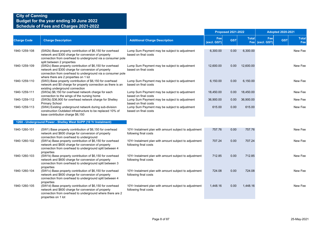|                    |                                                                                                                                                                                                                          |                                                                                 |                    | <b>Proposed 2021-2022</b> |              |                        | <b>Adopted 2020-2021</b> |                     |
|--------------------|--------------------------------------------------------------------------------------------------------------------------------------------------------------------------------------------------------------------------|---------------------------------------------------------------------------------|--------------------|---------------------------|--------------|------------------------|--------------------------|---------------------|
| <b>Charge Code</b> | <b>Charge Description</b>                                                                                                                                                                                                | <b>Additional Charge Description</b>                                            | Fee<br>(excl. GST) | <b>GST</b>                | <b>Total</b> | Fee<br>Fee (excl. GST) | <b>GST</b>               | <b>Total</b><br>Fee |
| 1940-1259-108      | (SW2b) Base property contribution of \$6,150 for overhead<br>network and \$300 charge for conversion of property<br>connection from overhead to underground via a consumer pole<br>split between 2 properties            | Lump Sum Payment may be subject to adjustment<br>based on final costs           | 6,300.00           | 0.00                      | 6,300.00     |                        |                          | New Fee             |
| 1940-1259-109      | (SW2c) Base property contribution of \$6,150 for overhead<br>network and \$300 charge for conversion of property<br>connection from overhead to underground via a consumer pole<br>where there are 2 properties on 1 lot | Lump Sum Payment may be subject to adjustment<br>based on final costs           | 12,600.00          | 0.00                      | 12,600.00    |                        |                          | New Fee             |
| 1940-1259-110      | (SW3) Base property contribution of \$6,150 for overhead<br>network and \$0 charge for property connection as there is an<br>existing underground connection                                                             | Lump Sum Payment may be subject to adjustment<br>based on final costs           | 6,150.00           | 0.00                      | 6,150.00     |                        |                          | New Fee             |
| 1940-1259-111      | (SW3a) \$6,150 for overhead network charge for each<br>connection to the wings of the nursing home                                                                                                                       | Lump Sum Payment may be subject to adjustment<br>based on final costs           | 18,450.00          | 0.00                      | 18,450.00    |                        |                          | New Fee             |
| 1940-1259-112      | (SW3b) \$36,900 for overhead network charge for Shelley<br><b>Primary School</b>                                                                                                                                         | Lump Sum Payment may be subject to adjustment<br>based on final costs           | 36,900.00          | 0.00                      | 36,900.00    |                        |                          | New Fee             |
| 1940-1259-113      | (SW4) Existing underground network during sub-division<br>construction Outdated infrastructure to be replaced 10% of<br>base contribution charge \$6,150                                                                 | Lump Sum Payment may be subject to adjustment<br>based on final costs           | 615.00             | 0.00                      | 615.00       |                        |                          | New Fee             |
|                    | 1260 - Underground Power - Shelley West SUPP (10 Yr Instalment)                                                                                                                                                          |                                                                                 |                    |                           |              |                        |                          |                     |
| 1940-1260-101      | (SW1) Base property contribution of \$6,150 for overhead<br>network and \$600 charge for conversion of property<br>connection from overhead to underground                                                               | 10Yr Instalment plan with amount subject to adjustment<br>following final costs | 757.76             | 0.00                      | 757.76       |                        |                          | New Fee             |
| 1940-1260-102      | (SW1a) Base property contribution of \$6,150 for overhead<br>network and \$600 charge for conversion of property<br>connection from overhead to underground split between 4<br>properties                                | 10Yr Instalment plan with amount subject to adjustment<br>following final costs | 707.24             | 0.00                      | 707.24       |                        |                          | New Fee             |
| 1940-1260-103      | (SW1b) Base property contribution of \$6,150 for overhead<br>network and \$600 charge for conversion of property<br>connection from overhead to underground split between 3<br>properties                                | 10Yr Instalment plan with amount subject to adjustment<br>following final costs | 712.85             | 0.00                      | 712.85       |                        |                          | New Fee             |
| 1940-1260-104      | (SW1c) Base property contribution of \$6,150 for overhead<br>network and \$600 charge for conversion of property<br>connection from overhead to underground split between 4<br>properties                                | 10Yr Instalment plan with amount subject to adjustment<br>following final costs | 724.08             | 0.00                      | 724.08       |                        |                          | New Fee             |
| 1940-1260-105      | (SW1d) Base property contribution of \$6,150 for overhead<br>network and \$600 charge for conversion of property<br>connection from overhead to underground where there are 2<br>properties on 1 lot                     | 10Yr Instalment plan with amount subject to adjustment<br>following final costs | 1,448.16           | 0.00                      | 1,448.16     |                        |                          | New Fee             |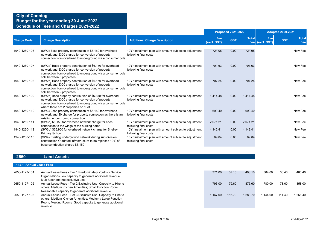|                    |                                                                                                                                                                                                                          |                                                                                 |                    | <b>Proposed 2021-2022</b> |              |                        | <b>Adopted 2020-2021</b> |                            |
|--------------------|--------------------------------------------------------------------------------------------------------------------------------------------------------------------------------------------------------------------------|---------------------------------------------------------------------------------|--------------------|---------------------------|--------------|------------------------|--------------------------|----------------------------|
| <b>Charge Code</b> | <b>Charge Description</b>                                                                                                                                                                                                | <b>Additional Charge Description</b>                                            | Fee<br>(excl. GST) | <b>GST</b>                | <b>Total</b> | Fee<br>Fee (excl. GST) | <b>GST</b>               | <b>Total</b><br><b>Fee</b> |
| 1940-1260-106      | (SW2) Base property contribution of \$6,150 for overhead<br>network and \$300 charge for conversion of property<br>connection from overhead to underground via a consumer pole                                           | 10Yr Instalment plan with amount subject to adjustment<br>following final costs | 724.08             | 0.00                      | 724.08       |                        |                          | New Fee                    |
| 1940-1260-107      | (SW2a) Base property contribution of \$6,150 for overhead<br>network and \$300 charge for conversion of property<br>connection from overhead to underground via a consumer pole<br>split between 3 properties            | 10Yr Instalment plan with amount subject to adjustment<br>following final costs | 701.63             | 0.00                      | 701.63       |                        |                          | New Fee                    |
| 1940-1260-108      | (SW2b) Base property contribution of \$6,150 for overhead<br>network and \$300 charge for conversion of property<br>connection from overhead to underground via a consumer pole<br>split between 2 properties            | 10Yr Instalment plan with amount subject to adjustment<br>following final costs | 707.24             | 0.00                      | 707.24       |                        |                          | New Fee                    |
| 1940-1260-109      | (SW2c) Base property contribution of \$6,150 for overhead<br>network and \$300 charge for conversion of property<br>connection from overhead to underground via a consumer pole<br>where there are 2 properties on 1 lot | 10Yr Instalment plan with amount subject to adjustment<br>following final costs | 1.414.48           | 0.00                      | 1.414.48     |                        |                          | New Fee                    |
| 1940-1260-110      | (SW3) Base property contribution of \$6,150 for overhead<br>network and \$0 charge for property connection as there is an<br>existing underground connection                                                             | 10Yr Instalment plan with amount subject to adjustment<br>following final costs | 690.40             | 0.00                      | 690.40       |                        |                          | New Fee                    |
| 1940-1260-111      | (SW3a) \$6,150 for overhead network charge for each<br>connection to the wings of the nursing home                                                                                                                       | 10Yr Instalment plan with amount subject to adjustment<br>following final costs | 2,071.21           | 0.00                      | 2,071.21     |                        |                          | New Fee                    |
| 1940-1260-112      | (SW3b) \$36,900 for overhead network charge for Shelley<br>Primary School                                                                                                                                                | 10Yr Instalment plan with amount subject to adjustment<br>following final costs | 4,142.41           | 0.00                      | 4,142.41     |                        |                          | New Fee                    |
| 1940-1260-113      | (SW4) Existing underground network during sub-division<br>construction Outdated infrastructure to be replaced 10% of<br>base contribution charge \$6,150                                                                 | 10Yr Instalment plan with amount subject to adjustment<br>following final costs | 69.04              | 0.00                      | 69.04        |                        |                          | New Fee                    |

#### **2650 Land Assets**

#### **1127 - Annual Lease Fees**

| 2650-1127-101 | Annual Lease Fees - Tier 1 Predominately Youth or Service<br>Organisations Low capacity to generate additional revenue | 371.00   | 37.10  | 408.10   | 364.00   | 36.40  | 400.40   |
|---------------|------------------------------------------------------------------------------------------------------------------------|----------|--------|----------|----------|--------|----------|
|               | Multi User and not exclusive use                                                                                       |          |        |          |          |        |          |
| 2650-1127-102 | Annual Lease Fees - Tier 2 Exclusive Use; Capacity to Hire to                                                          | 796.00   | 79.60  | 875.60   | 780.00   | 78.00  | 858.00   |
|               | others; Medium Kitchen Amenities; Small Function Room                                                                  |          |        |          |          |        |          |
|               | Reasonable capacity to generate additional revenue                                                                     |          |        |          |          |        |          |
| 2650-1127-103 | Annual Lease Fees - Tier 3 Exclusive Use; Capacity to Hire to                                                          | 1.167.00 | 116.70 | 1.283.70 | 1.144.00 | 114.40 | 1.258.40 |
|               | others; Medium Kitchen Amenities; Medium / Large Function                                                              |          |        |          |          |        |          |
|               | Room; Meeting Rooms Good capacity to generate additional                                                               |          |        |          |          |        |          |
|               | revenue                                                                                                                |          |        |          |          |        |          |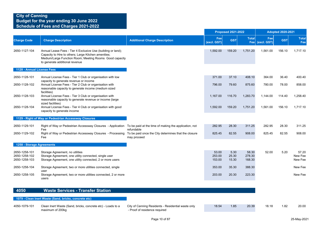|                                                 |                                                                                                                                                                                                                   |                                                                                     |                           | <b>Proposed 2021-2022</b> |                           |                    | <b>Adopted 2020-2021</b> |                             |
|-------------------------------------------------|-------------------------------------------------------------------------------------------------------------------------------------------------------------------------------------------------------------------|-------------------------------------------------------------------------------------|---------------------------|---------------------------|---------------------------|--------------------|--------------------------|-----------------------------|
| <b>Charge Code</b>                              | <b>Charge Description</b>                                                                                                                                                                                         | <b>Additional Charge Description</b>                                                | Fee<br>(excl. GST)        | <b>GST</b>                | <b>Total</b><br>Fee       | Fee<br>(excl. GST) | <b>GST</b>               | <b>Total</b><br>Fee         |
| 2650-1127-104                                   | Annual Lease Fees - Tier 4 Exclusive Use (building or land);<br>Capacity to Hire to others; Large Kitchen amenities;<br>Medium/Large Function Room; Meeting Rooms Good capacity<br>to generate additional revenue |                                                                                     | 1,592.00                  | 159.20                    | 1,751.20                  | 1,561.00           | 156.10                   | 1,717.10                    |
| 1128 - Annual License Fees                      |                                                                                                                                                                                                                   |                                                                                     |                           |                           |                           |                    |                          |                             |
| 2650-1128-101                                   | Annual License Fees - Tier 1 Club or organisation with low<br>capacity to generate revenue or income                                                                                                              |                                                                                     | 371.00                    | 37.10                     | 408.10                    | 364.00             | 36.40                    | 400.40                      |
| 2650-1128-102                                   | Annual License Fees - Tier 2 Club or organisation with<br>reasonable capacity to generate income (medium sized<br>facilities)                                                                                     |                                                                                     | 796.00                    | 79.60                     | 875.60                    | 780.00             | 78.00                    | 858.00                      |
| 2650-1128-103                                   | Annual License Fees - Tier 3 Club or organisation with<br>reasonable capacity to generate revenue or income (large                                                                                                |                                                                                     | 1,167.00                  | 116.70                    | 1,283.70                  | 1,144.00           | 114.40                   | 1,258.40                    |
| 2650-1128-104                                   | sized facilities)<br>Annual License Fees - Tier 4 Club or organisation with good<br>capacity to generate income                                                                                                   |                                                                                     | 1,592.00                  | 159.20                    | 1,751.20                  | 1,561.00           | 156.10                   | 1,717.10                    |
|                                                 | 1129 - Right of Way or Pedestrian Accessway Closures                                                                                                                                                              |                                                                                     |                           |                           |                           |                    |                          |                             |
| 2650-1129-101                                   | Right of Way or Pedestrian Accessway Closures - Application To be paid at the time of making the application, not<br>Fee                                                                                          | refundable                                                                          | 282.95                    | 28.30                     | 311.25                    | 282.95             | 28.30                    | 311.25                      |
| 2650-1129-102                                   | Right of Way or Pedestrian Accessway Closures - Processing To be paid once the City determines that the closure<br>Fee                                                                                            | may proceed                                                                         | 825.45                    | 82.55                     | 908.00                    | 825.45             | 82.55                    | 908.00                      |
| 1258 - Storage Agreements                       |                                                                                                                                                                                                                   |                                                                                     |                           |                           |                           |                    |                          |                             |
| 2650-1258-101<br>2650-1258-102<br>2650-1258-103 | Storage Agreement, no utilities<br>Storage Agreement, one utility connected, single user<br>Storage Agreement, one utility connected, 2 or more users                                                             |                                                                                     | 53.00<br>253.00<br>153.00 | 5.30<br>25.30<br>15.30    | 58.30<br>278.30<br>168.30 | 52.00              | 5.20                     | 57.20<br>New Fee<br>New Fee |
| 2650-1258-104                                   | Storage Agreement, two or more utilities connected, single                                                                                                                                                        |                                                                                     | 353.00                    | 35.30                     | 388.30                    |                    |                          | New Fee                     |
| 2650-1258-105                                   | user<br>Storage Agreement, two or more utilities connected, 2 or more<br>users                                                                                                                                    |                                                                                     | 203.00                    | 20.30                     | 223.30                    |                    |                          | New Fee                     |
| 4050                                            | <b>Waste Services - Transfer Station</b>                                                                                                                                                                          |                                                                                     |                           |                           |                           |                    |                          |                             |
|                                                 | 1079 - Clean Inert Waste (Sand, bricks, concrete etc)                                                                                                                                                             |                                                                                     |                           |                           |                           |                    |                          |                             |
| 4050-1079-101                                   | Clean Inert Waste (Sand, bricks, concrete etc) - Loads to a<br>maximum of 200kg                                                                                                                                   | City of Canning Residents - Residential waste only<br>- Proof of residence required | 18.54                     | 1.85                      | 20.39                     | 18.18              | 1.82                     | 20.00                       |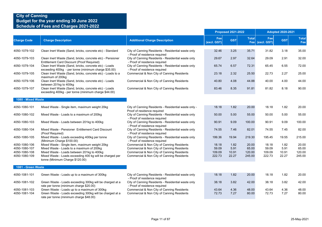|                                |                                                                                                                                                     |                                                                                          | <b>Proposed 2021-2022</b> |              |                | <b>Adopted 2020-2021</b> |              |                     |  |
|--------------------------------|-----------------------------------------------------------------------------------------------------------------------------------------------------|------------------------------------------------------------------------------------------|---------------------------|--------------|----------------|--------------------------|--------------|---------------------|--|
| <b>Charge Code</b>             | <b>Charge Description</b>                                                                                                                           | <b>Additional Charge Description</b>                                                     | Fee<br>(excl. GST)        | <b>GST</b>   | <b>Total</b>   | Fee<br>Fee (excl. GST)   | <b>GST</b>   | <b>Total</b><br>Fee |  |
| 4050-1079-102                  | Clean Inert Waste (Sand, bricks, concrete etc) - Standard                                                                                           | City of Canning Residents - Residential waste only<br>- Proof of residence required      | 32.46                     | 3.25         | 35.71          | 31.82                    | 3.18         | 35.00               |  |
| 4050-1079-103                  | Clean Inert Waste (Sand, bricks, concrete etc) - Pensioner<br>Entitlement Card Discount (Proof Required)                                            | City of Canning Residents - Residential waste only<br>- Proof of residence required      | 29.67                     | 2.97         | 32.64          | 29.09                    | 2.91         | 32.00               |  |
| 4050-1079-104                  | Clean Inert Waste (Sand, bricks, concrete etc) - Loads<br>exceeding 400kg - per tonne (minimum charge \$35.00)                                      | City of Canning Residents - Residential waste only<br>- Proof of residence required      | 65.74                     | 6.57         | 72.31          | 65.45                    | 6.55         | 72.00               |  |
| 4050-1079-105                  | Clean Inert Waste (Sand, bricks, concrete etc) - Loads to a<br>maximum of 200kg                                                                     | Commercial & Non City of Canning Residents                                               | 23.18                     | 2.32         | 25.50          | 22.73                    | 2.27         | 25.00               |  |
| 4050-1079-106                  | Clean Inert Waste (Sand, bricks, concrete etc) - Loads<br>between 201kg to 400kg                                                                    | Commercial & Non City of Canning Residents                                               | 40.80                     | 4.08         | 44.88          | 40.00                    | 4.00         | 44.00               |  |
| 4050-1079-107                  | Clean Inert Waste (Sand, bricks, concrete etc) - Loads<br>exceeding 400kg - per tonne (minimum charge \$44.00)                                      | Commercial & Non City of Canning Residents                                               | 83.46                     | 8.35         | 91.81          | 81.82                    | 8.18         | 90.00               |  |
| 1080 - Mixed Waste             |                                                                                                                                                     |                                                                                          |                           |              |                |                          |              |                     |  |
| 4050-1080-101                  | Mixed Waste - Single item, maximum weight 20kg                                                                                                      | City of Canning Residents - Residential waste only -<br>Proof of residence required      | 18.18                     | 1.82         | 20.00          | 18.18                    | 1.82         | 20.00               |  |
| 4050-1080-102                  | Mixed Waste - Loads to a maximum of 200kg                                                                                                           | City of Canning Residents - Residential waste only<br>- Proof of residence required      | 50.00                     | 5.00         | 55.00          | 50.00                    | 5.00         | 55.00               |  |
| 4050-1080-103                  | Mixed Waste - Loads between 201kg to 400kg                                                                                                          | City of Canning Residents - Residential waste only<br>- Proof of residence required      | 90.91                     | 9.09         | 100.00         | 90.91                    | 9.09         | 100.00              |  |
| 4050-1080-104                  | Mixed Waste - Pensioner Entitlement Card Discount<br>(Proof Required)                                                                               | City of Canning Residents - Residential waste only<br>- Proof of residence required      | 74.55                     | 7.46         | 82.01          | 74.55                    | 7.45         | 82.00               |  |
| 4050-1080-105                  | Mixed Waste - Loads exceeding 400kg per tonne<br>(Minimum Charge \$100.00)                                                                          | City of Canning Residents - Residential waste only<br>- Proof of residence required      | 199.36                    | 19.94        | 219.30         | 195.45                   | 19.55        | 215.00              |  |
| 4050-1080-106<br>4050-1080-107 | Mixed Waste - Single item, maximum weight 20kg<br>Mixed Waste - Loads to a maximum of 200kg                                                         | Commercial & Non City of Canning Residents<br>Commercial & Non City of Canning Residents | 18.18<br>59.09            | 1.82<br>5.91 | 20.00<br>65.00 | 18.18<br>59.09           | 1.82<br>5.91 | 20.00<br>65.00      |  |
| 4050-1080-108                  | Mixed Waste - Loads between 201kg to 400kg                                                                                                          | Commercial & Non City of Canning Residents                                               | 109.09                    | 10.91        | 120.00         | 109.09                   | 10.91        | 120.00              |  |
| 4050-1080-109                  | Mixed Waste - Loads exceeding 400 kg will be charged per<br>tonne (Minimum Charge \$120.00)                                                         | Commercial & Non City of Canning Residents                                               | 222.73                    | 22.27        | 245.00         | 222.73                   | 22.27        | 245.00              |  |
| 1081 - Green Waste             |                                                                                                                                                     |                                                                                          |                           |              |                |                          |              |                     |  |
| 4050-1081-101                  | Green Waste - Loads up to a maximum of 300kg                                                                                                        | City of Canning Residents - Residential waste only<br>- Proof of residence required      | 18.18                     | 1.82         | 20.00          | 18.18                    | 1.82         | 20.00               |  |
| 4050-1081-102                  | Green Waste - Loads exceeding 300kg will be charged at a<br>rate per tonne (minimum charge \$20.00)                                                 | City of Canning Residents - Residential waste only<br>- Proof of residence required      | 38.18                     | 3.82         | 42.00          | 38.18                    | 3.82         | 42.00               |  |
| 4050-1081-103<br>4050-1081-104 | Green Waste - Loads up to a maximum of 300kg<br>Green Waste - Loads exceeding 300kg will be charged at a<br>rate per tonne (minimum charge \$48.00) | Commercial & Non City of Canning Residents<br>Commercial & Non City of Canning Residents | 43.64<br>72.73            | 4.36<br>7.27 | 48.00<br>80.00 | 43.64<br>72.73           | 4.36<br>7.27 | 48.00<br>80.00      |  |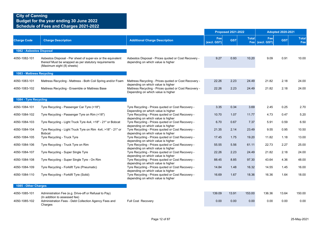|                           |                                                                                                                                                     |                                                                                                                               |                    | <b>Proposed 2021-2022</b> |              |                        | <b>Adopted 2020-2021</b> |                     |
|---------------------------|-----------------------------------------------------------------------------------------------------------------------------------------------------|-------------------------------------------------------------------------------------------------------------------------------|--------------------|---------------------------|--------------|------------------------|--------------------------|---------------------|
| <b>Charge Code</b>        | <b>Charge Description</b>                                                                                                                           | <b>Additional Charge Description</b>                                                                                          | Fee<br>(excl. GST) | <b>GST</b>                | <b>Total</b> | Fee<br>Fee (excl. GST) | <b>GST</b>               | <b>Total</b><br>Fee |
| 1082 - Asbestos Disposal  |                                                                                                                                                     |                                                                                                                               |                    |                           |              |                        |                          |                     |
| 4050-1082-101             | Asbestos Disposal - Per sheet of super-six or the equivalent<br>thereof Must be wrapped as per statutory requirements<br>(Maximum eight (8) sheets) | Asbestos Disposal - Prices quoted or Cost Recovery -<br>depending on which value is higher                                    | 9.27               | 0.93                      | 10.20        | 9.09                   | 0.91                     | 10.00               |
| 1083 - Mattress Recycling |                                                                                                                                                     |                                                                                                                               |                    |                           |              |                        |                          |                     |
| 4050-1083-101             | Mattress Recycling - Mattress - Both Coil Spring and/or Foam                                                                                        | Mattress Recycling - Prices quoted or Cost Recovery -<br>depending on which value is higher                                   | 22.26              | 2.23                      | 24.49        | 21.82                  | 2.18                     | 24.00               |
| 4050-1083-102             | Mattress Recycling - Ensemble or Mattress Base                                                                                                      | Mattress Recycling - Prices quoted or Cost Recovery -<br>Depending on which value is higher                                   | 22.26              | 2.23                      | 24.49        | 21.82                  | 2.18                     | 24.00               |
| 1084 - Tyre Recycling     |                                                                                                                                                     |                                                                                                                               |                    |                           |              |                        |                          |                     |
| 4050-1084-101             | Tyre Recycling - Passenger Car Tyre (<18")                                                                                                          | Tyre Recycling - Prices quoted or Cost Recovery -                                                                             | 3.35               | 0.34                      | 3.69         | 2.45                   | 0.25                     | 2.70                |
| 4050-1084-102             | Tyre Recycling - Passenger Tyre on Rim (<18")                                                                                                       | Depending on which value is higher<br>Tyre Recycling - Prices quoted or Cost Recovery -<br>depending on which value is higher | 10.70              | 1.07                      | 11.77        | 4.73                   | 0.47                     | 5.20                |
| 4050-1084-103             | Tyre Recycling - Light Truck Tyre 4x4, >18" - 21" or Bobcat                                                                                         | Tyre Recycling - Prices quoted or Cost Recovery -<br>depending on which value is higher                                       | 6.70               | 0.67                      | 7.37         | 5.91                   | 0.59                     | 6.50                |
| 4050-1084-104             | Tyre Recycling - Light Truck Tyre on Rim 4x4, >18" - 21" or<br><b>Bobcat</b>                                                                        | Tyre Recycling - Prices quoted or Cost Recovery -<br>depending on which value is higher                                       | 21.35              | 2.14                      | 23.49        | 9.55                   | 0.95                     | 10.50               |
| 4050-1084-105             | Tyre Recycling - Truck Tyre                                                                                                                         | Tyre Recycling - Prices quoted or Cost Recovery -<br>depending on which value is higher                                       | 17.45              | 1.75                      | 19.20        | 11.82                  | 1.18                     | 13.00               |
| 4050-1084-106             | Tyre Recycling - Truck Tyre on Rim                                                                                                                  | Tyre Recycling - Prices quoted or Cost Recovery -<br>depending on which value is higher                                       | 55.55              | 5.56                      | 61.11        | 22.73                  | 2.27                     | 25.00               |
| 4050-1084-107             | Tyre Recycling - Super Single Tyre                                                                                                                  | Tyre Recycling - Prices quoted or Cost Recovery -<br>depending on which value is higher                                       | 22.26              | 2.23                      | 24.49        | 21.82                  | 2.18                     | 24.00               |
| 4050-1084-108             | Tyre Recycling - Super Single Tyre - On Rim                                                                                                         | Tyre Recycling - Prices quoted or Cost Recovery -<br>depending on which value is higher                                       | 88.45              | 8.85                      | 97.30        | 43.64                  | 4.36                     | 48.00               |
| 4050-1084-109             | Tyre Recycling - Forklift Tyre (Pneumatic)                                                                                                          | Tyre Recycling - Prices quoted or Cost Recovery -<br>depending on which value is higher                                       | 14.84              | 1.48                      | 16.32        | 14.55                  | 1.45                     | 16.00               |
| 4050-1084-110             | Tyre Recycling - Forklift Tyre (Solid)                                                                                                              | Tyre Recycling - Prices quoted or Cost Recovery -<br>depending on which value is higher                                       | 16.69              | 1.67                      | 18.36        | 16.36                  | 1.64                     | 18.00               |
| 1085 - Other Charges      |                                                                                                                                                     |                                                                                                                               |                    |                           |              |                        |                          |                     |
| 4050-1085-101             | Administration Fee (e.g. Drive-off or Refusal to Pay)<br>(In addition to assessed fee)                                                              |                                                                                                                               | 139.09             | 13.91                     | 153.00       | 136.36                 | 13.64                    | 150.00              |
| 4050-1085-102             | Administration Fees - Debt Collection Agency Fees and<br>Charges                                                                                    | Full Cost Recovery                                                                                                            | 0.00               | 0.00                      | 0.00         | 0.00                   | 0.00                     | 0.00                |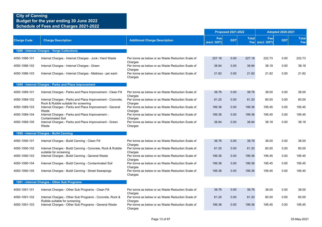|                    |                                                                                                    |                                                              |                    | <b>Proposed 2021-2022</b> |              |                        | <b>Adopted 2020-2021</b> |                     |  |
|--------------------|----------------------------------------------------------------------------------------------------|--------------------------------------------------------------|--------------------|---------------------------|--------------|------------------------|--------------------------|---------------------|--|
| <b>Charge Code</b> | <b>Charge Description</b>                                                                          | <b>Additional Charge Description</b>                         | Fee<br>(excl. GST) | <b>GST</b>                | <b>Total</b> | Fee<br>Fee (excl. GST) | <b>GST</b>               | <b>Total</b><br>Fee |  |
|                    | 1086 - Internal Charges - Verge Collections                                                        |                                                              |                    |                           |              |                        |                          |                     |  |
| 4050-1086-101      | Internal Charges - Internal Charges - Junk / Hard Waste                                            | Per tonne as below or as Waste Reduction Scale of<br>Charges | 227.18             | 0.00                      | 227.18       | 222.73                 | 0.00                     | 222.73              |  |
| 4050-1086-102      | Internal Charges - Internal Charges - Green                                                        | Per tonne as below or as Waste Reduction Scale of<br>Charges | 38.94              | 0.00                      | 38.94        | 38.18                  | 0.00                     | 38.18               |  |
| 4050-1086-103      | Internal Charges - Internal Charges - Mattress - per each                                          | Per tonne as below or as Waste Reduction Scale of<br>Charges | 21.82              | 0.00                      | 21.82        | 21.82                  | 0.00                     | 21.82               |  |
|                    | 1089 - Internal Charges - Parks and Place Improvement                                              |                                                              |                    |                           |              |                        |                          |                     |  |
| 4050-1089-101      | Internal Charges - Parks and Place Improvement - Clean Fill                                        | Per tonne as below or as Waste Reduction Scale of<br>Charges | 38.76              | 0.00                      | 38.76        | 38.00                  | 0.00                     | 38.00               |  |
| 4050-1089-102      | Internal Charges - Parks and Place Improvement - Concrete,<br>Rock & Rubble suitable for screening | Per tonne as below or as Waste Reduction Scale of<br>Charges | 61.20              | 0.00                      | 61.20        | 60.00                  | 0.00                     | 60.00               |  |
| 4050-1089-103      | Internal Charges - Parks and Place Improvement - General<br>Waste                                  | Per tonne as below or as Waste Reduction Scale of<br>Charges | 199.36             | 0.00                      | 199.36       | 195.45                 | 0.00                     | 195.45              |  |
| 4050-1089-104      | Internal Charges - Parks and Place Improvement -<br><b>Contaminated Soil</b>                       | Per tonne as below or as Waste Reduction Scale of<br>Charges | 199.36             | 0.00                      | 199.36       | 195.45                 | 0.00                     | 195.45              |  |
| 4050-1089-105      | Internal Charges - Parks and Place Improvement - Green<br>Waste                                    | Per tonne as below or as Waste Reduction Scale of<br>Charges | 38.94              | 0.00                      | 38.94        | 38.18                  | 0.00                     | 38.18               |  |
|                    | 1090 - Internal Charges - Build Canning                                                            |                                                              |                    |                           |              |                        |                          |                     |  |
| 4050-1090-101      | Internal Charges - Build Canning - Clean Fill                                                      | Per tonne as below or as Waste Reduction Scale of<br>Charges | 38.76              | 0.00                      | 38.76        | 38.00                  | 0.00                     | 38.00               |  |
| 4050-1090-102      | Internal Charges - Build Canning - Concrete, Rock & Rubble<br>suitable for screening               | Per tonne as below or as Waste Reduction Scale of<br>Charges | 61.20              | 0.00                      | 61.20        | 60.00                  | 0.00                     | 60.00               |  |
| 4050-1090-103      | Internal Charges - Build Canning - General Waste                                                   | Per tonne as below or as Waste Reduction Scale of<br>Charges | 199.36             | 0.00                      | 199.36       | 195.45                 | 0.00                     | 195.45              |  |
| 4050-1090-104      | Internal Charges - Build Canning - Contaminated Soil                                               | Per tonne as below or as Waste Reduction Scale of<br>Charges | 199.36             | 0.00                      | 199.36       | 195.45                 | 0.00                     | 195.45              |  |
| 4050-1090-105      | Internal Charges - Build Canning - Street Sweepings                                                | Per tonne as below or as Waste Reduction Scale of<br>Charges | 199.36             | 0.00                      | 199.36       | 195.45                 | 0.00                     | 195.45              |  |
|                    | 1091 - Internal Charges - Other Sub Programs                                                       |                                                              |                    |                           |              |                        |                          |                     |  |
| 4050-1091-101      | Internal Charges - Other Sub Programs - Clean Fill                                                 | Per tonne as below or as Waste Reduction Scale of<br>Charges | 38.76              | 0.00                      | 38.76        | 38.00                  | 0.00                     | 38.00               |  |
| 4050-1091-102      | Internal Charges - Other Sub Programs - Concrete, Rock &<br>Rubble suitable for screening          | Per tonne as below or as Waste Reduction Scale of<br>Charges | 61.20              | 0.00                      | 61.20        | 60.00                  | 0.00                     | 60.00               |  |
| 4050-1091-103      | Internal Charges - Other Sub Programs - General Waste                                              | Per tonne as below or as Waste Reduction Scale of<br>Charges | 199.36             | 0.00                      | 199.36       | 195.45                 | 0.00                     | 195.45              |  |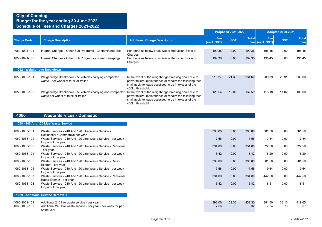|                              |                                                                                                    |                                                                                                                                                                                             | <b>Proposed 2021-2022</b> |            |              |                        | <b>Adopted 2020-2021</b> |                     |  |
|------------------------------|----------------------------------------------------------------------------------------------------|---------------------------------------------------------------------------------------------------------------------------------------------------------------------------------------------|---------------------------|------------|--------------|------------------------|--------------------------|---------------------|--|
| <b>Charge Code</b>           | <b>Charge Description</b>                                                                          | <b>Additional Charge Description</b>                                                                                                                                                        | Fee<br>(excl. GST)        | <b>GST</b> | <b>Total</b> | Fee<br>Fee (excl. GST) | <b>GST</b>               | <b>Total</b><br>Fee |  |
| 4050-1091-104                | Internal Charges - Other Sub Programs - Contaminated Soil                                          | Per tonne as below or as Waste Reduction Scale of<br>Charges                                                                                                                                | 199.36                    | 0.00       | 199.36       | 195.45                 | 0.00                     | 195.45              |  |
| 4050-1091-105                | Internal Charges - Other Sub Programs - Street Sweepings                                           | Per tonne as below or as Waste Reduction Scale of<br>Charges                                                                                                                                | 199.36                    | 0.00       | 199.36       | 195.45                 | 0.00                     | 195.45              |  |
| 1092 - Weighbridge Breakdown |                                                                                                    |                                                                                                                                                                                             |                           |            |              |                        |                          |                     |  |
| 4050-1092-101                | Weighbridge Breakdown - All vehicles carrying compacted<br>waste - per wheel of truck or trailer   | In the event of the weighbridge breaking down due to<br>power failure, maintenance or repairs the following fees<br>shall apply to loads assessed to be in excess of the<br>400kg threshold | 213.27                    | 21.33      | 234.60       | 209.09                 | 20.91                    | 230.00              |  |
| 4050-1092-102                | Weighbridge Breakdown - All vehicles carrying non-compacted<br>waste per wheel of truck or trailer | In the event of the weighbridge breaking down due to<br>power failure, maintenance or repairs the following fees<br>shall apply to loads assessed to be in excess of the<br>400kg threshold | 120.54                    | 12.05      | 132.59       | 118.18                 | 11.82                    | 130.00              |  |
|                              |                                                                                                    |                                                                                                                                                                                             |                           |            |              |                        |                          |                     |  |

#### **4060 Waste Services - Domestic**

#### **1068 - 240 And 120 Litre Waste Service**

| 4060-1068-101 | Waste Services - 240 And 120 Litre Waste Service -                                               | 393.00 | 0.00 | 393.00 | 381.50 | 0.00 | 381.50 |
|---------------|--------------------------------------------------------------------------------------------------|--------|------|--------|--------|------|--------|
| 4060-1068-102 | Residential / Commercial per year<br>Waste Services - 240 And 120 Litre Waste Service - per week | 7.56   | 0.00 | 7.56   | 7.34   | 0.00 | 7.34   |
|               | for part of the year                                                                             |        |      |        |        |      |        |
| 4060-1068-103 | Waste Services - 240 And 120 Litre Waste Service - Pensioner                                     | 334.00 | 0.00 | 334.00 | 322.50 | 0.00 | 322.50 |
| 4060-1068-104 | - per year<br>Waste Services - 240 And 120 Litre Waste Service - per week                        | 6.42   | 0.00 | 6.42   | 6.20   | 0.00 | 6.20   |
|               | for part of the year                                                                             |        |      |        |        |      |        |
| 4060-1068-105 | Waste Services - 240 And 120 Litre Waste Service - Rates                                         | 393.00 | 0.00 | 393.00 | 501.50 | 0.00 | 501.50 |
| 4060-1068-106 | Exempt - per year<br>Waste Services - 240 And 120 Litre Waste Service - per week                 | 7.56   | 0.00 | 7.56   | 9.64   | 0.00 | 9.64   |
|               | for part of the year                                                                             |        |      |        |        |      |        |
| 4060-1068-107 | Waste Services - 240 And 120 Litre Waste Service - Pensioner                                     | 334.00 | 0.00 | 334.00 | 442.50 | 0.00 | 442.50 |
| 4060-1068-108 | Rates Exempt - per year                                                                          | 6.42   | 0.00 | 6.42   | 8.51   | 0.00 | 8.51   |
|               | Waste Services - 240 And 120 Litre Waste Service - per week<br>for part of the year              |        |      |        |        |      |        |
|               | <b>1069 - Additional Service Removals</b>                                                        |        |      |        |        |      |        |

| 4060-1069-101 | Additional 240 litre waste service - per year                     | 393.00 | 39.30 | 432.30 | 381.50 | 38.15 | 419.65 |
|---------------|-------------------------------------------------------------------|--------|-------|--------|--------|-------|--------|
| 4060-1069-102 | Additional 240 litre waste service - per year - per week for part |        | 0.76  | 8.32   | 7.34   | 0.73  | 8.07   |
|               | of the year                                                       |        |       |        |        |       |        |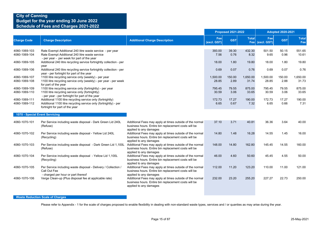|                                |                                                                                                                                                                  |                                                                                                                                            |                    | <b>Proposed 2021-2022</b> |                   | <b>Adopted 2020-2021</b> |                |                     |
|--------------------------------|------------------------------------------------------------------------------------------------------------------------------------------------------------------|--------------------------------------------------------------------------------------------------------------------------------------------|--------------------|---------------------------|-------------------|--------------------------|----------------|---------------------|
| <b>Charge Code</b>             | <b>Charge Description</b>                                                                                                                                        | <b>Additional Charge Description</b>                                                                                                       | Fee<br>(excl. GST) | <b>GST</b>                | <b>Total</b>      | Fee<br>Fee (excl. GST)   | <b>GST</b>     | <b>Total</b><br>Fee |
| 4060-1069-103<br>4060-1069-104 | Rate Exempt Additional 240 litre waste service - per year<br>Rate Exempt Additional 240 litre waste service<br>- per year - per week for part of the year        |                                                                                                                                            | 393.00<br>7.56     | 39.30<br>0.76             | 432.30<br>8.32    | 501.50<br>9.65           | 50.15<br>0.96  | 551.65<br>10.61     |
| 4060-1069-105                  | Additional 240 litre recycling service fortnightly collection - per                                                                                              |                                                                                                                                            | 18.00              | 1.80                      | 19.80             | 18.00                    | 1.80           | 19.80               |
| 4060-1069-106                  | year<br>Additional 240 litre recycling service fortnightly collection - per<br>year - per fortnight for part of the year                                         |                                                                                                                                            | 0.69               | 0.07                      | 0.76              | 0.69                     | 0.07           | 0.76                |
| 4060-1069-107<br>4060-1069-108 | 1100 litre recycling service only (weekly) - per year<br>1100 litre recycling service only (weekly) - per year - per week<br>for part of the year                |                                                                                                                                            | 1,500.00<br>28.85  | 150.00<br>2.89            | 1,650.00<br>31.74 | 1,500.00<br>28.85        | 150.00<br>2.88 | 1,650.00<br>31.73   |
| 4060-1069-109<br>4060-1069-110 | 1100 litre recycling service only (fortnightly) - per year<br>1100 litre recycling service only (fortnightly)<br>- per year - per fortnight for part of the year |                                                                                                                                            | 795.45<br>30.59    | 79.55<br>3.06             | 875.00<br>33.65   | 795.45<br>30.59          | 79.55<br>3.06  | 875.00<br>33.65     |
| 4060-1069-111<br>4060-1069-112 | Additional 1100 litre recycling service only (fortnightly)<br>Additional 1100 litre recycling service only (fortnightly) - per<br>fortnight for part of the year |                                                                                                                                            | 172.73<br>6.65     | 17.27<br>0.67             | 190.00<br>7.32    | 172.73<br>6.65           | 17.27<br>0.66  | 190.00<br>7.31      |
| 1070 - Special Event Servicing |                                                                                                                                                                  |                                                                                                                                            |                    |                           |                   |                          |                |                     |
| 4060-1070-101                  | Per Service including waste disposal - Dark Green Lid 240L<br>(Refuse)                                                                                           | Additional Fees may apply at times outside of the normal<br>business hours. Entire bin replacement costs will be<br>applied to any damages | 37.10              | 3.71                      | 40.81             | 36.36                    | 3.64           | 40.00               |
| 4060-1070-102                  | Per Service including waste disposal - Yellow Lid 240L<br>(Recycling)                                                                                            | Additional Fees may apply at times outside of the normal<br>business hours. Entire bin replacement costs will be<br>applied to any damages | 14.80              | 1.48                      | 16.28             | 14.55                    | 1.45           | 16.00               |
| 4060-1070-103                  | Per Service including waste disposal - Dark Green Lid 1,100L<br>(Refuse)                                                                                         | Additional Fees may apply at times outside of the normal<br>business hours. Entire bin replacement costs will be<br>applied to any damages | 148.00             | 14.80                     | 162.80            | 145.45                   | 14.55          | 160.00              |
| 4060-1070-104                  | Per Service including waste disposal - Yellow Lid 1,100L<br>(Recycling)                                                                                          | Additional Fees may apply at times outside of the normal<br>business hours. Entire bin replacement costs will be<br>applied to any damages | 46.00              | 4.60                      | 50.60             | 45.45                    | 4.55           | 50.00               |
| 4060-1070-105                  | Per Service including waste disposal - Delivery / Collection /<br>Call Out Fee<br>- charged per hour or part thereof                                             | Additional Fees may apply at times outside of the normal<br>business hours. Entire bin replacement costs will be<br>applied to any damages | 112.00             | 11.20                     | 123.20            | 110.00                   | 11.00          | 121.00              |
| 4060-1070-106                  | Verge Clean-up (Plus disposal fee at applicable rate)                                                                                                            | Additional Fees may apply at times outside of the normal<br>business hours. Entire bin replacement costs will be<br>applied to any damages | 232.00             | 23.20                     | 255.20            | 227.27                   | 22.73          | 250.00              |

### **Waste Reduction Scale of Charges**

Please refer to Appendix - 1 for the scale of charges proposed to enable flexibility in dealing with non-standard waste types, services and / or quanties as may arise during the year.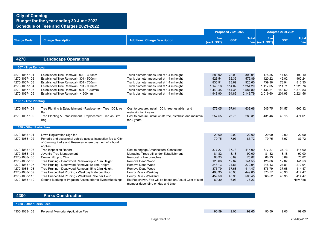|                                |                                                                                                                                   |                                                                                              |                    | <b>Proposed 2021-2022</b> |                     |                    | <b>Adopted 2020-2021</b> |                     |
|--------------------------------|-----------------------------------------------------------------------------------------------------------------------------------|----------------------------------------------------------------------------------------------|--------------------|---------------------------|---------------------|--------------------|--------------------------|---------------------|
| <b>Charge Code</b>             | <b>Charge Description</b>                                                                                                         | <b>Additional Charge Description</b>                                                         | Fee<br>(excl. GST) | <b>GST</b>                | <b>Total</b><br>Fee | Fee<br>(excl. GST) | <b>GST</b>               | <b>Total</b><br>Fee |
|                                |                                                                                                                                   |                                                                                              |                    |                           |                     |                    |                          |                     |
| 4270                           | <b>Landscape Operations</b>                                                                                                       |                                                                                              |                    |                           |                     |                    |                          |                     |
| 1067 - Tree Removal            |                                                                                                                                   |                                                                                              |                    |                           |                     |                    |                          |                     |
| 4270-1067-101<br>4270-1067-102 | Established Tree Removal - 000 - 300mm<br>Established Tree Removal - 301 - 500mm                                                  | Trunk diameter measured at 1.4 m height<br>Trunk diameter measured at 1.4 m height           | 280.92<br>523.54   | 28.09<br>52.35            | 309.01<br>575.89    | 175.55<br>420.22   | 17.55<br>42.02           | 193.10<br>462.24    |
| 4270-1067-103                  | Established Tree Removal - 501 - 700mm                                                                                            | Trunk diameter measured at 1.4 m height                                                      | 836.91             | 83.69                     | 920.60              | 739.36             | 73.94                    | 813.30              |
| 4270-1067-104                  | Established Tree Removal - 701 - 900mm                                                                                            | Trunk diameter measured at 1.4 m height                                                      | 1.140.18           | 114.02                    | 1,254.20            | 1.117.05           | 111.71                   | 1.228.76            |
| 4270-1067-105                  | Established Tree Removal - 901 - 1200mm                                                                                           | Trunk diameter measured at 1.4 m height                                                      | 1,443.45           | 144.35                    | 1,587.80            | 1,436.21           | 143.62                   | 1,579.83            |
| 4270-1067-106                  | Established Tree Removal - >1200mm                                                                                                | Trunk diameter measured at 1.4 m height                                                      | 1.948.90           | 194.89                    | 2,143.79            | 2,019.60           | 201.96                   | 2,221.56            |
| 1087 - Tree Planting           |                                                                                                                                   |                                                                                              |                    |                           |                     |                    |                          |                     |
| 4270-1087-101                  | Tree Planting & Establishment - Replacement Tree 100 Litre<br>Bag                                                                 | Cost to procure, install 100 ltr tree, establish and<br>maintain for 2 years                 | 576.05             | 57.61                     | 633.66              | 545.75             | 54.57                    | 600.32              |
| 4270-1087-102                  | Tree Planting & Establishment - Replacement Tree 45 Litre<br>Bag                                                                  | Cost to procure, install 45 ltr tree, establish and maintain<br>for 2 years                  | 257.55             | 25.76                     | 283.31              | 431.46             | 43.15                    | 474.61              |
| 1088 - Other Parks Fees        |                                                                                                                                   |                                                                                              |                    |                           |                     |                    |                          |                     |
|                                |                                                                                                                                   |                                                                                              |                    |                           |                     |                    |                          |                     |
| 4270-1088-101                  | Lawn Registration Sign fee                                                                                                        |                                                                                              | 20.00              | 2.00                      | 22.00               | 20.00              | 2.00                     | 22.00               |
| 4270-1088-102                  | Periodic and occasional vehicle access inspection fee to City<br>of Canning Parks and Reserves where payment of a bond<br>applies |                                                                                              | 79.75              | 7.97                      | 87.72               | 79.75              | 7.97                     | 87.72               |
| 4270-1088-103                  | <b>Tree Inspection Report</b>                                                                                                     | Cost to engage Arboricultural Consultant                                                     | 377.27             | 37.73                     | 415.00              | 377.27             | 37.73                    | 415.00              |
| 4270-1088-104                  | Juvenile Tree Management                                                                                                          | Managing Trees still under Establishment                                                     | 81.82              | 8.18                      | 90.00               | 81.82              | 8.18                     | 90.00               |
| 4270-1088-105                  | Crown Lift up to 24m                                                                                                              | Removal of low branches                                                                      | 68.93              | 6.89                      | 75.82               | 68.93              | 6.89                     | 75.82               |
| 4270-1088-106                  | Tree Pruning - Deadwood Removal up to 10m Height                                                                                  | Remove Dead Wood                                                                             | 128.66             | 12.87                     | 141.53              | 128.66             | 12.87                    | 141.53              |
| 4270-1088-107                  | Tree Pruning - Deadwood Removal 10-15m Height                                                                                     | Remove Dead Wood                                                                             | 248.13             | 24.81                     | 272.94              | 248.13             | 24.81                    | 272.94              |
| 4270-1088-108                  | Tree Pruning - Deadwood Removal 15 to 24m Height                                                                                  | Remove Dead Wood                                                                             | 376.79             | 37.68                     | 414.47              | 376.79             | 37.68                    | 414.47              |
| 4270-1088-109                  | Tree Unspecified Pruning - Weekday Rate per Hour                                                                                  | Hourly Rate - Weekday                                                                        | 408.95             | 40.90                     | 449.85              | 373.57             | 40.90                    | 414.47              |
| 4270-1088-110                  | Tree Unspecified Pruning - Weekend Rate per Hour                                                                                  | Hourly Rate - Weekend                                                                        | 459.50             | 45.95                     | 505.45              | 368.52             | 45.95                    | 414.47              |
| 4270-1088-110                  | Ground Marking of Irrigation Assets prior to Events/Bookings                                                                      | Est Fee shown, Fee will be based on Actual Cost of staff<br>member depending on day and time | 69.30              | 6.93                      | 76.23               |                    |                          | New Fee             |

**4300 Parks Construction**

**1088 - Other Parks Fees**

4300-1088-103 Personal Memorial Application Fee **99.65** 90.59 9.06 99.65 90.59 9.06 99.65 90.59 9.06 99.65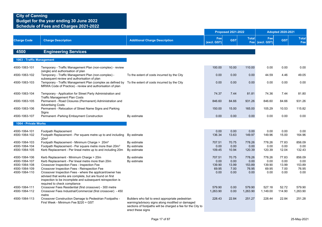|                                |                                                                                                                                                                                                                    |                                                                                                                                                                                           |                    | <b>Proposed 2021-2022</b> |                     |                    | <b>Adopted 2020-2021</b> |                     |
|--------------------------------|--------------------------------------------------------------------------------------------------------------------------------------------------------------------------------------------------------------------|-------------------------------------------------------------------------------------------------------------------------------------------------------------------------------------------|--------------------|---------------------------|---------------------|--------------------|--------------------------|---------------------|
| <b>Charge Code</b>             | <b>Charge Description</b>                                                                                                                                                                                          | <b>Additional Charge Description</b>                                                                                                                                                      | Fee<br>(excl. GST) | <b>GST</b>                | <b>Total</b><br>Fee | Fee<br>(excl. GST) | <b>GST</b>               | <b>Total</b><br>Fee |
| 4500                           | <b>Engineering Services</b>                                                                                                                                                                                        |                                                                                                                                                                                           |                    |                           |                     |                    |                          |                     |
| 1063 - Traffic Management      |                                                                                                                                                                                                                    |                                                                                                                                                                                           |                    |                           |                     |                    |                          |                     |
| 4500-1063-101                  | Temporary - Traffic Management Plan (non-complex) - review<br>(single) and authorisation of plan                                                                                                                   |                                                                                                                                                                                           | 100.00             | 10.00                     | 110.00              | 0.00               | 0.00                     | 0.00                |
| 4500-1063-102                  | Temporary - Traffic Management Plan (non-complex) -<br>subsequent review and authorisation of plan                                                                                                                 | To the extent of costs incurred by the City                                                                                                                                               | 0.00               | 0.00                      | 0.00                | 44.59              | 4.46                     | 49.05               |
| 4500-1063-103                  | Temporary - Traffic Management Plan (complex as defined by To the extent of costs incurred by the City<br>MRWA Code of Practice) - review and authorisation of plan                                                |                                                                                                                                                                                           | 0.00               | 0.00                      | 0.00                | 0.00               | 0.00                     | 0.00                |
| 4500-1063-104                  | Temporary - Application for Street Party Administration and<br><b>Traffic Management Plan Costs</b>                                                                                                                |                                                                                                                                                                                           | 74.37              | 7.44                      | 81.81               | 74.36              | 7.44                     | 81.80               |
| 4500-1063-105                  | Permanent - Road Closures (Permanent) Administration and<br><b>Advertising Costs</b>                                                                                                                               |                                                                                                                                                                                           | 846.60             | 84.66                     | 931.26              | 846.60             | 84.66                    | 931.26              |
| 4500-1063-106                  | Permanent - Relocation of Street Name Signs and Parking<br>Signs                                                                                                                                                   |                                                                                                                                                                                           | 150.00             | 15.00                     | 165.00              | 105.29             | 10.53                    | 115.82              |
| 4500-1063-107                  | Permanent - Parking Embayment Construction                                                                                                                                                                         | By estimate                                                                                                                                                                               | 0.00               | 0.00                      | 0.00                | 0.00               | 0.00                     | 0.00                |
| 1064 - Private Works           |                                                                                                                                                                                                                    |                                                                                                                                                                                           |                    |                           |                     |                    |                          |                     |
| 4500-1064-101<br>4500-1064-102 | Footpath Replacement<br>Footpath Replacement - Per square metre up to and including By estimate<br>20m <sup>2</sup>                                                                                                |                                                                                                                                                                                           | 0.00<br>136.34     | 0.00<br>13.63             | 0.00<br>149.97      | 0.00<br>149.96     | 0.00<br>15.00            | 0.00<br>164.96      |
| 4500-1064-103                  | Footpath Replacement - Minimum Charge > 20m <sup>2</sup>                                                                                                                                                           | By estimate                                                                                                                                                                               | 707.51             | 70.75                     | 778.26              | 778.26             | 77.83                    | 856.09              |
| 4500-1064-104                  | Footpath Replacement - Per square metre more than 20m <sup>2</sup>                                                                                                                                                 | By estimate                                                                                                                                                                               | 0.00               | 0.00                      | 0.00                | 0.00               | 0.00                     | 0.00                |
| 4500-1064-105                  | Kerb Replacement - Per lineal metre up to and including 20m                                                                                                                                                        | By estimate                                                                                                                                                                               | 109.45             | 10.94                     | 120.39              | 120.39             | 12.04                    | 132.43              |
| 4500-1064-106                  | Kerb Replacement - Minimum Charge > 20m                                                                                                                                                                            | By estimate                                                                                                                                                                               | 707.51             | 70.75                     | 778.26              | 778.26             | 77.83                    | 856.09              |
| 4500-1064-107                  | Kerb Replacement - Per lineal metre more than 20m                                                                                                                                                                  | By estimate                                                                                                                                                                               | 0.00               | 0.00                      | 0.00                | 0.00               | 0.00                     | 0.00                |
| 4500-1064-108                  | Crossover Inspection Fees - Inspection Fee                                                                                                                                                                         |                                                                                                                                                                                           | 139.90             | 13.99                     | 153.89              | 139.90             | 13.99                    | 153.89              |
| 4500-1064-109                  | Crossover Inspection Fees - Reinspection Fee                                                                                                                                                                       |                                                                                                                                                                                           | 69.95              | 7.00                      | 76.95               | 69.95              | 7.00                     | 76.95               |
| 4500-1064-110                  | Crossover Inspection Fees - where the applicant/owner has<br>advised that works are complete, but are found on first<br>inspection to be incomplete and subsequent reinspection is<br>required to check compliance |                                                                                                                                                                                           | 0.00               | 0.00                      | 0.00                | 0.00               | 0.00                     | 0.00                |
| 4500-1064-111                  | Crossover Fees Residential (first crossover) - 300 metre                                                                                                                                                           |                                                                                                                                                                                           | 579.90             | 0.00                      | 579.90              | 527.18             | 52.72                    | 579.90              |
| 4500-1064-112                  | Crossover Fees Industrial/Commercial (first crossover) - 450<br>metre                                                                                                                                              |                                                                                                                                                                                           | 1,263.90           | 0.00                      | 1,263.90            | 1,149.00           | 114.90                   | 1,263.90            |
| 4500-1064-113                  | Crossover Construction Damage to Pedestrian Footpaths -<br>First Week - Minimum Fee \$220 + GST                                                                                                                    | Builders who fail to erect appropriate pedestrian<br>warning/advisory signs along modified or damaged<br>sections of footpaths will be charged a fee for the City to<br>erect these signs | 228.43             | 22.84                     | 251.27              | 228.44             | 22.84                    | 251.28              |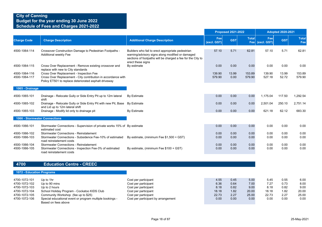|                                |                                                                                                                                                                   |                                                                                                                                                                                           |                    | <b>Proposed 2021-2022</b> |                  |                        | <b>Adopted 2020-2021</b> |                     |
|--------------------------------|-------------------------------------------------------------------------------------------------------------------------------------------------------------------|-------------------------------------------------------------------------------------------------------------------------------------------------------------------------------------------|--------------------|---------------------------|------------------|------------------------|--------------------------|---------------------|
| <b>Charge Code</b>             | <b>Charge Description</b>                                                                                                                                         | <b>Additional Charge Description</b>                                                                                                                                                      | Fee<br>(excl. GST) | <b>GST</b>                | <b>Total</b>     | Fee<br>Fee (excl. GST) | <b>GST</b>               | <b>Total</b><br>Fee |
| 4500-1064-114                  | Crossover Construction Damage to Pedestrian Footpaths -<br>Additional weekly Fee                                                                                  | Builders who fail to erect appropriate pedestrian<br>warning/advisory signs along modified or damaged<br>sections of footpaths will be charged a fee for the City to<br>erect these signs | 57.10              | 5.71                      | 62.81            | 57.10                  | 5.71                     | 62.81               |
| 4500-1064-115                  | Cross Over Replacement - Remove existing crossover and<br>replace with new to City standards                                                                      | By estimate                                                                                                                                                                               | 0.00               | 0.00                      | 0.00             | 0.00                   | 0.00                     | 0.00                |
| 4500-1064-116<br>4500-1064-117 | Cross Over Replacement - Inspection Fee<br>Cross Over Replacement - City contribution in accordance with<br>Policy ET501 to replace deteriorated asphalt driveway |                                                                                                                                                                                           | 139.90<br>579.90   | 13.99<br>0.00             | 153.89<br>579.90 | 139.90<br>527.18       | 13.99<br>52.72           | 153.89<br>579.90    |
| 1065 - Drainage                |                                                                                                                                                                   |                                                                                                                                                                                           |                    |                           |                  |                        |                          |                     |
| 4500-1065-101                  | Drainage - Relocate Gully or Side Entry Pit up to 12m lateral<br>shift                                                                                            | By Estimate                                                                                                                                                                               | 0.00               | 0.00                      | 0.00             | 1,175.04               | 117.50                   | 1,292.54            |
| 4500-1065-102                  | Drainage - Relocate Gully or Side Entry Pit with new Pit, Base<br>and Lid up to 12m lateral shift                                                                 | By Estimate                                                                                                                                                                               | 0.00               | 0.00                      | 0.00             | 2,501.04               | 250.10                   | 2,751.14            |
| 4500-1065-103                  | Drainage - Modify lid only to drainage pit                                                                                                                        | By Estimate                                                                                                                                                                               | 0.00               | 0.00                      | 0.00             | 621.18                 | 62.12                    | 683.30              |
| 1066 - Stormwater Connections  |                                                                                                                                                                   |                                                                                                                                                                                           |                    |                           |                  |                        |                          |                     |
| 4500-1066-101                  | Stormwater Connections - Supervision of private works 15% of By estimate<br>estimated cost                                                                        |                                                                                                                                                                                           | 0.00               | 0.00                      | 0.00             | 0.00                   | 0.00                     | 0.00                |
| 4500-1066-102                  | <b>Stormwater Connections - Reinstatement</b>                                                                                                                     |                                                                                                                                                                                           | 0.00               | 0.00                      | 0.00             | 0.00                   | 0.00                     | 0.00                |
| 4500-1066-103                  | Stormwater Connections - Subsidence Fee-10% of estimated<br>road reinstatement costs                                                                              | By estimate, (minimum Fee \$1,500 + GST)                                                                                                                                                  | 0.00               | 0.00                      | 0.00             | 0.00                   | 0.00                     | 0.00                |
| 4500-1066-104<br>4500-1066-105 | <b>Stormwater Connections - Reinstatement</b><br>Stormwater Connections - Inspection Fee-3% of estimated                                                          | By estimate, (minimum Fee \$100 + GST)                                                                                                                                                    | 0.00<br>0.00       | 0.00<br>0.00              | 0.00<br>0.00     | 0.00<br>0.00           | 0.00<br>0.00             | 0.00<br>0.00        |
|                                | road reinstatement costs                                                                                                                                          |                                                                                                                                                                                           |                    |                           |                  |                        |                          |                     |

#### **4700 Education Centre - CREEC**

#### **1072 - Education Programs**

| 4700-1072-101 | Up to 1hr                                                | Cost per participant                | 4.55  | 0.45 | 5.00  | 5.45  | 0.55 | 6.00  |
|---------------|----------------------------------------------------------|-------------------------------------|-------|------|-------|-------|------|-------|
| 4700-1072-102 | Up to 90 mins                                            | Cost per participant                | 6.36  | 0.64 | 7.00  | 7.27  | 0.73 | 8.00  |
| 4700-1072-103 | Up to 2 hours                                            | Cost per participant                | 8.18  | 0.82 | 9.00  | 8.18  | 0.82 | 9.00  |
| 4700-1072-104 | School Holiday Program - Cockatoo KIDS Club              | Cost per participant                | 18.18 | 1.82 | 20.00 | 18.18 | 1.82 | 20.00 |
| 4700-1072-105 | Community Workshop (fee up to \$25)                      | Cost per participant                | 22.73 | 2.27 | 25.00 | 22.73 | 2.27 | 25.00 |
| 4700-1072-106 | Special educational event or program multiple bookings - | Cost per participant by arrangement | 0.00  | 0.00 | 0.00  | 0.00  | 0.00 | 0.00  |
|               | Based on fees above                                      |                                     |       |      |       |       |      |       |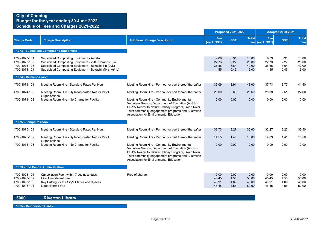## **Budget for the year ending 30 June 2022 Schedule of Fees and Charges 2021-2022**

|                                                                  |                                                                                                                                                                                                                  |                                                                                                                                                                                                                                                          |                                 | <b>Proposed 2021-2022</b>    |                                 |                                 | <b>Adopted 2020-2021</b>     |                                 |
|------------------------------------------------------------------|------------------------------------------------------------------------------------------------------------------------------------------------------------------------------------------------------------------|----------------------------------------------------------------------------------------------------------------------------------------------------------------------------------------------------------------------------------------------------------|---------------------------------|------------------------------|---------------------------------|---------------------------------|------------------------------|---------------------------------|
| <b>Charge Code</b>                                               | <b>Charge Description</b>                                                                                                                                                                                        | <b>Additional Charge Description</b>                                                                                                                                                                                                                     | Fee<br>(excl. GST)              | <b>GST</b>                   | <b>Total</b>                    | Fee<br>Fee (excl. GST)          | <b>GST</b>                   | <b>Total</b><br>Fee             |
|                                                                  | 1073 - Subsidised Composting Equipment                                                                                                                                                                           |                                                                                                                                                                                                                                                          |                                 |                              |                                 |                                 |                              |                                 |
| 4700-1073-101<br>4700-1073-102<br>4700-1073-103<br>4700-1073-104 | Subsidised Composting Equipment - Aerator<br>Subsidised Composting Equipment - 220L Compost Bin<br>Subsidised Composting Equipment - Bokashi Bin (20L)<br>Subsidised Composting Equipment - Bokashi Mix (1kg/4L) |                                                                                                                                                                                                                                                          | 9.09<br>22.73<br>36.36<br>4.55  | 0.91<br>2.27<br>3.64<br>0.45 | 10.00<br>25.00<br>40.00<br>5.00 | 9.09<br>22.73<br>36.36<br>4.55  | 0.91<br>2.27<br>3.64<br>0.45 | 10.00<br>25.00<br>40.00<br>5.00 |
| 1074 - Melaleuca room                                            |                                                                                                                                                                                                                  |                                                                                                                                                                                                                                                          |                                 |                              |                                 |                                 |                              |                                 |
| 4700-1074-101                                                    | Meeting Room Hire - Standard Rates Per Hour                                                                                                                                                                      | Meeting Room Hire - Per hour or part thereof thereafter                                                                                                                                                                                                  | 39.09                           | 3.91                         | 43.00                           | 37.73                           | 3.77                         | 41.50                           |
| 4700-1074-102                                                    | Meeting Room Hire - By Incorporated Not for Profit<br>Organisations                                                                                                                                              | Meeting Room Hire - Per hour or part thereof thereafter                                                                                                                                                                                                  | 26.00                           | 2.60                         | 28.60                           | 25.09                           | 2.51                         | 27.60                           |
| 4700-1074-103                                                    | Meeting Room Hire - No Charge for Facility                                                                                                                                                                       | Meeting Room Hire - Community Environmental<br>Volunteer Groups, Department of Education (AuSSI),<br>DPAW Nearer to Nature Holiday Program, Swan River<br>Trust community engagement programs and Australian<br>Association for Environmental Education. | 0.00                            | 0.00                         | 0.00                            | 0.00                            | 0.00                         | 0.00                            |
| 1075 - Samphire room                                             |                                                                                                                                                                                                                  |                                                                                                                                                                                                                                                          |                                 |                              |                                 |                                 |                              |                                 |
| 4700-1075-101                                                    | Meeting Room Hire - Standard Rates Per Hour                                                                                                                                                                      | Meeting Room Hire - Per hour or part thereof thereafter                                                                                                                                                                                                  | 32.73                           | 3.27                         | 36.00                           | 32.27                           | 3.23                         | 35.50                           |
| 4700-1075-102                                                    | Meeting Room Hire - By Incorporated Not for Profit<br>Organisations                                                                                                                                              | Meeting Room Hire - Per hour or part thereof thereafter                                                                                                                                                                                                  | 14.55                           | 1.45                         | 16.00                           | 14.09                           | 1.41                         | 15.50                           |
| 4700-1075-103                                                    | Meeting Room Hire - No Charge for Facility                                                                                                                                                                       | Meeting Room Hire - Community Environmental<br>Volunteer Groups, Department of Education (AuSSI),<br>DPAW Nearer to Nature Holiday Program, Swan River<br>Trust community engagement programs and Australian<br>Association for Environmental Education. | 0.00                            | 0.00                         | 0.00                            | 0.00                            | 0.00                         | 0.00                            |
|                                                                  | 1093 - Eco Centre Administration                                                                                                                                                                                 |                                                                                                                                                                                                                                                          |                                 |                              |                                 |                                 |                              |                                 |
| 4700-1093-101<br>4700-1093-102<br>4700-1093-103<br>4700-1093-104 | Cancellation Fee - within 7 business days<br>Hire Amendment Fee<br>Key Cutting for the City's Places and Spaces<br>Liquor Permit Fee                                                                             | Free of charge                                                                                                                                                                                                                                           | 0.00<br>45.45<br>40.91<br>45.45 | 0.00<br>4.55<br>4.09<br>4.55 | 0.00<br>50.00<br>45.00<br>50.00 | 0.00<br>45.45<br>40.91<br>45.45 | 0.00<br>4.55<br>4.09<br>4.55 | 0.00<br>50.00<br>45.00<br>50.00 |

## **5000 Riverton Library**

**1095 - Membership Cards**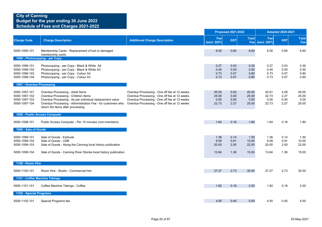|                                                                  |                                                                                                                                                                                                                                         |                                                                                                                                                                                              | <b>Proposed 2021-2022</b>       |                              |                                 |                                 | <b>Adopted 2020-2021</b>     |                                 |  |
|------------------------------------------------------------------|-----------------------------------------------------------------------------------------------------------------------------------------------------------------------------------------------------------------------------------------|----------------------------------------------------------------------------------------------------------------------------------------------------------------------------------------------|---------------------------------|------------------------------|---------------------------------|---------------------------------|------------------------------|---------------------------------|--|
| <b>Charge Code</b>                                               | <b>Charge Description</b>                                                                                                                                                                                                               | <b>Additional Charge Description</b>                                                                                                                                                         | Fee<br>(excl. GST)              | <b>GST</b>                   | <b>Total</b>                    | Fee<br>Fee (excl. GST)          | <b>GST</b>                   | <b>Total</b><br>Fee             |  |
| 5000-1095-101                                                    | Membership Cards - Replacement of lost or damaged<br>membership cards                                                                                                                                                                   |                                                                                                                                                                                              | 6.00                            | 0.60                         | 6.60                            | 6.00                            | 0.60                         | 6.60                            |  |
|                                                                  | 1096 - Photocopying - per Copy                                                                                                                                                                                                          |                                                                                                                                                                                              |                                 |                              |                                 |                                 |                              |                                 |  |
| 5000-1096-101<br>5000-1096-102<br>5000-1096-103<br>5000-1096-104 | Photocopying - per Copy - Black & White A4<br>Photocopying - per Copy - Black & White A3<br>Photocopying - per Copy - Colour A4<br>Photocopying - per Copy - Colour A3                                                                  |                                                                                                                                                                                              | 0.27<br>0.45<br>0.73<br>0.73    | 0.03<br>0.05<br>0.07<br>0.07 | 0.30<br>0.50<br>0.80<br>0.80    | 0.27<br>0.45<br>0.73<br>0.73    | 0.03<br>0.05<br>0.07<br>0.07 | 0.30<br>0.50<br>0.80<br>0.80    |  |
| 1097 - Overdue Processing                                        |                                                                                                                                                                                                                                         |                                                                                                                                                                                              |                                 |                              |                                 |                                 |                              |                                 |  |
| 5000-1097-101<br>5000-1097-102<br>5000-1097-103<br>5000-1097-104 | Overdue Processing - Adult Items<br>Overdue Processing - Children Items<br>Overdue Processing - As per individual replacement value<br>Overdue Processing - Administration Fee - for customers who<br>return the items after processing | Overdue Processing - One off fee at 12 weeks<br>Overdue Processing - One off fee at 12 weeks<br>Overdue Processing - One off fee at 12 weeks<br>Overdue Processing - One off fee at 12 weeks | 45.00<br>25.00<br>0.00<br>22.73 | 0.00<br>0.00<br>0.00<br>2.27 | 45.00<br>25.00<br>0.00<br>25.00 | 40.91<br>22.73<br>0.00<br>22.73 | 4.09<br>2.27<br>0.00<br>2.27 | 45.00<br>25.00<br>0.00<br>25.00 |  |
|                                                                  | 1098 - Public Access Computer                                                                                                                                                                                                           |                                                                                                                                                                                              |                                 |                              |                                 |                                 |                              |                                 |  |
| 5000-1098-101                                                    | Public Access Computer - Per 15 minutes (non-members)                                                                                                                                                                                   |                                                                                                                                                                                              | 1.64                            | 0.16                         | 1.80                            | 1.64                            | 0.16                         | 1.80                            |  |
| 1099 - Sale of Goods                                             |                                                                                                                                                                                                                                         |                                                                                                                                                                                              |                                 |                              |                                 |                                 |                              |                                 |  |
| 5000-1099-101<br>5000-1099-102<br>5000-1099-103<br>5000-1099-104 | Sale of Goods - Earbuds<br>Sale of Goods - USB<br>Sale of Goods - Along the Canning local history publication<br>Sale of Goods - Canning River Stories local history publication                                                        |                                                                                                                                                                                              | 1.36<br>9.09<br>20.00<br>13.64  | 0.14<br>0.91<br>2.00<br>1.36 | 1.50<br>10.00<br>22.00<br>15.00 | 1.36<br>9.09<br>20.00<br>13.64  | 0.14<br>0.91<br>2.00<br>1.36 | 1.50<br>10.00<br>22.00<br>15.00 |  |
|                                                                  |                                                                                                                                                                                                                                         |                                                                                                                                                                                              |                                 |                              |                                 |                                 |                              |                                 |  |
| 1100 - Room Hire                                                 |                                                                                                                                                                                                                                         |                                                                                                                                                                                              |                                 |                              |                                 |                                 |                              |                                 |  |
| 5000-1100-101                                                    | Room Hire - Studio - Commercial hire                                                                                                                                                                                                    |                                                                                                                                                                                              | 27.27                           | 2.73                         | 30.00                           | 27.27                           | 2.73                         | 30.00                           |  |
|                                                                  | 1101 - Coffee Machine Takings                                                                                                                                                                                                           |                                                                                                                                                                                              |                                 |                              |                                 |                                 |                              |                                 |  |
| 5000-1101-101                                                    | Coffee Machine Takings - Coffee                                                                                                                                                                                                         |                                                                                                                                                                                              | 1.82                            | 0.18                         | 2.00                            | 1.82                            | 0.18                         | 2.00                            |  |
| 1102 - Special Programs                                          |                                                                                                                                                                                                                                         |                                                                                                                                                                                              |                                 |                              |                                 |                                 |                              |                                 |  |
| 5000-1102-101                                                    | Special Programs fee                                                                                                                                                                                                                    |                                                                                                                                                                                              | 4.55                            | 0.45                         | 5.00                            | 4.55                            | 0.45                         | 5.00                            |  |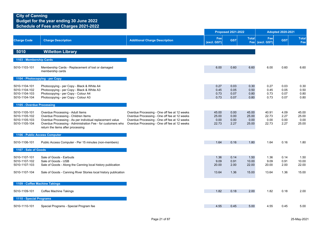|                                                                  |                                                                                                                                                                                                                                         |                                                                                                                                                                                              |                                 | <b>Proposed 2021-2022</b>    |                                 |                                 | <b>Adopted 2020-2021</b>     |                                 |
|------------------------------------------------------------------|-----------------------------------------------------------------------------------------------------------------------------------------------------------------------------------------------------------------------------------------|----------------------------------------------------------------------------------------------------------------------------------------------------------------------------------------------|---------------------------------|------------------------------|---------------------------------|---------------------------------|------------------------------|---------------------------------|
| <b>Charge Code</b>                                               | <b>Charge Description</b>                                                                                                                                                                                                               | <b>Additional Charge Description</b>                                                                                                                                                         | Fee<br>(excl. GST)              | <b>GST</b>                   | <b>Total</b>                    | Fee<br>Fee (excl. GST)          | <b>GST</b>                   | <b>Total</b><br>Fee             |
| 5010                                                             | <b>Willetton Library</b>                                                                                                                                                                                                                |                                                                                                                                                                                              |                                 |                              |                                 |                                 |                              |                                 |
| 1103 - Membership Cards                                          |                                                                                                                                                                                                                                         |                                                                                                                                                                                              |                                 |                              |                                 |                                 |                              |                                 |
| 5010-1103-101                                                    | Membership Cards - Replacement of lost or damaged<br>membership cards                                                                                                                                                                   |                                                                                                                                                                                              | 6.00                            | 0.60                         | 6.60                            | 6.00                            | 0.60                         | 6.60                            |
|                                                                  | 1104 - Photocopying - per Copy                                                                                                                                                                                                          |                                                                                                                                                                                              |                                 |                              |                                 |                                 |                              |                                 |
| 5010-1104-101<br>5010-1104-102<br>5010-1104-103<br>5010-1104-104 | Photocopying - per Copy - Black & White A4<br>Photocopying - per Copy - Black & White A3<br>Photocopying - per Copy - Colour A4<br>Photocopying - per Copy - Colour A3                                                                  |                                                                                                                                                                                              | 0.27<br>0.45<br>0.73<br>0.73    | 0.03<br>0.05<br>0.07<br>0.07 | 0.30<br>0.50<br>0.80<br>0.80    | 0.27<br>0.45<br>0.73<br>0.73    | 0.03<br>0.05<br>0.07<br>0.07 | 0.30<br>0.50<br>0.80<br>0.80    |
| 1105 - Overdue Processing                                        |                                                                                                                                                                                                                                         |                                                                                                                                                                                              |                                 |                              |                                 |                                 |                              |                                 |
| 5010-1105-101<br>5010-1105-102<br>5010-1105-103<br>5010-1105-104 | Overdue Processing - Adult Items<br>Overdue Processing - Children Items<br>Overdue Processing - As per individual replacement value<br>Overdue Processing - Administration Fee - for customers who<br>return the items after processing | Overdue Processing - One off fee at 12 weeks<br>Overdue Processing - One off fee at 12 weeks<br>Overdue Processing - One off fee at 12 weeks<br>Overdue Processing - One off fee at 12 weeks | 45.00<br>25.00<br>0.00<br>22.73 | 0.00<br>0.00<br>0.00<br>2.27 | 45.00<br>25.00<br>0.00<br>25.00 | 40.91<br>22.73<br>0.00<br>22.73 | 4.09<br>2.27<br>0.00<br>2.27 | 45.00<br>25.00<br>0.00<br>25.00 |
|                                                                  | 1106 - Public Access Computer                                                                                                                                                                                                           |                                                                                                                                                                                              |                                 |                              |                                 |                                 |                              |                                 |
| 5010-1106-101                                                    | Public Access Computer - Per 15 minutes (non-members)                                                                                                                                                                                   |                                                                                                                                                                                              | 1.64                            | 0.16                         | 1.80                            | 1.64                            | 0.16                         | 1.80                            |
| 1107 - Sale of Goods                                             |                                                                                                                                                                                                                                         |                                                                                                                                                                                              |                                 |                              |                                 |                                 |                              |                                 |
| 5010-1107-101<br>5010-1107-102<br>5010-1107-103                  | Sale of Goods - Earbuds<br>Sale of Goods - USB<br>Sale of Goods - Along the Canning local history publication                                                                                                                           |                                                                                                                                                                                              | 1.36<br>9.09<br>20.00           | 0.14<br>0.91<br>2.00         | 1.50<br>10.00<br>22.00          | 1.36<br>9.09<br>20.00           | 0.14<br>0.91<br>2.00         | 1.50<br>10.00<br>22.00          |
| 5010-1107-104                                                    | Sale of Goods - Canning River Stories local history publication                                                                                                                                                                         |                                                                                                                                                                                              | 13.64                           | 1.36                         | 15.00                           | 13.64                           | 1.36                         | 15.00                           |
|                                                                  | 1109 - Coffee Machine Takings                                                                                                                                                                                                           |                                                                                                                                                                                              |                                 |                              |                                 |                                 |                              |                                 |
| 5010-1109-101                                                    | Coffee Machine Takings                                                                                                                                                                                                                  |                                                                                                                                                                                              | 1.82                            | 0.18                         | 2.00                            | 1.82                            | 0.18                         | 2.00                            |
| 1110 - Special Programs                                          |                                                                                                                                                                                                                                         |                                                                                                                                                                                              |                                 |                              |                                 |                                 |                              |                                 |
| 5010-1110-101                                                    | Special Programs - Special Program fee                                                                                                                                                                                                  |                                                                                                                                                                                              | 4.55                            | 0.45                         | 5.00                            | 4.55                            | 0.45                         | 5.00                            |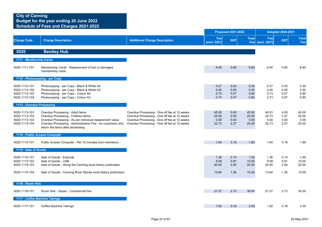|                                                                  |                                                                                                                                                                                                                                         |                                                                                                                                                                                              |                                 | <b>Proposed 2021-2022</b>    |                                 |                                 | <b>Adopted 2020-2021</b>     |                                 |
|------------------------------------------------------------------|-----------------------------------------------------------------------------------------------------------------------------------------------------------------------------------------------------------------------------------------|----------------------------------------------------------------------------------------------------------------------------------------------------------------------------------------------|---------------------------------|------------------------------|---------------------------------|---------------------------------|------------------------------|---------------------------------|
| <b>Charge Code</b>                                               | <b>Charge Description</b>                                                                                                                                                                                                               | <b>Additional Charge Description</b>                                                                                                                                                         | Fee<br>(excl. GST)              | <b>GST</b>                   | <b>Total</b>                    | Fee<br>Fee (excl. GST)          | <b>GST</b>                   | <b>Total</b><br>Fee             |
| 5020                                                             | <b>Bentley Hub</b>                                                                                                                                                                                                                      |                                                                                                                                                                                              |                                 |                              |                                 |                                 |                              |                                 |
| 1111 - Membership Cards                                          |                                                                                                                                                                                                                                         |                                                                                                                                                                                              |                                 |                              |                                 |                                 |                              |                                 |
| 5020-1111-101                                                    | Membership Cards - Replacement of lost or damaged<br>membership cards                                                                                                                                                                   |                                                                                                                                                                                              | 6.00                            | 0.60                         | 6.60                            | 6.00                            | 0.60                         | 6.60                            |
|                                                                  | 1112 - Photocopying - per Copy                                                                                                                                                                                                          |                                                                                                                                                                                              |                                 |                              |                                 |                                 |                              |                                 |
| 5020-1112-101<br>5020-1112-102<br>5020-1112-103<br>5020-1112-104 | Photocopying - per Copy - Black & White A4<br>Photocopying - per Copy - Black & White A3<br>Photocopying - per Copy - Colour A4<br>Photocopying - per Copy - Colour A3                                                                  |                                                                                                                                                                                              | 0.27<br>0.45<br>0.73<br>0.73    | 0.03<br>0.05<br>0.07<br>0.07 | 0.30<br>0.50<br>0.80<br>0.80    | 0.27<br>0.45<br>0.73<br>0.73    | 0.03<br>0.05<br>0.07<br>0.07 | 0.30<br>0.50<br>0.80<br>0.80    |
| 1113 - Overdue Processing                                        |                                                                                                                                                                                                                                         |                                                                                                                                                                                              |                                 |                              |                                 |                                 |                              |                                 |
| 5020-1113-101<br>5020-1113-102<br>5020-1113-103<br>5020-1113-104 | Overdue Processing - Adult Items<br>Overdue Processing - Children Items<br>Overdue Processing - As per individual replacement value<br>Overdue Processing - Administration Fee - for customers who<br>return the items after processing | Overdue Processing - One off fee at 12 weeks<br>Overdue Processing - One off fee at 12 weeks<br>Overdue Processing - One off fee at 12 weeks<br>Overdue Processing - One off fee at 12 weeks | 45.00<br>25.00<br>0.00<br>22.73 | 0.00<br>0.00<br>0.00<br>2.27 | 45.00<br>25.00<br>0.00<br>25.00 | 40.91<br>22.73<br>0.00<br>22.73 | 4.09<br>2.27<br>0.00<br>2.27 | 45.00<br>25.00<br>0.00<br>25.00 |
|                                                                  | 1114 - Public Access Computer                                                                                                                                                                                                           |                                                                                                                                                                                              |                                 |                              |                                 |                                 |                              |                                 |
| 5020-1114-101                                                    | Public Access Computer - Per 15 minutes (non-members)                                                                                                                                                                                   |                                                                                                                                                                                              | 1.64                            | 0.16                         | 1.80                            | 1.64                            | 0.16                         | 1.80                            |
| 1115 - Sale of Goods                                             |                                                                                                                                                                                                                                         |                                                                                                                                                                                              |                                 |                              |                                 |                                 |                              |                                 |
| 5020-1115-101<br>5020-1115-102<br>5020-1115-103                  | Sale of Goods - Earbuds<br>Sale of Goods - USB<br>Sale of Goods - Along the Canning local history publication                                                                                                                           |                                                                                                                                                                                              | 1.36<br>9.09<br>20.00           | 0.14<br>0.91<br>2.00         | 1.50<br>10.00<br>22.00          | 1.36<br>9.09<br>20.00           | 0.14<br>0.91<br>2.00         | 1.50<br>10.00<br>22.00          |
| 5020-1115-104                                                    | Sale of Goods - Canning River Stories local history publication                                                                                                                                                                         |                                                                                                                                                                                              | 13.64                           | 1.36                         | 15.00                           | 13.64                           | 1.36                         | 15.00                           |
| 1116 - Room Hire                                                 |                                                                                                                                                                                                                                         |                                                                                                                                                                                              |                                 |                              |                                 |                                 |                              |                                 |
| 5020-1116-101                                                    | Room Hire - Studio - Commercial hire                                                                                                                                                                                                    |                                                                                                                                                                                              | 27.27                           | 2.73                         | 30.00                           | 27.27                           | 2.73                         | 30.00                           |
|                                                                  | 1117 - Coffee Machine Takings                                                                                                                                                                                                           |                                                                                                                                                                                              |                                 |                              |                                 |                                 |                              |                                 |
| 5020-1117-101                                                    | Coffee Machine Takings                                                                                                                                                                                                                  |                                                                                                                                                                                              | 1.82                            | 0.18                         | 2.00                            | 1.82                            | 0.18                         | 2.00                            |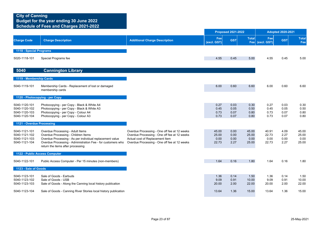|                                                                  |                                                                                                                                                                                                                                         |                                                                                                                                                                                 |                                 | <b>Proposed 2021-2022</b>    |                                 |                                 | <b>Adopted 2020-2021</b>     |                                 |
|------------------------------------------------------------------|-----------------------------------------------------------------------------------------------------------------------------------------------------------------------------------------------------------------------------------------|---------------------------------------------------------------------------------------------------------------------------------------------------------------------------------|---------------------------------|------------------------------|---------------------------------|---------------------------------|------------------------------|---------------------------------|
| <b>Charge Code</b>                                               | <b>Charge Description</b>                                                                                                                                                                                                               | <b>Additional Charge Description</b>                                                                                                                                            | Fee<br>(excl. GST)              | <b>GST</b>                   | <b>Total</b>                    | Fee<br>Fee (excl. GST)          | <b>GST</b>                   | <b>Total</b><br>Fee             |
| 1118 - Special Programs                                          |                                                                                                                                                                                                                                         |                                                                                                                                                                                 |                                 |                              |                                 |                                 |                              |                                 |
| 5020-1118-101                                                    | Special Programs fee                                                                                                                                                                                                                    |                                                                                                                                                                                 | 4.55                            | 0.45                         | 5.00                            | 4.55                            | 0.45                         | 5.00                            |
| 5040                                                             | <b>Cannington Library</b>                                                                                                                                                                                                               |                                                                                                                                                                                 |                                 |                              |                                 |                                 |                              |                                 |
| 1119 - Membership Cards                                          |                                                                                                                                                                                                                                         |                                                                                                                                                                                 |                                 |                              |                                 |                                 |                              |                                 |
| 5040-1119-101                                                    | Membership Cards - Replacement of lost or damaged<br>membership cards                                                                                                                                                                   |                                                                                                                                                                                 | 6.00                            | 0.60                         | 6.60                            | 6.00                            | 0.60                         | 6.60                            |
| 1120 - Photocopying - per Copy                                   |                                                                                                                                                                                                                                         |                                                                                                                                                                                 |                                 |                              |                                 |                                 |                              |                                 |
| 5040-1120-101<br>5040-1120-102<br>5040-1120-103<br>5040-1120-104 | Photocopying - per Copy - Black & White A4<br>Photocopying - per Copy - Black & White A3<br>Photocopying - per Copy - Colour A4<br>Photocopying - per Copy - Colour A3                                                                  |                                                                                                                                                                                 | 0.27<br>0.45<br>0.73<br>0.73    | 0.03<br>0.05<br>0.07<br>0.07 | 0.30<br>0.50<br>0.80<br>0.80    | 0.27<br>0.45<br>0.73<br>0.73    | 0.03<br>0.05<br>0.07<br>0.07 | 0.30<br>0.50<br>0.80<br>0.80    |
| 1121 - Overdue Processing                                        |                                                                                                                                                                                                                                         |                                                                                                                                                                                 |                                 |                              |                                 |                                 |                              |                                 |
| 5040-1121-101<br>5040-1121-102<br>5040-1121-103<br>5040-1121-104 | Overdue Processing - Adult Items<br>Overdue Processing - Children Items<br>Overdue Processing - As per individual replacement value<br>Overdue Processing - Administration Fee - for customers who<br>return the items after processing | Overdue Processing - One off fee at 12 weeks<br>Overdue Processing - One off fee at 12 weeks<br>Actual cost of Replacement Item<br>Overdue Processing - One off fee at 12 weeks | 45.00<br>25.00<br>0.00<br>22.73 | 0.00<br>0.00<br>0.00<br>2.27 | 45.00<br>25.00<br>0.00<br>25.00 | 40.91<br>22.73<br>0.00<br>22.73 | 4.09<br>2.27<br>0.00<br>2.27 | 45.00<br>25.00<br>0.00<br>25.00 |
| 1122 - Public Access Computer                                    |                                                                                                                                                                                                                                         |                                                                                                                                                                                 |                                 |                              |                                 |                                 |                              |                                 |
| 5040-1122-101                                                    | Public Access Computer - Per 15 minutes (non-members)                                                                                                                                                                                   |                                                                                                                                                                                 | 1.64                            | 0.16                         | 1.80                            | 1.64                            | 0.16                         | 1.80                            |
| 1123 - Sale of Goods                                             |                                                                                                                                                                                                                                         |                                                                                                                                                                                 |                                 |                              |                                 |                                 |                              |                                 |
| 5040-1123-101<br>5040-1123-102<br>5040-1123-103                  | Sale of Goods - Earbuds<br>Sale of Goods - USB<br>Sale of Goods - Along the Canning local history publication                                                                                                                           |                                                                                                                                                                                 | 1.36<br>9.09<br>20.00           | 0.14<br>0.91<br>2.00         | 1.50<br>10.00<br>22.00          | 1.36<br>9.09<br>20.00           | 0.14<br>0.91<br>2.00         | 1.50<br>10.00<br>22.00          |
| 5040-1123-104                                                    | Sale of Goods - Canning River Stories local history publication                                                                                                                                                                         |                                                                                                                                                                                 | 13.64                           | 1.36                         | 15.00                           | 13.64                           | 1.36                         | 15.00                           |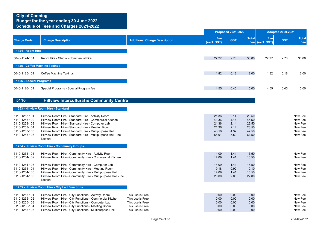|                                                                                                    |                                                                                                                                                                                                                                                                                                                                                              |                                                                                                  |                                                    | <b>Proposed 2021-2022</b>                    |                                                    |                        | <b>Adopted 2020-2021</b> |                                                                |
|----------------------------------------------------------------------------------------------------|--------------------------------------------------------------------------------------------------------------------------------------------------------------------------------------------------------------------------------------------------------------------------------------------------------------------------------------------------------------|--------------------------------------------------------------------------------------------------|----------------------------------------------------|----------------------------------------------|----------------------------------------------------|------------------------|--------------------------|----------------------------------------------------------------|
| <b>Charge Code</b>                                                                                 | <b>Charge Description</b>                                                                                                                                                                                                                                                                                                                                    | <b>Additional Charge Description</b>                                                             | Fee<br>(excl. GST)                                 | <b>GST</b>                                   | <b>Total</b>                                       | Fee<br>Fee (excl. GST) | <b>GST</b>               | <b>Total</b><br>Fee                                            |
| 1124 - Room Hire                                                                                   |                                                                                                                                                                                                                                                                                                                                                              |                                                                                                  |                                                    |                                              |                                                    |                        |                          |                                                                |
| 5040-1124-101                                                                                      | Room Hire - Studio - Commercial hire                                                                                                                                                                                                                                                                                                                         |                                                                                                  | 27.27                                              | 2.73                                         | 30.00                                              | 27.27                  | 2.73                     | 30.00                                                          |
|                                                                                                    | 1125 - Coffee Machine Takings                                                                                                                                                                                                                                                                                                                                |                                                                                                  |                                                    |                                              |                                                    |                        |                          |                                                                |
| 5040-1125-101                                                                                      | Coffee Machine Takings                                                                                                                                                                                                                                                                                                                                       |                                                                                                  | 1.82                                               | 0.18                                         | 2.00                                               | 1.82                   | 0.18                     | 2.00                                                           |
| 1126 - Special Programs                                                                            |                                                                                                                                                                                                                                                                                                                                                              |                                                                                                  |                                                    |                                              |                                                    |                        |                          |                                                                |
| 5040-1126-101                                                                                      | Special Programs - Special Program fee                                                                                                                                                                                                                                                                                                                       |                                                                                                  | 4.55                                               | 0.45                                         | 5.00                                               | 4.55                   | 0.45                     | 5.00                                                           |
| 5110                                                                                               | <b>Hillview Intercultural &amp; Community Centre</b>                                                                                                                                                                                                                                                                                                         |                                                                                                  |                                                    |                                              |                                                    |                        |                          |                                                                |
|                                                                                                    | 1253 - Hillview Room Hire - Standard                                                                                                                                                                                                                                                                                                                         |                                                                                                  |                                                    |                                              |                                                    |                        |                          |                                                                |
| 5110-1253-101<br>5110-1253-102<br>5110-1253-103<br>5110-1253-104<br>5110-1253-105<br>5110-1253-106 | Hillview Room Hire - Standard Hire - Activity Room<br>Hillview Room Hire - Standard Hire - Commercial Kitchen<br>Hillview Room Hire - Standard Hire - Computer Lab<br>Hillview Room Hire - Standard Hire - Meeting Room<br>Hillview Room Hire - Standard Hire - Multipurpose Hall<br>Hillview Room Hire - Standard Hire - Multipurpose Hall - inc<br>kitchen |                                                                                                  | 21.36<br>41.36<br>21.36<br>21.36<br>43.18<br>55.91 | 2.14<br>4.14<br>2.14<br>2.14<br>4.32<br>5.59 | 23.50<br>45.50<br>23.50<br>23.50<br>47.50<br>61.50 |                        |                          | New Fee<br>New Fee<br>New Fee<br>New Fee<br>New Fee<br>New Fee |
|                                                                                                    | 1254 - Hillview Room Hire - Community Groups                                                                                                                                                                                                                                                                                                                 |                                                                                                  |                                                    |                                              |                                                    |                        |                          |                                                                |
| 5110-1254-101<br>5110-1254-102                                                                     | Hillview Room Hire - Community Hire - Activity Room<br>Hillview Room Hire - Community Hire - Commercial Kitchen                                                                                                                                                                                                                                              |                                                                                                  | 14.09<br>14.09                                     | 1.41<br>1.41                                 | 15.50<br>15.50                                     |                        |                          | New Fee<br>New Fee                                             |
| 5110-1254-103<br>5110-1254-104<br>5110-1254-105<br>5110-1254-106                                   | Hillview Room Hire - Community Hire - Computer Lab<br>Hillview Room Hire - Community Hire - Meeting Room<br>Hillview Room Hire - Community Hire - Multipurpose Hall<br>Hillview Room Hire - Community Hire - Multipurpose Hall - inc<br>kitchen                                                                                                              |                                                                                                  | 14.09<br>9.18<br>14.09<br>20.00                    | 1.41<br>0.92<br>1.41<br>2.00                 | 15.50<br>10.10<br>15.50<br>22.00                   |                        |                          | New Fee<br>New Fee<br>New Fee<br>New Fee                       |
|                                                                                                    | 1255 - Hillview Room Hire - City Led Functions                                                                                                                                                                                                                                                                                                               |                                                                                                  |                                                    |                                              |                                                    |                        |                          |                                                                |
| 5110-1255-101<br>5110-1255-102<br>5110-1255-103<br>5110-1255-104<br>5110-1255-105                  | Hillview Room Hire - City Functions - Activity Room<br>Hillview Room Hire - City Functions - Commercial Kitchen<br>Hillview Room Hire - City Functions - Computer Lab<br>Hillview Room Hire - City Functions - Meeting Room<br>Hillview Room Hire - City Functions - Multipurpose Hall                                                                       | This use is Free<br>This use is Free<br>This use is Free<br>This use is Free<br>This use is Free | 0.00<br>0.00<br>0.00<br>0.00<br>0.00               | 0.00<br>0.00<br>0.00<br>0.00<br>0.00         | 0.00<br>0.00<br>0.00<br>0.00<br>0.00               |                        |                          | New Fee<br>New Fee<br>New Fee<br>New Fee<br>New Fee            |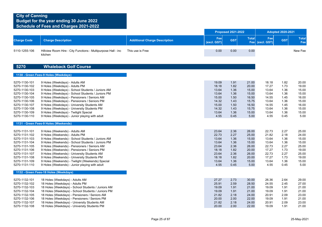|                                                                                                                                                                        |                                                                                                                                                                                                                                                                                                                                                                                                                                                                                |                                      |                                                                                       | <b>Proposed 2021-2022</b>                                                    |                                                                                       |                                                                                       | <b>Adopted 2020-2021</b>                                                     |                                                                                       |
|------------------------------------------------------------------------------------------------------------------------------------------------------------------------|--------------------------------------------------------------------------------------------------------------------------------------------------------------------------------------------------------------------------------------------------------------------------------------------------------------------------------------------------------------------------------------------------------------------------------------------------------------------------------|--------------------------------------|---------------------------------------------------------------------------------------|------------------------------------------------------------------------------|---------------------------------------------------------------------------------------|---------------------------------------------------------------------------------------|------------------------------------------------------------------------------|---------------------------------------------------------------------------------------|
| <b>Charge Code</b>                                                                                                                                                     | <b>Charge Description</b>                                                                                                                                                                                                                                                                                                                                                                                                                                                      | <b>Additional Charge Description</b> | Fee<br>(excl. GST)                                                                    | <b>GST</b>                                                                   | <b>Total</b>                                                                          | Fee<br>Fee (excl. GST)                                                                | <b>GST</b>                                                                   | <b>Total</b><br>Fee                                                                   |
| 5110-1255-106                                                                                                                                                          | Hillview Room Hire - City Functions - Multipurpose Hall - inc<br>kitchen                                                                                                                                                                                                                                                                                                                                                                                                       | This use is Free                     | 0.00                                                                                  | 0.00                                                                         | 0.00                                                                                  |                                                                                       |                                                                              | New Fee                                                                               |
| 5270                                                                                                                                                                   | <b>Whaleback Golf Course</b>                                                                                                                                                                                                                                                                                                                                                                                                                                                   |                                      |                                                                                       |                                                                              |                                                                                       |                                                                                       |                                                                              |                                                                                       |
|                                                                                                                                                                        | 1130 - Green Fees-9 Holes (Weekdays)                                                                                                                                                                                                                                                                                                                                                                                                                                           |                                      |                                                                                       |                                                                              |                                                                                       |                                                                                       |                                                                              |                                                                                       |
| 5270-1130-101<br>5270-1130-102<br>5270-1130-103<br>5270-1130-104<br>5270-1130-105<br>5270-1130-106<br>5270-1130-107<br>5270-1130-108<br>5270-1130-109<br>5270-1130-110 | 9 Holes (Weekdays) - Adults AM<br>9 Holes (Weekdays) - Adults PM<br>9 Holes (Weekdays) - School Students / Juniors AM<br>9 Holes (Weekdays) - School Students / Juniors PM<br>9 Holes (Weekdays) - Pensioners / Seniors AM<br>9 Holes (Weekdays) - Pensioners / Seniors PM<br>9 Holes (Weekdays) - University Students AM<br>9 Holes (Weekdays) - University Students PM<br>9 Holes (Weekdays) - Twilight Special<br>9 Holes (Weekdays) - Junior playing with adult            |                                      | 19.09<br>18.18<br>13.64<br>13.64<br>15.00<br>14.32<br>15.00<br>14.32<br>13.64<br>4.55 | 1.91<br>1.82<br>1.36<br>1.36<br>1.50<br>1.43<br>1.50<br>1.43<br>1.36<br>0.45 | 21.00<br>20.00<br>15.00<br>15.00<br>16.50<br>15.75<br>16.50<br>15.75<br>15.00<br>5.00 | 18.18<br>17.27<br>13.64<br>13.64<br>14.55<br>13.64<br>14.55<br>13.64<br>13.64<br>4.55 | 1.82<br>1.73<br>1.36<br>1.36<br>1.45<br>1.36<br>1.45<br>1.36<br>1.36<br>0.45 | 20.00<br>19.00<br>15.00<br>15.00<br>16.00<br>15.00<br>16.00<br>15.00<br>15.00<br>5.00 |
|                                                                                                                                                                        | 1131 - Green Fees-9 Holes (Weekends)                                                                                                                                                                                                                                                                                                                                                                                                                                           |                                      |                                                                                       |                                                                              |                                                                                       |                                                                                       |                                                                              |                                                                                       |
| 5270-1131-101<br>5270-1131-102<br>5270-1131-103<br>5270-1131-104<br>5270-1131-105<br>5270-1131-106<br>5270-1131-107<br>5270-1131-108<br>5270-1131-109<br>5270-1131-110 | 9 Holes (Weekends) - Adults AM<br>9 Holes (Weekends) - Adults PM<br>9 Holes (Weekends) - School Students / Juniors AM<br>9 Holes (Weekends) - School Students / Juniors PM<br>9 Holes (Weekends) - Pensioners / Seniors AM<br>9 Holes (Weekends) - Pensioners / Seniors PM<br>9 Holes (Weekends) - University Students AM<br>9 Holes (Weekends) - University Students PM<br>9 Holes (Weekends) - Twilight (Weekends) Special<br>9 Holes (Weekends) - Junior playing with adult |                                      | 23.64<br>22.73<br>13.64<br>13.64<br>23.64<br>18.18<br>23.64<br>18.18<br>13.64<br>4.55 | 2.36<br>2.27<br>1.36<br>1.36<br>2.36<br>1.82<br>2.36<br>1.82<br>1.36<br>0.45 | 26.00<br>25.00<br>15.00<br>15.00<br>26.00<br>20.00<br>26.00<br>20.00<br>15.00<br>5.00 | 22.73<br>21.82<br>13.64<br>13.64<br>22.73<br>17.27<br>22.73<br>17.27<br>13.64<br>4.55 | 2.27<br>2.18<br>1.36<br>1.36<br>2.27<br>1.73<br>2.27<br>1.73<br>1.36<br>0.45 | 25.00<br>24.00<br>15.00<br>15.00<br>25.00<br>19.00<br>25.00<br>19.00<br>15.00<br>5.00 |
|                                                                                                                                                                        | 1132 - Green Fees-18 Holes (Weekdays)                                                                                                                                                                                                                                                                                                                                                                                                                                          |                                      |                                                                                       |                                                                              |                                                                                       |                                                                                       |                                                                              |                                                                                       |
| 5270-1132-101                                                                                                                                                          | 18 Holes (Weekdave) - Adulte AM                                                                                                                                                                                                                                                                                                                                                                                                                                                |                                      | 27.27                                                                                 | 273                                                                          | 30.00                                                                                 | 26.36                                                                                 | 2.64                                                                         | 20 UU                                                                                 |

| 5270-1132-101 | 18 Holes (Weekdays) - Adults AM                    | 27.27 | 2.13 | <b>30.00</b> | 20.30 | 2.64 | 29.UU |
|---------------|----------------------------------------------------|-------|------|--------------|-------|------|-------|
| 5270-1132-102 | 18 Holes (Weekdays) - Adults PM                    | 25.91 | 2.59 | 28.50        | 24.55 | 2.45 | 27.00 |
| 5270-1132-103 | 18 Holes (Weekdays) - School Students / Juniors AM | 19.09 | 1.91 | 21.00        | 19.09 | 1.91 | 21.00 |
| 5270-1132-104 | 18 Holes (Weekdays) - School Students / Juniors PM | 19.09 | 1.91 | 21.00        | 19.09 | 1.91 | 21.00 |
| 5270-1132-105 | 18 Holes (Weekdays) - Pensioners / Seniors AM      | 21.82 | 2.18 | 24.00        | 20.91 | 2.09 | 23.00 |
| 5270-1132-106 | 18 Holes (Weekdays) - Pensioners / Seniors PM      | 20.00 | 2.00 | 22.00        | 19.09 | 1.91 | 21.00 |
| 5270-1132-107 | 18 Holes (Weekdays) - University Students AM       | 21.82 | 2.18 | 24.00        | 20.91 | 2.09 | 23.00 |
| 5270-1132-108 | 18 Holes (Weekdays) - University Students PM       | 20.00 | 2.00 | 22.00        | 19.09 | 1.91 | 21.00 |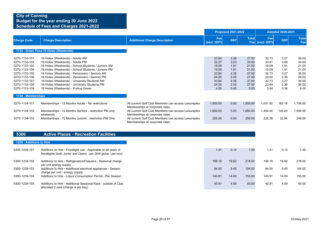|                                                                                                                                                       |                                                                                                                                                                                                                                                                                                                                                                                                                         |                                                                                                                                                                                  | <b>Proposed 2021-2022</b>                                                    |                                                                      |                                                                              | <b>Adopted 2020-2021</b>                                                     |                                                                      |                                                                              |
|-------------------------------------------------------------------------------------------------------------------------------------------------------|-------------------------------------------------------------------------------------------------------------------------------------------------------------------------------------------------------------------------------------------------------------------------------------------------------------------------------------------------------------------------------------------------------------------------|----------------------------------------------------------------------------------------------------------------------------------------------------------------------------------|------------------------------------------------------------------------------|----------------------------------------------------------------------|------------------------------------------------------------------------------|------------------------------------------------------------------------------|----------------------------------------------------------------------|------------------------------------------------------------------------------|
| <b>Charge Code</b>                                                                                                                                    | <b>Charge Description</b>                                                                                                                                                                                                                                                                                                                                                                                               | <b>Additional Charge Description</b>                                                                                                                                             | Fee<br>(excl. GST)                                                           | <b>GST</b>                                                           | <b>Total</b>                                                                 | Fee<br>Fee (excl. GST)                                                       | <b>GST</b>                                                           | <b>Total</b><br>Fee                                                          |
|                                                                                                                                                       | 1133 - Green Fees-18 Holes (Weekends)                                                                                                                                                                                                                                                                                                                                                                                   |                                                                                                                                                                                  |                                                                              |                                                                      |                                                                              |                                                                              |                                                                      |                                                                              |
| 5270-1133-101<br>5270-1133-102<br>5270-1133-103<br>5270-1133-104<br>5270-1133-105<br>5270-1133-106<br>5270-1133-107<br>5270-1133-108<br>5270-1133-109 | 18 Holes (Weekends) - Adults AM<br>18 Holes (Weekends) - Adults PM<br>18 Holes (Weekends) - School Students / Juniors AM<br>18 Holes (Weekends) - School Students / Juniors PM<br>18 Holes (Weekends) - Pensioners / Seniors AM<br>18 Holes (Weekends) - Pensioners / Seniors PM<br>18 Holes (Weekends) - University Students AM<br>18 Holes (Weekends) - University Students PM<br>18 Holes (Weekends) - Putting Green |                                                                                                                                                                                  | 33.64<br>32.27<br>19.09<br>19.09<br>33.64<br>24.55<br>33.64<br>24.55<br>4.55 | 3.36<br>3.23<br>1.91<br>1.91<br>3.36<br>2.45<br>3.36<br>2.45<br>0.45 | 37.00<br>35.50<br>21.00<br>21.00<br>37.00<br>27.00<br>37.00<br>27.00<br>5.00 | 32.73<br>30.91<br>19.09<br>19.09<br>32.73<br>23.64<br>32.73<br>23.64<br>3.64 | 3.27<br>3.09<br>1.91<br>1.91<br>3.27<br>2.36<br>3.27<br>2.36<br>0.36 | 36.00<br>34.00<br>21.00<br>21.00<br>36.00<br>26.00<br>36.00<br>26.00<br>4.00 |
| 1134 - Memberships                                                                                                                                    |                                                                                                                                                                                                                                                                                                                                                                                                                         |                                                                                                                                                                                  |                                                                              |                                                                      |                                                                              |                                                                              |                                                                      |                                                                              |
| 5270-1134-101                                                                                                                                         | Memberships - 12 Months Adults - No restrictions                                                                                                                                                                                                                                                                                                                                                                        | All current Golf Club Members can access Leisureplex<br>Memberships at corporate rates                                                                                           | 1,850.00                                                                     | 0.00                                                                 | 1,850.00                                                                     | 1,631.82                                                                     | 163.18                                                               | 1,795.00                                                                     |
| 5270-1134-102<br>5270-1134-103                                                                                                                        | Memberships - 12 Months Seniors - restriction PM only<br>weekends<br>Memberships - 12 Months Juniors - restriction PM Only                                                                                                                                                                                                                                                                                              | All current Golf Club Members can access Leisureplex<br>Memberships at corporate rates<br>All current Golf Club Members can access Leisureplex<br>Memberships at corporate rates | 1,650.00<br>255.00                                                           | 0.00<br>0.00                                                         | 1,650.00<br>255.00                                                           | 1,450.00<br>226.36                                                           | 145.00<br>22.64                                                      | 1,595.00<br>249.00                                                           |
|                                                                                                                                                       |                                                                                                                                                                                                                                                                                                                                                                                                                         |                                                                                                                                                                                  |                                                                              |                                                                      |                                                                              |                                                                              |                                                                      |                                                                              |
| 5300                                                                                                                                                  | <b>Active Places - Recreation Facilities</b>                                                                                                                                                                                                                                                                                                                                                                            |                                                                                                                                                                                  |                                                                              |                                                                      |                                                                              |                                                                              |                                                                      |                                                                              |
| 1239 - Additions to Hire                                                                                                                              |                                                                                                                                                                                                                                                                                                                                                                                                                         |                                                                                                                                                                                  |                                                                              |                                                                      |                                                                              |                                                                              |                                                                      |                                                                              |
| 5300-1239-101                                                                                                                                         | Additions to Hire - Floodlight use - Applicable to all users of<br>floodlights (both Junior and Open) - per 2kW globe / per hour                                                                                                                                                                                                                                                                                        |                                                                                                                                                                                  | 1.41                                                                         | 0.14                                                                 | 1.55                                                                         | 1.41                                                                         | 0.14                                                                 | 1.55                                                                         |
| $\overline{z}$                                                                                                                                        |                                                                                                                                                                                                                                                                                                                                                                                                                         |                                                                                                                                                                                  |                                                                              |                                                                      |                                                                              |                                                                              |                                                                      |                                                                              |

| 5300-1239-102 | Additions to Hire - Refrigerators/Freezers - Seasonal charge                                           | 198.18 | 19.82 | 218.00 | 198.18 | 19.82 | 218.00 |
|---------------|--------------------------------------------------------------------------------------------------------|--------|-------|--------|--------|-------|--------|
| 5300-1239-103 | per unit energy supply<br>Additions to Hire - Additional electrical appliances - Season                | 94.55  | 9.45  | 104.00 | 94.55  | 9.45  | 104.00 |
|               | charge per unit - energy supply                                                                        |        |       |        |        |       |        |
| 5300-1239-104 | Additions to Hire - Liquor Consumption Permit - Per Season                                             | 140.91 | 14.09 | 155.00 | 140.91 | 14.09 | 155.00 |
| 5300-1239-105 | Additions to Hire - Additional Seasonal Keys - outside of Club<br>allocated 2 sets (charge is per key) | 40.91  | 4.09  | 45.00  | 40.91  | 4.09  | 45.00  |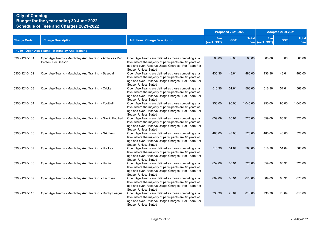|                    |                                                                                 |                                                                                                                                                                                                                      |                    | <b>Proposed 2021-2022</b> |              |                        | <b>Adopted 2020-2021</b> |                     |
|--------------------|---------------------------------------------------------------------------------|----------------------------------------------------------------------------------------------------------------------------------------------------------------------------------------------------------------------|--------------------|---------------------------|--------------|------------------------|--------------------------|---------------------|
| <b>Charge Code</b> | <b>Charge Description</b>                                                       | <b>Additional Charge Description</b>                                                                                                                                                                                 | Fee<br>(excl. GST) | <b>GST</b>                | <b>Total</b> | Fee<br>Fee (excl. GST) | <b>GST</b>               | <b>Total</b><br>Fee |
|                    | 1240 - Open Age Teams - Matchplay And Training                                  |                                                                                                                                                                                                                      |                    |                           |              |                        |                          |                     |
| 5300-1240-101      | Open Age Teams - Matchplay And Training - Athletics - Per<br>Person, Per Season | Open Age Teams are defined as those competing at a<br>level where the majority of participants are 18 years of<br>age and over. Reserve Usage Charges - Per Team Per<br>Season Unless Stated                         | 60.00              | 6.00                      | 66.00        | 60.00                  | 6.00                     | 66.00               |
| 5300-1240-102      | Open Age Teams - Matchplay And Training - Baseball                              | Open Age Teams are defined as those competing at a<br>level where the majority of participants are 18 years of<br>age and over. Reserve Usage Charges - Per Team Per<br>Season Unless Stated                         | 436.36             | 43.64                     | 480.00       | 436.36                 | 43.64                    | 480.00              |
| 5300-1240-103      | Open Age Teams - Matchplay And Training - Cricket                               | Open Age Teams are defined as those competing at a<br>level where the majority of participants are 18 years of<br>age and over. Reserve Usage Charges - Per Team Per<br>Season Unless Stated                         | 516.36             | 51.64                     | 568.00       | 516.36                 | 51.64                    | 568.00              |
| 5300-1240-104      | Open Age Teams - Matchplay And Training - Football                              | Open Age Teams are defined as those competing at a<br>level where the majority of participants are 18 years of<br>age and over. Reserve Usage Charges - Per Team Per<br>Season Unless Stated                         | 950.00             | 95.00                     | 1,045.00     | 950.00                 | 95.00                    | 1,045.00            |
| 5300-1240-105      | Open Age Teams - Matchplay And Training - Gaelic Football                       | Open Age Teams are defined as those competing at a<br>level where the majority of participants are 18 years of<br>age and over. Reserve Usage Charges - Per Team Per<br>Season Unless Stated                         | 659.09             | 65.91                     | 725.00       | 659.09                 | 65.91                    | 725.00              |
| 5300-1240-106      | Open Age Teams - Matchplay And Training - Grid Iron                             | Open Age Teams are defined as those competing at a<br>level where the majority of participants are 18 years of<br>age and over. Reserve Usage Charges - Per Team Per<br>Season Unless Stated                         | 480.00             | 48.00                     | 528.00       | 480.00                 | 48.00                    | 528.00              |
| 5300-1240-107      | Open Age Teams - Matchplay And Training - Hockey                                | Open Age Teams are defined as those competing at a<br>level where the majority of participants are 18 years of<br>age and over. Reserve Usage Charges - Per Team Per<br>Season Unless Stated                         | 516.36             | 51.64                     | 568.00       | 516.36                 | 51.64                    | 568.00              |
| 5300-1240-108      | Open Age Teams - Matchplay And Training - Hurling                               | Open Age Teams are defined as those competing at a<br>level where the majority of participants are 18 years of<br>age and over. Reserve Usage Charges - Per Team Per                                                 | 659.09             | 65.91                     | 725.00       | 659.09                 | 65.91                    | 725.00              |
| 5300-1240-109      | Open Age Teams - Matchplay And Training - Lacrosse                              | Season Unless Stated<br>Open Age Teams are defined as those competing at a<br>level where the majority of participants are 18 years of<br>age and over. Reserve Usage Charges - Per Team Per                         | 609.09             | 60.91                     | 670.00       | 609.09                 | 60.91                    | 670.00              |
| 5300-1240-110      | Open Age Teams - Matchplay And Training - Rugby League                          | Season Unless Stated<br>Open Age Teams are defined as those competing at a<br>level where the majority of participants are 18 years of<br>age and over. Reserve Usage Charges - Per Team Per<br>Season Unless Stated | 736.36             | 73.64                     | 810.00       | 736.36                 | 73.64                    | 810.00              |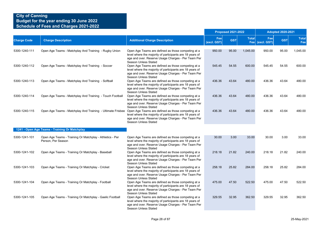|                    |                                                                                                               |                                                                                                                                                                                              |                    | <b>Proposed 2021-2022</b> |              |                        | <b>Adopted 2020-2021</b> |                     |
|--------------------|---------------------------------------------------------------------------------------------------------------|----------------------------------------------------------------------------------------------------------------------------------------------------------------------------------------------|--------------------|---------------------------|--------------|------------------------|--------------------------|---------------------|
| <b>Charge Code</b> | <b>Charge Description</b>                                                                                     | <b>Additional Charge Description</b>                                                                                                                                                         | Fee<br>(excl. GST) | <b>GST</b>                | <b>Total</b> | Fee<br>Fee (excl. GST) | <b>GST</b>               | <b>Total</b><br>Fee |
| 5300-1240-111      | Open Age Teams - Matchplay And Training - Rugby Union                                                         | Open Age Teams are defined as those competing at a<br>level where the majority of participants are 18 years of<br>age and over. Reserve Usage Charges - Per Team Per<br>Season Unless Stated | 950.00             | 95.00                     | 1,045.00     | 950.00                 | 95.00                    | 1,045.00            |
| 5300-1240-112      | Open Age Teams - Matchplay And Training - Soccer                                                              | Open Age Teams are defined as those competing at a<br>level where the majority of participants are 18 years of<br>age and over. Reserve Usage Charges - Per Team Per<br>Season Unless Stated | 545.45             | 54.55                     | 600.00       | 545.45                 | 54.55                    | 600.00              |
| 5300-1240-113      | Open Age Teams - Matchplay And Training - Softball                                                            | Open Age Teams are defined as those competing at a<br>level where the majority of participants are 18 years of<br>age and over. Reserve Usage Charges - Per Team Per<br>Season Unless Stated | 436.36             | 43.64                     | 480.00       | 436.36                 | 43.64                    | 480.00              |
| 5300-1240-114      | Open Age Teams - Matchplay And Training - Touch Football                                                      | Open Age Teams are defined as those competing at a<br>level where the majority of participants are 18 years of<br>age and over. Reserve Usage Charges - Per Team Per<br>Season Unless Stated | 436.36             | 43.64                     | 480.00       | 436.36                 | 43.64                    | 480.00              |
| 5300-1240-115      | Open Age Teams - Matchplay And Training - Ultimate Frisbee Open Age Teams are defined as those competing at a | level where the majority of participants are 18 years of<br>age and over. Reserve Usage Charges - Per Team Per<br>Season Unless Stated                                                       | 436.36             | 43.64                     | 480.00       | 436.36                 | 43.64                    | 480.00              |
|                    | 1241 - Open Age Teams - Training Or Matchplay                                                                 |                                                                                                                                                                                              |                    |                           |              |                        |                          |                     |
| 5300-1241-101      | Open Age Teams - Training Or Matchplay - Athletics - Per<br>Person, Per Season                                | Open Age Teams are defined as those competing at a<br>level where the majority of participants are 18 years of<br>age and over. Reserve Usage Charges - Per Team Per<br>Season Unless Stated | 30.00              | 3.00                      | 33.00        | 30.00                  | 3.00                     | 33.00               |
| 5300-1241-102      | Open Age Teams - Training Or Matchplay - Baseball                                                             | Open Age Teams are defined as those competing at a<br>level where the majority of participants are 18 years of<br>age and over. Reserve Usage Charges - Per Team Per<br>Season Unless Stated | 218.18             | 21.82                     | 240.00       | 218.18                 | 21.82                    | 240.00              |
| 5300-1241-103      | Open Age Teams - Training Or Matchplay - Cricket                                                              | Open Age Teams are defined as those competing at a<br>level where the majority of participants are 18 years of<br>age and over. Reserve Usage Charges - Per Team Per<br>Season Unless Stated | 258.18             | 25.82                     | 284.00       | 258.18                 | 25.82                    | 284.00              |
| 5300-1241-104      | Open Age Teams - Training Or Matchplay - Football                                                             | Open Age Teams are defined as those competing at a<br>level where the majority of participants are 18 years of<br>age and over. Reserve Usage Charges - Per Team Per<br>Season Unless Stated | 475.00             | 47.50                     | 522.50       | 475.00                 | 47.50                    | 522.50              |
| 5300-1241-105      | Open Age Teams - Training Or Matchplay - Gaelic Football                                                      | Open Age Teams are defined as those competing at a<br>level where the majority of participants are 18 years of<br>age and over. Reserve Usage Charges - Per Team Per<br>Season Unless Stated | 329.55             | 32.95                     | 362.50       | 329.55                 | 32.95                    | 362.50              |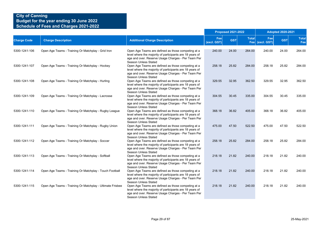|                    |                                                           |                                                                                                                                                                                                     |                    | <b>Proposed 2021-2022</b> |              |                        | <b>Adopted 2020-2021</b> |                     |
|--------------------|-----------------------------------------------------------|-----------------------------------------------------------------------------------------------------------------------------------------------------------------------------------------------------|--------------------|---------------------------|--------------|------------------------|--------------------------|---------------------|
| <b>Charge Code</b> | <b>Charge Description</b>                                 | <b>Additional Charge Description</b>                                                                                                                                                                | Fee<br>(excl. GST) | <b>GST</b>                | <b>Total</b> | Fee<br>Fee (excl. GST) | <b>GST</b>               | <b>Total</b><br>Fee |
| 5300-1241-106      | Open Age Teams - Training Or Matchplay - Grid Iron        | Open Age Teams are defined as those competing at a<br>level where the majority of participants are 18 years of<br>age and over. Reserve Usage Charges - Per Team Per<br>Season Unless Stated        | 240.00             | 24.00                     | 264.00       | 240.00                 | 24.00                    | 264.00              |
| 5300-1241-107      | Open Age Teams - Training Or Matchplay - Hockey           | Open Age Teams are defined as those competing at a<br>level where the majority of participants are 18 years of<br>age and over. Reserve Usage Charges - Per Team Per<br>Season Unless Stated        | 258.18             | 25.82                     | 284.00       | 258.18                 | 25.82                    | 284.00              |
| 5300-1241-108      | Open Age Teams - Training Or Matchplay - Hurling          | Open Age Teams are defined as those competing at a<br>level where the majority of participants are 18 years of<br>age and over. Reserve Usage Charges - Per Team Per<br>Season Unless Stated        | 329.55             | 32.95                     | 362.50       | 329.55                 | 32.95                    | 362.50              |
| 5300-1241-109      | Open Age Teams - Training Or Matchplay - Lacrosse         | Open Age Teams are defined as those competing at a<br>level where the majority of participants are 18 years of<br>age and over. Reserve Usage Charges - Per Team Per<br>Season Unless Stated        | 304.55             | 30.45                     | 335.00       | 304.55                 | 30.45                    | 335.00              |
| 5300-1241-110      | Open Age Teams - Training Or Matchplay - Rugby League     | Open Age Teams are defined as those competing at a<br>level where the majority of participants are 18 years of<br>age and over. Reserve Usage Charges - Per Team Per<br>Season Unless Stated        | 368.18             | 36.82                     | 405.00       | 368.18                 | 36.82                    | 405.00              |
| 5300-1241-111      | Open Age Teams - Training Or Matchplay - Rugby Union      | Open Age Teams are defined as those competing at a<br>level where the majority of participants are 18 years of<br>age and over. Reserve Usage Charges - Per Team Per<br>Season Unless Stated        | 475.00             | 47.50                     | 522.50       | 475.00                 | 47.50                    | 522.50              |
| 5300-1241-112      | Open Age Teams - Training Or Matchplay - Soccer           | Open Age Teams are defined as those competing at a<br>level where the majority of participants are 18 years of<br>age and over. Reserve Usage Charges - Per Team Per<br>Season Unless Stated        | 258.18             | 25.82                     | 284.00       | 258.18                 | 25.82                    | 284.00              |
| 5300-1241-113      | Open Age Teams - Training Or Matchplay - Softball         | Open Age Teams are defined as those competing at a<br>level where the majority of participants are 18 years of<br>age and over. Reserve Usage Charges - Per Team Per<br><b>Season Unless Stated</b> | 218.18             | 21.82                     | 240.00       | 218.18                 | 21.82                    | 240.00              |
| 5300-1241-114      | Open Age Teams - Training Or Matchplay - Touch Football   | Open Age Teams are defined as those competing at a<br>level where the majority of participants are 18 years of<br>age and over. Reserve Usage Charges - Per Team Per<br>Season Unless Stated        | 218.18             | 21.82                     | 240.00       | 218.18                 | 21.82                    | 240.00              |
| 5300-1241-115      | Open Age Teams - Training Or Matchplay - Ultimate Frisbee | Open Age Teams are defined as those competing at a<br>level where the majority of participants are 18 years of<br>age and over. Reserve Usage Charges - Per Team Per<br>Season Unless Stated        | 218.18             | 21.82                     | 240.00       | 218.18                 | 21.82                    | 240.00              |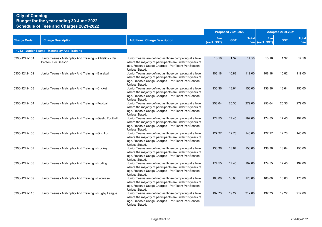|                    |                                                                               |                                                                                                                                                                                          |                    | <b>Proposed 2021-2022</b> |              |                        | <b>Adopted 2020-2021</b> |                     |
|--------------------|-------------------------------------------------------------------------------|------------------------------------------------------------------------------------------------------------------------------------------------------------------------------------------|--------------------|---------------------------|--------------|------------------------|--------------------------|---------------------|
| <b>Charge Code</b> | <b>Charge Description</b>                                                     | <b>Additional Charge Description</b>                                                                                                                                                     | Fee<br>(excl. GST) | <b>GST</b>                | <b>Total</b> | Fee<br>Fee (excl. GST) | <b>GST</b>               | <b>Total</b><br>Fee |
|                    | 1242 - Junior Teams - Matchplay And Training                                  |                                                                                                                                                                                          |                    |                           |              |                        |                          |                     |
| 5300-1242-101      | Junior Teams - Matchplay And Training - Athletics - Per<br>Person, Per Season | Junior Teams are defined as those competing at a level<br>where the majority of participants are under 18 years of<br>age. Reserve Usage Charges - Per Team Per Season<br>Unless Stated. | 13.18              | 1.32                      | 14.50        | 13.18                  | 1.32                     | 14.50               |
| 5300-1242-102      | Junior Teams - Matchplay And Training - Baseball                              | Junior Teams are defined as those competing at a level<br>where the majority of participants are under 18 years of<br>age. Reserve Usage Charges - Per Team Per Season<br>Unless Stated. | 108.18             | 10.82                     | 119.00       | 108.18                 | 10.82                    | 119.00              |
| 5300-1242-103      | Junior Teams - Matchplay And Training - Cricket                               | Junior Teams are defined as those competing at a level<br>where the majority of participants are under 18 years of<br>age. Reserve Usage Charges - Per Team Per Season<br>Unless Stated. | 136.36             | 13.64                     | 150.00       | 136.36                 | 13.64                    | 150.00              |
| 5300-1242-104      | Junior Teams - Matchplay And Training - Football                              | Junior Teams are defined as those competing at a level<br>where the majority of participants are under 18 years of<br>age. Reserve Usage Charges - Per Team Per Season<br>Unless Stated. | 253.64             | 25.36                     | 279.00       | 253.64                 | 25.36                    | 279.00              |
| 5300-1242-105      | Junior Teams - Matchplay And Training - Gaelic Football                       | Junior Teams are defined as those competing at a level<br>where the majority of participants are under 18 years of<br>age. Reserve Usage Charges - Per Team Per Season<br>Unless Stated. | 174.55             | 17.45                     | 192.00       | 174.55                 | 17.45                    | 192.00              |
| 5300-1242-106      | Junior Teams - Matchplay And Training - Grid Iron                             | Junior Teams are defined as those competing at a level<br>where the majority of participants are under 18 years of<br>age. Reserve Usage Charges - Per Team Per Season<br>Unless Stated. | 127.27             | 12.73                     | 140.00       | 127.27                 | 12.73                    | 140.00              |
| 5300-1242-107      | Junior Teams - Matchplay And Training - Hockey                                | Junior Teams are defined as those competing at a level<br>where the majority of participants are under 18 years of<br>age. Reserve Usage Charges - Per Team Per Season<br>Unless Stated. | 136.36             | 13.64                     | 150.00       | 136.36                 | 13.64                    | 150.00              |
| 5300-1242-108      | Junior Teams - Matchplay And Training - Hurling                               | Junior Teams are defined as those competing at a level<br>where the majority of participants are under 18 years of<br>age. Reserve Usage Charges - Per Team Per Season<br>Unless Stated. | 174.55             | 17.45                     | 192.00       | 174.55                 | 17.45                    | 192.00              |
| 5300-1242-109      | Junior Teams - Matchplay And Training - Lacrosse                              | Junior Teams are defined as those competing at a level<br>where the majority of participants are under 18 years of<br>age. Reserve Usage Charges - Per Team Per Season<br>Unless Stated. | 160.00             | 16.00                     | 176.00       | 160.00                 | 16.00                    | 176.00              |
| 5300-1242-110      | Junior Teams - Matchplay And Training - Rugby League                          | Junior Teams are defined as those competing at a level<br>where the majority of participants are under 18 years of<br>age. Reserve Usage Charges - Per Team Per Season<br>Unless Stated. | 192.73             | 19.27                     | 212.00       | 192.73                 | 19.27                    | 212.00              |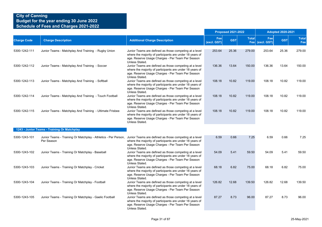|                    |                                                                                                                                     |                                                                                                                                                                                          | <b>Proposed 2021-2022</b> |            |              | <b>Adopted 2020-2021</b> |            |                     |
|--------------------|-------------------------------------------------------------------------------------------------------------------------------------|------------------------------------------------------------------------------------------------------------------------------------------------------------------------------------------|---------------------------|------------|--------------|--------------------------|------------|---------------------|
| <b>Charge Code</b> | <b>Charge Description</b>                                                                                                           | <b>Additional Charge Description</b>                                                                                                                                                     | Fee<br>(excl. GST)        | <b>GST</b> | <b>Total</b> | Fee<br>Fee (excl. GST)   | <b>GST</b> | <b>Total</b><br>Fee |
| 5300-1242-111      | Junior Teams - Matchplay And Training - Rugby Union                                                                                 | Junior Teams are defined as those competing at a level<br>where the majority of participants are under 18 years of<br>age. Reserve Usage Charges - Per Team Per Season<br>Unless Stated. | 253.64                    | 25.36      | 279.00       | 253.64                   | 25.36      | 279.00              |
| 5300-1242-112      | Junior Teams - Matchplay And Training - Soccer                                                                                      | Junior Teams are defined as those competing at a level<br>where the majority of participants are under 18 years of<br>age. Reserve Usage Charges - Per Team Per Season<br>Unless Stated. | 136.36                    | 13.64      | 150.00       | 136.36                   | 13.64      | 150.00              |
| 5300-1242-113      | Junior Teams - Matchplay And Training - Softball                                                                                    | Junior Teams are defined as those competing at a level<br>where the majority of participants are under 18 years of<br>age. Reserve Usage Charges - Per Team Per Season<br>Unless Stated. | 108.18                    | 10.82      | 119.00       | 108.18                   | 10.82      | 119.00              |
| 5300-1242-114      | Junior Teams - Matchplay And Training - Touch Football                                                                              | Junior Teams are defined as those competing at a level<br>where the majority of participants are under 18 years of<br>age. Reserve Usage Charges - Per Team Per Season<br>Unless Stated. | 108.18                    | 10.82      | 119.00       | 108.18                   | 10.82      | 119.00              |
| 5300-1242-115      | Junior Teams - Matchplay And Training - Ultimate Frisbee                                                                            | Junior Teams are defined as those competing at a level<br>where the majority of participants are under 18 years of<br>age. Reserve Usage Charges - Per Team Per Season<br>Unless Stated. | 108.18                    | 10.82      | 119.00       | 108.18                   | 10.82      | 119.00              |
|                    | 1243 - Junior Teams - Training Or Matchplay                                                                                         |                                                                                                                                                                                          |                           |            |              |                          |            |                     |
| 5300-1243-101      | Junior Teams - Training Or Matchplay - Athletics - Per Person, Junior Teams are defined as those competing at a level<br>Per Season | where the majority of participants are under 18 years of<br>age. Reserve Usage Charges - Per Team Per Season<br>Unless Stated.                                                           | 6.59                      | 0.66       | 7.25         | 6.59                     | 0.66       | 7.25                |
| 5300-1243-102      | Junior Teams - Training Or Matchplay - Baseball                                                                                     | Junior Teams are defined as those competing at a level<br>where the majority of participants are under 18 years of<br>age. Reserve Usage Charges - Per Team Per Season<br>Unless Stated. | 54.09                     | 5.41       | 59.50        | 54.09                    | 5.41       | 59.50               |
| 5300-1243-103      | Junior Teams - Training Or Matchplay - Cricket                                                                                      | Junior Teams are defined as those competing at a level<br>where the majority of participants are under 18 years of<br>age. Reserve Usage Charges - Per Team Per Season<br>Unless Stated. | 68.18                     | 6.82       | 75.00        | 68.18                    | 6.82       | 75.00               |
| 5300-1243-104      | Junior Teams - Training Or Matchplay - Football                                                                                     | Junior Teams are defined as those competing at a level<br>where the majority of participants are under 18 years of<br>age. Reserve Usage Charges - Per Team Per Season<br>Unless Stated. | 126.82                    | 12.68      | 139.50       | 126.82                   | 12.68      | 139.50              |
| 5300-1243-105      | Junior Teams - Training Or Matchplay - Gaelic Football                                                                              | Junior Teams are defined as those competing at a level<br>where the majority of participants are under 18 years of<br>age. Reserve Usage Charges - Per Team Per Season<br>Unless Stated. | 87.27                     | 8.73       | 96.00        | 87.27                    | 8.73       | 96.00               |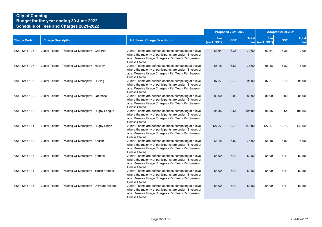|                    |                                                         |                                                                                                                                                                                          |                    | <b>Proposed 2021-2022</b> |              | <b>Adopted 2020-2021</b> |            |                     |  |
|--------------------|---------------------------------------------------------|------------------------------------------------------------------------------------------------------------------------------------------------------------------------------------------|--------------------|---------------------------|--------------|--------------------------|------------|---------------------|--|
| <b>Charge Code</b> | <b>Charge Description</b>                               | <b>Additional Charge Description</b>                                                                                                                                                     | Fee<br>(excl. GST) | <b>GST</b>                | <b>Total</b> | Fee<br>Fee (excl. GST)   | <b>GST</b> | <b>Total</b><br>Fee |  |
| 5300-1243-106      | Junior Teams - Training Or Matchplay - Grid Iron        | Junior Teams are defined as those competing at a level<br>where the majority of participants are under 18 years of<br>age. Reserve Usage Charges - Per Team Per Season<br>Unless Stated. | 63.64              | 6.36                      | 70.00        | 63.64                    | 6.36       | 70.00               |  |
| 5300-1243-107      | Junior Teams - Training Or Matchplay - Hockey           | Junior Teams are defined as those competing at a level<br>where the majority of participants are under 18 years of<br>age. Reserve Usage Charges - Per Team Per Season<br>Unless Stated. | 68.18              | 6.82                      | 75.00        | 68.18                    | 6.82       | 75.00               |  |
| 5300-1243-108      | Junior Teams - Training Or Matchplay - Hurling          | Junior Teams are defined as those competing at a level<br>where the majority of participants are under 18 years of<br>age. Reserve Usage Charges - Per Team Per Season<br>Unless Stated. | 87.27              | 8.73                      | 96.00        | 87.27                    | 8.73       | 96.00               |  |
| 5300-1243-109      | Junior Teams - Training Or Matchplay - Lacrosse         | Junior Teams are defined as those competing at a level<br>where the majority of participants are under 18 years of<br>age. Reserve Usage Charges - Per Team Per Season<br>Unless Stated. | 80.00              | 8.00                      | 88.00        | 80.00                    | 8.00       | 88.00               |  |
| 5300-1243-110      | Junior Teams - Training Or Matchplay - Rugby League     | Junior Teams are defined as those competing at a level<br>where the majority of participants are under 18 years of<br>age. Reserve Usage Charges - Per Team Per Season<br>Unless Stated. | 96.36              | 9.64                      | 106.00       | 96.36                    | 9.64       | 106.00              |  |
| 5300-1243-111      | Junior Teams - Training Or Matchplay - Rugby Union      | Junior Teams are defined as those competing at a level<br>where the majority of participants are under 18 years of<br>age. Reserve Usage Charges - Per Team Per Season<br>Unless Stated. | 127.27             | 12.73                     | 140.00       | 127.27                   | 12.73      | 140.00              |  |
| 5300-1243-112      | Junior Teams - Training Or Matchplay - Soccer           | Junior Teams are defined as those competing at a level<br>where the majority of participants are under 18 years of<br>age. Reserve Usage Charges - Per Team Per Season<br>Unless Stated. | 68.18              | 6.82                      | 75.00        | 68.18                    | 6.82       | 75.00               |  |
| 5300-1243-113      | Junior Teams - Training Or Matchplay - Softball         | Junior Teams are defined as those competing at a level<br>where the majority of participants are under 18 years of<br>age. Reserve Usage Charges - Per Team Per Season<br>Unless Stated. | 54.09              | 5.41                      | 59.50        | 54.09                    | 5.41       | 59.50               |  |
| 5300-1243-114      | Junior Teams - Training Or Matchplay - Touch Football   | Junior Teams are defined as those competing at a level<br>where the majority of participants are under 18 years of<br>age. Reserve Usage Charges - Per Team Per Season<br>Unless Stated. | 54.09              | 5.41                      | 59.50        | 54.09                    | 5.41       | 59.50               |  |
| 5300-1243-115      | Junior Teams - Training Or Matchplay - Ultimate Frisbee | Junior Teams are defined as those competing at a level<br>where the majority of participants are under 18 years of<br>age. Reserve Usage Charges - Per Team Per Season<br>Unless Stated. | 54.09              | 5.41                      | 59.50        | 54.09                    | 5.41       | 59.50               |  |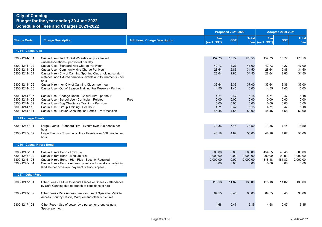|                                                                                   |                                                                                                                                                                                                                                                                               |                                      | <b>Proposed 2021-2022</b>              |                                      |                                        | <b>Adopted 2020-2021</b>              |                                      |                                        |  |
|-----------------------------------------------------------------------------------|-------------------------------------------------------------------------------------------------------------------------------------------------------------------------------------------------------------------------------------------------------------------------------|--------------------------------------|----------------------------------------|--------------------------------------|----------------------------------------|---------------------------------------|--------------------------------------|----------------------------------------|--|
| <b>Charge Code</b>                                                                | <b>Charge Description</b>                                                                                                                                                                                                                                                     | <b>Additional Charge Description</b> | Fee<br>(excl. GST)                     | <b>GST</b>                           | <b>Total</b>                           | Fee<br>Fee (excl. GST)                | <b>GST</b>                           | <b>Total</b><br>Fee                    |  |
| 1244 - Casual Use                                                                 |                                                                                                                                                                                                                                                                               |                                      |                                        |                                      |                                        |                                       |                                      |                                        |  |
| 5300-1244-101                                                                     | Casual Use - Turf Cricket Wickets - only for limited                                                                                                                                                                                                                          |                                      | 157.73                                 | 15.77                                | 173.50                                 | 157.73                                | 15.77                                | 173.50                                 |  |
| 5300-1244-102<br>5300-1244-103<br>5300-1244-104                                   | clubs/associations - per wicket per day<br>Casual Use - Standard Hire Charge Per Hour<br>Casual Use - Community Hire Charge Per Hour<br>Casual Hire - City of Canning Sporting Clubs holding scratch<br>matches, non fixtured carnivals, events and tournaments - per<br>hour |                                      | 42.73<br>28.64<br>28.64                | 4.27<br>2.86<br>2.86                 | 47.00<br>31.50<br>31.50                | 42.73<br>28.64<br>28.64               | 4.27<br>2.86<br>2.86                 | 47.00<br>31.50<br>31.50                |  |
| 5300-1244-105<br>5300-1244-106                                                    | Casual Hire - non City of Canning Clubs - per hour<br>Casual Use - Out of Season Training Per Reserve - Per hour                                                                                                                                                              |                                      | 33.64<br>14.55                         | 3.36<br>1.45                         | 37.00<br>16.00                         | 33.64<br>14.55                        | 3.36<br>1.45                         | 37.00<br>16.00                         |  |
| 5300-1244-107<br>5300-1244-108<br>5300-1244-109<br>5300-1244-110<br>5300-1244-111 | Casual Use - Change Room - Casual Hire - per hour<br>Casual Use - School Use - Curriculum Related<br>Casual Use - Dog Obedience Training - Per Hour<br>Casual Use - Group Training - Per Hour<br>Casual Use - Liquor Consumption Permit - Per Occasion                        | Free                                 | 4.71<br>0.00<br>0.00<br>4.71<br>45.45  | 0.47<br>0.00<br>0.00<br>0.47<br>4.55 | 5.18<br>0.00<br>0.00<br>5.18<br>50.00  | 4.71<br>0.00<br>0.00<br>4.71<br>45.45 | 0.47<br>0.00<br>0.00<br>0.47<br>4.55 | 5.18<br>0.00<br>0.00<br>5.18<br>50.00  |  |
| 1245 - Large Events                                                               |                                                                                                                                                                                                                                                                               |                                      |                                        |                                      |                                        |                                       |                                      |                                        |  |
| 5300-1245-101                                                                     | Large Events - Standard Hire - Events over 100 people per<br>hour                                                                                                                                                                                                             |                                      | 71.36                                  | 7.14                                 | 78.50                                  | 71.36                                 | 7.14                                 | 78.50                                  |  |
| 5300-1245-102                                                                     | Large Events - Community Hire - Events over 100 people per<br>hour                                                                                                                                                                                                            |                                      | 48.18                                  | 4.82                                 | 53.00                                  | 48.18                                 | 4.82                                 | 53.00                                  |  |
| 1246 - Casual Hirers Bond                                                         |                                                                                                                                                                                                                                                                               |                                      |                                        |                                      |                                        |                                       |                                      |                                        |  |
| 5300-1246-101<br>5300-1246-102<br>5300-1246-103<br>5300-1246-104                  | Casual Hirers Bond - Low Risk<br>Casual Hirers Bond - Medium Risk<br>Casual Hirers Bond - High Risk - Security Required<br>Casual Hirers Bond - Access by vehicle for works on adjoining<br>land etc per occasion (payment of bond applies)                                   |                                      | 500.00<br>1,000.00<br>2,000.00<br>0.00 | 0.00<br>0.00<br>0.00<br>0.00         | 500.00<br>1,000.00<br>2,000.00<br>0.00 | 454.55<br>909.09<br>1,818.18<br>0.00  | 45.45<br>90.91<br>181.82<br>0.00     | 500.00<br>1,000.00<br>2,000.00<br>0.00 |  |
| 1247 - Other Fees                                                                 |                                                                                                                                                                                                                                                                               |                                      |                                        |                                      |                                        |                                       |                                      |                                        |  |
| 5300-1247-101                                                                     | Other Fees - Failure to secure Places or Spaces - attendance<br>by Safe Canning due to breach of conditions of hire                                                                                                                                                           |                                      | 118.18                                 | 11.82                                | 130.00                                 | 118.18                                | 11.82                                | 130.00                                 |  |
| 5300-1247-102                                                                     | Other Fees - Park Access Fee - for use of Space for Vehicle<br>Access, Bouncy Castle, Marquee and other structures                                                                                                                                                            |                                      | 84.55                                  | 8.45                                 | 93.00                                  | 84.55                                 | 8.45                                 | 93.00                                  |  |
| 5300-1247-103                                                                     | Other Fees - Use of power by a person or group using a<br>Space, per hour                                                                                                                                                                                                     |                                      | 4.68                                   | 0.47                                 | 5.15                                   | 4.68                                  | 0.47                                 | 5.15                                   |  |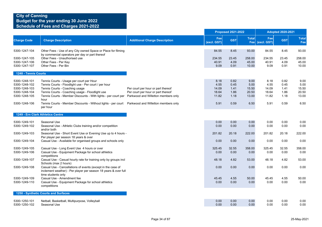|                      |                                                                                                                |                                      | <b>Proposed 2021-2022</b> |            |              | <b>Adopted 2020-2021</b> |            |                     |  |
|----------------------|----------------------------------------------------------------------------------------------------------------|--------------------------------------|---------------------------|------------|--------------|--------------------------|------------|---------------------|--|
| <b>Charge Code</b>   | <b>Charge Description</b>                                                                                      | <b>Additional Charge Description</b> | Fee<br>(excl. GST)        | <b>GST</b> | <b>Total</b> | Fee<br>Fee (excl. GST)   | <b>GST</b> | <b>Total</b><br>Fee |  |
| 5300-1247-104        | Other Fees - Use of any City owned Space or Place for filming                                                  |                                      | 84.55                     | 8.45       | 93.00        | 84.55                    | 8.45       | 93.00               |  |
| 5300-1247-105        | by commercial operators per day or part thereof<br>Other Fees - Unauthorised use                               |                                      | 234.55                    | 23.45      | 258.00       | 234.55                   | 23.45      | 258.00              |  |
| 5300-1247-106        | Other Fees - Per Key                                                                                           |                                      | 40.91                     | 4.09       | 45.00        | 40.91                    | 4.09       | 45.00               |  |
| 5300-1247-107        | Other Fees - Per Bin                                                                                           |                                      | 9.09                      | 0.91       | 10.00        | 9.09                     | 0.91       | 10.00               |  |
| 1248 - Tennis Courts |                                                                                                                |                                      |                           |            |              |                          |            |                     |  |
| 5300-1248-101        | Tennis Courts - Usage per court per Hour                                                                       |                                      | 8.18                      | 0.82       | 9.00         | 8.18                     | 0.82       | 9.00                |  |
| 5300-1248-102        | Tennis Courts - Floodlight use - Per court / per hour                                                          |                                      | 4.55                      | 0.45       | 5.00         | 4.55                     | 0.45       | 5.00                |  |
| 5300-1248-103        | Tennis Courts - Coaching usage                                                                                 | Per court per hour or part thereof   | 14.09                     | 1.41       | 15.50        | 14.09                    | 1.41       | 15.50               |  |
| 5300-1248-104        | Tennis Courts - Coaching usage - Floodlight use                                                                | Per court per hour or part thereof   | 18.64                     | 1.86       | 20.50        | 18.64                    | 1.86       | 20.50               |  |
| 5300-1248-105        | Tennis Courts - Member Discounts - With lights - per court per Parkwood and Willetton members only<br>hour     |                                      | 11.82                     | 1.18       | 13.00        | 11.82                    | 1.18       | 13.00               |  |
| 5300-1248-106        | Tennis Courts - Member Discounts - Without lights - per court  Parkwood and Willetton members only<br>per hour |                                      | 5.91                      | 0.59       | 6.50         | 5.91                     | 0.59       | 6.50                |  |
|                      | 1249 - Ern Clark Athletics Centre                                                                              |                                      |                           |            |              |                          |            |                     |  |
| 5300-1249-101        | Seasonal Use                                                                                                   |                                      | 0.00                      | 0.00       | 0.00         | 0.00                     | 0.00       | 0.00                |  |
| 5300-1249-102        | Seasonal Use - Athletic Clubs training and/or competition                                                      |                                      | 0.00                      | 0.00       | 0.00         | 0.00                     | 0.00       | 0.00                |  |
| 5300-1249-103        | and/or both<br>Seasonal Use - Short Event Use or Evening Use up to 4 hours -                                   |                                      | 201.82                    | 20.18      | 222.00       | 201.82                   | 20.18      | 222.00              |  |
|                      | Per player per season 18 years & over                                                                          |                                      |                           |            |              |                          |            |                     |  |
| 5300-1249-104        | Casual Use - Available for organised groups and schools only                                                   |                                      | 0.00                      | 0.00       | 0.00         | 0.00                     | 0.00       | 0.00                |  |
| 5300-1249-105        | Casual Use - Long Event Use 4 hours or over                                                                    |                                      | 325.45                    | 32.55      | 358.00       | 325.45                   | 32.55      | 358.00              |  |
| 5300-1249-106        | Casual Use - Equipment Package for school athletics<br>competitions                                            |                                      | 0.00                      | 0.00       | 0.00         | 0.00                     | 0.00       | 0.00                |  |
| 5300-1249-107        | Casual Use - Casual hourly rate for training only by groups incl                                               |                                      | 48.18                     | 4.82       | 53.00        | 48.18                    | 4.82       | 53.00               |  |
|                      | Schools (max 2 hours)<br>Casual Use - Cancellations of events (except in the case of                           |                                      |                           |            |              |                          | 0.00       | 0.00                |  |
| 5300-1249-108        | inclement weather) - Per player per season 18 years & over full                                                |                                      | 0.00                      | 0.00       | 0.00         | 0.00                     |            |                     |  |
|                      | time students only                                                                                             |                                      |                           |            |              |                          |            |                     |  |
| 5300-1249-109        | Casual Use - Amendment fee                                                                                     |                                      | 45.45                     | 4.55       | 50.00        | 45.45                    | 4.55       | 50.00               |  |
| 5300-1249-110        | Casual Use - Equipment Package for school athletics<br>competitions                                            |                                      | 0.00                      | 0.00       | 0.00         | 0.00                     | 0.00       | 0.00                |  |
|                      | 1250 - Synthetic Courts and Surfaces                                                                           |                                      |                           |            |              |                          |            |                     |  |
| 5300-1250-101        | Netball, Basketball, Multipurpose, Volleyball                                                                  |                                      | 0.00                      | 0.00       | 0.00         | 0.00                     | 0.00       | 0.00                |  |
| 5300-1250-102        | Seasonal Use                                                                                                   |                                      | 0.00                      | 0.00       | 0.00         | 0.00                     | 0.00       | 0.00                |  |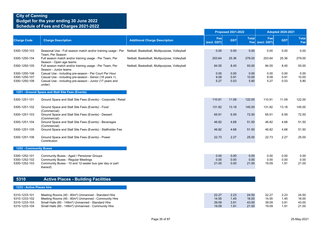|                                                                  |                                                                                                                                                                                                                                                                          |                                               |                                  | <b>Proposed 2021-2022</b>    |                                  | <b>Adopted 2020-2021</b>         |                              |                                  |  |
|------------------------------------------------------------------|--------------------------------------------------------------------------------------------------------------------------------------------------------------------------------------------------------------------------------------------------------------------------|-----------------------------------------------|----------------------------------|------------------------------|----------------------------------|----------------------------------|------------------------------|----------------------------------|--|
| <b>Charge Code</b>                                               | <b>Charge Description</b>                                                                                                                                                                                                                                                | <b>Additional Charge Description</b>          | Fee<br>(excl. GST)               | <b>GST</b>                   | <b>Total</b>                     | Fee<br>Fee (excl. GST)           | <b>GST</b>                   | <b>Total</b><br>Fee              |  |
| 5300-1250-103                                                    | Seasonal Use - Full season match and/or training usage - Per                                                                                                                                                                                                             | Netball, Basketball, Multipurpose, Volleyball | 0.00                             | 0.00                         | 0.00                             | 0.00                             | 0.00                         | 0.00                             |  |
| 5300-1250-104                                                    | Team, Per Season<br>Full season match and/or training usage - Per Team, Per<br>Season - Open age teams                                                                                                                                                                   | Netball, Basketball, Multipurpose, Volleyball | 253.64                           | 25.36                        | 279.00                           | 253.64                           | 25.36                        | 279.00                           |  |
| 5300-1250-105                                                    | Full season match and/or training usage - Per Team, Per<br>Season - Junior teams                                                                                                                                                                                         | Netball, Basketball, Multipurpose, Volleyball | 84.55                            | 8.45                         | 93.00                            | 84.55                            | 8.45                         | 93.00                            |  |
| 5300-1250-106<br>5300-1250-107<br>5300-1250-108                  | Casual Use - including pre-season - Per Court Per Hour<br>Casual Use - including pre-season - Senior (18 years +)<br>Casual Use - including pre-season - Junior (17 years and<br>under)                                                                                  |                                               | 0.00<br>9.09<br>5.27             | 0.00<br>0.91<br>0.53         | 0.00<br>10.00<br>5.80            | 0.00<br>9.09<br>5.27             | 0.00<br>0.91<br>0.53         | 0.00<br>10.00<br>5.80            |  |
|                                                                  | 1251 - Ground Space and Stall Site Fees (Events)                                                                                                                                                                                                                         |                                               |                                  |                              |                                  |                                  |                              |                                  |  |
| 5300-1251-101                                                    | Ground Space and Stall Site Fees (Events) - Corporate / Retail                                                                                                                                                                                                           |                                               | 110.91                           | 11.09                        | 122.00                           | 110.91                           | 11.09                        | 122.00                           |  |
| 5300-1251-102                                                    | Ground Space and Stall Site Fees (Events) - Food<br>(Commercial)                                                                                                                                                                                                         |                                               | 131.82                           | 13.18                        | 145.00                           | 131.82                           | 13.18                        | 145.00                           |  |
| 5300-1251-103                                                    | Ground Space and Stall Site Fees (Events) - Dessert<br>(Commercial)                                                                                                                                                                                                      |                                               | 65.91                            | 6.59                         | 72.50                            | 65.91                            | 6.59                         | 72.50                            |  |
| 5300-1251-104                                                    | Ground Space and Stall Site Fees (Events) - Beverages<br>(Commercial)                                                                                                                                                                                                    |                                               | 46.82                            | 4.68                         | 51.50                            | 46.82                            | 4.68                         | 51.50                            |  |
| 5300-1251-105                                                    | Ground Space and Stall Site Fees (Events) - Stallholder Fee                                                                                                                                                                                                              |                                               | 46.82                            | 4.68                         | 51.50                            | 46.82                            | 4.68                         | 51.50                            |  |
| 5300-1251-106                                                    | Ground Space and Stall Site Fees (Events) - Power<br>Contribution                                                                                                                                                                                                        |                                               | 22.73                            | 2.27                         | 25.00                            | 22.73                            | 2.27                         | 25.00                            |  |
| <b>1252 - Community Buses</b>                                    |                                                                                                                                                                                                                                                                          |                                               |                                  |                              |                                  |                                  |                              |                                  |  |
| 5300-1252-101<br>5300-1252-102<br>5300-1252-103                  | Community Buses - Aged / Pensioner Groups<br><b>Community Buses - Regular Meetings</b><br>Community Buses - 10 and 12-seater bus (per day or part<br>thereof)                                                                                                            |                                               | 0.00<br>0.00<br>21.00            | 0.00<br>0.00<br>0.00         | 0.00<br>0.00<br>21.00            | 0.00<br>0.00<br>19.09            | 0.00<br>0.00<br>1.91         | 0.00<br>0.00<br>21.00            |  |
| 5310                                                             | <b>Active Places - Building Facilities</b>                                                                                                                                                                                                                               |                                               |                                  |                              |                                  |                                  |                              |                                  |  |
| 1233 - Active Places hire                                        |                                                                                                                                                                                                                                                                          |                                               |                                  |                              |                                  |                                  |                              |                                  |  |
| 5310-1233-101<br>5310-1233-102<br>5310-1233-103<br>5310-1233-104 | Meeting Rooms (40 - 80m <sup>2</sup> ) Unmanned - Standard Hire<br>Meeting Rooms (40 - 80m <sup>2</sup> ) Unmanned - Community Hire<br>Small Halls (80 - 149m <sup>2</sup> ) Unmanned - Standard Hire<br>Small Halls (80 - 149m <sup>2</sup> ) Unmanned - Community Hire |                                               | 22.27<br>14.55<br>39.09<br>19.09 | 2.23<br>1.45<br>3.91<br>1.91 | 24.50<br>16.00<br>43.00<br>21.00 | 22.27<br>14.55<br>39.09<br>19.09 | 2.23<br>1.45<br>3.91<br>1.91 | 24.50<br>16.00<br>43.00<br>21.00 |  |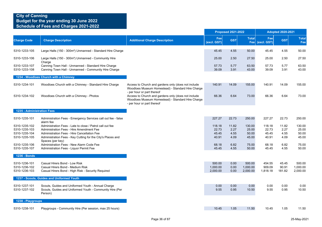|                                                                  |                                                                                                                                                                                                                                         |                                                                                                                                        |                                   | <b>Proposed 2021-2022</b>     |                                   |                                   | <b>Adopted 2020-2021</b>      |                                   |
|------------------------------------------------------------------|-----------------------------------------------------------------------------------------------------------------------------------------------------------------------------------------------------------------------------------------|----------------------------------------------------------------------------------------------------------------------------------------|-----------------------------------|-------------------------------|-----------------------------------|-----------------------------------|-------------------------------|-----------------------------------|
| <b>Charge Code</b>                                               | <b>Charge Description</b>                                                                                                                                                                                                               | <b>Additional Charge Description</b>                                                                                                   | Fee<br>(excl. GST)                | <b>GST</b>                    | <b>Total</b><br>Fee               | Fee<br>(excl. GST)                | <b>GST</b>                    | <b>Total</b><br>Fee               |
| 5310-1233-105                                                    | Large Halls (150 - 300m <sup>2</sup> ) Unmanned - Standard Hire Charge                                                                                                                                                                  |                                                                                                                                        | 45.45                             | 4.55                          | 50.00                             | 45.45                             | 4.55                          | 50.00                             |
| 5310-1233-106                                                    | Large Halls (150 - 300m <sup>2</sup> ) Unmanned - Community Hire<br>Charge                                                                                                                                                              |                                                                                                                                        | 25.00                             | 2.50                          | 27.50                             | 25.00                             | 2.50                          | 27.50                             |
| 5310-1233-107<br>5310-1233-108                                   | Canning Town Hall - Unmanned - Standard Hire Charge<br>Canning Town Hall - Unmanned - Community Hire Charge                                                                                                                             |                                                                                                                                        | 57.73<br>39.09                    | 5.77<br>3.91                  | 63.50<br>43.00                    | 57.73<br>39.09                    | 5.77<br>3.91                  | 63.50<br>43.00                    |
|                                                                  | 1234 - Woodloes Church with a Chimney                                                                                                                                                                                                   |                                                                                                                                        |                                   |                               |                                   |                                   |                               |                                   |
| 5310-1234-101                                                    | Woodloes Church with a Chimney - Standard Hire Charge                                                                                                                                                                                   | Access to Church and gardens only (does not include<br>Woodloes Museum Homestead) - Standard Hire Charge<br>- per hour or part thereof | 140.91                            | 14.09                         | 155.00                            | 140.91                            | 14.09                         | 155.00                            |
| 5310-1234-102                                                    | Woodloes Church with a Chimney - Photos                                                                                                                                                                                                 | Access to Church and gardens only (does not include<br>Woodloes Museum Homestead) - Standard Hire Charge<br>- per hour or part thereof | 66.36                             | 6.64                          | 73.00                             | 66.36                             | 6.64                          | 73.00                             |
| 1235 - Administration Fees                                       |                                                                                                                                                                                                                                         |                                                                                                                                        |                                   |                               |                                   |                                   |                               |                                   |
| 5310-1235-101                                                    | Administration Fees - Emergency Services call out fee - false<br>alarm fee                                                                                                                                                              |                                                                                                                                        | 227.27                            | 22.73                         | 250.00                            | 227.27                            | 22.73                         | 250.00                            |
| 5310-1235-102<br>5310-1235-103<br>5310-1235-104<br>5310-1235-105 | Administration Fees - Late to close / Patrol call out fee<br>Administration Fees - Hire Amendment Fee<br>Administration Fees - Hire Cancellation Fee<br>Administration Fees - Key Cutting for the City's Places and<br>Spaces (per key) |                                                                                                                                        | 118.18<br>22.73<br>45.45<br>40.91 | 11.82<br>2.27<br>4.55<br>4.09 | 130.00<br>25.00<br>50.00<br>45.00 | 118.18<br>22.73<br>45.45<br>40.91 | 11.82<br>2.27<br>4.55<br>4.09 | 130.00<br>25.00<br>50.00<br>45.00 |
| 5310-1235-106<br>5310-1235-107                                   | Administration Fees - New Alarm Code Fee<br>Administration Fees - Liquor Permit Fee                                                                                                                                                     |                                                                                                                                        | 68.18<br>45.45                    | 6.82<br>4.55                  | 75.00<br>50.00                    | 68.18<br>45.45                    | 6.82<br>4.55                  | 75.00<br>50.00                    |
| <b>1236 - Bonds</b>                                              |                                                                                                                                                                                                                                         |                                                                                                                                        |                                   |                               |                                   |                                   |                               |                                   |
| 5310-1236-101<br>5310-1236-102<br>5310-1236-103                  | Casual Hirers Bond - Low Risk<br>Casual Hirers Bond - Medium Risk<br>Casual Hirers Bond - High Risk - Security Required                                                                                                                 |                                                                                                                                        | 500.00<br>1,000.00<br>2,000.00    | 0.00<br>0.00<br>0.00          | 500.00<br>1,000.00<br>2,000.00    | 454.55<br>909.09<br>1,818.18      | 45.45<br>90.91<br>181.82      | 500.00<br>1,000.00<br>2,000.00    |
|                                                                  | 1237 - Scouts, Guides and Uniformed Youth                                                                                                                                                                                               |                                                                                                                                        |                                   |                               |                                   |                                   |                               |                                   |
| 5310-1237-101<br>5310-1237-102                                   | Scouts, Guides and Uniformed Youth - Annual Charge<br>Scouts, Guides and Uniformed Youth - Community Hire (Per<br>Person)                                                                                                               |                                                                                                                                        | 0.00<br>9.55                      | 0.00<br>0.95                  | 0.00<br>10.50                     | 0.00<br>9.55                      | 0.00<br>0.95                  | 0.00<br>10.50                     |
| 1238 - Playgroups                                                |                                                                                                                                                                                                                                         |                                                                                                                                        |                                   |                               |                                   |                                   |                               |                                   |
| 5310-1238-101                                                    | Playgroups - Community Hire (Per session, max 25 hours)                                                                                                                                                                                 |                                                                                                                                        | 10.45                             | 1.05                          | 11.50                             | 10.45                             | 1.05                          | 11.50                             |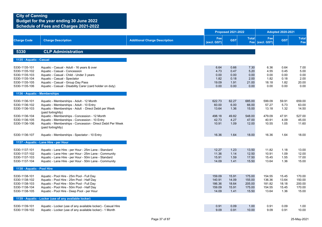|                                                                                                    |                                                                                                                                                                                                                                                           |                                      |                                               | <b>Proposed 2021-2022</b>                    |                                               |                                               | <b>Adopted 2020-2021</b>                     |                                               |
|----------------------------------------------------------------------------------------------------|-----------------------------------------------------------------------------------------------------------------------------------------------------------------------------------------------------------------------------------------------------------|--------------------------------------|-----------------------------------------------|----------------------------------------------|-----------------------------------------------|-----------------------------------------------|----------------------------------------------|-----------------------------------------------|
| <b>Charge Code</b>                                                                                 | <b>Charge Description</b>                                                                                                                                                                                                                                 | <b>Additional Charge Description</b> | Fee<br>(excl. GST)                            | <b>GST</b>                                   | <b>Total</b><br>Fee                           | Fee<br>(excl. GST)                            | <b>GST</b>                                   | <b>Total</b><br>Fee                           |
| 5330                                                                                               | <b>CLP Administration</b>                                                                                                                                                                                                                                 |                                      |                                               |                                              |                                               |                                               |                                              |                                               |
| 1135 - Aquatic - Casual                                                                            |                                                                                                                                                                                                                                                           |                                      |                                               |                                              |                                               |                                               |                                              |                                               |
| 5330-1135-101<br>5330-1135-102<br>5330-1135-103<br>5330-1135-104<br>5330-1135-105<br>5330-1135-106 | Aquatic - Casual - Adult - 16 years & over<br>Aquatic - Casual - Concession<br>Aquatic - Casual - Child - Under 3 years<br>Aquatic - Casual - Spectator<br>Aquatic - Casual - Group Day Pass<br>Aquatic - Casual - Disability Carer (card holder on duty) |                                      | 6.64<br>4.73<br>0.00<br>1.82<br>19.09<br>0.00 | 0.66<br>0.47<br>0.00<br>0.18<br>1.91<br>0.00 | 7.30<br>5.20<br>0.00<br>2.00<br>21.00<br>0.00 | 6.36<br>4.55<br>0.00<br>1.82<br>18.18<br>0.00 | 0.64<br>0.45<br>0.00<br>0.18<br>1.82<br>0.00 | 7.00<br>5.00<br>0.00<br>2.00<br>20.00<br>0.00 |
| 1136 - Aquatic - Memberships                                                                       |                                                                                                                                                                                                                                                           |                                      |                                               |                                              |                                               |                                               |                                              |                                               |
| 5330-1136-101<br>5330-1136-102<br>5330-1136-103                                                    | Aquatic - Memberships - Adult - 12 Month<br>Aquatic - Memberships - Adult - 10 Entry<br>Aquatic - Memberships - Adult - Direct Debit per Week<br>(paid fortnightly)                                                                                       |                                      | 622.73<br>60.00<br>13.64                      | 62.27<br>6.00<br>1.36                        | 685.00<br>66.00<br>15.00                      | 599.09<br>57.27<br>13.18                      | 59.91<br>5.73<br>1.32                        | 659.00<br>63.00<br>14.50                      |
| 5330-1136-104<br>5330-1136-105<br>5330-1136-106                                                    | Aquatic - Memberships - Concession - 12 Month<br>Aquatic - Memberships - Concession - 10 Entry<br>Aquatic - Memberships - Concession - Direct Debit Per Week<br>(paid fortnightly)                                                                        |                                      | 498.18<br>42.73<br>10.91                      | 49.82<br>4.27<br>1.09                        | 548.00<br>47.00<br>12.00                      | 479.09<br>40.91<br>10.55                      | 47.91<br>4.09<br>1.05                        | 527.00<br>45.00<br>11.60                      |
| 5330-1136-107                                                                                      | Aquatic - Memberships - Spectator - 10 Entry                                                                                                                                                                                                              |                                      | 16.36                                         | 1.64                                         | 18.00                                         | 16.36                                         | 1.64                                         | 18.00                                         |
|                                                                                                    | 1137 - Aquatic - Lane Hire - per Hour                                                                                                                                                                                                                     |                                      |                                               |                                              |                                               |                                               |                                              |                                               |
| 5330-1137-101<br>5330-1137-102<br>5330-1137-103<br>5330-1137-104                                   | Aquatic - Lane Hire - per Hour - 25m Lane - Standard<br>Aquatic - Lane Hire - per Hour - 25m Lane - Community<br>Aquatic - Lane Hire - per Hour - 50m Lane - Standard<br>Aquatic - Lane Hire - per Hour - 50m Lane - Community                            |                                      | 12.27<br>11.36<br>15.91<br>14.09              | 1.23<br>1.14<br>1.59<br>1.41                 | 13.50<br>12.50<br>17.50<br>15.50              | 11.82<br>10.91<br>15.45<br>13.64              | 1.18<br>1.09<br>1.55<br>1.36                 | 13.00<br>12.00<br>17.00<br>15.00              |
| 1138 - Aquatic - Pool Hire                                                                         |                                                                                                                                                                                                                                                           |                                      |                                               |                                              |                                               |                                               |                                              |                                               |
| 5330-1138-101<br>5330-1138-102<br>5330-1138-103<br>5330-1138-104<br>5330-1138-105                  | Aquatic - Pool Hire - 25m Pool - Full Day<br>Aquatic - Pool Hire - 25m Pool - Half Day<br>Aquatic - Pool Hire - 50m Pool - Full Day<br>Aquatic - Pool Hire - 50m Pool - Half Day<br>Aquatic - Pool Hire - Deep Pool - per Hour                            |                                      | 159.09<br>140.91<br>186.36<br>159.09<br>14.09 | 15.91<br>14.09<br>18.64<br>15.91<br>1.41     | 175.00<br>155.00<br>205.00<br>175.00<br>15.50 | 154.55<br>136.36<br>181.82<br>154.55<br>13.64 | 15.45<br>13.64<br>18.18<br>15.45<br>1.36     | 170.00<br>150.00<br>200.00<br>170.00<br>15.00 |
|                                                                                                    | 1139 - Aquatic - Locker (use of any available locker)                                                                                                                                                                                                     |                                      |                                               |                                              |                                               |                                               |                                              |                                               |
| 5330-1139-101<br>5330-1139-102                                                                     | Aquatic - Locker (use of any available locker) - Casual Hire<br>Aquatic - Locker (use of any available locker) - 1 Month                                                                                                                                  |                                      | 0.91<br>9.09                                  | 0.09<br>0.91                                 | 1.00<br>10.00                                 | 0.91<br>9.09                                  | 0.09<br>0.91                                 | 1.00<br>10.00                                 |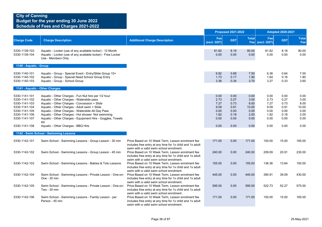|                                                                                                                     |                                                                                                                                                                                                                                                                                                                                                                          |                                                                                                                                                            |                                                      | <b>Proposed 2021-2022</b>                            |                                                       | <b>Adopted 2020-2021</b>                             |                                                      |                                                       |
|---------------------------------------------------------------------------------------------------------------------|--------------------------------------------------------------------------------------------------------------------------------------------------------------------------------------------------------------------------------------------------------------------------------------------------------------------------------------------------------------------------|------------------------------------------------------------------------------------------------------------------------------------------------------------|------------------------------------------------------|------------------------------------------------------|-------------------------------------------------------|------------------------------------------------------|------------------------------------------------------|-------------------------------------------------------|
| <b>Charge Code</b>                                                                                                  | <b>Charge Description</b>                                                                                                                                                                                                                                                                                                                                                | <b>Additional Charge Description</b>                                                                                                                       | Fee<br>(excl. GST)                                   | <b>GST</b>                                           | <b>Total</b><br>Fee                                   | Fee<br>(excl. GST)                                   | <b>GST</b>                                           | <b>Total</b><br>Fee                                   |
| 5330-1139-103<br>5330-1139-104                                                                                      | Aquatic - Locker (use of any available locker) - 12 Month<br>Aquatic - Locker (use of any available locker) - Free Locker<br>Use - Members Only                                                                                                                                                                                                                          |                                                                                                                                                            | 81.82<br>0.00                                        | 8.18<br>0.00                                         | 90.00<br>0.00                                         | 81.82<br>0.00                                        | 8.18<br>0.00                                         | 90.00<br>0.00                                         |
| 1140 - Aquatic - Group                                                                                              |                                                                                                                                                                                                                                                                                                                                                                          |                                                                                                                                                            |                                                      |                                                      |                                                       |                                                      |                                                      |                                                       |
| 5330-1140-101<br>5330-1140-102<br>5330-1140-103                                                                     | Aquatic - Group - Special Event - Entry/Slide Group 10+<br>Aquatic - Group - Special Need School Group Entry<br>Aquatic - Group - School Group                                                                                                                                                                                                                           |                                                                                                                                                            | 6.82<br>1.73<br>3.36                                 | 0.68<br>0.17<br>0.34                                 | 7.50<br>1.90<br>3.70                                  | 6.36<br>1.64<br>3.27                                 | 0.64<br>0.16<br>0.33                                 | 7.00<br>1.80<br>3.60                                  |
|                                                                                                                     | 1141 - Aquatic - Other Charges                                                                                                                                                                                                                                                                                                                                           |                                                                                                                                                            |                                                      |                                                      |                                                       |                                                      |                                                      |                                                       |
| 5330-1141-101<br>5330-1141-102<br>5330-1141-103<br>5330-1141-104<br>5330-1141-105<br>5330-1141-106<br>5330-1141-107 | Aquatic - Other Charges - Fun Nut hire per 1/2 hour<br>Aquatic - Other Charges - Waterslide pass<br>Aquatic - Other Charges - Concession + Slide<br>Aquatic - Other Charges - Adult swim + Slide<br>Aquatic - Other Charges - Waterslide All Day Pass<br>Aquatic - Other Charges - Hot shower Not swimming<br>Aquatic - Other Charges - Equipment Hire - Goggles, Towels |                                                                                                                                                            | 0.00<br>2.73<br>7.27<br>9.09<br>0.00<br>1.82<br>0.00 | 0.00<br>0.27<br>0.73<br>0.91<br>0.00<br>0.18<br>0.00 | 0.00<br>3.00<br>8.00<br>10.00<br>0.00<br>2.00<br>0.00 | 0.00<br>2.73<br>7.27<br>9.09<br>0.00<br>1.82<br>0.00 | 0.00<br>0.27<br>0.73<br>0.91<br>0.00<br>0.18<br>0.00 | 0.00<br>3.00<br>8.00<br>10.00<br>0.00<br>2.00<br>0.00 |
| 5330-1141-108                                                                                                       | etc<br>Aquatic - Other Charges - BBQ Hire                                                                                                                                                                                                                                                                                                                                |                                                                                                                                                            | 0.00                                                 | 0.00                                                 | 0.00                                                  | 0.00                                                 | 0.00                                                 | 0.00                                                  |
|                                                                                                                     | 1142 - Swim School - Swimming Lessons                                                                                                                                                                                                                                                                                                                                    |                                                                                                                                                            |                                                      |                                                      |                                                       |                                                      |                                                      |                                                       |
| 5330-1142-101                                                                                                       | Swim School - Swimming Lessons - Group Lesson - 30 min                                                                                                                                                                                                                                                                                                                   | Price Based on 10 Week Term, Lesson enrolment fee<br>includes free entry at any time for 1x child and 1x adult<br>swim with a valid swim school enrolment. | 171.00                                               | 0.00                                                 | 171.00                                                | 150.00                                               | 15.00                                                | 165.00                                                |
| 5330-1142-102                                                                                                       | Swim School - Swimming Lessons - Group Lesson - 45 min                                                                                                                                                                                                                                                                                                                   | Price Based on 10 Week Term, Lesson enrolment fee<br>includes free entry at any time for 1x child and 1x adult<br>swim with a valid swim school enrolment. | 240.00                                               | 0.00                                                 | 240.00                                                | 209.09                                               | 20.91                                                | 230.00                                                |
| 5330-1142-103                                                                                                       | Swim School - Swimming Lessons - Babies & Tots Lessons                                                                                                                                                                                                                                                                                                                   | Price Based on 10 Week Term, Lesson enrolment fee<br>includes free entry at any time for 1x child and 1x adult<br>swim with a valid swim school enrolment. | 155.00                                               | 0.00                                                 | 155.00                                                | 136.36                                               | 13.64                                                | 150.00                                                |
| 5330-1142-104                                                                                                       | Swim School - Swimming Lessons - Private Lesson - One-on-<br>One - 30 min                                                                                                                                                                                                                                                                                                | Price Based on 10 Week Term, Lesson enrolment fee<br>includes free entry at any time for 1x child and 1x adult<br>swim with a valid swim school enrolment. | 445.00                                               | 0.00                                                 | 445.00                                                | 390.91                                               | 39.09                                                | 430.00                                                |
| 5330-1142-105                                                                                                       | Swim School - Swimming Lessons - Private Lesson - One-on-<br>Two - 30 min                                                                                                                                                                                                                                                                                                | Price Based on 10 Week Term, Lesson enrolment fee<br>includes free entry at any time for 1x child and 1x adult<br>swim with a valid swim school enrolment. | 595.00                                               | 0.00                                                 | 595.00                                                | 522.73                                               | 52.27                                                | 575.00                                                |
| 5330-1142-106                                                                                                       | Swim School - Swimming Lessons - Family Lesson - per<br>Person - 45 min                                                                                                                                                                                                                                                                                                  | Price Based on 10 Week Term, Lesson enrolment fee<br>includes free entry at any time for 1x child and 1x adult<br>swim with a valid swim school enrolment. | 171.00                                               | 0.00                                                 | 171.00                                                | 150.00                                               | 15.00                                                | 165.00                                                |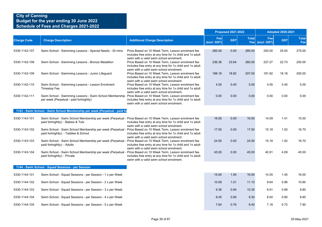|                    |                                                                                                                                                       |                                                                                                                                                            |                    | <b>Proposed 2021-2022</b> |              |                        | <b>Adopted 2020-2021</b> |                     |
|--------------------|-------------------------------------------------------------------------------------------------------------------------------------------------------|------------------------------------------------------------------------------------------------------------------------------------------------------------|--------------------|---------------------------|--------------|------------------------|--------------------------|---------------------|
| <b>Charge Code</b> | <b>Charge Description</b>                                                                                                                             | <b>Additional Charge Description</b>                                                                                                                       | Fee<br>(excl. GST) | <b>GST</b>                | <b>Total</b> | Fee<br>Fee (excl. GST) | <b>GST</b>               | <b>Total</b><br>Fee |
| 5330-1142-107      | Swim School - Swimming Lessons - Special Needs - 30 mins                                                                                              | Price Based on 10 Week Term, Lesson enrolment fee<br>includes free entry at any time for 1x child and 1x adult<br>swim with a valid swim school enrolment. | 285.00             | 0.00                      | 285.00       | 250.00                 | 25.00                    | 275.00              |
| 5330-1142-108      | Swim School - Swimming Lessons - Bronze Medallion                                                                                                     | Price Based on 10 Week Term, Lesson enrolment fee<br>includes free entry at any time for 1x child and 1x adult<br>swim with a valid swim school enrolment. | 236.36             | 23.64                     | 260.00       | 227.27                 | 22.73                    | 250.00              |
| 5330-1142-109      | Swim School - Swimming Lessons - Junior Lifeguard                                                                                                     | Price Based on 10 Week Term, Lesson enrolment fee<br>includes free entry at any time for 1x child and 1x adult<br>swim with a valid swim school enrolment. | 188.18             | 18.82                     | 207.00       | 181.82                 | 18.18                    | 200.00              |
| 5330-1142-110      | Swim School - Swimming Lessons - Lesson Enrolment<br><b>Timestop Fee</b>                                                                              | Price Based on 10 Week Term, Lesson enrolment fee<br>includes free entry at any time for 1x child and 1x adult<br>swim with a valid swim school enrolment. | 4.55               | 0.45                      | 5.00         | 4.55                   | 0.45                     | 5.00                |
| 5330-1142-111      | Swim School - Swimming Lessons - Swim School Membership<br>per week (Perpetual - paid fortnightly)                                                    | Price Based on 10 Week Term, Lesson enrolment fee<br>includes free entry at any time for 1x child and 1x adult<br>swim with a valid swim school enrolment. | 0.00               | 0.00                      | 0.00         | 0.00                   | 0.00                     | 0.00                |
|                    | 1143 - Swim School - Swim School Membership per week (Perpetual - paid fo                                                                             |                                                                                                                                                            |                    |                           |              |                        |                          |                     |
| 5330-1143-101      | Swim School - Swim School Membership per week (Perpetual - Price Based on 10 Week Term, Lesson enrolment fee<br>paid fortnightly): - Babies & Tots    | includes free entry at any time for 1x child and 1x adult<br>swim with a valid swim school enrolment.                                                      | 16.50              | 0.00                      | 16.50        | 14.09                  | 1.41                     | 15.50               |
| 5330-1143-102      | Swim School - Swim School Membership per week (Perpetual - Price Based on 10 Week Term, Lesson enrolment fee<br>paid fortnightly): - Taddies & School | includes free entry at any time for 1x child and 1x adult<br>swim with a valid swim school enrolment.                                                      | 17.50              | 0.00                      | 17.50        | 15.18                  | 1.52                     | 16.70               |
| 5330-1143-103      | Swim School - Swim School Membership per week (Perpetual - Price Based on 10 Week Term, Lesson enrolment fee<br>paid fortnightly): - Adults           | includes free entry at any time for 1x child and 1x adult<br>swim with a valid swim school enrolment.                                                      | 24.50              | 0.00                      | 24.50        | 15.18                  | 1.52                     | 16.70               |
| 5330-1143-104      | Swim School - Swim School Membership per week (Perpetual - Price Based on 10 Week Term, Lesson enrolment fee<br>paid fortnightly): - Private          | includes free entry at any time for 1x child and 1x adult<br>swim with a valid swim school enrolment.                                                      | 45.00              | 0.00                      | 45.00        | 40.91                  | 4.09                     | 45.00               |
|                    | 1144 - Swim School - Squad Sessions - per Session                                                                                                     |                                                                                                                                                            |                    |                           |              |                        |                          |                     |
| 5330-1144-101      | Swim School - Squad Sessions - per Session - 1 x per Week                                                                                             |                                                                                                                                                            | 15.00              | 1.50                      | 16.50        | 14.55                  | 1.45                     | 16.00               |
| 5330-1144-102      | Swim School - Squad Sessions - per Session - 2 x per Week                                                                                             |                                                                                                                                                            | 10.09              | 1.01                      | 11.10        | 9.64                   | 0.96                     | 10.60               |
| 5330-1144-103      | Swim School - Squad Sessions - per Session - 3 x per Week                                                                                             |                                                                                                                                                            | 9.36               | 0.94                      | 10.30        | 8.91                   | 0.89                     | 9.80                |
| 5330-1144-104      | Swim School - Squad Sessions - per Session - 4 x per Week                                                                                             |                                                                                                                                                            | 8.45               | 0.85                      | 9.30         | 8.00                   | 0.80                     | 8.80                |
| 5330-1144-105      | Swim School - Squad Sessions - per Session - 5 x per Week                                                                                             |                                                                                                                                                            | 7.64               | 0.76                      | 8.40         | 7.18                   | 0.72                     | 7.90                |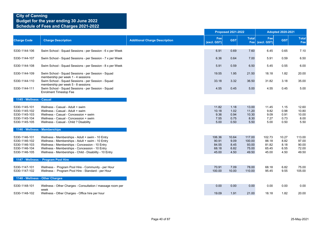|                                                                                   |                                                                                                                                                                                                                                                                    |                                      |                                            | <b>Proposed 2021-2022</b>             |                                             |                                            | <b>Adopted 2020-2021</b>              |                                            |
|-----------------------------------------------------------------------------------|--------------------------------------------------------------------------------------------------------------------------------------------------------------------------------------------------------------------------------------------------------------------|--------------------------------------|--------------------------------------------|---------------------------------------|---------------------------------------------|--------------------------------------------|---------------------------------------|--------------------------------------------|
| <b>Charge Code</b>                                                                | <b>Charge Description</b>                                                                                                                                                                                                                                          | <b>Additional Charge Description</b> | Fee<br>(excl. GST)                         | <b>GST</b>                            | <b>Total</b>                                | Fee<br>Fee (excl. GST)                     | <b>GST</b>                            | <b>Total</b><br>Fee                        |
| 5330-1144-106                                                                     | Swim School - Squad Sessions - per Session - 6 x per Week                                                                                                                                                                                                          |                                      | 6.91                                       | 0.69                                  | 7.60                                        | 6.45                                       | 0.65                                  | 7.10                                       |
| 5330-1144-107                                                                     | Swim School - Squad Sessions - per Session - 7 x per Week                                                                                                                                                                                                          |                                      | 6.36                                       | 0.64                                  | 7.00                                        | 5.91                                       | 0.59                                  | 6.50                                       |
| 5330-1144-108                                                                     | Swim School - Squad Sessions - per Session - 8 x per Week                                                                                                                                                                                                          |                                      | 5.91                                       | 0.59                                  | 6.50                                        | 5.45                                       | 0.55                                  | 6.00                                       |
| 5330-1144-109                                                                     | Swim School - Squad Sessions - per Session - Squad<br>membership per week 1 - 4 sessions                                                                                                                                                                           |                                      | 19.55                                      | 1.95                                  | 21.50                                       | 18.18                                      | 1.82                                  | 20.00                                      |
| 5330-1144-110                                                                     | Swim School - Squad Sessions - per Session - Squad<br>membership per week 5 - 8 sessions                                                                                                                                                                           |                                      | 33.18                                      | 3.32                                  | 36.50                                       | 31.82                                      | 3.18                                  | 35.00                                      |
| 5330-1144-111                                                                     | Swim School - Squad Sessions - per Session - Squad<br><b>Enrolment Timestop Fee</b>                                                                                                                                                                                |                                      | 4.55                                       | 0.45                                  | 5.00                                        | 4.55                                       | 0.45                                  | 5.00                                       |
| 1145 - Wellness - Casual                                                          |                                                                                                                                                                                                                                                                    |                                      |                                            |                                       |                                             |                                            |                                       |                                            |
| 5330-1145-101<br>5330-1145-102<br>5330-1145-103<br>5330-1145-104<br>5330-1145-105 | Wellness - Casual - Adult + swim<br>Wellness - Casual - Adult + swim<br>Wellness - Casual - Concession + swim<br>Wellness - Casual - Concession + swim<br>Wellness - Casual - Child ? Disability                                                                   |                                      | 11.82<br>10.18<br>9.36<br>7.55<br>5.00     | 1.18<br>1.02<br>0.94<br>0.75<br>0.50  | 13.00<br>11.20<br>10.30<br>8.30<br>5.50     | 11.45<br>9.82<br>9.09<br>7.27<br>5.00      | 1.15<br>0.98<br>0.91<br>0.73<br>0.50  | 12.60<br>10.80<br>10.00<br>8.00<br>5.50    |
|                                                                                   | 1146 - Wellness - Memberships                                                                                                                                                                                                                                      |                                      |                                            |                                       |                                             |                                            |                                       |                                            |
| 5330-1146-101<br>5330-1146-102<br>5330-1146-103<br>5330-1146-104<br>5330-1146-105 | Wellness - Memberships - Adult + swim - 10 Entry<br>Wellness - Memberships - Adult + swim - 10 Entry<br>Wellness - Memberships - Concession - 10 Entry<br>Wellness - Memberships - Concession - 10 Entry<br>Wellness - Memberships - Child - Disability - 10 Entry |                                      | 106.36<br>90.91<br>84.55<br>68.18<br>45.00 | 10.64<br>9.09<br>8.45<br>6.82<br>4.50 | 117.00<br>100.00<br>93.00<br>75.00<br>49.50 | 102.73<br>88.18<br>81.82<br>65.45<br>45.00 | 10.27<br>8.82<br>8.18<br>6.55<br>4.50 | 113.00<br>97.00<br>90.00<br>72.00<br>49.50 |
|                                                                                   | 1147 - Wellness - Program Pool Hire                                                                                                                                                                                                                                |                                      |                                            |                                       |                                             |                                            |                                       |                                            |
| 5330-1147-101<br>5330-1147-102                                                    | Wellness - Program Pool Hire - Community - per Hour<br>Wellness - Program Pool Hire - Standard - per Hour                                                                                                                                                          |                                      | 70.91<br>100.00                            | 7.09<br>10.00                         | 78.00<br>110.00                             | 68.18<br>95.45                             | 6.82<br>9.55                          | 75.00<br>105.00                            |
|                                                                                   | 1148 - Wellness - Other Charges                                                                                                                                                                                                                                    |                                      |                                            |                                       |                                             |                                            |                                       |                                            |
| 5330-1148-101                                                                     | Wellness - Other Charges - Consultation / massage room per<br>week                                                                                                                                                                                                 |                                      | 0.00                                       | 0.00                                  | 0.00                                        | 0.00                                       | 0.00                                  | 0.00                                       |
| 5330-1148-102                                                                     | Wellness - Other Charges - Office hire per hour                                                                                                                                                                                                                    |                                      | 19.09                                      | 1.91                                  | 21.00                                       | 18.18                                      | 1.82                                  | 20.00                                      |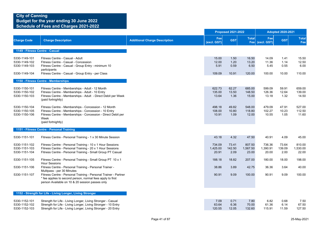|                                                                                                    |                                                                                                                                                                                                                                                                                                                                                                          |                                      | <b>Proposed 2021-2022</b>                              |                                                  | <b>Adopted 2020-2021</b>                               |                                                        |                                                  |                                                        |
|----------------------------------------------------------------------------------------------------|--------------------------------------------------------------------------------------------------------------------------------------------------------------------------------------------------------------------------------------------------------------------------------------------------------------------------------------------------------------------------|--------------------------------------|--------------------------------------------------------|--------------------------------------------------|--------------------------------------------------------|--------------------------------------------------------|--------------------------------------------------|--------------------------------------------------------|
| <b>Charge Code</b>                                                                                 | <b>Charge Description</b>                                                                                                                                                                                                                                                                                                                                                | <b>Additional Charge Description</b> | Fee<br>(excl. GST)                                     | <b>GST</b>                                       | <b>Total</b>                                           | Fee<br>Fee (excl. GST)                                 | <b>GST</b>                                       | <b>Total</b><br>Fee                                    |
| 1149 - Fitness Centre - Casual                                                                     |                                                                                                                                                                                                                                                                                                                                                                          |                                      |                                                        |                                                  |                                                        |                                                        |                                                  |                                                        |
| 5330-1149-101<br>5330-1149-102<br>5330-1149-103<br>5330-1149-104                                   | Fitness Centre - Casual - Adult<br>Fitness Centre - Casual - Concession<br>Fitness Centre - Casual - Group Entry - minimum 10<br>participants<br>Fitness Centre - Casual - Group Entry - per Class                                                                                                                                                                       |                                      | 15.00<br>12.00<br>5.91<br>109.09                       | 1.50<br>1.20<br>0.59<br>10.91                    | 16.50<br>13.20<br>6.50<br>120.00                       | 14.09<br>11.36<br>5.45<br>100.00                       | 1.41<br>1.14<br>0.55<br>10.00                    | 15.50<br>12.50<br>6.00<br>110.00                       |
|                                                                                                    | 1150 - Fitness Centre - Memberships                                                                                                                                                                                                                                                                                                                                      |                                      |                                                        |                                                  |                                                        |                                                        |                                                  |                                                        |
| 5330-1150-101<br>5330-1150-102<br>5330-1150-103<br>5330-1150-104<br>5330-1150-105<br>5330-1150-106 | Fitness Centre - Memberships - Adult - 12 Month<br>Fitness Centre - Memberships - Adult - 10 Entry<br>Fitness Centre - Memberships - Adult - Direct Debit per Week<br>(paid fortnightly)<br>Fitness Centre - Memberships - Concession - 12 Month<br>Fitness Centre - Memberships - Concession - 10 Entry<br>Fitness Centre - Memberships - Concession - Direct Debit per |                                      | 622.73<br>135.00<br>13.64<br>498.18<br>108.00<br>10.91 | 62.27<br>13.50<br>1.36<br>49.82<br>10.80<br>1.09 | 685.00<br>148.50<br>15.00<br>548.00<br>118.80<br>12.00 | 599.09<br>126.36<br>13.18<br>479.09<br>102.27<br>10.55 | 59.91<br>12.64<br>1.32<br>47.91<br>10.23<br>1.05 | 659.00<br>139.00<br>14.50<br>527.00<br>112.50<br>11.60 |
|                                                                                                    | Week<br>(paid fortnightly)                                                                                                                                                                                                                                                                                                                                               |                                      |                                                        |                                                  |                                                        |                                                        |                                                  |                                                        |
|                                                                                                    | 1151 - Fitness Centre - Personal Training                                                                                                                                                                                                                                                                                                                                |                                      |                                                        |                                                  |                                                        |                                                        |                                                  |                                                        |
| 5330-1151-101                                                                                      | Fitness Centre - Personal Training - 1 x 30 Minute Session                                                                                                                                                                                                                                                                                                               |                                      | 43.18                                                  | 4.32                                             | 47.50                                                  | 40.91                                                  | 4.09                                             | 45.00                                                  |
| 5330-1151-102<br>5330-1151-103<br>5330-1151-104                                                    | Fitness Centre - Personal Training - 10 x 1 Hour Sessions<br>Fitness Centre - Personal Training - 20 x 1 Hour Sessions<br>Fitness Centre - Personal Training - Small Group PT Casual                                                                                                                                                                                     |                                      | 734.09<br>1,425.00<br>20.91                            | 73.41<br>142.50<br>2.09                          | 807.50<br>1,567.50<br>23.00                            | 736.36<br>1,390.91<br>20.00                            | 73.64<br>139.09<br>2.00                          | 810.00<br>1,530.00<br>22.00                            |
| 5330-1151-105                                                                                      | Fitness Centre - Personal Training - Small Group PT 10 x 1<br><b>Hour Sessions</b>                                                                                                                                                                                                                                                                                       |                                      | 188.18                                                 | 18.82                                            | 207.00                                                 | 180.00                                                 | 18.00                                            | 198.00                                                 |
| 5330-1151-106                                                                                      | Fitness Centre - Personal Training - Personal Trainer -<br>Mulitpass - per 30 Minutes                                                                                                                                                                                                                                                                                    |                                      | 38.86                                                  | 3.89                                             | 42.75                                                  | 36.36                                                  | 3.64                                             | 40.00                                                  |
| 5330-1151-107                                                                                      | Fitness Centre - Personal Training - Personal Trainer - Partner<br>* fee applies to second person, normal fees apply to first<br>person Available on 10 & 20 session passes only                                                                                                                                                                                         |                                      | 90.91                                                  | 9.09                                             | 100.00                                                 | 90.91                                                  | 9.09                                             | 100.00                                                 |
|                                                                                                    | 1152 - Strength for Life - Living Longer, Living Stronger                                                                                                                                                                                                                                                                                                                |                                      |                                                        |                                                  |                                                        |                                                        |                                                  |                                                        |
| 5330-1152-101<br>5330-1152-102<br>5330-1152-103                                                    | Strength for Life - Living Longer, Living Stronger - Casual<br>Strength for Life - Living Longer, Living Stronger - 10 Entry<br>Strength for Life - Living Longer, Living Stronger - 20 Entry                                                                                                                                                                            |                                      | 7.09<br>63.64<br>120.55                                | 0.71<br>6.36<br>12.05                            | 7.80<br>70.00<br>132.60                                | 6.82<br>61.36<br>115.91                                | 0.68<br>6.14<br>11.59                            | 7.50<br>67.50<br>127.50                                |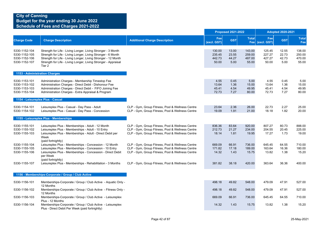|                                                                  |                                                                                                                                                                                                                                                                           |                                                                                                                                                          | <b>Proposed 2021-2022</b>           |                                 |                                     |                                     | <b>Adopted 2020-2021</b>        |                                     |  |
|------------------------------------------------------------------|---------------------------------------------------------------------------------------------------------------------------------------------------------------------------------------------------------------------------------------------------------------------------|----------------------------------------------------------------------------------------------------------------------------------------------------------|-------------------------------------|---------------------------------|-------------------------------------|-------------------------------------|---------------------------------|-------------------------------------|--|
| <b>Charge Code</b>                                               | <b>Charge Description</b>                                                                                                                                                                                                                                                 | <b>Additional Charge Description</b>                                                                                                                     | Fee<br>(excl. GST)                  | <b>GST</b>                      | <b>Total</b>                        | Fee<br>Fee (excl. GST)              | <b>GST</b>                      | <b>Total</b><br>Fee                 |  |
| 5330-1152-104<br>5330-1152-105<br>5330-1152-106<br>5330-1152-107 | Strength for Life - Living Longer, Living Stronger - 3 Month<br>Strength for Life - Living Longer, Living Stronger - 6 Month<br>Strength for Life - Living Longer, Living Stronger - 12 Month<br>Strength for Life - Living Longer, Living Stronger - Appraisal<br>Tier 2 |                                                                                                                                                          | 130.00<br>235.45<br>442.73<br>50.00 | 13.00<br>23.55<br>44.27<br>5.00 | 143.00<br>259.00<br>487.00<br>55.00 | 125.45<br>227.27<br>427.27<br>50.00 | 12.55<br>22.73<br>42.73<br>5.00 | 138.00<br>250.00<br>470.00<br>55.00 |  |
| 1153 - Administration Charges                                    |                                                                                                                                                                                                                                                                           |                                                                                                                                                          |                                     |                                 |                                     |                                     |                                 |                                     |  |
| 5330-1153-101<br>5330-1153-102<br>5330-1153-103<br>5330-1153-104 | Administration Charges - Membership Timestop Fee<br>Administration Charges - Direct Debit - Dishonour Fee<br>Administration Charges - Direct Debit - FIFO Joining Fee<br>Administration Charges - Extra Appraisal & Program                                               |                                                                                                                                                          | 4.55<br>13.64<br>45.41<br>72.73     | 0.45<br>1.36<br>4.54<br>7.27    | 5.00<br>15.00<br>49.95<br>80.00     | 4.55<br>13.64<br>45.41<br>72.73     | 0.45<br>1.36<br>4.54<br>7.27    | 5.00<br>15.00<br>49.95<br>80.00     |  |
| 1154 - Leisureplex Plus - Casual                                 |                                                                                                                                                                                                                                                                           |                                                                                                                                                          |                                     |                                 |                                     |                                     |                                 |                                     |  |
| 5330-1154-101<br>5330-1154-102                                   | Leisureplex Plus - Casual - Day Pass - Adult<br>Leisureplex Plus - Casual - Day Pass - Concession                                                                                                                                                                         | CLP - Gym, Group Fitness, Pool & Wellness Centre<br>CLP - Gym, Group Fitness, Pool & Wellness Centre                                                     | 23.64<br>19.09                      | 2.36<br>1.91                    | 26.00<br>21.00                      | 22.73<br>18.18                      | 2.27<br>1.82                    | 25.00<br>20.00                      |  |
|                                                                  | 1155 - Leisureplex Plus - Memberships                                                                                                                                                                                                                                     |                                                                                                                                                          |                                     |                                 |                                     |                                     |                                 |                                     |  |
| 5330-1155-101<br>5330-1155-102<br>5330-1155-103                  | Leisureplex Plus - Memberships - Adult - 12 Month<br>Leisureplex Plus - Memberships - Adult - 10 Entry<br>Leisureplex Plus - Memberships - Adult - Direct Debit per<br>Week                                                                                               | CLP - Gym, Group Fitness, Pool & Wellness Centre<br>CLP - Gym, Group Fitness, Pool & Wellness Centre<br>CLP - Gym, Group Fitness, Pool & Wellness Centre | 836.36<br>212.73<br>18.14           | 83.64<br>21.27<br>1.81          | 920.00<br>234.00<br>19.95           | 807.27<br>204.55<br>17.27           | 80.73<br>20.45<br>1.73          | 888.00<br>225.00<br>19.00           |  |
| 5330-1155-104<br>5330-1155-105<br>5330-1155-106                  | (paid fortnightly)<br>Leisureplex Plus - Memberships - Concession - 12 Month<br>Leisureplex Plus - Memberships - Concession - 10 Entry<br>Leisureplex Plus - Memberships - Concession - Direct Debit<br>per Week                                                          | CLP - Gym, Group Fitness, Pool & Wellness Centre<br>CLP - Gym, Group Fitness, Pool & Wellness Centre<br>CLP - Gym, Group Fitness, Pool & Wellness Centre | 669.09<br>171.82<br>14.32           | 66.91<br>17.18<br>1.43          | 736.00<br>189.00<br>15.75           | 645.45<br>163.64<br>13.82           | 64.55<br>16.36<br>1.38          | 710.00<br>180.00<br>15.20           |  |
| 5330-1155-107                                                    | (paid fortnightly)<br>Leisureplex Plus - Memberships - Rehabilitation - 3 Months                                                                                                                                                                                          | CLP - Gym, Group Fitness, Pool & Wellness Centre                                                                                                         | 381.82                              | 38.18                           | 420.00                              | 363.64                              | 36.36                           | 400.00                              |  |
|                                                                  | 1156 - Memberships-Corporate / Group / Club Active                                                                                                                                                                                                                        |                                                                                                                                                          |                                     |                                 |                                     |                                     |                                 |                                     |  |
| 5330-1156-101                                                    | Memberships-Corporate / Group / Club Active - Aquatic Only -                                                                                                                                                                                                              |                                                                                                                                                          | 498.18                              | 49.82                           | 548.00                              | 479.09                              | 47.91                           | 527.00                              |  |
| 5330-1156-102                                                    | 12 Months<br>Memberships-Corporate / Group / Club Active - Fitness Only -<br>12 Months                                                                                                                                                                                    |                                                                                                                                                          | 498.18                              | 49.82                           | 548.00                              | 479.09                              | 47.91                           | 527.00                              |  |
| 5330-1156-103                                                    | Memberships-Corporate / Group / Club Active - Leisureplex<br>Plus - 12 Months                                                                                                                                                                                             |                                                                                                                                                          | 669.09                              | 66.91                           | 736.00                              | 645.45                              | 64.55                           | 710.00                              |  |
| 5330-1156-104                                                    | Memberships-Corporate / Group / Club Active - Leisureplex<br>Plus - Direct Debit Per Week (paid fortnightly)                                                                                                                                                              |                                                                                                                                                          | 14.32                               | 1.43                            | 15.75                               | 13.82                               | 1.38                            | 15.20                               |  |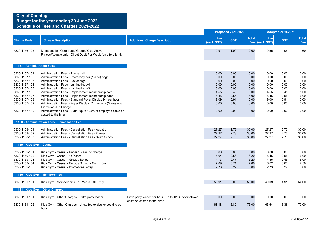|                                                                                                                                                                        |                                                                                                                                                                                                                                                                                                                                                                                                                                                                                                                                                            |                                                                                      |                                                                              | <b>Proposed 2021-2022</b>                                                    |                                                                               |                                                                              | <b>Adopted 2020-2021</b>                                                     |                                                                               |
|------------------------------------------------------------------------------------------------------------------------------------------------------------------------|------------------------------------------------------------------------------------------------------------------------------------------------------------------------------------------------------------------------------------------------------------------------------------------------------------------------------------------------------------------------------------------------------------------------------------------------------------------------------------------------------------------------------------------------------------|--------------------------------------------------------------------------------------|------------------------------------------------------------------------------|------------------------------------------------------------------------------|-------------------------------------------------------------------------------|------------------------------------------------------------------------------|------------------------------------------------------------------------------|-------------------------------------------------------------------------------|
| <b>Charge Code</b>                                                                                                                                                     | <b>Charge Description</b>                                                                                                                                                                                                                                                                                                                                                                                                                                                                                                                                  | <b>Additional Charge Description</b>                                                 | Fee<br>(excl. GST)                                                           | <b>GST</b>                                                                   | <b>Total</b><br>Fee                                                           | Fee<br>(excl. GST)                                                           | <b>GST</b>                                                                   | <b>Total</b><br>Fee                                                           |
| 5330-1156-105                                                                                                                                                          | Memberships-Corporate / Group / Club Active -<br>Fitness/Aquatic only - Direct Debit Per Week (paid fortnightly)                                                                                                                                                                                                                                                                                                                                                                                                                                           |                                                                                      | 10.91                                                                        | 1.09                                                                         | 12.00                                                                         | 10.55                                                                        | 1.05                                                                         | 11.60                                                                         |
| 1157 - Administration Fees                                                                                                                                             |                                                                                                                                                                                                                                                                                                                                                                                                                                                                                                                                                            |                                                                                      |                                                                              |                                                                              |                                                                               |                                                                              |                                                                              |                                                                               |
| 5330-1157-101<br>5330-1157-102<br>5330-1157-103<br>5330-1157-104<br>5330-1157-105<br>5330-1157-106<br>5330-1157-107<br>5330-1157-108<br>5330-1157-109<br>5330-1157-110 | Administration Fees - Phone call<br>Administration Fees - Photocopy per (1 side) page<br>Administration Fees - Fax charge<br>Administration Fees - Laminating A4<br>Administration Fees - Laminating A3<br>Administration Fees - Replacement membership card<br>Administration Fees - Replacement membership band<br>Administration Fees - Standard Foyer Display 9m per hour<br>Administration Fees - Foyer Display Community (Manager's<br>Discretion) No Charge<br>Administration Fees - Staff - up to 125% of employee costs on<br>costed to the hirer |                                                                                      | 0.00<br>0.00<br>0.00<br>0.00<br>0.00<br>4.55<br>5.45<br>9.09<br>0.00<br>0.00 | 0.00<br>0.00<br>0.00<br>0.00<br>0.00<br>0.45<br>0.55<br>0.91<br>0.00<br>0.00 | 0.00<br>0.00<br>0.00<br>0.00<br>0.00<br>5.00<br>6.00<br>10.00<br>0.00<br>0.00 | 0.00<br>0.00<br>0.00<br>0.00<br>0.00<br>4.55<br>5.45<br>9.09<br>0.00<br>0.00 | 0.00<br>0.00<br>0.00<br>0.00<br>0.00<br>0.45<br>0.55<br>0.91<br>0.00<br>0.00 | 0.00<br>0.00<br>0.00<br>0.00<br>0.00<br>5.00<br>6.00<br>10.00<br>0.00<br>0.00 |
|                                                                                                                                                                        | 1158 - Administration Fees - Cancellation Fee                                                                                                                                                                                                                                                                                                                                                                                                                                                                                                              |                                                                                      |                                                                              |                                                                              |                                                                               |                                                                              |                                                                              |                                                                               |
| 5330-1158-101<br>5330-1158-102<br>5330-1158-103                                                                                                                        | Administration Fees - Cancellation Fee - Aquatic<br>Administration Fees - Cancellation Fee - Fitness<br>Administration Fees - Cancellation Fee - Swim School                                                                                                                                                                                                                                                                                                                                                                                               |                                                                                      | 27.27<br>27.27<br>27.27                                                      | 2.73<br>2.73<br>2.73                                                         | 30.00<br>30.00<br>30.00                                                       | 27.27<br>27.27<br>27.27                                                      | 2.73<br>2.73<br>2.73                                                         | 30.00<br>30.00<br>30.00                                                       |
| 1159 - Kids Gym - Casual                                                                                                                                               |                                                                                                                                                                                                                                                                                                                                                                                                                                                                                                                                                            |                                                                                      |                                                                              |                                                                              |                                                                               |                                                                              |                                                                              |                                                                               |
| 5330-1159-101<br>5330-1159-102<br>5330-1159-103<br>5330-1159-104<br>5330-1159-105                                                                                      | Kids Gym - Casual - Under 1 Year no charge<br>Kids Gym - Casual - 1+ Years<br>Kids Gym - Casual - Group / School<br>Kids Gym - Casual - Group / School - Gym + Swim<br>Kids Gym - Casual - Promotional entry                                                                                                                                                                                                                                                                                                                                               |                                                                                      | 0.00<br>5.64<br>4.73<br>7.09<br>2.73                                         | 0.00<br>0.56<br>0.47<br>0.71<br>0.27                                         | 0.00<br>6.20<br>5.20<br>7.80<br>3.00                                          | 0.00<br>5.45<br>4.55<br>6.82<br>2.73                                         | 0.00<br>0.55<br>0.45<br>0.68<br>0.27                                         | 0.00<br>6.00<br>5.00<br>7.50<br>3.00                                          |
|                                                                                                                                                                        | 1160 - Kids Gym - Memberships                                                                                                                                                                                                                                                                                                                                                                                                                                                                                                                              |                                                                                      |                                                                              |                                                                              |                                                                               |                                                                              |                                                                              |                                                                               |
| 5330-1160-101                                                                                                                                                          | Kids Gym - Memberships - 1+ Years - 10 Entry                                                                                                                                                                                                                                                                                                                                                                                                                                                                                                               |                                                                                      | 50.91                                                                        | 5.09                                                                         | 56.00                                                                         | 49.09                                                                        | 4.91                                                                         | 54.00                                                                         |
|                                                                                                                                                                        | 1161 - Kids Gym - Other Charges                                                                                                                                                                                                                                                                                                                                                                                                                                                                                                                            |                                                                                      |                                                                              |                                                                              |                                                                               |                                                                              |                                                                              |                                                                               |
| 5330-1161-101                                                                                                                                                          | Kids Gym - Other Charges - Extra party leader                                                                                                                                                                                                                                                                                                                                                                                                                                                                                                              | Extra party leader per hour - up to 125% of employee<br>costs on costed to the hirer | 0.00                                                                         | 0.00                                                                         | 0.00                                                                          | 0.00                                                                         | 0.00                                                                         | 0.00                                                                          |
| 5330-1161-102                                                                                                                                                          | Kids Gym - Other Charges - Unstaffed exclusive booking per<br>hour                                                                                                                                                                                                                                                                                                                                                                                                                                                                                         |                                                                                      | 68.18                                                                        | 6.82                                                                         | 75.00                                                                         | 63.64                                                                        | 6.36                                                                         | 70.00                                                                         |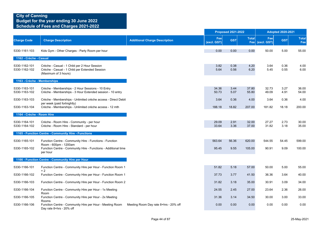|                                |                                                                                                                        |                                       | <b>Proposed 2021-2022</b> |              |                | <b>Adopted 2020-2021</b> |              |                     |
|--------------------------------|------------------------------------------------------------------------------------------------------------------------|---------------------------------------|---------------------------|--------------|----------------|--------------------------|--------------|---------------------|
| <b>Charge Code</b>             | <b>Charge Description</b>                                                                                              | <b>Additional Charge Description</b>  | Fee<br>(excl. GST)        | <b>GST</b>   | <b>Total</b>   | Fee<br>Fee (excl. GST)   | <b>GST</b>   | <b>Total</b><br>Fee |
| 5330-1161-103                  | Kids Gym - Other Charges - Party Room per hour                                                                         |                                       | 0.00                      | 0.00         | 0.00           | 50.00                    | 5.00         | 55.00               |
| 1162 - Crèche - Casual         |                                                                                                                        |                                       |                           |              |                |                          |              |                     |
| 5330-1162-101<br>5330-1162-102 | Crèche - Casual - 1 Child per 2 Hour Session<br>Crèche - Casual - 1 Child per Extended Session<br>(Maximum of 3 hours) |                                       | 3.82<br>5.64              | 0.38<br>0.56 | 4.20<br>6.20   | 3.64<br>5.45             | 0.36<br>0.55 | 4.00<br>6.00        |
| 1163 - Crèche - Memberships    |                                                                                                                        |                                       |                           |              |                |                          |              |                     |
| 5330-1163-101<br>5330-1163-102 | Crèche - Memberships - 2 Hour Sessions - 10 Entry<br>Crèche - Memberships - 3 Hour Extended session - 10 entry         |                                       | 34.36<br>50.73            | 3.44<br>5.07 | 37.80<br>55.80 | 32.73<br>49.09           | 3.27<br>4.91 | 36.00<br>54.00      |
| 5330-1163-103                  | Crèche - Memberships - Unlimited crèche access - Direct Debit<br>per week (paid fortnightly)                           |                                       | 3.64                      | 0.36         | 4.00           | 3.64                     | 0.36         | 4.00                |
| 5330-1163-104                  | Crèche - Memberships - Unlimited crèche access - 12 mth                                                                |                                       | 188.18                    | 18.82        | 207.00         | 181.82                   | 18.18        | 200.00              |
| 1164 - Crèche - Room Hire      |                                                                                                                        |                                       |                           |              |                |                          |              |                     |
| 5330-1164-101<br>5330-1164-102 | Crèche - Room Hire - Community - per hour<br>Crèche - Room Hire - Standard - per hour                                  |                                       | 29.09<br>33.64            | 2.91<br>3.36 | 32.00<br>37.00 | 27.27<br>31.82           | 2.73<br>3.18 | 30.00<br>35.00      |
|                                | 1165 - Function Centre - Community Hire - Functions                                                                    |                                       |                           |              |                |                          |              |                     |
| 5330-1165-101                  | Function Centre - Community Hire - Functions - Function<br>Room - 600pm - 1200am                                       |                                       | 563.64                    | 56.36        | 620.00         | 544.55                   | 54.45        | 599.00              |
| 5330-1165-102                  | Function Centre - Community Hire - Functions - Additional time<br>per hour                                             |                                       | 95.45                     | 9.55         | 105.00         | 90.91                    | 9.09         | 100.00              |
|                                | 1166 - Function Centre - Community Hire per Hour                                                                       |                                       |                           |              |                |                          |              |                     |
| 5330-1166-101                  | Function Centre - Community Hire per Hour - Function Room 1                                                            |                                       | 51.82                     | 5.18         | 57.00          | 50.00                    | 5.00         | 55.00               |
| 5330-1166-102                  | $+2$<br>Function Centre - Community Hire per Hour - Function Room 1                                                    |                                       | 37.73                     | 3.77         | 41.50          | 36.36                    | 3.64         | 40.00               |
| 5330-1166-103                  | Function Centre - Community Hire per Hour - Function Room 2                                                            |                                       | 31.82                     | 3.18         | 35.00          | 30.91                    | 3.09         | 34.00               |
| 5330-1166-104                  | Function Centre - Community Hire per Hour - 1x Meeting<br>Room                                                         |                                       | 24.55                     | 2.45         | 27.00          | 23.64                    | 2.36         | 26.00               |
| 5330-1166-105                  | Function Centre - Community Hire per Hour - 2x Meeting                                                                 |                                       | 31.36                     | 3.14         | 34.50          | 30.00                    | 3.00         | 33.00               |
| 5330-1166-106                  | Rooms<br>Function Centre - Community Hire per Hour - Meeting Room<br>Day rate 8+hrs - 20% off                          | Meeting Room Day rate 8+hrs - 20% off | 0.00                      | 0.00         | 0.00           | 0.00                     | 0.00         | 0.00                |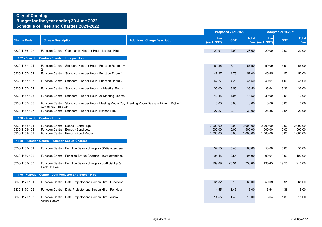|                                |                                                                                                   |                                      |                    | <b>Proposed 2021-2022</b> |                    | <b>Adopted 2020-2021</b> |              |                     |
|--------------------------------|---------------------------------------------------------------------------------------------------|--------------------------------------|--------------------|---------------------------|--------------------|--------------------------|--------------|---------------------|
| <b>Charge Code</b>             | <b>Charge Description</b>                                                                         | <b>Additional Charge Description</b> | Fee<br>(excl. GST) | <b>GST</b>                | <b>Total</b>       | Fee<br>Fee (excl. GST)   | <b>GST</b>   | <b>Total</b><br>Fee |
| 5330-1166-107                  | Function Centre - Community Hire per Hour - Kitchen Hire                                          |                                      | 20.91              | 2.09                      | 23.00              | 20.00                    | 2.00         | 22.00               |
|                                | 1167 - Function Centre - Standard Hire per Hour                                                   |                                      |                    |                           |                    |                          |              |                     |
| 5330-1167-101                  | Function Centre - Standard Hire per Hour - Function Room 1 +                                      |                                      | 61.36              | 6.14                      | 67.50              | 59.09                    | 5.91         | 65.00               |
| 5330-1167-102                  | Function Centre - Standard Hire per Hour - Function Room 1                                        |                                      | 47.27              | 4.73                      | 52.00              | 45.45                    | 4.55         | 50.00               |
| 5330-1167-103                  | Function Centre - Standard Hire per Hour - Function Room 2                                        |                                      | 42.27              | 4.23                      | 46.50              | 40.91                    | 4.09         | 45.00               |
| 5330-1167-104                  | Function Centre - Standard Hire per Hour - 1x Meeting Room                                        |                                      | 35.00              | 3.50                      | 38.50              | 33.64                    | 3.36         | 37.00               |
| 5330-1167-105                  | Function Centre - Standard Hire per Hour - 2x Meeting Rooms                                       |                                      | 40.45              | 4.05                      | 44.50              | 39.09                    | 3.91         | 43.00               |
| 5330-1167-106                  | Function Centre - Standard Hire per Hour - Meeting Room Day Meeting Room Day rate 8+hrs - 10% off |                                      | 0.00               | 0.00                      | 0.00               | 0.00                     | 0.00         | 0.00                |
| 5330-1167-107                  | rate 8+hrs - 10% off<br>Function Centre - Standard Hire per Hour - Kitchen Hire                   |                                      | 27.27              | 2.73                      | 30.00              | 26.36                    | 2.64         | 29.00               |
|                                | 1168 - Function Centre - Bonds                                                                    |                                      |                    |                           |                    |                          |              |                     |
| 5330-1168-101<br>5330-1168-102 | Function Centre - Bonds - Bond High<br>Function Centre - Bonds - Bond Low                         |                                      | 2,000.00<br>500.00 | 0.00<br>0.00              | 2,000.00<br>500.00 | 2,000.00<br>500.00       | 0.00<br>0.00 | 2,000.00<br>500.00  |
| 5330-1168-103                  | Function Centre - Bonds - Bond Medium                                                             |                                      | 1,000.00           | 0.00                      | 1,000.00           | 1,000.00                 | 0.00         | 1,000.00            |
|                                | 1169 - Function Centre - Function Set-up Charges                                                  |                                      |                    |                           |                    |                          |              |                     |
| 5330-1169-101                  | Function Centre - Function Set-up Charges - 50-99 attendees                                       |                                      | 54.55              | 5.45                      | 60.00              | 50.00                    | 5.00         | 55.00               |
| 5330-1169-102                  | Function Centre - Function Set-up Charges - 100+ attendees                                        |                                      | 95.45              | 9.55                      | 105.00             | 90.91                    | 9.09         | 100.00              |
| 5330-1169-103                  | Function Centre - Function Set-up Charges - Staff Set Up &<br>Pack Up Fee                         |                                      | 209.09             | 20.91                     | 230.00             | 195.45                   | 19.55        | 215.00              |
|                                | 1170 - Function Centre - Data Projector and Screen Hire                                           |                                      |                    |                           |                    |                          |              |                     |
| 5330-1170-101                  | Function Centre - Data Projector and Screen Hire - Functions                                      |                                      | 61.82              | 6.18                      | 68.00              | 59.09                    | 5.91         | 65.00               |
| 5330-1170-102                  | Function Centre - Data Projector and Screen Hire - Per Hour                                       |                                      | 14.55              | 1.45                      | 16.00              | 13.64                    | 1.36         | 15.00               |
| 5330-1170-103                  | Function Centre - Data Projector and Screen Hire - Audio<br><b>Visual Cables</b>                  |                                      | 14.55              | 1.45                      | 16.00              | 13.64                    | 1.36         | 15.00               |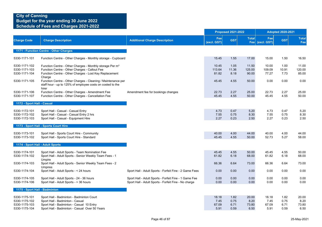|                                                                  |                                                                                                                                                                                           |                                                                                                               |                                | <b>Proposed 2021-2022</b>    |                                |                                | <b>Adopted 2020-2021</b>     |                                |
|------------------------------------------------------------------|-------------------------------------------------------------------------------------------------------------------------------------------------------------------------------------------|---------------------------------------------------------------------------------------------------------------|--------------------------------|------------------------------|--------------------------------|--------------------------------|------------------------------|--------------------------------|
| <b>Charge Code</b>                                               | <b>Charge Description</b>                                                                                                                                                                 | <b>Additional Charge Description</b>                                                                          | Fee<br>(excl. GST)             | <b>GST</b>                   | <b>Total</b>                   | Fee<br>Fee (excl. GST)         | <b>GST</b>                   | <b>Total</b><br>Fee            |
|                                                                  | 1171 - Function Centre - Other Charges                                                                                                                                                    |                                                                                                               |                                |                              |                                |                                |                              |                                |
| 5330-1171-101                                                    | Function Centre - Other Charges - Monthly storage - Cupboard                                                                                                                              |                                                                                                               | 15.45                          | 1.55                         | 17.00                          | 15.00                          | 1.50                         | 16.50                          |
| 5330-1171-102<br>5330-1171-103<br>5330-1171-104                  | Function Centre - Other Charges - Monthly storage Per m <sup>3</sup><br>Function Centre - Other Charges - Callout Fee<br>Function Centre - Other Charges - Lost Key Replacement<br>Charge |                                                                                                               | 10.45<br>113.64<br>81.82       | 1.05<br>11.36<br>8.18        | 11.50<br>125.00<br>90.00       | 10.00<br>109.09<br>77.27       | 1.00<br>10.91<br>7.73        | 11.00<br>120.00<br>85.00       |
| 5330-1171-105                                                    | Function Centre - Other Charges - Cleaning / Maintenance per<br>staff hour - up to 125% of employee costs on costed to the<br>hirer                                                       |                                                                                                               | 45.45                          | 4.55                         | 50.00                          | 0.00                           | 0.00                         | 0.00                           |
| 5330-1171-106<br>5330-1171-107                                   | Function Centre - Other Charges - Amendment Fee<br>Function Centre - Other Charges - Cancellation Fee                                                                                     | Amendment fee for bookings changes                                                                            | 22.73<br>45.45                 | 2.27<br>4.55                 | 25.00<br>50.00                 | 22.73<br>45.45                 | 2.27<br>4.55                 | 25.00<br>50.00                 |
| 1172 - Sport Hall - Casual                                       |                                                                                                                                                                                           |                                                                                                               |                                |                              |                                |                                |                              |                                |
| 5330-1172-101<br>5330-1172-102<br>5330-1172-103                  | Sport Hall - Casual - Casual Entry<br>Sport Hall - Casual - Casual Entry 2 hrs<br>Sport Hall - Casual - Equipment Hire                                                                    |                                                                                                               | 4.73<br>7.55<br>2.27           | 0.47<br>0.75<br>0.23         | 5.20<br>8.30<br>2.50           | 4.73<br>7.55<br>2.27           | 0.47<br>0.75<br>0.23         | 5.20<br>8.30<br>2.50           |
|                                                                  | 1173 - Sport Hall - Sports Court Hire                                                                                                                                                     |                                                                                                               |                                |                              |                                |                                |                              |                                |
| 5330-1173-101<br>5330-1173-102                                   | Sport Hall - Sports Court Hire - Community<br>Sport Hall - Sports Court Hire - Standard                                                                                                   |                                                                                                               | 40.00<br>45.45                 | 4.00<br>4.55                 | 44.00<br>50.00                 | 40.00<br>52.73                 | 4.00<br>5.27                 | 44.00<br>58.00                 |
| 1174 - Sport Hall - Adult Sports                                 |                                                                                                                                                                                           |                                                                                                               |                                |                              |                                |                                |                              |                                |
| 5330-1174-101<br>5330-1174-102                                   | Sport Hall - Adult Sports - Team Nomination Fee<br>Sport Hall - Adult Sports - Senior Weekly Team Fees - 1<br>Umpire                                                                      |                                                                                                               | 45.45<br>61.82                 | 4.55<br>6.18                 | 50.00<br>68.00                 | 45.45<br>61.82                 | 4.55<br>6.18                 | 50.00<br>68.00                 |
| 5330-1174-103                                                    | Sport Hall - Adult Sports - Senior Weekly Team Fees - 2                                                                                                                                   |                                                                                                               | 66.36                          | 6.64                         | 73.00                          | 66.36                          | 6.64                         | 73.00                          |
| 5330-1174-104                                                    | Umpires<br>Sport Hall - Adult Sports - < 24 hours                                                                                                                                         | Sport Hall - Adult Sports - Forfeit Fine - 2 Game Fees                                                        | 0.00                           | 0.00                         | 0.00                           | 0.00                           | 0.00                         | 0.00                           |
| 5330-1174-105<br>5330-1174-106                                   | Sport Hall - Adult Sports - 24 - 36 hours<br>Sport Hall - Adult Sports - > 36 hours                                                                                                       | Sport Hall - Adult Sports - Forfeit Fine - 1 Game Fee<br>Sport Hall - Adult Sports - Forfeit Fine - No charge | 0.00<br>0.00                   | 0.00<br>0.00                 | 0.00<br>0.00                   | 0.00<br>0.00                   | 0.00<br>0.00                 | 0.00<br>0.00                   |
| 1175 - Sport Hall - Badminton                                    |                                                                                                                                                                                           |                                                                                                               |                                |                              |                                |                                |                              |                                |
| 5330-1175-101<br>5330-1175-102<br>5330-1175-103<br>5330-1175-104 | Sport Hall - Badminton - Badminton Court<br>Sport Hall - Badminton - Casual<br>Sport Hall - Badminton - Casual 10 Entry<br>Sport Hall - Badminton - Casual Over 50 Years                  |                                                                                                               | 18.18<br>7.45<br>67.09<br>5.91 | 1.82<br>0.75<br>6.71<br>0.59 | 20.00<br>8.20<br>73.80<br>6.50 | 18.18<br>7.45<br>67.09<br>5.91 | 1.82<br>0.75<br>6.71<br>0.59 | 20.00<br>8.20<br>73.80<br>6.50 |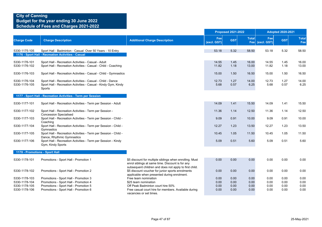|                                |                                                                                                                                         |                                                                                                             |                    | <b>Proposed 2021-2022</b> |                     |                    | <b>Adopted 2020-2021</b> |                     |  |  |
|--------------------------------|-----------------------------------------------------------------------------------------------------------------------------------------|-------------------------------------------------------------------------------------------------------------|--------------------|---------------------------|---------------------|--------------------|--------------------------|---------------------|--|--|
| <b>Charge Code</b>             | <b>Charge Description</b>                                                                                                               | <b>Additional Charge Description</b>                                                                        | Fee<br>(excl. GST) | <b>GST</b>                | <b>Total</b><br>Fee | Fee<br>(excl. GST) | <b>GST</b>               | <b>Total</b><br>Fee |  |  |
| 5330-1175-105                  | Sport Hall - Badminton - Casual Over 50 Years - 10 Entry<br>1176 - Sport Hall - Recreation Activities - Casual                          |                                                                                                             | 53.18              | 5.32                      | 58.50               | 53.18              | 5.32                     | 58.50               |  |  |
| 5330-1176-101<br>5330-1176-102 | Sport Hall - Recreation Activities - Casual - Adult<br>Sport Hall - Recreation Activities - Casual - Child - Coaching                   |                                                                                                             | 14.55<br>11.82     | 1.45<br>1.18              | 16.00<br>13.00      | 14.55<br>11.82     | 1.45<br>1.18             | 16.00<br>13.00      |  |  |
| 5330-1176-103                  | Sport Hall - Recreation Activities - Casual - Child - Gymnastics                                                                        |                                                                                                             | 15.00              | 1.50                      | 16.50               | 15.00              | 1.50                     | 16.50               |  |  |
| 5330-1176-104<br>5330-1176-105 | Sport Hall - Recreation Activities - Casual - Child - Dance<br>Sport Hall - Recreation Activities - Casual - Kindy Gym, Kindy<br>Sports |                                                                                                             | 12.73<br>5.68      | 1.27<br>0.57              | 14.00<br>6.25       | 12.73<br>5.68      | 1.27<br>0.57             | 14.00<br>6.25       |  |  |
|                                | 1177 - Sport Hall - Recreation Activities - Term per Session                                                                            |                                                                                                             |                    |                           |                     |                    |                          |                     |  |  |
| 5330-1177-101                  | Sport Hall - Recreation Activities - Term per Session - Adult                                                                           |                                                                                                             | 14.09              | 1.41                      | 15.50               | 14.09              | 1.41                     | 15.50               |  |  |
| 5330-1177-102                  | Sport Hall - Recreation Activities - Term per Session -                                                                                 |                                                                                                             | 11.36              | 1.14                      | 12.50               | 11.36              | 1.14                     | 12.50               |  |  |
| 5330-1177-103                  | <b>Concession Specialised</b><br>Sport Hall - Recreation Activities - Term per Session - Child -                                        |                                                                                                             | 9.09               | 0.91                      | 10.00               | 9.09               | 0.91                     | 10.00               |  |  |
| 5330-1177-104                  | Coaching<br>Sport Hall - Recreation Activities - Term per Session - Child -                                                             |                                                                                                             | 12.27              | 1.23                      | 13.50               | 12.27              | 1.23                     | 13.50               |  |  |
| 5330-1177-105                  | Gymnastics<br>Sport Hall - Recreation Activities - Term per Session - Child -<br>Dance, Rhythmic Gymnastics                             |                                                                                                             | 10.45              | 1.05                      | 11.50               | 10.45              | 1.05                     | 11.50               |  |  |
| 5330-1177-106                  | Sport Hall - Recreation Activities - Term per Session - Kindy<br>Gym, Kindy Sports                                                      |                                                                                                             | 5.09               | 0.51                      | 5.60                | 5.09               | 0.51                     | 5.60                |  |  |
| 1178 - Promotions - Sport Hall |                                                                                                                                         |                                                                                                             |                    |                           |                     |                    |                          |                     |  |  |
| 5330-1178-101                  | Promotions - Sport Hall - Promotion 1                                                                                                   | \$5 discount for multiple siblings when enrolling. Must<br>enrol siblings at same time. Discount is for any | 0.00               | 0.00                      | 0.00                | 0.00               | 0.00                     | 0.00                |  |  |
| 5330-1178-102                  | Promotions - Sport Hall - Promotion 2                                                                                                   | subsequent children and does not apply to first child.<br>\$5 discount voucher for junior sports enrolments | 0.00               | 0.00                      | 0.00                | 0.00               | 0.00                     | 0.00                |  |  |
| 5330-1178-103                  | Promotions - Sport Hall - Promotion 3                                                                                                   | applicable when presented during enrolment.<br>Free team nomination                                         | 0.00               | 0.00                      | 0.00                | 0.00               | 0.00                     | 0.00                |  |  |
| 5330-1178-104                  | Promotions - Sport Hall - Promotion 4                                                                                                   | \$25 team nomination                                                                                        | 0.00               | 0.00                      | 0.00                | 0.00               | 0.00                     | 0.00                |  |  |
| 5330-1178-105                  | Promotions - Sport Hall - Promotion 5                                                                                                   | Off Peak Badminton court hire 50%                                                                           | 0.00               | 0.00                      | 0.00                | 0.00               | 0.00                     | 0.00                |  |  |
| 5330-1178-106                  | Promotions - Sport Hall - Promotion 6                                                                                                   | Free casual court hire for members. Available during<br>vacancies or set times.                             | 0.00               | 0.00                      | 0.00                | 0.00               | 0.00                     | 0.00                |  |  |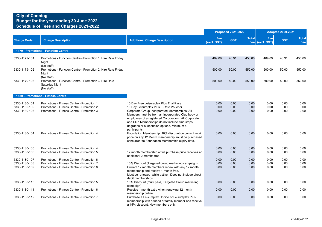### **City of Canning Budget for the year ending 30 June 2022**

**Schedule of Fees and Charges 2021-2022**

|                                                 |                                                                                                                                     |                                                                                                                                                                                                                                                                                                    |                      | <b>Proposed 2021-2022</b> |                      |                        | <b>Adopted 2020-2021</b> |                      |
|-------------------------------------------------|-------------------------------------------------------------------------------------------------------------------------------------|----------------------------------------------------------------------------------------------------------------------------------------------------------------------------------------------------------------------------------------------------------------------------------------------------|----------------------|---------------------------|----------------------|------------------------|--------------------------|----------------------|
| <b>Charge Code</b>                              | <b>Charge Description</b>                                                                                                           | <b>Additional Charge Description</b>                                                                                                                                                                                                                                                               | Fee<br>(excl. GST)   | <b>GST</b>                | <b>Total</b>         | Fee<br>Fee (excl. GST) | <b>GST</b>               | <b>Total</b><br>Fee  |
|                                                 | 1179 - Promotions - Function Centre                                                                                                 |                                                                                                                                                                                                                                                                                                    |                      |                           |                      |                        |                          |                      |
| 5330-1179-101                                   | Promotions - Function Centre - Promotion 1: Hire Rate Friday<br>Night                                                               |                                                                                                                                                                                                                                                                                                    | 409.09               | 40.91                     | 450.00               | 409.09                 | 40.91                    | 450.00               |
| 5330-1179-102                                   | (No staff)<br>Promotions - Function Centre - Promotion 2: Hire Rate Friday<br>Night                                                 |                                                                                                                                                                                                                                                                                                    | 500.00               | 50.00                     | 550.00               | 500.00                 | 50.00                    | 550.00               |
| 5330-1179-103                                   | (No staff)<br>Promotions - Function Centre - Promotion 3: Hire Rate<br>Saturday Night<br>(No staff)                                 |                                                                                                                                                                                                                                                                                                    | 500.00               | 50.00                     | 550.00               | 500.00                 | 50.00                    | 550.00               |
|                                                 | 1180 - Promotions - Fitness Centre                                                                                                  |                                                                                                                                                                                                                                                                                                    |                      |                           |                      |                        |                          |                      |
| 5330-1180-101<br>5330-1180-102<br>5330-1180-103 | Promotions - Fitness Centre - Promotion 1<br>Promotions - Fitness Centre - Promotion 2<br>Promotions - Fitness Centre - Promotion 3 | 10 Day Free Leisureplex Plus Trial Pass<br>10 Day Leisureplex Plus E-Rate Voucher<br>Corporate/Group Incorporated Memberships: All<br>Members must be from an Incorporated Club body or<br>employees of a registered Corporation. All Corporate<br>and Club Memberships do not include time stops, | 0.00<br>0.00<br>0.00 | 0.00<br>0.00<br>0.00      | 0.00<br>0.00<br>0.00 | 0.00<br>0.00<br>0.00   | 0.00<br>0.00<br>0.00     | 0.00<br>0.00<br>0.00 |
| 5330-1180-104                                   | Promotions - Fitness Centre - Promotion 4                                                                                           | upgrades or suspension options. Minimum 4<br>participants.<br>Foundation Membership: 10% discount on current retail<br>price on any 12 Month membership, must be purchased<br>concurrent to Foundation Membership expiry date.                                                                     | 0.00                 | 0.00                      | 0.00                 | 0.00                   | 0.00                     | 0.00                 |
| 5330-1180-105                                   | Promotions - Fitness Centre - Promotion 4                                                                                           |                                                                                                                                                                                                                                                                                                    | 0.00                 | 0.00                      | 0.00                 | 0.00                   | 0.00                     | 0.00                 |
| 5330-1180-106                                   | Promotions - Fitness Centre - Promotion 5                                                                                           | 12 month membership at full purchase price receives an<br>additional 2 months free.                                                                                                                                                                                                                | 0.00                 | 0.00                      | 0.00                 | 0.00                   | 0.00                     | 0.00                 |
| 5330-1180-107                                   | Promotions - Fitness Centre - Promotion 6                                                                                           |                                                                                                                                                                                                                                                                                                    | 0.00                 | 0.00                      | 0.00                 | 0.00                   | 0.00                     | 0.00                 |
| 5330-1180-108                                   | Promotions - Fitness Centre - Promotion 7                                                                                           | 15% Discount (Targeted group marketing campaign)                                                                                                                                                                                                                                                   | 0.00                 | 0.00                      | 0.00                 | 0.00                   | 0.00                     | 0.00                 |
| 5330-1180-109                                   | Promotions - Fitness Centre - Promotion 8                                                                                           | Current 12 month members renew with any 12 month<br>membership and receive 1 month free.<br>Must be renewed while active. Does not include direct<br>debit memberships.                                                                                                                            | 0.00                 | 0.00                      | 0.00                 | 0.00                   | 0.00                     | 0.00                 |
| 5330-1180-110                                   | Promotions - Fitness Centre - Promotion 5                                                                                           | 10% Discount (multi pass, Targeted Group marketing<br>campaign)                                                                                                                                                                                                                                    | 0.00                 | 0.00                      | 0.00                 | 0.00                   | 0.00                     | 0.00                 |
| 5330-1180-111                                   | Promotions - Fitness Centre - Promotion 6                                                                                           | Receive 1 month extra when renewing 12 month<br>membership online                                                                                                                                                                                                                                  | 0.00                 | 0.00                      | 0.00                 | 0.00                   | 0.00                     | 0.00                 |
| 5330-1180-112                                   | Promotions - Fitness Centre - Promotion 7                                                                                           | Purchase a Leisureplex Choice or Leisureplex Plus<br>membership with a friend or family member and receive<br>a 15% discount. New members only.                                                                                                                                                    | 0.00                 | 0.00                      | 0.00                 | 0.00                   | 0.00                     | 0.00                 |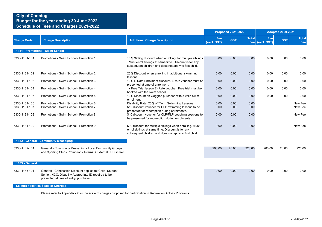|                                |                                                                                                                                                            |                                                                                                                                                                                |                    | <b>Proposed 2021-2022</b> |              |                        | <b>Adopted 2020-2021</b> |                     |
|--------------------------------|------------------------------------------------------------------------------------------------------------------------------------------------------------|--------------------------------------------------------------------------------------------------------------------------------------------------------------------------------|--------------------|---------------------------|--------------|------------------------|--------------------------|---------------------|
| <b>Charge Code</b>             | <b>Charge Description</b>                                                                                                                                  | <b>Additional Charge Description</b>                                                                                                                                           | Fee<br>(excl. GST) | <b>GST</b>                | <b>Total</b> | Fee<br>Fee (excl. GST) | <b>GST</b>               | <b>Total</b><br>Fee |
|                                | 1181 - Promotions - Swim School                                                                                                                            |                                                                                                                                                                                |                    |                           |              |                        |                          |                     |
| 5330-1181-101                  | Promotions - Swim School - Promotion 1                                                                                                                     | 10% Sibling discount when enrolling for multiple siblings<br>. Must enrol siblings at same time. Discount is for any<br>subsequent children and does not apply to first child. | 0.00               | 0.00                      | 0.00         | 0.00                   | 0.00                     | 0.00                |
| 5330-1181-102                  | Promotions - Swim School - Promotion 2                                                                                                                     | 20% Discount when enrolling in additional swimming<br>lessons.                                                                                                                 | 0.00               | 0.00                      | 0.00         | 0.00                   | 0.00                     | 0.00                |
| 5330-1181-103                  | Promotions - Swim School - Promotion 3                                                                                                                     | 10% E-Rate Enrolment discount. E-rate voucher must be<br>presented at time of enrolment.                                                                                       | 0.00               | 0.00                      | 0.00         | 0.00                   | 0.00                     | 0.00                |
| 5330-1181-104                  | Promotions - Swim School - Promotion 4                                                                                                                     | 1x Free Trial lesson E- Rate voucher. Free trial must be<br>booked with the swim school.                                                                                       | 0.00               | 0.00                      | 0.00         | 0.00                   | 0.00                     | 0.00                |
| 5330-1181-105                  | Promotions - Swim School - Promotion 5                                                                                                                     | 10% Discount on Goggles purchase with a valid swim<br>enrolment                                                                                                                | 0.00               | 0.00                      | 0.00         | 0.00                   | 0.00                     | 0.00                |
| 5330-1181-106<br>5330-1181-107 | Promotions - Swim School - Promotion 6<br>Promotions - Swim School - Promotion 7                                                                           | Disability Rate 20% off Term Swimming Lessons<br>\$10 discount voucher for CLP swimming lessons to be                                                                          | 0.00<br>0.00       | 0.00<br>0.00              | 0.00<br>0.00 |                        |                          | New Fee<br>New Fee  |
| 5330-1181-108                  | Promotions - Swim School - Promotion 8                                                                                                                     | presented for redemption during enrolments.<br>\$10 discount voucher for CLP/RLP coaching sessions to<br>be presented for redemption during enrolments.                        | 0.00               | 0.00                      | 0.00         |                        |                          | New Fee             |
| 5330-1181-109                  | Promotions - Swim School - Promotion 9                                                                                                                     | \$10 discount for multiple siblings when enrolling. Must<br>enrol siblings at same time. Discount is for any<br>subsequent children and does not apply to first child.         | 0.00               | 0.00                      | 0.00         |                        |                          | New Fee             |
|                                | 1182 - General - Community Messaging                                                                                                                       |                                                                                                                                                                                |                    |                           |              |                        |                          |                     |
| 5330-1182-101                  | General - Community Messaging - Local Community Groups<br>and Sporting Clubs Promotion - Internal / External LED screen                                    |                                                                                                                                                                                | 200.00             | 20.00                     | 220.00       | 200.00                 | 20.00                    | 220.00              |
| 1183 - General                 |                                                                                                                                                            |                                                                                                                                                                                |                    |                           |              |                        |                          |                     |
| 5330-1183-101                  | General - Concession Discount applies to: Child, Student,<br>Senior, HCC, Disability Appropriate ID required to be<br>presented at time of entry/ purchase |                                                                                                                                                                                | 0.00               | 0.00                      | 0.00         | 0.00                   | 0.00                     | 0.00                |
|                                | <b>Leisure Facilities Scale of Charges</b>                                                                                                                 |                                                                                                                                                                                |                    |                           |              |                        |                          |                     |
|                                | Please refer to Appendix - 2 for the scale of charges proposed for participation in Recreation Activity Programs                                           |                                                                                                                                                                                |                    |                           |              |                        |                          |                     |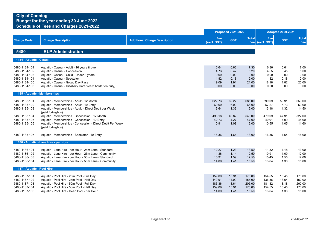|                                                                                                    |                                                                                                                                                                                                                                                           |                                      |                                               | <b>Proposed 2021-2022</b>                    |                                               |                                               | <b>Adopted 2020-2021</b>                     |                                               |
|----------------------------------------------------------------------------------------------------|-----------------------------------------------------------------------------------------------------------------------------------------------------------------------------------------------------------------------------------------------------------|--------------------------------------|-----------------------------------------------|----------------------------------------------|-----------------------------------------------|-----------------------------------------------|----------------------------------------------|-----------------------------------------------|
| <b>Charge Code</b>                                                                                 | <b>Charge Description</b>                                                                                                                                                                                                                                 | <b>Additional Charge Description</b> | Fee<br>(excl. GST)                            | <b>GST</b>                                   | <b>Total</b>                                  | Fee<br>Fee (excl. GST)                        | <b>GST</b>                                   | <b>Total</b><br>Fee                           |
| 5480                                                                                               | <b>RLP Administration</b>                                                                                                                                                                                                                                 |                                      |                                               |                                              |                                               |                                               |                                              |                                               |
| 1184 - Aquatic - Casual                                                                            |                                                                                                                                                                                                                                                           |                                      |                                               |                                              |                                               |                                               |                                              |                                               |
| 5480-1184-101<br>5480-1184-102<br>5480-1184-103<br>5480-1184-104<br>5480-1184-105<br>5480-1184-106 | Aquatic - Casual - Adult - 16 years & over<br>Aquatic - Casual - Concession<br>Aquatic - Casual - Child - Under 3 years<br>Aquatic - Casual - Spectator<br>Aquatic - Casual - Group Day Pass<br>Aquatic - Casual - Disability Carer (card holder on duty) |                                      | 6.64<br>4.73<br>0.00<br>1.82<br>19.09<br>0.00 | 0.66<br>0.47<br>0.00<br>0.18<br>1.91<br>0.00 | 7.30<br>5.20<br>0.00<br>2.00<br>21.00<br>0.00 | 6.36<br>4.55<br>0.00<br>1.82<br>18.18<br>0.00 | 0.64<br>0.45<br>0.00<br>0.18<br>1.82<br>0.00 | 7.00<br>5.00<br>0.00<br>2.00<br>20.00<br>0.00 |
| 1185 - Aquatic - Memberships                                                                       |                                                                                                                                                                                                                                                           |                                      |                                               |                                              |                                               |                                               |                                              |                                               |
| 5480-1185-101<br>5480-1185-102<br>5480-1185-103                                                    | Aquatic - Memberships - Adult - 12 Month<br>Aquatic - Memberships - Adult - 10 Entry<br>Aquatic - Memberships - Adult - Direct Debit per Week<br>(paid fortnightly)                                                                                       |                                      | 622.73<br>60.00<br>13.64                      | 62.27<br>6.00<br>1.36                        | 685.00<br>66.00<br>15.00                      | 599.09<br>57.27<br>13.18                      | 59.91<br>5.73<br>1.32                        | 659.00<br>63.00<br>14.50                      |
| 5480-1185-104<br>5480-1185-105<br>5480-1185-106                                                    | Aquatic - Memberships - Concession - 12 Month<br>Aquatic - Memberships - Concession - 10 Entry<br>Aquatic - Memberships - Concession - Direct Debit Per Week<br>(paid fortnightly)                                                                        |                                      | 498.18<br>42.73<br>10.91                      | 49.82<br>4.27<br>1.09                        | 548.00<br>47.00<br>12.00                      | 479.09<br>40.91<br>10.55                      | 47.91<br>4.09<br>1.05                        | 527.00<br>45.00<br>11.60                      |
| 5480-1185-107                                                                                      | Aquatic - Memberships - Spectator - 10 Entry                                                                                                                                                                                                              |                                      | 16.36                                         | 1.64                                         | 18.00                                         | 16.36                                         | 1.64                                         | 18.00                                         |
|                                                                                                    | 1186 - Aquatic - Lane Hire - per Hour                                                                                                                                                                                                                     |                                      |                                               |                                              |                                               |                                               |                                              |                                               |
| 5480-1186-101<br>5480-1186-102<br>5480-1186-103<br>5480-1186-104                                   | Aquatic - Lane Hire - per Hour - 25m Lane - Standard<br>Aquatic - Lane Hire - per Hour - 25m Lane - Community<br>Aquatic - Lane Hire - per Hour - 50m Lane - Standard<br>Aquatic - Lane Hire - per Hour - 50m Lane - Community                            |                                      | 12.27<br>11.36<br>15.91<br>14.09              | 1.23<br>1.14<br>1.59<br>1.41                 | 13.50<br>12.50<br>17.50<br>15.50              | 11.82<br>10.91<br>15.45<br>13.64              | 1.18<br>1.09<br>1.55<br>1.36                 | 13.00<br>12.00<br>17.00<br>15.00              |
| 1187 - Aquatic - Pool Hire                                                                         |                                                                                                                                                                                                                                                           |                                      |                                               |                                              |                                               |                                               |                                              |                                               |
| 5480-1187-101<br>5480-1187-102<br>5480-1187-103<br>5480-1187-104<br>5480-1187-105                  | Aquatic - Pool Hire - 25m Pool - Full Day<br>Aquatic - Pool Hire - 25m Pool - Half Day<br>Aquatic - Pool Hire - 50m Pool - Full Day<br>Aquatic - Pool Hire - 50m Pool - Half Day<br>Aquatic - Pool Hire - Deep Pool - per Hour                            |                                      | 159.09<br>140.91<br>186.36<br>159.09<br>14.09 | 15.91<br>14.09<br>18.64<br>15.91<br>1.41     | 175.00<br>155.00<br>205.00<br>175.00<br>15.50 | 154.55<br>136.36<br>181.82<br>154.55<br>13.64 | 15.45<br>13.64<br>18.18<br>15.45<br>1.36     | 170.00<br>150.00<br>200.00<br>170.00<br>15.00 |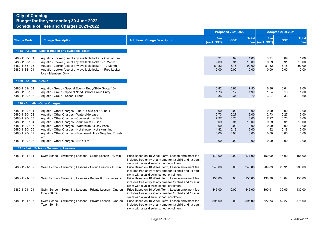|                                                                                                                                      |                                                                                                                                                                                                                                                                                                                                                                                                                       |                                                                                                                                                            |                                                              | <b>Proposed 2021-2022</b>                                    |                                                               |                                                              | <b>Adopted 2020-2021</b>                                     |                                                               |  |  |
|--------------------------------------------------------------------------------------------------------------------------------------|-----------------------------------------------------------------------------------------------------------------------------------------------------------------------------------------------------------------------------------------------------------------------------------------------------------------------------------------------------------------------------------------------------------------------|------------------------------------------------------------------------------------------------------------------------------------------------------------|--------------------------------------------------------------|--------------------------------------------------------------|---------------------------------------------------------------|--------------------------------------------------------------|--------------------------------------------------------------|---------------------------------------------------------------|--|--|
| <b>Charge Code</b>                                                                                                                   | <b>Charge Description</b>                                                                                                                                                                                                                                                                                                                                                                                             | <b>Additional Charge Description</b>                                                                                                                       | Fee<br>(excl. GST)                                           | <b>GST</b>                                                   | <b>Total</b>                                                  | Fee<br>Fee (excl. GST)                                       | <b>GST</b>                                                   | <b>Total</b><br>Fee                                           |  |  |
|                                                                                                                                      | 1188 - Aquatic - Locker (use of any available locker)                                                                                                                                                                                                                                                                                                                                                                 |                                                                                                                                                            |                                                              |                                                              |                                                               |                                                              |                                                              |                                                               |  |  |
| 5480-1188-101<br>5480-1188-102<br>5480-1188-103<br>5480-1188-104                                                                     | Aquatic - Locker (use of any available locker) - Casual Hire<br>Aquatic - Locker (use of any available locker) - 1 Month<br>Aquatic - Locker (use of any available locker) - 12 Month<br>Aquatic - Locker (use of any available locker) - Free Locker<br>Use - Members Only                                                                                                                                           |                                                                                                                                                            | 0.91<br>9.09<br>81.82<br>0.00                                | 0.09<br>0.91<br>8.18<br>0.00                                 | 1.00<br>10.00<br>90.00<br>0.00                                | 0.91<br>9.09<br>81.82<br>0.00                                | 0.09<br>0.91<br>8.18<br>0.00                                 | 1.00<br>10.00<br>90.00<br>0.00                                |  |  |
| 1189 - Aquatic - Group                                                                                                               |                                                                                                                                                                                                                                                                                                                                                                                                                       |                                                                                                                                                            |                                                              |                                                              |                                                               |                                                              |                                                              |                                                               |  |  |
| 5480-1189-101<br>5480-1189-102<br>5480-1189-103                                                                                      | Aquatic - Group - Special Event - Entry/Slide Group 10+<br>Aquatic - Group - Special Need School Group Entry<br>Aquatic - Group - School Group                                                                                                                                                                                                                                                                        |                                                                                                                                                            | 6.82<br>1.73<br>3.36                                         | 0.68<br>0.17<br>0.34                                         | 7.50<br>1.90<br>3.70                                          | 6.36<br>1.64<br>3.27                                         | 0.64<br>0.16<br>0.33                                         | 7.00<br>1.80<br>3.60                                          |  |  |
|                                                                                                                                      | 1190 - Aquatic - Other Charges                                                                                                                                                                                                                                                                                                                                                                                        |                                                                                                                                                            |                                                              |                                                              |                                                               |                                                              |                                                              |                                                               |  |  |
| 5480-1190-101<br>5480-1190-102<br>5480-1190-103<br>5480-1190-104<br>5480-1190-105<br>5480-1190-106<br>5480-1190-107<br>5480-1190-108 | Aquatic - Other Charges - Fun Nut hire per 1/2 hour<br>Aquatic - Other Charges - Waterslide pass<br>Aquatic - Other Charges - Concession + Slide<br>Aquatic - Other Charges - Adult swim + Slide<br>Aquatic - Other Charges - Waterslide All Day Pass<br>Aquatic - Other Charges - Hot shower Not swimming<br>Aquatic - Other Charges - Equipment Hire - Goggles, Towels<br>etc<br>Aquatic - Other Charges - BBQ Hire |                                                                                                                                                            | 0.00<br>2.73<br>7.27<br>9.09<br>0.00<br>1.82<br>0.00<br>0.00 | 0.00<br>0.27<br>0.73<br>0.91<br>0.00<br>0.18<br>0.00<br>0.00 | 0.00<br>3.00<br>8.00<br>10.00<br>0.00<br>2.00<br>0.00<br>0.00 | 0.00<br>2.73<br>7.27<br>9.09<br>0.00<br>1.82<br>0.00<br>0.00 | 0.00<br>0.27<br>0.73<br>0.91<br>0.00<br>0.18<br>0.00<br>0.00 | 0.00<br>3.00<br>8.00<br>10.00<br>0.00<br>2.00<br>0.00<br>0.00 |  |  |
|                                                                                                                                      | 1191 - Swim School - Swimming Lessons                                                                                                                                                                                                                                                                                                                                                                                 |                                                                                                                                                            |                                                              |                                                              |                                                               |                                                              |                                                              |                                                               |  |  |
| 5480-1191-101                                                                                                                        | Swim School - Swimming Lessons - Group Lesson - 30 min                                                                                                                                                                                                                                                                                                                                                                | Price Based on 10 Week Term, Lesson enrolment fee<br>includes free entry at any time for 1x child and 1x adult<br>swim with a valid swim school enrolment. | 171.00                                                       | 0.00                                                         | 171.00                                                        | 150.00                                                       | 15.00                                                        | 165.00                                                        |  |  |
| 5480-1191-102                                                                                                                        | Swim School - Swimming Lessons - Group Lesson - 45 min                                                                                                                                                                                                                                                                                                                                                                | Price Based on 10 Week Term, Lesson enrolment fee<br>includes free entry at any time for 1x child and 1x adult<br>swim with a valid swim school enrolment. | 240.00                                                       | 0.00                                                         | 240.00                                                        | 209.09                                                       | 20.91                                                        | 230.00                                                        |  |  |
| 5480-1191-103                                                                                                                        | Swim School - Swimming Lessons - Babies & Tots Lessons                                                                                                                                                                                                                                                                                                                                                                | Price Based on 10 Week Term, Lesson enrolment fee<br>includes free entry at any time for 1x child and 1x adult<br>swim with a valid swim school enrolment. | 155.00                                                       | 0.00                                                         | 155.00                                                        | 136.36                                                       | 13.64                                                        | 150.00                                                        |  |  |
| 5480-1191-104                                                                                                                        | Swim School - Swimming Lessons - Private Lesson - One-on-<br>One - 30 min                                                                                                                                                                                                                                                                                                                                             | Price Based on 10 Week Term, Lesson enrolment fee<br>includes free entry at any time for 1x child and 1x adult<br>swim with a valid swim school enrolment. | 445.00                                                       | 0.00                                                         | 445.00                                                        | 390.91                                                       | 39.09                                                        | 430.00                                                        |  |  |
| 5480-1191-105                                                                                                                        | Swim School - Swimming Lessons - Private Lesson - One-on-<br>Two - 30 min                                                                                                                                                                                                                                                                                                                                             | Price Based on 10 Week Term, Lesson enrolment fee<br>includes free entry at any time for 1x child and 1x adult<br>swim with a valid swim school enrolment. | 595.00                                                       | 0.00                                                         | 595.00                                                        | 522.73                                                       | 52.27                                                        | 575.00                                                        |  |  |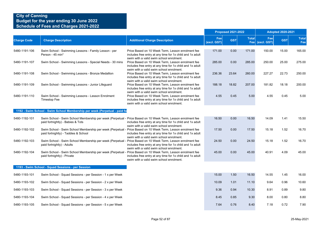|                    |                                                                                                                                                      |                                                                                                                                                            |                    | <b>Proposed 2021-2022</b> |              |                        | <b>Adopted 2020-2021</b> |                     |
|--------------------|------------------------------------------------------------------------------------------------------------------------------------------------------|------------------------------------------------------------------------------------------------------------------------------------------------------------|--------------------|---------------------------|--------------|------------------------|--------------------------|---------------------|
| <b>Charge Code</b> | <b>Charge Description</b>                                                                                                                            | <b>Additional Charge Description</b>                                                                                                                       | Fee<br>(excl. GST) | <b>GST</b>                | <b>Total</b> | Fee<br>Fee (excl. GST) | <b>GST</b>               | <b>Total</b><br>Fee |
| 5480-1191-106      | Swim School - Swimming Lessons - Family Lesson - per<br>Person - 45 min*                                                                             | Price Based on 10 Week Term. Lesson enrolment fee<br>includes free entry at any time for 1x child and 1x adult<br>swim with a valid swim school enrolment. | 171.00             | 0.00                      | 171.00       | 150.00                 | 15.00                    | 165.00              |
| 5480-1191-107      | Swim School - Swimming Lessons - Special Needs - 30 mins                                                                                             | Price Based on 10 Week Term, Lesson enrolment fee<br>includes free entry at any time for 1x child and 1x adult<br>swim with a valid swim school enrolment. | 285.00             | 0.00                      | 285.00       | 250.00                 | 25.00                    | 275.00              |
| 5480-1191-108      | Swim School - Swimming Lessons - Bronze Medallion                                                                                                    | Price Based on 10 Week Term. Lesson enrolment fee<br>includes free entry at any time for 1x child and 1x adult<br>swim with a valid swim school enrolment. | 236.36             | 23.64                     | 260.00       | 227.27                 | 22.73                    | 250.00              |
| 5480-1191-109      | Swim School - Swimming Lessons - Junior Lifeguard                                                                                                    | Price Based on 10 Week Term. Lesson enrolment fee<br>includes free entry at any time for 1x child and 1x adult<br>swim with a valid swim school enrolment. | 188.18             | 18.82                     | 207.00       | 181.82                 | 18.18                    | 200.00              |
| 5480-1191-110      | Swim School - Swimming Lessons - Lesson Enrolment<br><b>Timestop Fee</b>                                                                             | Price Based on 10 Week Term, Lesson enrolment fee<br>includes free entry at any time for 1x child and 1x adult<br>swim with a valid swim school enrolment. | 4.55               | 0.45                      | 5.00         | 4.55                   | 0.45                     | 5.00                |
|                    | 1192 - Swim School - Swim School Membership per week (Perpetual - paid fo                                                                            |                                                                                                                                                            |                    |                           |              |                        |                          |                     |
| 5480-1192-101      | Swim School - Swim School Membership per week (Perpetual - Price Based on 10 Week Term, Lesson enrolment fee<br>paid fortnightly) - Babies & Tots    | includes free entry at any time for 1x child and 1x adult<br>swim with a valid swim school enrolment.                                                      | 16.50              | 0.00                      | 16.50        | 14.09                  | 1.41                     | 15.50               |
| 5480-1192-102      | Swim School - Swim School Membership per week (Perpetual - Price Based on 10 Week Term, Lesson enrolment fee<br>paid fortnightly) - Taddies & School | includes free entry at any time for 1x child and 1x adult<br>swim with a valid swim school enrolment.                                                      | 17.50              | 0.00                      | 17.50        | 15.18                  | 1.52                     | 16.70               |
| 5480-1192-103      | Swim School - Swim School Membership per week (Perpetual - Price Based on 10 Week Term, Lesson enrolment fee<br>paid fortnightly) - Adults           | includes free entry at any time for 1x child and 1x adult<br>swim with a valid swim school enrolment.                                                      | 24.50              | 0.00                      | 24.50        | 15.18                  | 1.52                     | 16.70               |
| 5480-1192-104      | Swim School - Swim School Membership per week (Perpetual - Price Based on 10 Week Term, Lesson enrolment fee<br>paid fortnightly) - Private          | includes free entry at any time for 1x child and 1x adult<br>swim with a valid swim school enrolment.                                                      | 45.00              | 0.00                      | 45.00        | 40.91                  | 4.09                     | 45.00               |
|                    | 1193 - Swim School - Squad Sessions - per Session                                                                                                    |                                                                                                                                                            |                    |                           |              |                        |                          |                     |
| 5480-1193-101      | Swim School - Squad Sessions - per Session - 1 x per Week                                                                                            |                                                                                                                                                            | 15.00              | 1.50                      | 16.50        | 14.55                  | 1.45                     | 16.00               |
| 5480-1193-102      | Swim School - Squad Sessions - per Session - 2 x per Week                                                                                            |                                                                                                                                                            | 10.09              | 1.01                      | 11.10        | 9.64                   | 0.96                     | 10.60               |
| 5480-1193-103      | Swim School - Squad Sessions - per Session - 3 x per Week                                                                                            |                                                                                                                                                            | 9.36               | 0.94                      | 10.30        | 8.91                   | 0.89                     | 9.80                |
| 5480-1193-104      | Swim School - Squad Sessions - per Session - 4 x per Week                                                                                            |                                                                                                                                                            | 8.45               | 0.85                      | 9.30         | 8.00                   | 0.80                     | 8.80                |
| 5480-1193-105      | Swim School - Squad Sessions - per Session - 5 x per Week                                                                                            |                                                                                                                                                            | 7.64               | 0.76                      | 8.40         | 7.18                   | 0.72                     | 7.90                |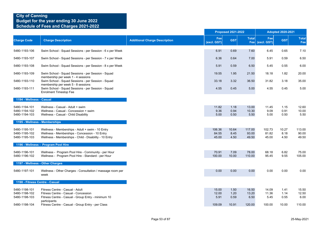|                                                 |                                                                                                                                                              |                                      |                          | <b>Proposed 2021-2022</b> |                          |                          | <b>Adopted 2020-2021</b> |                          |
|-------------------------------------------------|--------------------------------------------------------------------------------------------------------------------------------------------------------------|--------------------------------------|--------------------------|---------------------------|--------------------------|--------------------------|--------------------------|--------------------------|
| <b>Charge Code</b>                              | <b>Charge Description</b>                                                                                                                                    | <b>Additional Charge Description</b> | Fee<br>(excl. GST)       | <b>GST</b>                | <b>Total</b><br>Fee      | Fee<br>(excl. GST)       | <b>GST</b>               | <b>Total</b><br>Fee      |
| 5480-1193-106                                   | Swim School - Squad Sessions - per Session - 6 x per Week                                                                                                    |                                      | 6.91                     | 0.69                      | 7.60                     | 6.45                     | 0.65                     | 7.10                     |
| 5480-1193-107                                   | Swim School - Squad Sessions - per Session - 7 x per Week                                                                                                    |                                      | 6.36                     | 0.64                      | 7.00                     | 5.91                     | 0.59                     | 6.50                     |
| 5480-1193-108                                   | Swim School - Squad Sessions - per Session - 8 x per Week                                                                                                    |                                      | 5.91                     | 0.59                      | 6.50                     | 5.45                     | 0.55                     | 6.00                     |
| 5480-1193-109                                   | Swim School - Squad Sessions - per Session - Squad                                                                                                           |                                      | 19.55                    | 1.95                      | 21.50                    | 18.18                    | 1.82                     | 20.00                    |
| 5480-1193-110                                   | membership per week 1 - 4 sessions<br>Swim School - Squad Sessions - per Session - Squad                                                                     |                                      | 33.18                    | 3.32                      | 36.50                    | 31.82                    | 3.18                     | 35.00                    |
| 5480-1193-111                                   | membership per week 5 - 8 sessions<br>Swim School - Squad Sessions - per Session - Squad<br><b>Enrolment Timestop Fee</b>                                    |                                      | 4.55                     | 0.45                      | 5.00                     | 4.55                     | 0.45                     | 5.00                     |
| 1194 - Wellness - Casual                        |                                                                                                                                                              |                                      |                          |                           |                          |                          |                          |                          |
| 5480-1194-101<br>5480-1194-102<br>5480-1194-103 | Wellness - Casual - Adult + swim<br>Wellness - Casual - Concession + swim<br>Wellness - Casual - Child Disability                                            |                                      | 11.82<br>9.36<br>5.00    | 1.18<br>0.94<br>0.50      | 13.00<br>10.30<br>5.50   | 11.45<br>9.09<br>5.00    | 1.15<br>0.91<br>0.50     | 12.60<br>10.00<br>5.50   |
|                                                 | 1195 - Wellness - Memberships                                                                                                                                |                                      |                          |                           |                          |                          |                          |                          |
| 5480-1195-101<br>5480-1195-102<br>5480-1195-103 | Wellness - Memberships - Adult + swim - 10 Entry<br>Wellness - Memberships - Concession - 10 Entry<br>Wellness - Memberships - Child - Disability - 10 Entry |                                      | 106.36<br>84.55<br>45.00 | 10.64<br>8.45<br>4.50     | 117.00<br>93.00<br>49.50 | 102.73<br>81.82<br>45.00 | 10.27<br>8.18<br>4.50    | 113.00<br>90.00<br>49.50 |
|                                                 | 1196 - Wellness - Program Pool Hire                                                                                                                          |                                      |                          |                           |                          |                          |                          |                          |
| 5480-1196-101<br>5480-1196-102                  | Wellness - Program Pool Hire - Community - per Hour<br>Wellness - Program Pool Hire - Standard - per Hour                                                    |                                      | 70.91<br>100.00          | 7.09<br>10.00             | 78.00<br>110.00          | 68.18<br>95.45           | 6.82<br>9.55             | 75.00<br>105.00          |
|                                                 | 1197 - Wellness - Other Charges                                                                                                                              |                                      |                          |                           |                          |                          |                          |                          |
| 5480-1197-101                                   | Wellness - Other Charges - Consultation / massage room per<br>week                                                                                           |                                      | 0.00                     | 0.00                      | 0.00                     | 0.00                     | 0.00                     | 0.00                     |
| 1198 - Fitness Centre - Casual                  |                                                                                                                                                              |                                      |                          |                           |                          |                          |                          |                          |
| 5480-1198-101<br>5480-1198-102<br>5480-1198-103 | Fitness Centre - Casual - Adult<br>Fitness Centre - Casual - Concession<br>Fitness Centre - Casual - Group Entry - minimum 10<br>participants                |                                      | 15.00<br>12.00<br>5.91   | 1.50<br>1.20<br>0.59      | 16.50<br>13.20<br>6.50   | 14.09<br>11.36<br>5.45   | 1.41<br>1.14<br>0.55     | 15.50<br>12.50<br>6.00   |
| 5480-1198-104                                   | Fitness Centre - Casual - Group Entry - per Class                                                                                                            |                                      | 109.09                   | 10.91                     | 120.00                   | 100.00                   | 10.00                    | 110.00                   |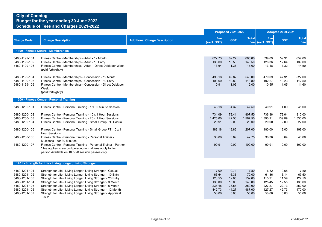|                                                                                                                     |                                                                                                                                                                                                                                                                                                                                                                                                                                                                            |                                      | <b>Proposed 2021-2022</b>                                      |                                                          |                                                                | <b>Adopted 2020-2021</b>                                       |                                                          |                                                                |
|---------------------------------------------------------------------------------------------------------------------|----------------------------------------------------------------------------------------------------------------------------------------------------------------------------------------------------------------------------------------------------------------------------------------------------------------------------------------------------------------------------------------------------------------------------------------------------------------------------|--------------------------------------|----------------------------------------------------------------|----------------------------------------------------------|----------------------------------------------------------------|----------------------------------------------------------------|----------------------------------------------------------|----------------------------------------------------------------|
| <b>Charge Code</b>                                                                                                  | <b>Charge Description</b>                                                                                                                                                                                                                                                                                                                                                                                                                                                  | <b>Additional Charge Description</b> | Fee<br>(excl. GST)                                             | <b>GST</b>                                               | <b>Total</b>                                                   | Fee<br>Fee (excl. GST)                                         | <b>GST</b>                                               | <b>Total</b><br>Fee                                            |
|                                                                                                                     | 1199 - Fitness Centre - Memberships                                                                                                                                                                                                                                                                                                                                                                                                                                        |                                      |                                                                |                                                          |                                                                |                                                                |                                                          |                                                                |
| 5480-1199-101<br>5480-1199-102<br>5480-1199-103                                                                     | Fitness Centre - Memberships - Adult - 12 Month<br>Fitness Centre - Memberships - Adult - 10 Entry<br>Fitness Centre - Memberships - Adult - Direct Debit per Week<br>(paid fortnightly)                                                                                                                                                                                                                                                                                   |                                      | 622.73<br>135.00<br>13.64                                      | 62.27<br>13.50<br>1.36                                   | 685.00<br>148.50<br>15.00                                      | 599.09<br>126.36<br>13.18                                      | 59.91<br>12.64<br>1.32                                   | 659.00<br>139.00<br>14.50                                      |
| 5480-1199-104<br>5480-1199-105<br>5480-1199-106                                                                     | Fitness Centre - Memberships - Concession - 12 Month<br>Fitness Centre - Memberships - Concession - 10 Entry<br>Fitness Centre - Memberships - Concession - Direct Debit per<br>Week<br>(paid fortnightly)                                                                                                                                                                                                                                                                 |                                      | 498.18<br>108.00<br>10.91                                      | 49.82<br>10.80<br>1.09                                   | 548.00<br>118.80<br>12.00                                      | 479.09<br>102.27<br>10.55                                      | 47.91<br>10.23<br>1.05                                   | 527.00<br>112.50<br>11.60                                      |
|                                                                                                                     | 1200 - Fitness Centre - Personal Training                                                                                                                                                                                                                                                                                                                                                                                                                                  |                                      |                                                                |                                                          |                                                                |                                                                |                                                          |                                                                |
| 5480-1200-101                                                                                                       | Fitness Centre - Personal Training - 1 x 30 Minute Session                                                                                                                                                                                                                                                                                                                                                                                                                 |                                      | 43.18                                                          | 4.32                                                     | 47.50                                                          | 40.91                                                          | 4.09                                                     | 45.00                                                          |
| 5480-1200-102<br>5480-1200-103<br>5480-1200-104                                                                     | Fitness Centre - Personal Training - 10 x 1 Hour Sessions<br>Fitness Centre - Personal Training - 20 x 1 Hour Sessions<br>Fitness Centre - Personal Training - Small Group PT Casual                                                                                                                                                                                                                                                                                       |                                      | 734.09<br>1,425.00<br>20.91                                    | 73.41<br>142.50<br>2.09                                  | 807.50<br>1,567.50<br>23.00                                    | 736.36<br>1,390.91<br>20.00                                    | 73.64<br>139.09<br>2.00                                  | 810.00<br>1,530.00<br>22.00                                    |
| 5480-1200-105                                                                                                       | Fitness Centre - Personal Training - Small Group PT 10 x 1                                                                                                                                                                                                                                                                                                                                                                                                                 |                                      | 188.18                                                         | 18.82                                                    | 207.00                                                         | 180.00                                                         | 18.00                                                    | 198.00                                                         |
| 5480-1200-106                                                                                                       | <b>Hour Sessions</b><br>Fitness Centre - Personal Training - Personal Trainer -                                                                                                                                                                                                                                                                                                                                                                                            |                                      | 38.86                                                          | 3.89                                                     | 42.75                                                          | 36.36                                                          | 3.64                                                     | 40.00                                                          |
| 5480-1200-107                                                                                                       | Multipass - per 30 Minutes<br>Fitness Centre - Personal Training - Personal Trainer - Partner<br>* fee applies to second person, normal fees apply to first<br>person Available on 10 & 20 session passes only                                                                                                                                                                                                                                                             |                                      | 90.91                                                          | 9.09                                                     | 100.00                                                         | 90.91                                                          | 9.09                                                     | 100.00                                                         |
|                                                                                                                     | 1201 - Strength for Life - Living Longer, Living Stronger                                                                                                                                                                                                                                                                                                                                                                                                                  |                                      |                                                                |                                                          |                                                                |                                                                |                                                          |                                                                |
| 5480-1201-101<br>5480-1201-102<br>5480-1201-103<br>5480-1201-104<br>5480-1201-105<br>5480-1201-106<br>5480-1201-107 | Strength for Life - Living Longer, Living Stronger - Casual<br>Strength for Life - Living Longer, Living Stronger - 10 Entry<br>Strength for Life - Living Longer, Living Stronger - 20 Entry<br>Strength for Life - Living Longer, Living Stronger - 3 Month<br>Strength for Life - Living Longer, Living Stronger - 6 Month<br>Strength for Life - Living Longer, Living Stronger - 12 Month<br>Strength for Life - Living Longer, Living Stronger - Appraisal<br>Tier 2 |                                      | 7.09<br>63.64<br>120.55<br>130.00<br>235.45<br>442.73<br>50.00 | 0.71<br>6.36<br>12.05<br>13.00<br>23.55<br>44.27<br>5.00 | 7.80<br>70.00<br>132.60<br>143.00<br>259.00<br>487.00<br>55.00 | 6.82<br>61.36<br>115.91<br>125.45<br>227.27<br>427.27<br>50.00 | 0.68<br>6.14<br>11.59<br>12.55<br>22.73<br>42.73<br>5.00 | 7.50<br>67.50<br>127.50<br>138.00<br>250.00<br>470.00<br>55.00 |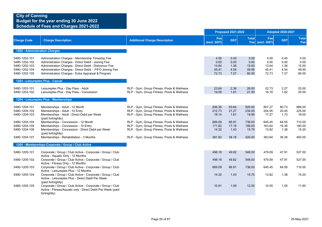|                                                                                                                     |                                                                                                                                                                                                                                                                                                                                          | <b>Proposed 2021-2022</b>                                                                                                                                                                                                                                                                                                      |                                                                  |                                                           |                                                                  | <b>Adopted 2020-2021</b>                                         |                                                           |                                                                  |  |
|---------------------------------------------------------------------------------------------------------------------|------------------------------------------------------------------------------------------------------------------------------------------------------------------------------------------------------------------------------------------------------------------------------------------------------------------------------------------|--------------------------------------------------------------------------------------------------------------------------------------------------------------------------------------------------------------------------------------------------------------------------------------------------------------------------------|------------------------------------------------------------------|-----------------------------------------------------------|------------------------------------------------------------------|------------------------------------------------------------------|-----------------------------------------------------------|------------------------------------------------------------------|--|
| <b>Charge Code</b>                                                                                                  | <b>Charge Description</b>                                                                                                                                                                                                                                                                                                                | <b>Additional Charge Description</b>                                                                                                                                                                                                                                                                                           | Fee<br>(excl. GST)                                               | <b>GST</b>                                                | <b>Total</b>                                                     | Fee<br>Fee (excl. GST)                                           | <b>GST</b>                                                | <b>Total</b><br>Fee                                              |  |
|                                                                                                                     | 1202 - Administration Charges                                                                                                                                                                                                                                                                                                            |                                                                                                                                                                                                                                                                                                                                |                                                                  |                                                           |                                                                  |                                                                  |                                                           |                                                                  |  |
| 5480-1202-101<br>5480-1202-102<br>5480-1202-103<br>5480-1202-104<br>5480-1202-105                                   | Administration Charges - Membership Timestop Fee<br>Administration Charges - Direct Debit - Joining Fee<br>Administration Charges - Direct Debit - Dishonour Fee<br>Administration Charges - Direct Debit - FIFO Joining Fee<br>Administration Charges - Extra Appraisal & Program                                                       |                                                                                                                                                                                                                                                                                                                                | 4.55<br>0.00<br>13.64<br>45.41<br>72.73                          | 0.45<br>0.00<br>1.36<br>4.54<br>7.27                      | 5.00<br>0.00<br>15.00<br>49.95<br>80.00                          | 4.55<br>0.00<br>13.64<br>45.41<br>72.73                          | 0.45<br>0.00<br>1.36<br>4.54<br>7.27                      | 5.00<br>0.00<br>15.00<br>49.95<br>80.00                          |  |
|                                                                                                                     | 1203 - Leisureplex Plus - Casual                                                                                                                                                                                                                                                                                                         |                                                                                                                                                                                                                                                                                                                                |                                                                  |                                                           |                                                                  |                                                                  |                                                           |                                                                  |  |
| 5480-1203-101<br>5480-1203-102                                                                                      | Leisureplex Plus - Day Pass - Adult<br>Leisureplex Plus - Day Pass - Concession                                                                                                                                                                                                                                                          | RLP - Gym, Group Fitness, Pools & Wellness<br>RLP - Gym, Group Fitness, Pools & Wellness                                                                                                                                                                                                                                       | 23.64<br>19.09                                                   | 2.36<br>1.91                                              | 26.00<br>21.00                                                   | 22.73<br>18.18                                                   | 2.27<br>1.82                                              | 25.00<br>20.00                                                   |  |
|                                                                                                                     | 1204 - Leisureplex Plus - Memberships                                                                                                                                                                                                                                                                                                    |                                                                                                                                                                                                                                                                                                                                |                                                                  |                                                           |                                                                  |                                                                  |                                                           |                                                                  |  |
| 5480-1204-101<br>5480-1204-102<br>5480-1204-103<br>5480-1204-104<br>5480-1204-105<br>5480-1204-106<br>5480-1204-107 | Memberships - Adult - 12 Month<br>Memberships - Adult - 10 Entry<br>Memberships - Adult - Direct Debit per Week<br>(paid fortnightly)<br>Memberships - Concession - 12 Month<br>Memberships - Concession - 10 Entry<br>Memberships - Concession - Direct Debit per Week<br>(paid fortnightly)<br>Memberships - Rehabilitation - 3 Months | RLP - Gym, Group Fitness, Pools & Wellness<br>RLP - Gym, Group Fitness, Pools & Wellness<br>RLP - Gym, Group Fitness, Pools & Wellness<br>RLP - Gym, Group Fitness, Pools & Wellness<br>RLP - Gym, Group Fitness, Pools & Wellness<br>RLP - Gym, Group Fitness, Pools & Wellness<br>RLP - Gym, Group Fitness, Pools & Wellness | 836.36<br>212.73<br>18.14<br>669.09<br>171.82<br>14.32<br>381.82 | 83.64<br>21.27<br>1.81<br>66.91<br>17.18<br>1.43<br>38.18 | 920.00<br>234.00<br>19.95<br>736.00<br>189.00<br>15.75<br>420.00 | 807.27<br>204.55<br>17.27<br>645.45<br>163.64<br>13.82<br>363.64 | 80.73<br>20.45<br>1.73<br>64.55<br>16.36<br>1.38<br>36.36 | 888.00<br>225.00<br>19.00<br>710.00<br>180.00<br>15.20<br>400.00 |  |
|                                                                                                                     | 1205 - Memberships-Corporate / Group / Club Active                                                                                                                                                                                                                                                                                       |                                                                                                                                                                                                                                                                                                                                |                                                                  |                                                           |                                                                  |                                                                  |                                                           |                                                                  |  |
| 5480-1205-101<br>5480-1205-102                                                                                      | Corporate / Group / Club Active - Corporate / Group / Club<br>Active - Aquatic Only - 12 Months<br>Corporate / Group / Club Active - Corporate / Group / Club<br>Active - Fitness Only - 12 Months                                                                                                                                       |                                                                                                                                                                                                                                                                                                                                | 498.18<br>498.18                                                 | 49.82<br>49.82                                            | 548.00<br>548.00                                                 | 479.09<br>479.09                                                 | 47.91<br>47.91                                            | 527.00<br>527.00                                                 |  |
| 5480-1205-103                                                                                                       | Corporate / Group / Club Active - Corporate / Group / Club                                                                                                                                                                                                                                                                               |                                                                                                                                                                                                                                                                                                                                | 669.09                                                           | 66.91                                                     | 736.00                                                           | 645.45                                                           | 64.55                                                     | 710.00                                                           |  |
| 5480-1205-104                                                                                                       | Active - Leisureplex Plus - 12 Months<br>Corporate / Group / Club Active - Corporate / Group / Club<br>Active - Leisureplex Plus - Direct Debit Per Week<br>(paid fortnightly)                                                                                                                                                           |                                                                                                                                                                                                                                                                                                                                | 14.32                                                            | 1.43                                                      | 15.75                                                            | 13.82                                                            | 1.38                                                      | 15.20                                                            |  |
| 5480-1205-105                                                                                                       | Corporate / Group / Club Active - Corporate / Group / Club<br>Active - Fitness/Aquatic only - Direct Debit Per Week (paid<br>fortnightly)                                                                                                                                                                                                |                                                                                                                                                                                                                                                                                                                                | 10.91                                                            | 1.09                                                      | 12.00                                                            | 10.55                                                            | 1.05                                                      | 11.60                                                            |  |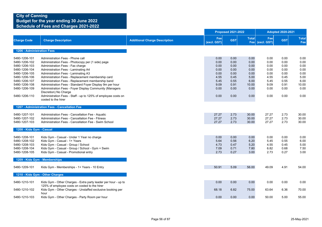|                                                                                                                     |                                                                                                                                                                                                                                                                                                                   |                                      |                                                      | <b>Proposed 2021-2022</b>                            |                                                      |                                                      | <b>Adopted 2020-2021</b>                             |                                                      |
|---------------------------------------------------------------------------------------------------------------------|-------------------------------------------------------------------------------------------------------------------------------------------------------------------------------------------------------------------------------------------------------------------------------------------------------------------|--------------------------------------|------------------------------------------------------|------------------------------------------------------|------------------------------------------------------|------------------------------------------------------|------------------------------------------------------|------------------------------------------------------|
| <b>Charge Code</b>                                                                                                  | <b>Charge Description</b>                                                                                                                                                                                                                                                                                         | <b>Additional Charge Description</b> | Fee<br>(excl. GST)                                   | <b>GST</b>                                           | <b>Total</b>                                         | Fee<br>Fee (excl. GST)                               | <b>GST</b>                                           | <b>Total</b><br>Fee                                  |
| 1206 - Administration Fees                                                                                          |                                                                                                                                                                                                                                                                                                                   |                                      |                                                      |                                                      |                                                      |                                                      |                                                      |                                                      |
| 5480-1206-101<br>5480-1206-102<br>5480-1206-103<br>5480-1206-104<br>5480-1206-105<br>5480-1206-106<br>5480-1206-107 | Administration Fees - Phone call<br>Administration Fees - Photocopy per (1 side) page<br>Administration Fees - Fax charge<br>Administration Fees - Laminating A4<br>Administration Fees - Laminating A3<br>Administration Fees - Replacement membership card<br>Administration Fees - Replacement membership band |                                      | 0.00<br>0.00<br>0.00<br>0.00<br>0.00<br>4.55<br>5.45 | 0.00<br>0.00<br>0.00<br>0.00<br>0.00<br>0.45<br>0.55 | 0.00<br>0.00<br>0.00<br>0.00<br>0.00<br>5.00<br>6.00 | 0.00<br>0.00<br>0.00<br>0.00<br>0.00<br>4.55<br>5.45 | 0.00<br>0.00<br>0.00<br>0.00<br>0.00<br>0.45<br>0.55 | 0.00<br>0.00<br>0.00<br>0.00<br>0.00<br>5.00<br>6.00 |
| 5480-1206-108<br>5480-1206-109                                                                                      | Administration Fees - Standard Foyer Display 9m per hour<br>Administration Fees - Foyer Display Community (Managers<br>Discretion) No Charge                                                                                                                                                                      |                                      | 9.09<br>0.00                                         | 0.91<br>0.00                                         | 10.00<br>0.00                                        | 9.09<br>0.00                                         | 0.91<br>0.00                                         | 10.00<br>0.00                                        |
| 5480-1206-110                                                                                                       | Administration Fees - Staff - up to 125% of employee costs on<br>costed to the hirer                                                                                                                                                                                                                              |                                      | 0.00                                                 | 0.00                                                 | 0.00                                                 | 0.00                                                 | 0.00                                                 | 0.00                                                 |
|                                                                                                                     | 1207 - Administration Fees - Cancellation Fee                                                                                                                                                                                                                                                                     |                                      |                                                      |                                                      |                                                      |                                                      |                                                      |                                                      |
| 5480-1207-101<br>5480-1207-102<br>5480-1207-103                                                                     | Administration Fees - Cancellation Fee - Aquatic<br>Administration Fees - Cancellation Fee - Fitness<br>Administration Fees - Cancellation Fee - Swim School                                                                                                                                                      |                                      | 27.27<br>27.27<br>27.27                              | 2.73<br>2.73<br>2.73                                 | 30.00<br>30.00<br>30.00                              | 27.27<br>27.27<br>27.27                              | 2.73<br>2.73<br>2.73                                 | 30.00<br>30.00<br>30.00                              |
| 1208 - Kids Gym - Casual                                                                                            |                                                                                                                                                                                                                                                                                                                   |                                      |                                                      |                                                      |                                                      |                                                      |                                                      |                                                      |
| 5480-1208-101<br>5480-1208-102<br>5480-1208-103<br>5480-1208-104<br>5480-1208-105                                   | Kids Gym - Casual - Under 1 Year no charge<br>Kids Gym - Casual - 1+ Years<br>Kids Gym - Casual - Group / School<br>Kids Gym - Casual - Group / School - Gym + Swim<br>Kids Gym - Casual - Promotional entry                                                                                                      |                                      | 0.00<br>5.64<br>4.73<br>7.09<br>2.73                 | 0.00<br>0.56<br>0.47<br>0.71<br>0.27                 | 0.00<br>6.20<br>5.20<br>7.80<br>3.00                 | 0.00<br>5.45<br>4.55<br>6.82<br>2.73                 | 0.00<br>0.55<br>0.45<br>0.68<br>0.27                 | 0.00<br>6.00<br>5.00<br>7.50<br>3.00                 |
|                                                                                                                     | 1209 - Kids Gym - Memberships                                                                                                                                                                                                                                                                                     |                                      |                                                      |                                                      |                                                      |                                                      |                                                      |                                                      |
| 5480-1209-101                                                                                                       | Kids Gym - Memberships - 1+ Years - 10 Entry                                                                                                                                                                                                                                                                      |                                      | 50.91                                                | 5.09                                                 | 56.00                                                | 49.09                                                | 4.91                                                 | 54.00                                                |
|                                                                                                                     | 1210 - Kids Gym - Other Charges                                                                                                                                                                                                                                                                                   |                                      |                                                      |                                                      |                                                      |                                                      |                                                      |                                                      |
| 5480-1210-101                                                                                                       | Kids Gym - Other Charges - Extra party leader per hour - up to<br>125% of employee costs on costed to the hirer                                                                                                                                                                                                   |                                      | 0.00                                                 | 0.00                                                 | 0.00                                                 | 0.00                                                 | 0.00                                                 | 0.00                                                 |
| 5480-1210-102<br>5480-1210-103                                                                                      | Kids Gym - Other Charges - Unstaffed exclusive booking per<br>hour<br>Kids Gym - Other Charges - Party Room per hour                                                                                                                                                                                              |                                      | 68.18<br>0.00                                        | 6.82<br>0.00                                         | 75.00<br>0.00                                        | 63.64<br>50.00                                       | 6.36<br>5.00                                         | 70.00<br>55.00                                       |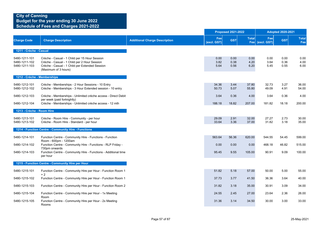|                                                 |                                                                                                                                                                         |                                      |                      | <b>Proposed 2021-2022</b> |                      |                        | <b>Adopted 2020-2021</b> |                      |
|-------------------------------------------------|-------------------------------------------------------------------------------------------------------------------------------------------------------------------------|--------------------------------------|----------------------|---------------------------|----------------------|------------------------|--------------------------|----------------------|
| <b>Charge Code</b>                              | <b>Charge Description</b>                                                                                                                                               | <b>Additional Charge Description</b> | Fee<br>(excl. GST)   | <b>GST</b>                | <b>Total</b>         | Fee<br>Fee (excl. GST) | <b>GST</b>               | <b>Total</b><br>Fee  |
| 1211 - Crèche - Casual                          |                                                                                                                                                                         |                                      |                      |                           |                      |                        |                          |                      |
| 5480-1211-101<br>5480-1211-102<br>5480-1211-103 | Crèche - Casual - 1 Child per 15 Hour Session<br>Crèche - Casual - 1 Child per 2 Hour Session<br>Crèche - Casual - 1 Child per Extended Session<br>(Maximum of 3 hours) |                                      | 0.00<br>3.82<br>5.64 | 0.00<br>0.38<br>0.56      | 0.00<br>4.20<br>6.20 | 0.00<br>3.64<br>5.45   | 0.00<br>0.36<br>0.55     | 0.00<br>4.00<br>6.00 |
| 1212 - Crèche - Memberships                     |                                                                                                                                                                         |                                      |                      |                           |                      |                        |                          |                      |
| 5480-1212-101<br>5480-1212-102                  | Crèche - Memberships - 2 Hour Sessions - 10 Entry<br>Crèche - Memberships - 3 Hour Extended session - 10 entry                                                          |                                      | 34.36<br>50.73       | 3.44<br>5.07              | 37.80<br>55.80       | 32.73<br>49.09         | 3.27<br>4.91             | 36.00<br>54.00       |
| 5480-1212-103                                   | Crèche - Memberships - Unlimited crèche access - Direct Debit<br>per week (paid fortnightly)                                                                            |                                      | 3.64                 | 0.36                      | 4.00                 | 3.64                   | 0.36                     | 4.00                 |
| 5480-1212-104                                   | Crèche - Memberships - Unlimited crèche access - 12 mth                                                                                                                 |                                      | 188.18               | 18.82                     | 207.00               | 181.82                 | 18.18                    | 200.00               |
| 1213 - Crèche - Room Hire                       |                                                                                                                                                                         |                                      |                      |                           |                      |                        |                          |                      |
| 5480-1213-101<br>5480-1213-102                  | Crèche - Room Hire - Community - per hour<br>Crèche - Room Hire - Standard - per hour                                                                                   |                                      | 29.09<br>33.64       | 2.91<br>3.36              | 32.00<br>37.00       | 27.27<br>31.82         | 2.73<br>3.18             | 30.00<br>35.00       |
|                                                 | 1214 - Function Centre - Community Hire - Functions                                                                                                                     |                                      |                      |                           |                      |                        |                          |                      |
| 5480-1214-101                                   | Function Centre - Community Hire - Functions - Function<br>Room - 600pm - 1200am                                                                                        |                                      | 563.64               | 56.36                     | 620.00               | 544.55                 | 54.45                    | 599.00               |
| 5480-1214-102                                   | Function Centre - Community Hire - Functions - RLP Friday -<br>730pm onwards                                                                                            |                                      | 0.00                 | 0.00                      | 0.00                 | 468.18                 | 46.82                    | 515.00               |
| 5480-1214-103                                   | Function Centre - Community Hire - Functions - Additional time<br>per hour                                                                                              |                                      | 95.45                | 9.55                      | 105.00               | 90.91                  | 9.09                     | 100.00               |
|                                                 | 1215 - Function Centre - Community Hire per Hour                                                                                                                        |                                      |                      |                           |                      |                        |                          |                      |
| 5480-1215-101                                   | Function Centre - Community Hire per Hour - Function Room 1                                                                                                             |                                      | 51.82                | 5.18                      | 57.00                | 50.00                  | 5.00                     | 55.00                |
| 5480-1215-102                                   | $+2$<br>Function Centre - Community Hire per Hour - Function Room 1                                                                                                     |                                      | 37.73                | 3.77                      | 41.50                | 36.36                  | 3.64                     | 40.00                |
| 5480-1215-103                                   | Function Centre - Community Hire per Hour - Function Room 2                                                                                                             |                                      | 31.82                | 3.18                      | 35.00                | 30.91                  | 3.09                     | 34.00                |
| 5480-1215-104                                   | Function Centre - Community Hire per Hour - 1x Meeting<br>Room                                                                                                          |                                      | 24.55                | 2.45                      | 27.00                | 23.64                  | 2.36                     | 26.00                |
| 5480-1215-105                                   | Function Centre - Community Hire per Hour - 2x Meeting<br>Rooms                                                                                                         |                                      | 31.36                | 3.14                      | 34.50                | 30.00                  | 3.00                     | 33.00                |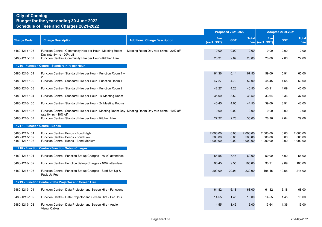|                                                 |                                                                                                                    |                                       |                                | <b>Proposed 2021-2022</b> |                                |                                | <b>Adopted 2020-2021</b> |                                |  |
|-------------------------------------------------|--------------------------------------------------------------------------------------------------------------------|---------------------------------------|--------------------------------|---------------------------|--------------------------------|--------------------------------|--------------------------|--------------------------------|--|
| <b>Charge Code</b>                              | <b>Charge Description</b>                                                                                          | <b>Additional Charge Description</b>  | Fee<br>(excl. GST)             | <b>GST</b>                | <b>Total</b><br>Fee            | Fee<br>(excl. GST)             | <b>GST</b>               | <b>Total</b><br>Fee            |  |
| 5480-1215-106                                   | Function Centre - Community Hire per Hour - Meeting Room                                                           | Meeting Room Day rate 8+hrs - 20% off | 0.00                           | 0.00                      | 0.00                           | 0.00                           | 0.00                     | 0.00                           |  |
| 5480-1215-107                                   | Day rate 8+hrs - 20% off<br>Function Centre - Community Hire per Hour - Kitchen Hire                               |                                       | 20.91                          | 2.09                      | 23.00                          | 20.00                          | 2.00                     | 22.00                          |  |
|                                                 | 1216 - Function Centre - Standard Hire per Hour                                                                    |                                       |                                |                           |                                |                                |                          |                                |  |
| 5480-1216-101                                   | Function Centre - Standard Hire per Hour - Function Room 1 +<br>$\overline{2}$                                     |                                       | 61.36                          | 6.14                      | 67.50                          | 59.09                          | 5.91                     | 65.00                          |  |
| 5480-1216-102                                   | Function Centre - Standard Hire per Hour - Function Room 1                                                         |                                       | 47.27                          | 4.73                      | 52.00                          | 45.45                          | 4.55                     | 50.00                          |  |
| 5480-1216-103                                   | Function Centre - Standard Hire per Hour - Function Room 2                                                         |                                       | 42.27                          | 4.23                      | 46.50                          | 40.91                          | 4.09                     | 45.00                          |  |
| 5480-1216-104                                   | Function Centre - Standard Hire per Hour - 1x Meeting Room                                                         |                                       | 35.00                          | 3.50                      | 38.50                          | 33.64                          | 3.36                     | 37.00                          |  |
| 5480-1216-105                                   | Function Centre - Standard Hire per Hour - 2x Meeting Rooms                                                        |                                       | 40.45                          | 4.05                      | 44.50                          | 39.09                          | 3.91                     | 43.00                          |  |
| 5480-1216-106                                   | Function Centre - Standard Hire per Hour - Meeting Room Day Meeting Room Day rate 8+hrs - 10% off                  |                                       | 0.00                           | 0.00                      | 0.00                           | 0.00                           | 0.00                     | 0.00                           |  |
| 5480-1216-107                                   | rate 8+hrs - 10% off<br>Function Centre - Standard Hire per Hour - Kitchen Hire                                    |                                       | 27.27                          | 2.73                      | 30.00                          | 26.36                          | 2.64                     | 29.00                          |  |
|                                                 | 1217 - Function Centre - Bonds                                                                                     |                                       |                                |                           |                                |                                |                          |                                |  |
| 5480-1217-101<br>5480-1217-102<br>5480-1217-103 | Function Centre - Bonds - Bond High<br>Function Centre - Bonds - Bond Low<br>Function Centre - Bonds - Bond Medium |                                       | 2,000.00<br>500.00<br>1,000.00 | 0.00<br>0.00<br>0.00      | 2,000.00<br>500.00<br>1,000.00 | 2,000.00<br>500.00<br>1,000.00 | 0.00<br>0.00<br>0.00     | 2,000.00<br>500.00<br>1,000.00 |  |
|                                                 | 1218 - Function Centre - Function Set-up Charges                                                                   |                                       |                                |                           |                                |                                |                          |                                |  |
| 5480-1218-101                                   | Function Centre - Function Set-up Charges - 50-99 attendees                                                        |                                       | 54.55                          | 5.45                      | 60.00                          | 50.00                          | 5.00                     | 55.00                          |  |
| 5480-1218-102                                   | Function Centre - Function Set-up Charges - 100+ attendees                                                         |                                       | 95.45                          | 9.55                      | 105.00                         | 90.91                          | 9.09                     | 100.00                         |  |
| 5480-1218-103                                   | Function Centre - Function Set-up Charges - Staff Set Up &<br>Pack Up Fee                                          |                                       | 209.09                         | 20.91                     | 230.00                         | 195.45                         | 19.55                    | 215.00                         |  |
|                                                 | 1219 - Function Centre - Data Projector and Screen Hire                                                            |                                       |                                |                           |                                |                                |                          |                                |  |
| 5480-1219-101                                   | Function Centre - Data Projector and Screen Hire - Functions                                                       |                                       | 61.82                          | 6.18                      | 68.00                          | 61.82                          | 6.18                     | 68.00                          |  |
| 5480-1219-102                                   | Function Centre - Data Projector and Screen Hire - Per Hour                                                        |                                       | 14.55                          | 1.45                      | 16.00                          | 14.55                          | 1.45                     | 16.00                          |  |
| 5480-1219-103                                   | Function Centre - Data Projector and Screen Hire - Audio<br><b>Visual Cables</b>                                   |                                       | 14.55                          | 1.45                      | 16.00                          | 13.64                          | 1.36                     | 15.00                          |  |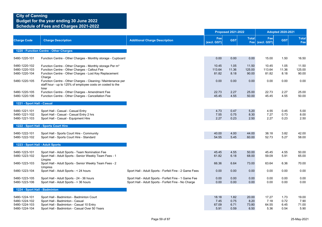|                                                                  |                                                                                                                                                                                           |                                                                                                               |                                | <b>Proposed 2021-2022</b>    |                                |                                | <b>Adopted 2020-2021</b>     |                                |  |  |
|------------------------------------------------------------------|-------------------------------------------------------------------------------------------------------------------------------------------------------------------------------------------|---------------------------------------------------------------------------------------------------------------|--------------------------------|------------------------------|--------------------------------|--------------------------------|------------------------------|--------------------------------|--|--|
| <b>Charge Code</b>                                               | <b>Charge Description</b>                                                                                                                                                                 | <b>Additional Charge Description</b>                                                                          | Fee<br>(excl. GST)             | <b>GST</b>                   | <b>Total</b>                   | Fee<br>Fee (excl. GST)         | <b>GST</b>                   | <b>Total</b><br>Fee            |  |  |
|                                                                  | 1220 - Function Centre - Other Charges                                                                                                                                                    |                                                                                                               |                                |                              |                                |                                |                              |                                |  |  |
| 5480-1220-101                                                    | Function Centre - Other Charges - Monthly storage - Cupboard                                                                                                                              |                                                                                                               | 0.00                           | 0.00                         | 0.00                           | 15.00                          | 1.50                         | 16.50                          |  |  |
| 5480-1220-102<br>5480-1220-103<br>5480-1220-104                  | Function Centre - Other Charges - Monthly storage Per m <sup>3</sup><br>Function Centre - Other Charges - Callout Fee<br>Function Centre - Other Charges - Lost Key Replacement<br>Charge |                                                                                                               | 10.45<br>113.64<br>81.82       | 1.05<br>11.36<br>8.18        | 11.50<br>125.00<br>90.00       | 10.45<br>113.64<br>81.82       | 1.05<br>11.36<br>8.18        | 11.50<br>125.00<br>90.00       |  |  |
| 5480-1220-105                                                    | Function Centre - Other Charges - Cleaning / Maintenance per<br>staff hour - up to 125% of employee costs on costed to the<br>hirer                                                       |                                                                                                               | 0.00                           | 0.00                         | 0.00                           | 0.00                           | 0.00                         | 0.00                           |  |  |
| 5480-1220-105<br>5480-1220-106                                   | Function Centre - Other Charges - Amendment Fee<br>Function Centre - Other Charges - Cancellation Fee                                                                                     |                                                                                                               | 22.73<br>45.45                 | 2.27<br>4.55                 | 25.00<br>50.00                 | 22.73<br>45.45                 | 2.27<br>4.55                 | 25.00<br>50.00                 |  |  |
| 1221 - Sport Hall - Casual                                       |                                                                                                                                                                                           |                                                                                                               |                                |                              |                                |                                |                              |                                |  |  |
| 5480-1221-101<br>5480-1221-102<br>5480-1221-103                  | Sport Hall - Casual - Casual Entry<br>Sport Hall - Casual - Casual Entry 2 hrs<br>Sport Hall - Casual - Equipment Hire                                                                    |                                                                                                               | 4.73<br>7.55<br>2.27           | 0.47<br>0.75<br>0.23         | 5.20<br>8.30<br>2.50           | 4.55<br>7.27<br>2.27           | 0.45<br>0.73<br>0.23         | 5.00<br>8.00<br>2.50           |  |  |
|                                                                  | 1222 - Sport Hall - Sports Court Hire                                                                                                                                                     |                                                                                                               |                                |                              |                                |                                |                              |                                |  |  |
| 5480-1222-101<br>5480-1222-102                                   | Sport Hall - Sports Court Hire - Community<br>Sport Hall - Sports Court Hire - Standard                                                                                                   |                                                                                                               | 40.00<br>54.55                 | 4.00<br>5.45                 | 44.00<br>60.00                 | 38.18<br>52.73                 | 3.82<br>5.27                 | 42.00<br>58.00                 |  |  |
| 1223 - Sport Hall - Adult Sports                                 |                                                                                                                                                                                           |                                                                                                               |                                |                              |                                |                                |                              |                                |  |  |
| 5480-1223-101<br>5480-1223-102                                   | Sport Hall - Adult Sports - Team Nomination Fee<br>Sport Hall - Adult Sports - Senior Weekly Team Fees - 1<br>Umpire                                                                      |                                                                                                               | 45.45<br>61.82                 | 4.55<br>6.18                 | 50.00<br>68.00                 | 45.45<br>59.09                 | 4.55<br>5.91                 | 50.00<br>65.00                 |  |  |
| 5480-1223-103                                                    | Sport Hall - Adult Sports - Senior Weekly Team Fees - 2<br><b>Umpires</b>                                                                                                                 |                                                                                                               | 66.36                          | 6.64                         | 73.00                          | 63.64                          | 6.36                         | 70.00                          |  |  |
| 5480-1223-104                                                    | Sport Hall - Adult Sports - < 24 hours                                                                                                                                                    | Sport Hall - Adult Sports - Forfeit Fine - 2 Game Fees                                                        | 0.00                           | 0.00                         | 0.00                           | 0.00                           | 0.00                         | 0.00                           |  |  |
| 5480-1223-105<br>5480-1223-106                                   | Sport Hall - Adult Sports - 24 - 36 hours<br>Sport Hall - Adult Sports - > 36 hours                                                                                                       | Sport Hall - Adult Sports - Forfeit Fine - 1 Game Fee<br>Sport Hall - Adult Sports - Forfeit Fine - No Charge | 0.00<br>0.00                   | 0.00<br>0.00                 | 0.00<br>0.00                   | 0.00<br>0.00                   | 0.00<br>0.00                 | 0.00<br>0.00                   |  |  |
| 1224 - Sport Hall - Badminton                                    |                                                                                                                                                                                           |                                                                                                               |                                |                              |                                |                                |                              |                                |  |  |
| 5480-1224-101<br>5480-1224-102<br>5480-1224-103<br>5480-1224-104 | Sport Hall - Badminton - Badminton Court<br>Sport Hall - Badminton - Casual<br>Sport Hall - Badminton - Casual 10 Entry<br>Sport Hall - Badminton - Casual Over 50 Years                  |                                                                                                               | 18.18<br>7.45<br>67.09<br>5.91 | 1.82<br>0.75<br>6.71<br>0.59 | 20.00<br>8.20<br>73.80<br>6.50 | 17.27<br>7.18<br>64.55<br>5.36 | 1.73<br>0.72<br>6.45<br>0.54 | 19.00<br>7.90<br>71.00<br>5.90 |  |  |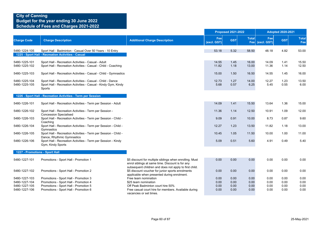|                                |                                                                                                                                         |                                                                                                                                                            | <b>Proposed 2021-2022</b> |              |                     | <b>Adopted 2020-2021</b> |              |                     |
|--------------------------------|-----------------------------------------------------------------------------------------------------------------------------------------|------------------------------------------------------------------------------------------------------------------------------------------------------------|---------------------------|--------------|---------------------|--------------------------|--------------|---------------------|
| <b>Charge Code</b>             | <b>Charge Description</b>                                                                                                               | <b>Additional Charge Description</b>                                                                                                                       | Fee<br>(excl. GST)        | <b>GST</b>   | <b>Total</b><br>Fee | Fee<br>(excl. GST)       | <b>GST</b>   | <b>Total</b><br>Fee |
| 5480-1224-105                  | Sport Hall - Badminton - Casual Over 50 Years - 10 Entry<br>1225 - Sport Hall - Recreation Activities - Casual                          |                                                                                                                                                            | 53.18                     | 5.32         | 58.50               | 48.18                    | 4.82         | 53.00               |
| 5480-1225-101<br>5480-1225-102 | Sport Hall - Recreation Activities - Casual - Adult<br>Sport Hall - Recreation Activities - Casual - Child - Coaching                   |                                                                                                                                                            | 14.55<br>11.82            | 1.45<br>1.18 | 16.00<br>13.00      | 14.09<br>11.36           | 1.41<br>1.14 | 15.50<br>12.50      |
| 5480-1225-103                  | Sport Hall - Recreation Activities - Casual - Child - Gymnastics                                                                        |                                                                                                                                                            | 15.00                     | 1.50         | 16.50               | 14.55                    | 1.45         | 16.00               |
| 5480-1225-104<br>5480-1225-105 | Sport Hall - Recreation Activities - Casual - Child - Dance<br>Sport Hall - Recreation Activities - Casual - Kindy Gym, Kindy<br>Sports |                                                                                                                                                            | 12.73<br>5.68             | 1.27<br>0.57 | 14.00<br>6.25       | 12.27<br>5.45            | 1.23<br>0.55 | 13.50<br>6.00       |
|                                | 1226 - Sport Hall - Recreation Activities - Term per Session                                                                            |                                                                                                                                                            |                           |              |                     |                          |              |                     |
| 5480-1226-101                  | Sport Hall - Recreation Activities - Term per Session - Adult                                                                           |                                                                                                                                                            | 14.09                     | 1.41         | 15.50               | 13.64                    | 1.36         | 15.00               |
| 5480-1226-102                  | Sport Hall - Recreation Activities - Term per Session -                                                                                 |                                                                                                                                                            | 11.36                     | 1.14         | 12.50               | 10.91                    | 1.09         | 12.00               |
| 5480-1226-103                  | <b>Concession Specialised</b><br>Sport Hall - Recreation Activities - Term per Session - Child -                                        |                                                                                                                                                            | 9.09                      | 0.91         | 10.00               | 8.73                     | 0.87         | 9.60                |
| 5480-1226-104                  | Coaching<br>Sport Hall - Recreation Activities - Term per Session - Child -                                                             |                                                                                                                                                            | 12.27                     | 1.23         | 13.50               | 11.82                    | 1.18         | 13.00               |
| 5480-1226-105                  | Gymnastics<br>Sport Hall - Recreation Activities - Term per Session - Child -<br>Dance, Rhythmic Gymnastics                             |                                                                                                                                                            | 10.45                     | 1.05         | 11.50               | 10.00                    | 1.00         | 11.00               |
| 5480-1226-106                  | Sport Hall - Recreation Activities - Term per Session - Kindy<br>Gym, Kindy Sports                                                      |                                                                                                                                                            | 5.09                      | 0.51         | 5.60                | 4.91                     | 0.49         | 5.40                |
|                                | 1227 - Promotions - Sport Hall                                                                                                          |                                                                                                                                                            |                           |              |                     |                          |              |                     |
| 5480-1227-101                  | Promotions - Sport Hall - Promotion 1                                                                                                   | \$5 discount for multiple siblings when enrolling. Must<br>enrol siblings at same time. Discount is for any                                                | 0.00                      | 0.00         | 0.00                | 0.00                     | 0.00         | 0.00                |
| 5480-1227-102                  | Promotions - Sport Hall - Promotion 2                                                                                                   | subsequent children and does not apply to first child.<br>\$5 discount voucher for junior sports enrolments<br>applicable when presented during enrolment. | 0.00                      | 0.00         | 0.00                | 0.00                     | 0.00         | 0.00                |
| 5480-1227-103                  | Promotions - Sport Hall - Promotion 3                                                                                                   | Free team nomination                                                                                                                                       | 0.00                      | 0.00         | 0.00                | 0.00                     | 0.00         | 0.00                |
| 5480-1227-104                  | Promotions - Sport Hall - Promotion 4                                                                                                   | \$25 team nomination                                                                                                                                       | 0.00                      | 0.00         | 0.00                | 0.00                     | 0.00         | 0.00                |
| 5480-1227-105                  | Promotions - Sport Hall - Promotion 5                                                                                                   | Off Peak Badminton court hire 50%                                                                                                                          | 0.00                      | 0.00         | 0.00                | 0.00                     | 0.00         | 0.00                |
| 5480-1227-106                  | Promotions - Sport Hall - Promotion 6                                                                                                   | Free casual court hire for members. Available during<br>vacancies or set times.                                                                            | 0.00                      | 0.00         | 0.00                | 0.00                     | 0.00         | 0.00                |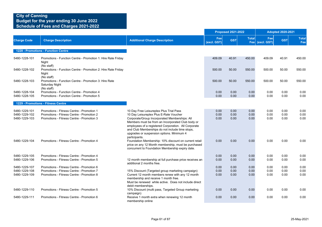### **City of Canning Budget for the year ending 30 June 2022**

**Schedule of Fees and Charges 2021-2022**

|                                                 |                                                                                                                                     |                                                                                                                                                                                                                                                                                                                                                 | <b>Proposed 2021-2022</b> |                      |                      |                        | <b>Adopted 2020-2021</b> |                            |  |
|-------------------------------------------------|-------------------------------------------------------------------------------------------------------------------------------------|-------------------------------------------------------------------------------------------------------------------------------------------------------------------------------------------------------------------------------------------------------------------------------------------------------------------------------------------------|---------------------------|----------------------|----------------------|------------------------|--------------------------|----------------------------|--|
| <b>Charge Code</b>                              | <b>Charge Description</b>                                                                                                           | <b>Additional Charge Description</b>                                                                                                                                                                                                                                                                                                            | Fee<br>(excl. GST)        | <b>GST</b>           | <b>Total</b>         | Fee<br>Fee (excl. GST) | <b>GST</b>               | <b>Total</b><br><b>Fee</b> |  |
|                                                 | 1228 - Promotions - Function Centre                                                                                                 |                                                                                                                                                                                                                                                                                                                                                 |                           |                      |                      |                        |                          |                            |  |
| 5480-1228-101                                   | Promotions - Function Centre - Promotion 1: Hire Rate Friday<br>Night<br>(No staff)                                                 |                                                                                                                                                                                                                                                                                                                                                 | 409.09                    | 40.91                | 450.00               | 409.09                 | 40.91                    | 450.00                     |  |
| 5480-1228-102                                   | Promotions - Function Centre - Promotion 2: Hire Rate Friday<br>Night<br>(No staff)                                                 |                                                                                                                                                                                                                                                                                                                                                 | 500.00                    | 50.00                | 550.00               | 500.00                 | 50.00                    | 550.00                     |  |
| 5480-1228-103                                   | Promotions - Function Centre - Promotion 3: Hire Rate<br>Saturday Night<br>(No staff)                                               |                                                                                                                                                                                                                                                                                                                                                 | 500.00                    | 50.00                | 550.00               | 500.00                 | 50.00                    | 550.00                     |  |
| 5480-1228-104<br>5480-1228-105                  | Promotions - Function Centre - Promotion 4<br>Promotions - Function Centre - Promotion 5                                            |                                                                                                                                                                                                                                                                                                                                                 | 0.00<br>0.00              | 0.00<br>0.00         | 0.00<br>0.00         | 0.00<br>0.00           | 0.00<br>0.00             | 0.00<br>0.00               |  |
|                                                 | 1229 - Promotions - Fitness Centre                                                                                                  |                                                                                                                                                                                                                                                                                                                                                 |                           |                      |                      |                        |                          |                            |  |
| 5480-1229-101<br>5480-1229-102<br>5480-1229-103 | Promotions - Fitness Centre - Promotion 1<br>Promotions - Fitness Centre - Promotion 2<br>Promotions - Fitness Centre - Promotion 3 | 10 Day Free Leisureplex Plus Trial Pass<br>10 Day Leisureplex Plus E-Rate Voucher<br>Corporate/Group Incorporated Memberships: All<br>Members must be from an Incorporated Club body or<br>employees of a registered Corporation. All Corporate<br>and Club Memberships do not include time stops,<br>upgrades or suspension options. Minimum 4 | 0.00<br>0.00<br>0.00      | 0.00<br>0.00<br>0.00 | 0.00<br>0.00<br>0.00 | 0.00<br>0.00<br>0.00   | 0.00<br>0.00<br>0.00     | 0.00<br>0.00<br>0.00       |  |
| 5480-1229-104                                   | Promotions - Fitness Centre - Promotion 4                                                                                           | participants.<br>Foundation Membership: 10% discount on current retail<br>price on any 12 Month membership, must be purchased<br>concurrent to Foundation Membership expiry date.                                                                                                                                                               | 0.00                      | 0.00                 | 0.00                 | 0.00                   | 0.00                     | 0.00                       |  |
| 5480-1229-105<br>5480-1229-106                  | Promotions - Fitness Centre - Promotion 4<br>Promotions - Fitness Centre - Promotion 5                                              | 12 month membership at full purchase price receives an<br>additional 2 months free.                                                                                                                                                                                                                                                             | 0.00<br>0.00              | 0.00<br>0.00         | 0.00<br>0.00         | 0.00<br>0.00           | 0.00<br>0.00             | 0.00<br>0.00               |  |
| 5480-1229-107                                   | Promotions - Fitness Centre - Promotion 6                                                                                           |                                                                                                                                                                                                                                                                                                                                                 | 0.00                      | 0.00                 | 0.00                 | 0.00                   | 0.00                     | 0.00                       |  |
| 5480-1229-108<br>5480-1229-109                  | Promotions - Fitness Centre - Promotion 7<br>Promotions - Fitness Centre - Promotion 8                                              | 15% Discount (Targeted group marketing campaign)<br>Current 12 month members renew with any 12 month<br>membership and receive 1 month free.<br>Must be renewed while active. Does not include direct<br>debit memberships.                                                                                                                     | 0.00<br>0.00              | 0.00<br>0.00         | 0.00<br>0.00         | 0.00<br>0.00           | 0.00<br>0.00             | 0.00<br>0.00               |  |
| 5480-1229-110                                   | Promotions - Fitness Centre - Promotion 5                                                                                           | 10% Discount (multi pass, Targeted Group marketing<br>campaign)                                                                                                                                                                                                                                                                                 | 0.00                      | 0.00                 | 0.00                 | 0.00                   | 0.00                     | 0.00                       |  |
| 5480-1229-111                                   | Promotions - Fitness Centre - Promotion 6                                                                                           | Receive 1 month extra when renewing 12 month<br>membership online                                                                                                                                                                                                                                                                               | 0.00                      | 0.00                 | 0.00                 | 0.00                   | 0.00                     | 0.00                       |  |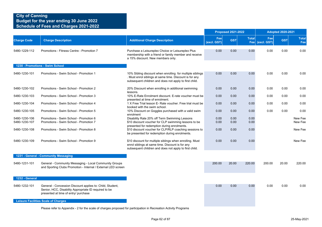|                                |                                                                                                                                                            |                                                                                                                                                                                |                    | <b>Proposed 2021-2022</b> |                     |                    | <b>Adopted 2020-2021</b> |                     |
|--------------------------------|------------------------------------------------------------------------------------------------------------------------------------------------------------|--------------------------------------------------------------------------------------------------------------------------------------------------------------------------------|--------------------|---------------------------|---------------------|--------------------|--------------------------|---------------------|
| <b>Charge Code</b>             | <b>Charge Description</b>                                                                                                                                  | <b>Additional Charge Description</b>                                                                                                                                           | Fee<br>(excl. GST) | <b>GST</b>                | <b>Total</b><br>Fee | Fee<br>(excl. GST) | <b>GST</b>               | <b>Total</b><br>Fee |
| 5480-1229-112                  | Promotions - Fitness Centre - Promotion 7                                                                                                                  | Purchase a Leisureplex Choice or Leisureplex Plus<br>membership with a friend or family member and receive<br>a 15% discount. New members only.                                | 0.00               | 0.00                      | 0.00                | 0.00               | 0.00                     | 0.00                |
|                                | 1230 - Promotions - Swim School                                                                                                                            |                                                                                                                                                                                |                    |                           |                     |                    |                          |                     |
| 5480-1230-101                  | Promotions - Swim School - Promotion 1                                                                                                                     | 10% Sibling discount when enrolling for multiple siblings<br>. Must enrol siblings at same time. Discount is for any<br>subsequent children and does not apply to first child. | 0.00               | 0.00                      | 0.00                | 0.00               | 0.00                     | 0.00                |
| 5480-1230-102                  | Promotions - Swim School - Promotion 2                                                                                                                     | 20% Discount when enrolling in additional swimming                                                                                                                             | 0.00               | 0.00                      | 0.00                | 0.00               | 0.00                     | 0.00                |
| 5480-1230-103                  | Promotions - Swim School - Promotion 3                                                                                                                     | lessons.<br>10% E-Rate Enrolment discount. E-rate voucher must be<br>presented at time of enrolment.                                                                           | 0.00               | 0.00                      | 0.00                | 0.00               | 0.00                     | 0.00                |
| 5480-1230-104                  | Promotions - Swim School - Promotion 4                                                                                                                     | 1 X Free Trial lesson E- Rate voucher. Free trial must be<br>booked with the swim school.                                                                                      | 0.00               | 0.00                      | 0.00                | 0.00               | 0.00                     | 0.00                |
| 5480-1230-105                  | Promotions - Swim School - Promotion 5                                                                                                                     | 10% Discount on Goggles purchased with a valid swim<br>enrolment                                                                                                               | 0.00               | 0.00                      | 0.00                | 0.00               | 0.00                     | 0.00                |
| 5480-1230-106<br>5480-1230-107 | Promotions - Swim School - Promotion 6<br>Promotions - Swim School - Promotion 7                                                                           | Disability Rate 20% off Term Swimming Lessons<br>\$10 discount voucher for CLP swimming lessons to be<br>presented for redemption during enrolments.                           | 0.00<br>0.00       | 0.00<br>0.00              | 0.00<br>0.00        |                    |                          | New Fee<br>New Fee  |
| 5480-1230-108                  | Promotions - Swim School - Promotion 8                                                                                                                     | \$10 discount voucher for CLP/RLP coaching sessions to<br>be presented for redemption during enrolments.                                                                       | 0.00               | 0.00                      | 0.00                |                    |                          | New Fee             |
| 5480-1230-109                  | Promotions - Swim School - Promotion 9                                                                                                                     | \$10 discount for multiple siblings when enrolling. Must<br>enrol siblings at same time. Discount is for any<br>subsequent children and does not apply to first child.         | 0.00               | 0.00                      | 0.00                |                    |                          | New Fee             |
|                                | 1231 - General - Community Messaging                                                                                                                       |                                                                                                                                                                                |                    |                           |                     |                    |                          |                     |
| 5480-1231-101                  | General - Community Messaging - Local Community Groups<br>and Sporting Clubs Promotion - Internal / External LED screen                                    |                                                                                                                                                                                | 200.00             | 20.00                     | 220.00              | 200.00             | 20.00                    | 220.00              |
| 1232 - General                 |                                                                                                                                                            |                                                                                                                                                                                |                    |                           |                     |                    |                          |                     |
| 5480-1232-101                  | General - Concession Discount applies to: Child, Student,<br>Senior, HCC, Disability Appropriate ID required to be<br>presented at time of entry/ purchase |                                                                                                                                                                                | 0.00               | 0.00                      | 0.00                | 0.00               | 0.00                     | 0.00                |
|                                | <b>Leisure Facilities Scale of Charges</b>                                                                                                                 |                                                                                                                                                                                |                    |                           |                     |                    |                          |                     |

Please refer to Appendix - 2 for the scale of charges proposed for participation in Recreation Activity Programs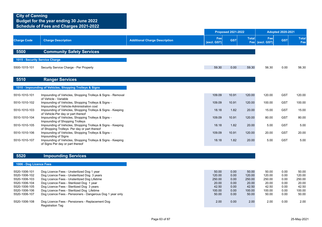|                                                                                                                                      |                                                                                                                                                                                                                                                                                                                                                                                                  |                                      |                                                                        | <b>Proposed 2021-2022</b>                                    |                                                                        | <b>Adopted 2020-2021</b>                                               |                                                              |                                                                        |
|--------------------------------------------------------------------------------------------------------------------------------------|--------------------------------------------------------------------------------------------------------------------------------------------------------------------------------------------------------------------------------------------------------------------------------------------------------------------------------------------------------------------------------------------------|--------------------------------------|------------------------------------------------------------------------|--------------------------------------------------------------|------------------------------------------------------------------------|------------------------------------------------------------------------|--------------------------------------------------------------|------------------------------------------------------------------------|
| <b>Charge Code</b>                                                                                                                   | <b>Charge Description</b>                                                                                                                                                                                                                                                                                                                                                                        | <b>Additional Charge Description</b> | Fee<br>(excl. GST)                                                     | <b>GST</b>                                                   | <b>Total</b><br>Fee                                                    | Fee<br>(excl. GST)                                                     | <b>GST</b>                                                   | <b>Total</b><br>Fee                                                    |
| 5500                                                                                                                                 | <b>Community Safety Services</b>                                                                                                                                                                                                                                                                                                                                                                 |                                      |                                                                        |                                                              |                                                                        |                                                                        |                                                              |                                                                        |
|                                                                                                                                      | 1015 - Security Service Charge                                                                                                                                                                                                                                                                                                                                                                   |                                      |                                                                        |                                                              |                                                                        |                                                                        |                                                              |                                                                        |
| 5500-1015-101                                                                                                                        | Security Service Charge - Per Property                                                                                                                                                                                                                                                                                                                                                           |                                      | 59.30                                                                  | 0.00                                                         | 59.30                                                                  | 56.30                                                                  | 0.00                                                         | 56.30                                                                  |
| 5510                                                                                                                                 | <b>Ranger Services</b>                                                                                                                                                                                                                                                                                                                                                                           |                                      |                                                                        |                                                              |                                                                        |                                                                        |                                                              |                                                                        |
|                                                                                                                                      | 1010 - Impounding of Vehicles, Shopping Trolleys & Signs                                                                                                                                                                                                                                                                                                                                         |                                      |                                                                        |                                                              |                                                                        |                                                                        |                                                              |                                                                        |
| 5510-1010-101                                                                                                                        | Impounding of Vehicles, Shopping Trolleys & Signs - Removal<br>of Vehicle - Variable                                                                                                                                                                                                                                                                                                             |                                      | 109.09                                                                 | 10.91                                                        | 120.00                                                                 | 120.00                                                                 | <b>GST</b>                                                   | 120.00                                                                 |
| 5510-1010-102                                                                                                                        | Impounding of Vehicles, Shopping Trolleys & Signs -<br>Impounding of Vehicle-Administration cost                                                                                                                                                                                                                                                                                                 |                                      | 109.09                                                                 | 10.91                                                        | 120.00                                                                 | 100.00                                                                 | <b>GST</b>                                                   | 100.00                                                                 |
| 5510-1010-103                                                                                                                        | Impounding of Vehicles, Shopping Trolleys & Signs - Keeping<br>of Vehicle-Per day or part thereof                                                                                                                                                                                                                                                                                                |                                      | 18.18                                                                  | 1.82                                                         | 20.00                                                                  | 15.00                                                                  | <b>GST</b>                                                   | 15.00                                                                  |
| 5510-1010-104                                                                                                                        | Impounding of Vehicles, Shopping Trolleys & Signs -<br>Impounding of Shopping Trolleys                                                                                                                                                                                                                                                                                                           |                                      | 109.09                                                                 | 10.91                                                        | 120.00                                                                 | 80.00                                                                  | <b>GST</b>                                                   | 80.00                                                                  |
| 5510-1010-105                                                                                                                        | Impounding of Vehicles, Shopping Trolleys & Signs - Keeping<br>of Shopping Trolleys Per day or part thereof                                                                                                                                                                                                                                                                                      |                                      | 18.18                                                                  | 1.82                                                         | 20.00                                                                  | 5.00                                                                   | <b>GST</b>                                                   | 5.00                                                                   |
| 5510-1010-106                                                                                                                        | Impounding of Vehicles, Shopping Trolleys & Signs -<br>Impounding of Signs                                                                                                                                                                                                                                                                                                                       |                                      | 109.09                                                                 | 10.91                                                        | 120.00                                                                 | 20.00                                                                  | <b>GST</b>                                                   | 20.00                                                                  |
| 5510-1010-107                                                                                                                        | Impounding of Vehicles, Shopping Trolleys & Signs - Keeping<br>of Signs Per day or part thereof                                                                                                                                                                                                                                                                                                  |                                      | 18.18                                                                  | 1.82                                                         | 20.00                                                                  | 5.00                                                                   | <b>GST</b>                                                   | 5.00                                                                   |
| 5520                                                                                                                                 | <b>Impounding Services</b>                                                                                                                                                                                                                                                                                                                                                                       |                                      |                                                                        |                                                              |                                                                        |                                                                        |                                                              |                                                                        |
| 1006 - Dog Licence Fees                                                                                                              |                                                                                                                                                                                                                                                                                                                                                                                                  |                                      |                                                                        |                                                              |                                                                        |                                                                        |                                                              |                                                                        |
| 5520-1006-101<br>5520-1006-102<br>5520-1006-103<br>5520-1006-104<br>5520-1006-105<br>5520-1006-106<br>5520-1006-107<br>5520-1006-108 | Dog Licence Fees - Unsterilized Dog 1 year<br>Dog Licence Fees - Unsterilized Dog 3 years<br>Dog Licence Fees - Unsterilized Dog Lifetime<br>Dog Licence Fees - Sterilized Dog 1 year<br>Dog Licence Fees - Sterilized Dog 3 years<br>Dog Licence Fees - Sterilized Dog Lifetime<br>Dog Licence Fees - Pensioners - Dangerous Dog 1 year only<br>Dog Licence Fees - Pensioners - Replacement Dog |                                      | 50.00<br>120.00<br>250.00<br>20.00<br>42.50<br>100.00<br>50.00<br>2.00 | 0.00<br>0.00<br>0.00<br>0.00<br>0.00<br>0.00<br>0.00<br>0.00 | 50.00<br>120.00<br>250.00<br>20.00<br>42.50<br>100.00<br>50.00<br>2.00 | 50.00<br>120.00<br>250.00<br>20.00<br>42.50<br>100.00<br>50.00<br>2.00 | 0.00<br>0.00<br>0.00<br>0.00<br>0.00<br>0.00<br>0.00<br>0.00 | 50.00<br>120.00<br>250.00<br>20.00<br>42.50<br>100.00<br>50.00<br>2.00 |
|                                                                                                                                      | <b>Registration Tag</b>                                                                                                                                                                                                                                                                                                                                                                          |                                      |                                                                        |                                                              |                                                                        |                                                                        |                                                              |                                                                        |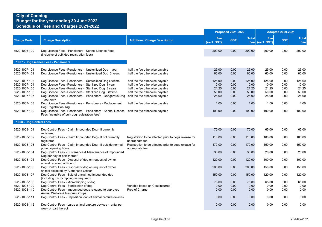|                                                                                   |                                                                                                                                                                                                                                                                                                                   |                                                                                                                                                                        |                                            | <b>Proposed 2021-2022</b>            |                                            |                                            | <b>Adopted 2020-2021</b>             |                                            |
|-----------------------------------------------------------------------------------|-------------------------------------------------------------------------------------------------------------------------------------------------------------------------------------------------------------------------------------------------------------------------------------------------------------------|------------------------------------------------------------------------------------------------------------------------------------------------------------------------|--------------------------------------------|--------------------------------------|--------------------------------------------|--------------------------------------------|--------------------------------------|--------------------------------------------|
| <b>Charge Code</b>                                                                | <b>Charge Description</b>                                                                                                                                                                                                                                                                                         | <b>Additional Charge Description</b>                                                                                                                                   | Fee<br>(excl. GST)                         | <b>GST</b>                           | <b>Total</b>                               | Fee<br>Fee (excl. GST)                     | <b>GST</b>                           | <b>Total</b><br>Fee                        |
| 5520-1006-109                                                                     | Dog Licence Fees - Pensioners - Kennel Licence Fees<br>(inclusive of bulk dog registration fees)                                                                                                                                                                                                                  |                                                                                                                                                                        | 200.00                                     | 0.00                                 | 200.00                                     | 200.00                                     | 0.00                                 | 200.00                                     |
|                                                                                   | 1007 - Dog Licence Fees - Pensioners                                                                                                                                                                                                                                                                              |                                                                                                                                                                        |                                            |                                      |                                            |                                            |                                      |                                            |
| 5520-1007-101<br>5520-1007-102                                                    | Dog Licence Fees - Pensioners - Unsterilized Dog 1 year<br>Dog Licence Fees - Pensioners - Unsterilized Dog 3 years                                                                                                                                                                                               | half the fee otherwise payable<br>half the fee otherwise payable                                                                                                       | 25.00<br>60.00                             | 0.00<br>0.00                         | 25.00<br>60.00                             | 25.00<br>60.00                             | 0.00<br>0.00                         | 25.00<br>60.00                             |
| 5520-1007-103<br>5520-1007-104<br>5520-1007-105<br>5520-1007-106<br>5520-1007-107 | Dog Licence Fees -Pensioners - Unsterilized Dog Lifetime<br>Dog Licence Fees - Pensioners - Sterilized Dog 1 year<br>Dog Licence Fees - Pensioners - Sterilized Dog 3 years<br>Dog Licence Fees -Pensioners - Sterilized Dog Lifetime<br>Dog Licence Fees -Pensioners - Pensioners - Dangerous Dog<br>1 year only | half the fee otherwise payable<br>half the fee otherwise payable<br>half the fee otherwise payable<br>half the fee otherwise payable<br>half the fee otherwise payable | 125.00<br>10.00<br>21.25<br>50.00<br>25.00 | 0.00<br>0.00<br>0.00<br>0.00<br>0.00 | 125.00<br>10.00<br>21.25<br>50.00<br>25.00 | 125.00<br>10.00<br>21.25<br>50.00<br>25.00 | 0.00<br>0.00<br>0.00<br>0.00<br>0.00 | 125.00<br>10.00<br>21.25<br>50.00<br>25.00 |
| 5520-1007-108<br>5520-1007-109                                                    | Dog Licence Fees -Pensioners - Pensioners - Replacement<br>Dog Registration Tag<br>Dog Licence Fees -Pensioners - Pensioners - Kennel Licence half the fee otherwise payable                                                                                                                                      | half the fee otherwise payable                                                                                                                                         | 1.00<br>100.00                             | 0.00<br>0.00                         | 1.00<br>100.00                             | 1.00<br>100.00                             | 0.00<br>0.00                         | 1.00<br>100.00                             |
| 1008 - Dog Control Fees<br>5520-1008-101                                          | Fees (inclusive of bulk dog registration fees)<br>Dog Control Fees - Claim Impounded Dog - If currently                                                                                                                                                                                                           |                                                                                                                                                                        | 70.00                                      | 0.00                                 | 70.00                                      | 65.00                                      | 0.00                                 | 65.00                                      |
| 5520-1008-102                                                                     | registered<br>Dog Control Fees - Claim Impounded Dog - If not currently                                                                                                                                                                                                                                           | Registration to be effected prior to dogs release for                                                                                                                  | 110.00                                     | 0.00                                 | 110.00                                     | 100.00                                     | 0.00                                 | 100.00                                     |
| 5520-1008-103                                                                     | registered<br>Dog Control Fees - Claim Impounded Dog - If outside normal<br>pound opening hours                                                                                                                                                                                                                   | appropriate fee<br>Registration to be effected prior to dogs release for<br>appropriate fee                                                                            | 170.00                                     | 0.00                                 | 170.00                                     | 150.00                                     | 0.00                                 | 150.00                                     |
| 5520-1008-104                                                                     | Dog Control Fees - Sustenance & Maintenance of Impounded<br>Dog per day or part thereof                                                                                                                                                                                                                           |                                                                                                                                                                        | 30.00                                      | 0.00                                 | 30.00                                      | 20.00                                      | 0.00                                 | 20.00                                      |
| 5520-1008-105                                                                     | Dog Control Fees - Disposal of dog on request of owner<br>animal received at Pound                                                                                                                                                                                                                                |                                                                                                                                                                        | 120.00                                     | 0.00                                 | 120.00                                     | 100.00                                     | 0.00                                 | 100.00                                     |
| 5520-1008-106                                                                     | Dog Control Fees - Disposal of dog on request of owner<br>animal collected by Authorised Officer                                                                                                                                                                                                                  |                                                                                                                                                                        | 200.00                                     | 0.00                                 | 200.00                                     | 150.00                                     | 0.00                                 | 150.00                                     |
| 5520-1008-107                                                                     | Dog Control Fees - Sale of unclaimed impounded dog<br>(including microchipping as required)                                                                                                                                                                                                                       |                                                                                                                                                                        | 150.00                                     | 0.00                                 | 150.00                                     | 120.00                                     | 0.00                                 | 120.00                                     |
| 5520-1008-108                                                                     | Dog Control Fees - Microchipping of dog                                                                                                                                                                                                                                                                           |                                                                                                                                                                        | 75.00                                      | 0.00                                 | 75.00                                      | 65.00                                      | 0.00                                 | 65.00                                      |
| 5520-1008-109                                                                     | Dog Control Fees - Sterilisation of dog                                                                                                                                                                                                                                                                           | Variable based on Cost incurred                                                                                                                                        | 0.00                                       | 0.00                                 | 0.00                                       | 0.00                                       | 0.00                                 | 0.00                                       |
| 5520-1008-110                                                                     | Dog Control Fees - Impounded dogs released to approved<br>Animal Welfare & Rescue Groups                                                                                                                                                                                                                          | Free of Charge                                                                                                                                                         | 0.00                                       | 0.00                                 | 0.00                                       | 0.00                                       | 0.00                                 | 0.00                                       |
| 5520-1008-111                                                                     | Dog Control Fees - Deposit on loan of animal capture devices                                                                                                                                                                                                                                                      |                                                                                                                                                                        | 0.00                                       | 0.00                                 | 0.00                                       | 0.00                                       | 0.00                                 | 0.00                                       |
| 5520-1008-112                                                                     | Dog Control Fees - Large animal capture devices - rental per<br>week or part thereof                                                                                                                                                                                                                              |                                                                                                                                                                        | 10.00                                      | 0.00                                 | 10.00                                      | 0.00                                       | 0.00                                 | 0.00                                       |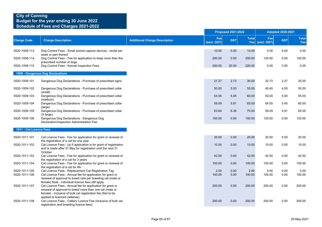|                                |                                                                                                                                                                                                                                        |                                      |                    | <b>Proposed 2021-2022</b> |                     | <b>Adopted 2020-2021</b> |              |                     |
|--------------------------------|----------------------------------------------------------------------------------------------------------------------------------------------------------------------------------------------------------------------------------------|--------------------------------------|--------------------|---------------------------|---------------------|--------------------------|--------------|---------------------|
| <b>Charge Code</b>             | <b>Charge Description</b>                                                                                                                                                                                                              | <b>Additional Charge Description</b> | Fee<br>(excl. GST) | <b>GST</b>                | <b>Total</b><br>Fee | Fee<br>(excl. GST)       | <b>GST</b>   | <b>Total</b><br>Fee |
| 5520-1008-113                  | Dog Control Fees - Small animal capture devices - rental per                                                                                                                                                                           |                                      | 10.00              | 0.00                      | 10.00               | 0.00                     | 0.00         | 0.00                |
| 5520-1008-114                  | week or part thereof<br>Dog Control Fees - Fee for application to keep more than the<br>prescribed number of dogs                                                                                                                      |                                      | 200.00             | 0.00                      | 200.00              | 120.00                   | 0.00         | 120.00              |
| 5520-1008-115                  | Dog Control Fees - Kennel Inspection Fees                                                                                                                                                                                              |                                      | 200.00             | 20.00                     | 220.00              | 0.00                     | 0.00         | 0.00                |
|                                | 1009 - Dangerous Dog Declarations                                                                                                                                                                                                      |                                      |                    |                           |                     |                          |              |                     |
| 5520-1009-101                  | Dangerous Dog Declarations - Purchase of prescribed signs                                                                                                                                                                              |                                      | 27.27              | 2.73                      | 30.00               | 22.73                    | 2.27         | 25.00               |
| 5520-1009-102                  | Dangerous Dog Declarations - Purchase of prescribed collar<br>(small)                                                                                                                                                                  |                                      | 50.00              | 5.00                      | 55.00               | 45.45                    | 4.55         | 50.00               |
| 5520-1009-103                  | Dangerous Dog Declarations - Purchase of prescribed collar<br>(medium)                                                                                                                                                                 |                                      | 54.55              | 5.45                      | 60.00               | 50.00                    | 5.00         | 55.00               |
| 5520-1009-104                  | Dangerous Dog Declarations - Purchase of prescribed collar<br>(large)                                                                                                                                                                  |                                      | 59.09              | 5.91                      | 65.00               | 54.55                    | 5.45         | 60.00               |
| 5520-1009-105                  | Dangerous Dog Declarations - Purchase of prescribed collar<br>$(X \text{ large})$                                                                                                                                                      |                                      | 63.64              | 6.36                      | 70.00               | 59.09                    | 5.91         | 65.00               |
| 5520-1009-106                  | Dangerous Dog Declarations - Dangerous Dog<br>Declaration/Inspection Administration Fee                                                                                                                                                |                                      | 150.00             | 0.00                      | 150.00              | 120.00                   | 0.00         | 120.00              |
| 1011 - Cat Licence Fees        |                                                                                                                                                                                                                                        |                                      |                    |                           |                     |                          |              |                     |
| 5520-1011-101                  | Cat Licence Fees - Fee for application for grant or renewal of<br>the registration of a cat for one year                                                                                                                               |                                      | 20.00              | 0.00                      | 20.00               | 20.00                    | 0.00         | 20.00               |
| 5520-1011-102                  | Cat Licence Fees - (a) if application is for grant of registration<br>and is made after 31 May for registration until the next 31<br>October                                                                                           |                                      | 10.00              | 0.00                      | 10.00               | 10.00                    | 0.00         | 10.00               |
| 5520-1011-103                  | Cat Licence Fees - Fee for application for grant or renewal of<br>the registration of a cat for 3 years                                                                                                                                |                                      | 42.50              | 0.00                      | 42.50               | 42.50                    | 0.00         | 42.50               |
| 5520-1011-104                  | Cat Licence Fees - Fee for application for grant or renewal of<br>the registration of a cat for life                                                                                                                                   |                                      | 100.00             | 0.00                      | 100.00              | 100.00                   | 0.00         | 100.00              |
| 5520-1011-105<br>5520-1011-106 | Cat Licence Fees - Replacement Cat Registration Tag<br>Cat Licence Fees - Annual fee for application for grant or<br>renewal of approval to breed cats per breeding cat (male or<br>female) Note - individual licence fees still apply |                                      | 2.00<br>100.00     | 0.00<br>0.00              | 2.00<br>100.00      | 0.00<br>100.00           | 0.00<br>0.00 | 0.00<br>100.00      |
| 5520-1011-107                  | Cat Licence Fees - Annual fee for application for grant or<br>renewal of approval to breed more than one cat (male or<br>female) - inclusive of bulk cat registration fee (Not to be                                                   |                                      | 200.00             | 0.00                      | 200.00              | 200.00                   | 0.00         | 200.00              |
| 5520-1011-108                  | applied to licenced catteries)<br>Cat Licence Fees - Cattery Licence Fee (inclusive of bulk cat<br>registration and breeding licence fees)                                                                                             |                                      | 200.00             | 0.00                      | 200.00              | 200.00                   | 0.00         | 200.00              |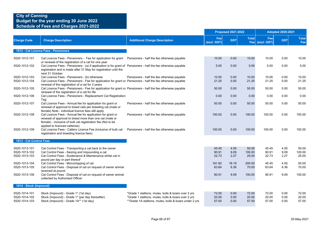### **City of Canning Budget for the year ending 30 June 2022**

### **Schedule of Fees and Charges 2021-2022**

|                                |                                                                                                                                                                                                                        |                                                        |                    | <b>Proposed 2021-2022</b> |                 |                        | <b>Adopted 2020-2021</b> |                     |
|--------------------------------|------------------------------------------------------------------------------------------------------------------------------------------------------------------------------------------------------------------------|--------------------------------------------------------|--------------------|---------------------------|-----------------|------------------------|--------------------------|---------------------|
| <b>Charge Code</b>             | <b>Charge Description</b>                                                                                                                                                                                              | <b>Additional Charge Description</b>                   | Fee<br>(excl. GST) | <b>GST</b>                | <b>Total</b>    | Fee<br>Fee (excl. GST) | <b>GST</b>               | <b>Total</b><br>Fee |
|                                | 1012 - Cat Licence Fees - Pensioners                                                                                                                                                                                   |                                                        |                    |                           |                 |                        |                          |                     |
| 5520-1012-101                  | Cat Licence Fees - Pensioners - Fee for application for grant Pensioners - half the fee otherwise payable<br>or renewal of the registration of a cat for one year                                                      |                                                        | 10.00              | 0.00                      | 10.00           | 10.00                  | 0.00                     | 10.00               |
| 5520-1012-102                  | Cat Licence Fees - Pensioners - (a) if application is for grant of Pensioners - half the fee otherwise payable<br>registration and is made after 31 May for registration until the<br>next 31 October                  |                                                        | 5.00               | 0.00                      | 5.00            | 5.00                   | 0.00                     | 5.00                |
| 5520-1012-103                  | Cat Licence Fees - Pensioners - (b) otherwise                                                                                                                                                                          | Pensioners - half the fee otherwise payable            | 10.00              | 0.00                      | 10.00           | 10.00                  | 0.00                     | 10.00               |
| 5520-1012-104                  | Cat Licence Fees - Pensioners - Fee for application for grant or Pensioners - half the fee otherwise payable<br>renewal of the registration of a cat for 3 years                                                       |                                                        | 21.25              | 0.00                      | 21.25           | 21.25                  | 0.00                     | 21.25               |
| 5520-1012-105                  | Cat Licence Fees - Pensioners - Fee for application for grant or Pensioners - half the fee otherwise payable<br>renewal of the registration of a cat for life                                                          |                                                        | 50.00              | 0.00                      | 50.00           | 50.00                  | 0.00                     | 50.00               |
| 5520-1012-106                  | Cat Licence Fees - Pensioners - Replacement Cat Registration<br>Tag                                                                                                                                                    |                                                        | 0.00               | 0.00                      | 0.00            | 0.00                   | 0.00                     | 0.00                |
| 5520-1012-107                  | Cat Licence Fees - Annual fee for application for grant or<br>renewal of approval to breed cats per breeding cat (male or<br>female) Note - individual licence fees still apply                                        | Pensioners - half the fee otherwise payable            | 50.00              | 0.00                      | 50.00           | 50.00                  | 0.00                     | 50.00               |
| 5520-1012-108                  | Cat Licence Fees - Annual fee for application for grant or<br>renewal of approval to breed more than one cat (male or<br>female) - inclusive of bulk cat registration fee (Not to be<br>applied to licenced catteries) | Pensioners - half the fee otherwise payable            | 100.00             | 0.00                      | 100.00          | 100.00                 | 0.00                     | 100.00              |
| 5520-1012-109                  | Cat Licence Fees - Cattery Licence Fee (inclusive of bulk cat<br>registration and breeding licence fees)                                                                                                               | Pensioners - half the fee otherwise payable            | 100.00             | 0.00                      | 100.00          | 100.00                 | 0.00                     | 100.00              |
| 1013 - Cat Control Fees        |                                                                                                                                                                                                                        |                                                        |                    |                           |                 |                        |                          |                     |
| 5520-1013-101<br>5520-1013-102 | Cat Control Fees - Transporting a cat back to the owner<br>Cat Control Fees - Seizing and Impounding a cat                                                                                                             |                                                        | 45.45<br>90.91     | 4.55<br>9.09              | 50.00<br>100.00 | 45.45<br>90.91         | 4.55<br>9.09             | 50.00<br>100.00     |
| 5520-1013-103                  | Cat Control Fees - Sustenance & Maintenance whilst cat in<br>pound per day or part thereof                                                                                                                             |                                                        | 22.73              | 2.27                      | 25.00           | 22.73                  | 2.27                     | 25.00               |
| 5520-1013-104                  | Cat Control Fees - Microchipping of cat                                                                                                                                                                                |                                                        | 181.82             | 18.18                     | 200.00          | 45.45                  | 4.55                     | 50.00               |
| 5520-1013-105                  | Cat Control Fees - Disposal of cat on request of owner animal<br>received at pound                                                                                                                                     |                                                        | 63.64              | 6.36                      | 70.00           | 63.64                  | 6.36                     | 70.00               |
| 5520-1013-106                  | Cat Control Fees - Disposal of cat on request of owner animal<br>collected by Authorised Officer                                                                                                                       |                                                        | 90.91              | 9.09                      | 100.00          | 90.91                  | 9.09                     | 100.00              |
| 1014 - Stock (Impound)         |                                                                                                                                                                                                                        |                                                        |                    |                           |                 |                        |                          |                     |
| 5520-1014-101                  | Stock (Impound) - Grade 1* (1st day)                                                                                                                                                                                   | *Grade 1 stallions, mules, bulls & boars over 2 yrs    | 72.00              | 0.00                      | 72.00           | 72.00                  | 0.00                     | 72.00               |
| 5520-1014-102                  | Stock (Impound) - Grade 1* (per day thereafter)                                                                                                                                                                        | *Grade 1 stallions, mules, bulls & boars over 2 yrs    | 20.00              | 0.00                      | 20.00           | 20.00                  | 0.00                     | 20.00               |
| 5520-1014-103                  | Stock (Impound) - Grade 1A** (1st day)                                                                                                                                                                                 | **Grade 1A stallions, mules, bulls & boars under 2 yrs | 57.00              | 0.00                      | 57.00           | 57.00                  | 0.00                     | 57.00               |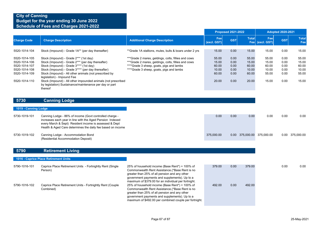|                                                                                                    |                                                                                                                                                                                                                                                                                                                                                                                                                             |                                                                                                                                                                                                                                                                                                                      |                                                    | <b>Proposed 2021-2022</b>                    |                                                    |                                                    | <b>Adopted 2020-2021</b>                     |                                                    |
|----------------------------------------------------------------------------------------------------|-----------------------------------------------------------------------------------------------------------------------------------------------------------------------------------------------------------------------------------------------------------------------------------------------------------------------------------------------------------------------------------------------------------------------------|----------------------------------------------------------------------------------------------------------------------------------------------------------------------------------------------------------------------------------------------------------------------------------------------------------------------|----------------------------------------------------|----------------------------------------------|----------------------------------------------------|----------------------------------------------------|----------------------------------------------|----------------------------------------------------|
| <b>Charge Code</b>                                                                                 | <b>Charge Description</b>                                                                                                                                                                                                                                                                                                                                                                                                   | <b>Additional Charge Description</b>                                                                                                                                                                                                                                                                                 | Fee<br>(excl. GST)                                 | <b>GST</b>                                   | <b>Total</b>                                       | Fee<br>Fee (excl. GST)                             | <b>GST</b>                                   | <b>Total</b><br>Fee                                |
| 5520-1014-104                                                                                      | Stock (Impound) - Grade 1A** (per day thereafter)                                                                                                                                                                                                                                                                                                                                                                           | **Grade 1A stallions, mules, bulls & boars under 2 yrs                                                                                                                                                                                                                                                               | 15.00                                              | 0.00                                         | 15.00                                              | 15.00                                              | 0.00                                         | 15.00                                              |
| 5520-1014-105<br>5520-1014-106<br>5520-1014-107<br>5520-1014-108<br>5520-1014-109<br>5520-1014-110 | Stock (Impound) - Grade 2*** (1st day)<br>Stock (Impound) - Grade 2*** (per day thereafter)<br>Stock (Impound) - Grade 3**** (1st day)<br>Stock (Impound) - Grade 3**** (per day thereafter)<br>Stock (Impound) - All other animals (not prescribed by<br>legislation) - Impound Fee<br>Stock (Impound) - All other impounded animals (not prescribed<br>by legislation) Sustainance/maintenance per day or part<br>thereof | *** Grade 2 mares, geldings, colts, fillies and cows<br>*** Grade 2 mares, geldings, colts, fillies and cows<br>****Grade 3 sheep, goats, pigs and lambs<br>****Grade 3 sheep, goats, pigs and lambs                                                                                                                 | 55.00<br>15.00<br>60.00<br>10.00<br>60.00<br>20.00 | 0.00<br>0.00<br>0.00<br>0.00<br>0.00<br>0.00 | 55.00<br>15.00<br>60.00<br>10.00<br>60.00<br>20.00 | 55.00<br>15.00<br>60.00<br>10.00<br>55.00<br>15.00 | 0.00<br>0.00<br>0.00<br>0.00<br>0.00<br>0.00 | 55.00<br>15.00<br>60.00<br>10.00<br>55.00<br>15.00 |
| 5730                                                                                               | <b>Canning Lodge</b>                                                                                                                                                                                                                                                                                                                                                                                                        |                                                                                                                                                                                                                                                                                                                      |                                                    |                                              |                                                    |                                                    |                                              |                                                    |
| 1019 - Canning Lodge                                                                               |                                                                                                                                                                                                                                                                                                                                                                                                                             |                                                                                                                                                                                                                                                                                                                      |                                                    |                                              |                                                    |                                                    |                                              |                                                    |
| 5730-1019-101                                                                                      | Canning Lodge - 86% of income (Govt controlled charge -<br>increases each year in line with the Aged Pension Indexed<br>every March & Sept) Resident income is assessed & Dept<br>Health & Aged Care determines the daily fee based on income                                                                                                                                                                               |                                                                                                                                                                                                                                                                                                                      | 0.00                                               | 0.00                                         | 0.00                                               | 0.00                                               | 0.00                                         | 0.00                                               |
| 5730-1019-102                                                                                      | Canning Lodge - Accommodation Bond<br>(Residential Accommodation Deposit)                                                                                                                                                                                                                                                                                                                                                   |                                                                                                                                                                                                                                                                                                                      | 375,000.00                                         |                                              |                                                    | 0.00 375,000.00 375,000.00                         |                                              | 0.00 375,000.00                                    |
| 5790                                                                                               | <b>Retirement Living</b>                                                                                                                                                                                                                                                                                                                                                                                                    |                                                                                                                                                                                                                                                                                                                      |                                                    |                                              |                                                    |                                                    |                                              |                                                    |
|                                                                                                    | 1016 - Caprice Place Retirement Units                                                                                                                                                                                                                                                                                                                                                                                       |                                                                                                                                                                                                                                                                                                                      |                                                    |                                              |                                                    |                                                    |                                              |                                                    |
| 5790-1016-101                                                                                      | Caprice Place Retirement Units - Fortnightly Rent (Single<br>Person)                                                                                                                                                                                                                                                                                                                                                        | 25% of household income (Base Rent*) + 100% of<br>Commonwealth Rent Assistance. (*Base Rent is no<br>greater than 25% of all pension and any other<br>government payments and supplements). Up to a                                                                                                                  | 379.00                                             | 0.00                                         | 379.00                                             |                                                    | 0.00                                         | 0.00                                               |
| 5790-1016-102                                                                                      | Caprice Place Retirement Units - Fortnightly Rent (Couple<br>Combined)                                                                                                                                                                                                                                                                                                                                                      | maximum of \$379.00 for an individual per fortnight.<br>25% of household income (Base Rent*) + 100% of<br>Commonwealth Rent Assistance.(*Base Rent is no<br>greater than 25% of all pension and any other<br>government payments and supplements). Up to a<br>maximum of \$492.00 per combined couple per fortnight. | 492.00                                             | 0.00                                         | 492.00                                             |                                                    |                                              |                                                    |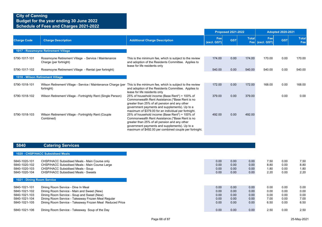|                                  |                                                                                |                                                                                                                                                                                                                                                               | <b>Proposed 2021-2022</b> |            |              |                        | <b>Adopted 2020-2021</b> |                     |  |
|----------------------------------|--------------------------------------------------------------------------------|---------------------------------------------------------------------------------------------------------------------------------------------------------------------------------------------------------------------------------------------------------------|---------------------------|------------|--------------|------------------------|--------------------------|---------------------|--|
| <b>Charge Code</b>               | <b>Charge Description</b>                                                      | <b>Additional Charge Description</b>                                                                                                                                                                                                                          | Fee<br>(excl. GST)        | <b>GST</b> | <b>Total</b> | Fee<br>Fee (excl. GST) | <b>GST</b>               | <b>Total</b><br>Fee |  |
|                                  | 1017 - Rossmoyne Retirement Village                                            |                                                                                                                                                                                                                                                               |                           |            |              |                        |                          |                     |  |
| 5790-1017-101                    | Rossmoyne Retirement Village - Service / Maintenance<br>Charge (per fortnight) | This is the minimum fee, which is subject to the review<br>and adoption of the Residents Committee. Applies to<br>lease for life residents only                                                                                                               | 174.00                    | 0.00       | 174.00       | 170.00                 | 0.00                     | 170.00              |  |
| 5790-1017-102                    | Rossmoyne Retirement Village - Rental (per fortnight)                          |                                                                                                                                                                                                                                                               | 540.00                    | 0.00       | 540.00       | 540.00                 | 0.00                     | 540.00              |  |
| 1018 - Wilson Retirement Village |                                                                                |                                                                                                                                                                                                                                                               |                           |            |              |                        |                          |                     |  |
| 5790-1018-101                    | Wilson Retirement Village - Service / Maintenance Charge (per<br>fortnight)    | This is the minimum fee, which is subject to the review<br>and adoption of the Residents Committee. Applies to<br>lease for life residents only                                                                                                               | 172.00                    | 0.00       | 172.00       | 168.00                 | 0.00                     | 168.00              |  |
| 5790-1018-102                    | Wilson Retirement Village - Fortnightly Rent (Single Person)                   | 25% of household income (Base Rent*) + 100% of<br>Commonwealth Rent Assistance (*Base Rent is no<br>greater than 25% of all pension and any other<br>government payments and supplements). Up to a<br>maximum of \$379.00 for an individual per fortnight.    | 379.00                    | 0.00       | 379.00       |                        | 0.00                     | 0.00                |  |
| 5790-1018-103                    | Wilson Retirement Village - Fortnightly Rent (Couple<br>Combined)              | 25% of household income (Base Rent*) + 100% of<br>Commonwealth Rent Assistance. (*Base Rent is no<br>greater than 25% of all pension and any other<br>government payments and supplements). Up to a<br>maximum of \$492.00 per combined couple per fortnight. | 492.00                    | 0.00       | 492.00       |                        |                          |                     |  |

### **5840 Catering Services**

|                            | 1020 - CHSP/HACC Subsidised Meals                        |      |      |      |      |      |
|----------------------------|----------------------------------------------------------|------|------|------|------|------|
| 5840-1020-101              | CHSP/HACC Subsidised Meals - Main Course only            | 0.00 | 0.00 | 0.00 | 7.50 |      |
| 5840-1020-102              | CHSP/HACC Subsidised Meals - Main Course Large           | 0.00 | 0.00 | 0.00 | 8.80 |      |
| 5840-1020-103              | CHSP/HACC Subsidised Meals - Soup                        | 0.00 | 0.00 | 0.00 | 1.80 |      |
| 5840-1020-104              | <b>CHSP/HACC Subsidised Meals - Sweets</b>               | 0.00 | 0.00 | 0.00 | 2.20 |      |
| 1021 - Dining Room Service |                                                          |      |      |      |      |      |
| 5840-1021-101              | Dining Room Service - Dine In Meal                       | 0.00 | 0.00 | 0.00 | 0.00 | 0.00 |
| 5840-1021-102              | Dining Room Service - Main and Sweet (New)               | 0.00 | 0.00 | 0.00 | 0.00 | 0.00 |
| 5840-1021-103              | Dining Room Service - Soup and Sweet (New)               | 0.00 | 0.00 | 0.00 | 0.00 | 0.00 |
| 5840-1021-104              | Dining Room Service - Takeaway Frozen Meal Regular       | 0.00 | 0.00 | 0.00 | 7.00 | 0.00 |
| 5840-1021-105              | Dining Room Service - Takeaway Frozen Meal Reduced Price | 0.00 | 0.00 | 0.00 | 6.50 | 0.00 |
| 5840-1021-106              | Dining Room Service - Takeaway Soup of the Day           | 0.00 | 0.00 | 0.00 | 2.50 | 0.00 |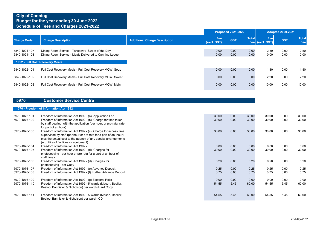|                                 |                                                                                                           |                                      |                    | <b>Proposed 2021-2022</b> |              |                        | <b>Adopted 2020-2021</b> |              |
|---------------------------------|-----------------------------------------------------------------------------------------------------------|--------------------------------------|--------------------|---------------------------|--------------|------------------------|--------------------------|--------------|
| <b>Charge Code</b>              | <b>Charge Description</b>                                                                                 | <b>Additional Charge Description</b> | Fee<br>(excl. GST) | <b>GST</b>                | <b>Total</b> | Fee<br>Fee (excl. GST) | <b>GST</b>               | Total<br>Fee |
| 5840-1021-107<br>5840-1021-108  | Dining Room Service - Takeaway Sweet of the Day<br>Dining Room Service - Meals Delivered to Canning Lodge |                                      | 0.00<br>0.00       | 0.00<br>0.00              | 0.00<br>0.00 | 2.50<br>0.00           | 0.00<br>0.00             | 2.50<br>0.00 |
| 1022 - Full Cost Recovery Meals |                                                                                                           |                                      |                    |                           |              |                        |                          |              |
| 5840-1022-101                   | Full Cost Recovery Meals - Full Cost Recovery MOW Soup                                                    |                                      | 0.00               | 0.00                      | 0.00         | 1.80                   | 0.00                     | 1.80         |
| 5840-1022-102                   | Full Cost Recovery Meals - Full Cost Recovery MOW Sweet                                                   |                                      | 0.00               | 0.00                      | 0.00         | 2.20                   | 0.00                     | 2.20         |
| 5840-1022-103                   | Full Cost Recovery Meals - Full Cost Recovery MOW Main                                                    |                                      | 0.00               | 0.00                      | 0.00         | 10.00                  | 0.00                     | 10.00        |

#### **5970 Customer Service Centre**

#### **1076 - Freedom of Information Act 1992**

| 5970-1076-101<br>5970-1076-102 | Freedom of Information Act 1992 - (a) Application Fee<br>Freedom of Information Act 1992 - (b) Charge for time taken<br>by staff dealing with the application (per hour, or pro rata rate<br>for part of an hour)                            | 30.00<br>30.00 | 0.00<br>0.00 | 30.00<br>30.00 | 30.00<br>30.00 | 0.00<br>0.00 | 30.00<br>30.00 |
|--------------------------------|----------------------------------------------------------------------------------------------------------------------------------------------------------------------------------------------------------------------------------------------|----------------|--------------|----------------|----------------|--------------|----------------|
| 5970-1076-103                  | Freedom of Information Act 1992 - (c) Charge for access time<br>supervised by staff (per hour or pro rata for a part of an hour)<br>plus the actual cost to the agency of any special arrangements<br>(e.g. Hire of facilities or equipment) | 30.00          | 0.00         | 30.00          | 30.00          | 0.00         | 30.00          |
| 5970-1076-104                  | Freedom of Information Act 1992 -                                                                                                                                                                                                            | 0.00           | 0.00         | 0.00           | 0.00           | 0.00         | 0.00           |
| 5970-1076-105                  | Freedom of Information Act 1992 - (d) Charges for                                                                                                                                                                                            | 30.00          | 0.00         | 30.00          | 30.00          | 0.00         | 30.00          |
|                                | photocopying - per hour or pro rata for a part of an hour of<br>staff time -                                                                                                                                                                 |                |              |                |                |              |                |
| 5970-1076-106                  | Freedom of Information Act 1992 - (d) Charges for<br>photocopying - per Copy                                                                                                                                                                 | 0.20           | 0.00         | 0.20           | 0.20           | 0.00         | 0.20           |
| 5970-1076-107                  | Freedom of Information Act 1992 - (e) Advance Deposit                                                                                                                                                                                        | 0.25           | 0.00         | 0.25           | 0.25           | 0.00         | 0.25           |
| 5970-1076-108                  | Freedom of Information Act 1992 - (f) Further Advance Deposit                                                                                                                                                                                | 0.75           | 0.00         | 0.75           | 0.75           | 0.00         | 0.75           |
| 5970-1076-109                  | Freedom of Information Act 1992 - (g) Electoral Rolls                                                                                                                                                                                        | 0.00           | 0.00         | 0.00           | 0.00           | 0.00         | 0.00           |
| 5970-1076-110                  | Freedom of Information Act 1992 - 5 Wards (Mason, Beeliar,                                                                                                                                                                                   | 54.55          | 5.45         | 60.00          | 54.55          | 5.45         | 60.00          |
|                                | Beeloo, Bannister & Nicholson) per ward - Hard Copy                                                                                                                                                                                          |                |              |                |                |              |                |
| 5970-1076-111                  | Freedom of Information Act 1992 - 5 Wards (Mason, Beeliar,<br>Beeloo, Bannister & Nicholson) per ward - CD                                                                                                                                   | 54.55          | 5.45         | 60.00          | 54.55          | 5.45         | 60.00          |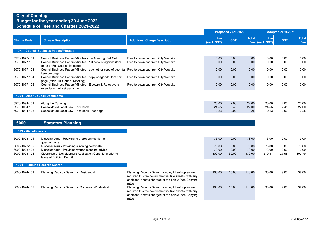| <b>Charge Code</b>                              | <b>Charge Description</b>                                                                                                                                                                   | <b>Additional Charge Description</b>                                                                                                                                          | <b>Proposed 2021-2022</b> |                       |                          | <b>Adopted 2020-2021</b> |                       |                          |
|-------------------------------------------------|---------------------------------------------------------------------------------------------------------------------------------------------------------------------------------------------|-------------------------------------------------------------------------------------------------------------------------------------------------------------------------------|---------------------------|-----------------------|--------------------------|--------------------------|-----------------------|--------------------------|
|                                                 |                                                                                                                                                                                             |                                                                                                                                                                               | Fee<br>(excl. GST)        | <b>GST</b>            | <b>Total</b>             | Fee<br>Fee (excl. GST)   | <b>GST</b>            | <b>Total</b><br>Fee      |
|                                                 | 1077 - Council Business Papers/Minutes                                                                                                                                                      |                                                                                                                                                                               |                           |                       |                          |                          |                       |                          |
| 5970-1077-101<br>5970-1077-102                  | Council Business Papers/Minutes - per Meeting Full Set<br>Council Business Papers/Minutes - 1st copy of agenda item                                                                         | Free to download from City Website<br>Free to download from City Website                                                                                                      | 0.00<br>0.00              | 0.00<br>0.00          | 0.00<br>0.00             | 0.00<br>0.00             | 0.00<br>0.00          | 0.00<br>0.00             |
| 5970-1077-103                                   | (prior to Full Council Meeting)<br>Council Business Papers/Minutes - each other copy of agenda Free to download from City Website<br>item per page                                          |                                                                                                                                                                               | 0.00                      | 0.00                  | 0.00                     | 0.00                     | 0.00                  | 0.00                     |
| 5970-1077-104                                   | Council Business Papers/Minutes - copy of agenda item per<br>page (after Full Council Meeting)                                                                                              | Free to download from City Website                                                                                                                                            | 0.00                      | 0.00                  | 0.00                     | 0.00                     | 0.00                  | 0.00                     |
| 5970-1077-105                                   | Council Business Papers/Minutes - Electors & Ratepayers<br>Association full set per annum                                                                                                   | Free to download from City Website                                                                                                                                            | 0.00                      | 0.00                  | 0.00                     | 0.00                     | 0.00                  | 0.00                     |
|                                                 | <b>1094 - Other Council Documents</b>                                                                                                                                                       |                                                                                                                                                                               |                           |                       |                          |                          |                       |                          |
| 5970-1094-101<br>5970-1094-102<br>5970-1094-103 | Along the Canning<br>Consolidated Local Law - per Book<br>Consolidated Local Law - per Book - per page                                                                                      |                                                                                                                                                                               | 20.00<br>24.55<br>0.23    | 2.00<br>2.45<br>0.02  | 22.00<br>27.00<br>0.25   | 20.00<br>24.55<br>0.23   | 2.00<br>2.45<br>0.02  | 22.00<br>27.00<br>0.25   |
| 6000                                            | <b>Statutory Planning</b>                                                                                                                                                                   |                                                                                                                                                                               |                           |                       |                          |                          |                       |                          |
| 1023 - Miscellaneous                            |                                                                                                                                                                                             |                                                                                                                                                                               |                           |                       |                          |                          |                       |                          |
| 6000-1023-101                                   | Miscellaneous - Replying to a property settlement<br>questionnaire                                                                                                                          |                                                                                                                                                                               | 73.00                     | 0.00                  | 73.00                    | 73.00                    | 0.00                  | 73.00                    |
| 6000-1023-102<br>6000-1023-103<br>6000-1023-104 | Miscellaneous - Providing a zoning certificate<br>Miscellaneous - Providing written planning advice<br>Clearance of Development Application Conditions prior to<br>Issue of Building Permit |                                                                                                                                                                               | 73.00<br>73.00<br>300.00  | 0.00<br>0.00<br>30.00 | 73.00<br>73.00<br>330.00 | 73.00<br>73.00<br>279.81 | 0.00<br>0.00<br>27.98 | 73.00<br>73.00<br>307.79 |
|                                                 | 1024 - Planning Records Search                                                                                                                                                              |                                                                                                                                                                               |                           |                       |                          |                          |                       |                          |
| 6000-1024-101                                   | Planning Records Search - Residential                                                                                                                                                       | Planning Records Search - note, if hardcopies are<br>required this fee covers the first five sheets, with any<br>additional sheets charged at the below Plan Copying<br>rates | 100.00                    | 10.00                 | 110.00                   | 90.00                    | 9.00                  | 99.00                    |
| 6000-1024-102                                   | Planning Records Search - Commercial/Industrial                                                                                                                                             | Planning Records Search - note, if hardcopies are<br>required this fee covers the first five sheets, with any<br>additional sheets charged at the below Plan Copying<br>rates | 100.00                    | 10.00                 | 110.00                   | 90.00                    | 9.00                  | 99.00                    |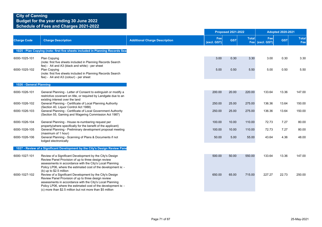|                         |                                                                                                                                                                                                                                                                                                            |                                      | <b>Proposed 2021-2022</b> |            | <b>Adopted 2020-2021</b> |                        |            |                     |
|-------------------------|------------------------------------------------------------------------------------------------------------------------------------------------------------------------------------------------------------------------------------------------------------------------------------------------------------|--------------------------------------|---------------------------|------------|--------------------------|------------------------|------------|---------------------|
| <b>Charge Code</b>      | <b>Charge Description</b>                                                                                                                                                                                                                                                                                  | <b>Additional Charge Description</b> | Fee<br>(excl. GST)        | <b>GST</b> | <b>Total</b>             | Fee<br>Fee (excl. GST) | <b>GST</b> | <b>Total</b><br>Fee |
|                         | 1025 - Plan Copying (note: first five sheets included in Planning Records Sea                                                                                                                                                                                                                              |                                      |                           |            |                          |                        |            |                     |
| 6000-1025-101           | Plan Copying<br>(note: first five sheets included in Planning Records Search<br>fee) - A4 and A3 (black and white) - per sheet                                                                                                                                                                             |                                      | 3.00                      | 0.30       | 3.30                     | 3.00                   | 0.30       | 3.30                |
| 6000-1025-102           | <b>Plan Copying</b><br>(note: first five sheets included in Planning Records Search<br>fee) - A4 and A3 (colour) - per sheet                                                                                                                                                                               |                                      | 5.00                      | 0.50       | 5.50                     | 5.00                   | 0.50       | 5.50                |
| 1026 - General Planning |                                                                                                                                                                                                                                                                                                            |                                      |                           |            |                          |                        |            |                     |
| 6000-1026-101           | General Planning - Letter of Consent to extinguish or modify a<br>restrictive covenant on title, or required by Landgate due to an<br>existing interest over the land                                                                                                                                      |                                      | 200.00                    | 20.00      | 220.00                   | 133.64                 | 13.36      | 147.00              |
| 6000-1026-102           | General Planning - Certificate of Local Planning Authority<br>(Section 40, Liquor Control Act 1988)                                                                                                                                                                                                        |                                      | 250.00                    | 25.00      | 275.00                   | 136.36                 | 13.64      | 150.00              |
| 6000-1026-103           | General Planning - Certificate of Local Government Authority<br>(Section 55, Gaming and Wagering Commission Act 1987)                                                                                                                                                                                      |                                      | 250.00                    | 25.00      | 275.00                   | 136.36                 | 13.64      | 150.00              |
| 6000-1026-104           | General Planning - House re-numbering request per<br>property(where specifically for the benefit of the applicant)                                                                                                                                                                                         |                                      | 100.00                    | 10.00      | 110.00                   | 72.73                  | 7.27       | 80.00               |
| 6000-1026-105           | General Planning - Preliminary development proposal meeting<br>(maximum of 1 hour)                                                                                                                                                                                                                         |                                      | 100.00                    | 10.00      | 110.00                   | 72.73                  | 7.27       | 80.00               |
| 6000-1026-106           | General Planning - Scanning of Plans & Documents if not<br>lodged electronically                                                                                                                                                                                                                           |                                      | 50.00                     | 5.00       | 55.00                    | 43.64                  | 4.36       | 48.00               |
|                         | 1027 - Review of a Significant Development by the City's Design Review Pane                                                                                                                                                                                                                                |                                      |                           |            |                          |                        |            |                     |
| 6000-1027-101           | Review of a Significant Development by the City's Design<br>Review Panel Provision of up to three design review<br>assessments in accordance with the City's Local Planning<br>Policy LP06, where the estimated cost of the development is: -<br>(b) up to \$2.5 million                                   |                                      | 500.00                    | 50.00      | 550.00                   | 133.64                 | 13.36      | 147.00              |
| 6000-1027-102           | Review of a Significant Development by the City's Design<br>Review Panel Provision of up to three design review<br>assessments in accordance with the City's Local Planning<br>Policy LP06, where the estimated cost of the development is: -<br>(c) more than \$2.5 million but not more than \$5 million |                                      | 650.00                    | 65.00      | 715.00                   | 227.27                 | 22.73      | 250.00              |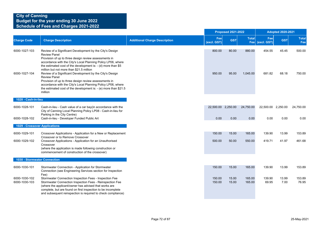|                                |                                                                                                                                                                                                                                                                                                                                                                                                                                                                                                                                                                                                                      |                                      |                    | <b>Proposed 2021-2022</b> |                     |                    | <b>Adopted 2020-2021</b> |                     |
|--------------------------------|----------------------------------------------------------------------------------------------------------------------------------------------------------------------------------------------------------------------------------------------------------------------------------------------------------------------------------------------------------------------------------------------------------------------------------------------------------------------------------------------------------------------------------------------------------------------------------------------------------------------|--------------------------------------|--------------------|---------------------------|---------------------|--------------------|--------------------------|---------------------|
| <b>Charge Code</b>             | <b>Charge Description</b>                                                                                                                                                                                                                                                                                                                                                                                                                                                                                                                                                                                            | <b>Additional Charge Description</b> | Fee<br>(excl. GST) | <b>GST</b>                | <b>Total</b><br>Fee | Fee<br>(excl. GST) | <b>GST</b>               | <b>Total</b><br>Fee |
| 6000-1027-103<br>6000-1027-104 | Review of a Significant Development by the City's Design<br><b>Review Panel</b><br>Provision of up to three design review assessments in<br>accordance with the City's Local Planning Policy LP06, where<br>the estimated cost of the development is: $-$ (d) more than \$5<br>million but not more than \$21.5 million<br>Review of a Significant Development by the City's Design<br><b>Review Panel</b><br>Provision of up to three design review assessments in<br>accordance with the City's Local Planning Policy LP06, where<br>the estimated cost of the development is: $-$ (e) more than \$21.5<br>million |                                      | 800.00<br>950.00   | 80.00<br>95.00            | 880.00<br>1,045.00  | 454.55<br>681.82   | 45.45<br>68.18           | 500.00<br>750.00    |
| 1028 - Cash-in-lieu            |                                                                                                                                                                                                                                                                                                                                                                                                                                                                                                                                                                                                                      |                                      |                    |                           |                     |                    |                          |                     |
| 6000-1028-101                  | Cash-in-lieu - Cash value of a car bay(in accordance with the<br>City of Canning Local Planning Policy LP08 - Cash-in-lieu for<br>Parking in the City Centre)                                                                                                                                                                                                                                                                                                                                                                                                                                                        |                                      | 22,500.00 2,250.00 |                           | 24,750.00           | 22,500.00 2,250.00 |                          | 24,750.00           |
| 6000-1028-102                  | Cash-in-lieu - Developer Funded Public Art                                                                                                                                                                                                                                                                                                                                                                                                                                                                                                                                                                           |                                      | 0.00               | 0.00                      | 0.00                | 0.00               | 0.00                     | 0.00                |
| 1029 - Crossover Applications  |                                                                                                                                                                                                                                                                                                                                                                                                                                                                                                                                                                                                                      |                                      |                    |                           |                     |                    |                          |                     |
| 6000-1029-101                  | Crossover Applications - Application for a New or Replacement<br>Crossover or to Remove Crossover                                                                                                                                                                                                                                                                                                                                                                                                                                                                                                                    |                                      | 150.00             | 15.00                     | 165.00              | 139.90             | 13.99                    | 153.89              |
| 6000-1029-102                  | Crossover Applications - Application for an Unauthorised<br>Crossover<br>(where the application is made following construction or<br>commencement of construction of the crossover)                                                                                                                                                                                                                                                                                                                                                                                                                                  |                                      | 500.00             | 50.00                     | 550.00              | 419.71             | 41.97                    | 461.68              |
| 1030 - Stormwater Connection   |                                                                                                                                                                                                                                                                                                                                                                                                                                                                                                                                                                                                                      |                                      |                    |                           |                     |                    |                          |                     |
| 6000-1030-101                  | Stormwater Connection - Application for Stormwater<br>Connection (see Engineering Services section for Inspection<br>Fee)                                                                                                                                                                                                                                                                                                                                                                                                                                                                                            |                                      | 150.00             | 15.00                     | 165.00              | 139.90             | 13.99                    | 153.89              |
| 6000-1030-102<br>6000-1030-103 | Stormwater Connection Inspection Fees - Inspection Fee<br>Stormwater Connection Inspection Fees - Reinspection Fee<br>(where the applicant/owner has advised that works are<br>complete, but are found on first inspection to be incomplete<br>and subsequent reinspection is required to check compliance)                                                                                                                                                                                                                                                                                                          |                                      | 150.00<br>150.00   | 15.00<br>15.00            | 165.00<br>165.00    | 139.90<br>69.95    | 13.99<br>7.00            | 153.89<br>76.95     |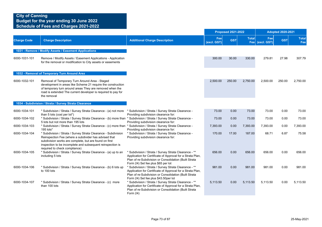|                    |                                                                                                                                                                                                                                                                                  |                                                                                                                                                                                                                      |                    | <b>Proposed 2021-2022</b> |              |                        | <b>Adopted 2020-2021</b> |                     |
|--------------------|----------------------------------------------------------------------------------------------------------------------------------------------------------------------------------------------------------------------------------------------------------------------------------|----------------------------------------------------------------------------------------------------------------------------------------------------------------------------------------------------------------------|--------------------|---------------------------|--------------|------------------------|--------------------------|---------------------|
| <b>Charge Code</b> | <b>Charge Description</b>                                                                                                                                                                                                                                                        | <b>Additional Charge Description</b>                                                                                                                                                                                 | Fee<br>(excl. GST) | <b>GST</b>                | <b>Total</b> | Fee<br>Fee (excl. GST) | <b>GST</b>               | <b>Total</b><br>Fee |
|                    | 1031 - Remove / Modify Assets / Easement Applications                                                                                                                                                                                                                            |                                                                                                                                                                                                                      |                    |                           |              |                        |                          |                     |
| 6000-1031-101      | Remove / Modify Assets / Easement Applications - Application<br>for the removal or modification to City assets or easements                                                                                                                                                      |                                                                                                                                                                                                                      | 300.00             | 30.00                     | 330.00       | 279.81                 | 27.98                    | 307.79              |
|                    | 1032 - Removal of Temporary Turn Around Area                                                                                                                                                                                                                                     |                                                                                                                                                                                                                      |                    |                           |              |                        |                          |                     |
| 6000-1032-101      | Removal of Temporary Turn Around Area - Staged<br>development in areas like Scheme 21 require the construction<br>of temporary turn around areas They are removed when the<br>road is extended The current developer is required to pay for<br>the removal                       |                                                                                                                                                                                                                      | 2,500.00           | 250.00                    | 2,750.00     | 2,500.00               | 250.00                   | 2,750.00            |
|                    | 1034 - Subdivision / Strata / Survey Strata Clearance                                                                                                                                                                                                                            |                                                                                                                                                                                                                      |                    |                           |              |                        |                          |                     |
| 6000-1034-101      | * Subdivision / Strata / Survey Strata Clearance - (a) not more<br>than 5 lots (cost per lot*)                                                                                                                                                                                   | * Subdivision / Strata / Survey Strata Clearance -<br>Providing subdivision clearance for:                                                                                                                           | 73.00              | 0.00                      | 73.00        | 73.00                  | 0.00                     | 73.00               |
| 6000-1034-102      | * Subdivision / Strata / Survey Strata Clearance - (b) more than * Subdivision / Strata / Survey Strata Clearance -<br>5 lots but not more than 195 lots                                                                                                                         | Providing subdivision clearance for:                                                                                                                                                                                 | 73.00              | 0.00                      | 73.00        | 73.00                  | 0.00                     | 73.00               |
| 6000-1034-103      | * Subdivision / Strata / Survey Strata Clearance - (c) more than * Subdivision / Strata / Survey Strata Clearance -<br>195 lots*                                                                                                                                                 | Providing subdivision clearance for:                                                                                                                                                                                 | 7,393.00           | 0.00                      | 7,393.00     | 7,393.00               | 0.00                     | 7,393.00            |
| 6000-1034-104      | * Subdivision / Strata / Survey Strata Clearance - Subdivision<br>Reinspection Fee (where a subdivider has advised that<br>subdivision works are complete, but are found on first<br>inspection to be incomplete and subsequent reinspection is<br>required to check compliance) | * Subdivision / Strata / Survey Strata Clearance -<br>Providing subdivision clearance for:                                                                                                                           | 170.00             | 17.00                     | 187.00       | 68.71                  | 6.87                     | 75.58               |
| 6000-1034-105      | * Subdivision / Strata / Survey Strata Clearance - (a) up to an<br>including 5 lots                                                                                                                                                                                              | * Subdivision / Strata / Survey Strata Clearance - **<br>Application for Certificate of Approval for a Strata Plan,<br>Plan of re-Subdivision or Consolidation (Built Strata<br>Form 24) Set fee plus \$65 per lot   | 656.00             | 0.00                      | 656.00       | 656.00                 | 0.00                     | 656.00              |
| 6000-1034-106      | * Subdivision / Strata / Survey Strata Clearance - (b) 6 lots up<br>to 100 lots                                                                                                                                                                                                  | * Subdivision / Strata / Survey Strata Clearance - **<br>Application for Certificate of Approval for a Strata Plan,<br>Plan of re-Subdivision or Consolidation (Built Strata<br>Form 24) Set fee plus \$43.50per lot | 981.00             | 0.00                      | 981.00       | 981.00                 | 0.00                     | 981.00              |
| 6000-1034-107      | * Subdivision / Strata / Survey Strata Clearance - (c) more<br>than 100 lots                                                                                                                                                                                                     | * Subdivision / Strata / Survey Strata Clearance - **<br>Application for Certificate of Approval for a Strata Plan,<br>Plan of re-Subdivision or Consolidation (Built Strata<br>Form 24)                             | 5,113.50           | 0.00                      | 5,113.50     | 5,113.50               | 0.00                     | 5,113.50            |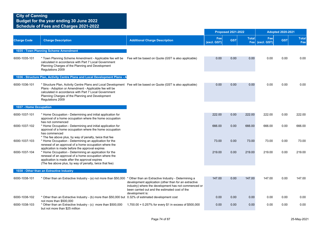|                        |                                                                                                                                                                                                                                                                                                              |                                                                                                                                                                                    | <b>Proposed 2021-2022</b> |            |              | <b>Adopted 2020-2021</b> |            |                     |  |
|------------------------|--------------------------------------------------------------------------------------------------------------------------------------------------------------------------------------------------------------------------------------------------------------------------------------------------------------|------------------------------------------------------------------------------------------------------------------------------------------------------------------------------------|---------------------------|------------|--------------|--------------------------|------------|---------------------|--|
| <b>Charge Code</b>     | <b>Charge Description</b>                                                                                                                                                                                                                                                                                    | <b>Additional Charge Description</b>                                                                                                                                               | Fee<br>(excl. GST)        | <b>GST</b> | <b>Total</b> | Fee<br>Fee (excl. GST)   | <b>GST</b> | <b>Total</b><br>Fee |  |
|                        | 1035 - Town Planning Scheme Amendment                                                                                                                                                                                                                                                                        |                                                                                                                                                                                    |                           |            |              |                          |            |                     |  |
| 6000-1035-101          | * Town Planning Scheme Amendment - Applicable fee will be<br>calculated in accordance with Part 7 Local Government<br>Planning Charges of the Planning and Development<br>Regulations 2009                                                                                                                   | Fee will be based on Quote (GST is also applicable)                                                                                                                                | 0.00                      | 0.00       | 0.00         | 0.00                     | 0.00       | 0.00                |  |
|                        | 1036 - Structure Plan, Activity Centre Plans and Local Development Plans - A                                                                                                                                                                                                                                 |                                                                                                                                                                                    |                           |            |              |                          |            |                     |  |
| 6000-1036-101          | * Structure Plan, Activity Centre Plans and Local Development Fee will be based on Quote (GST is also applicable)<br>Plans - Adoption or Amendment - Applicable fee will be<br>calculated in accordance with Part 7 Local Government<br>Planning Charges of the Planning and Development<br>Regulations 2009 |                                                                                                                                                                                    | 0.00                      | 0.00       | 0.00         | 0.00                     | 0.00       | 0.00                |  |
| 1037 - Home Occupation |                                                                                                                                                                                                                                                                                                              |                                                                                                                                                                                    |                           |            |              |                          |            |                     |  |
| 6000-1037-101          | * Home Occupation - Determining and initial application for<br>approval of a home occupation where the home occupation<br>has not commenced                                                                                                                                                                  |                                                                                                                                                                                    | 222.00                    | 0.00       | 222.00       | 222.00                   | 0.00       | 222.00              |  |
| 6000-1037-102          | * Home Occupation - Determining and initial application for<br>approval of a home occupation where the home occupation<br>has commenced<br>* The fee above plus, by way of penalty, twice that fee                                                                                                           |                                                                                                                                                                                    | 666.00                    | 0.00       | 666.00       | 666.00                   | 0.00       | 666.00              |  |
| 6000-1037-103          | * Home Occupation - Determining an application for the<br>renewal of an approval of a home occupation where the<br>application is made before the approval expires                                                                                                                                           |                                                                                                                                                                                    | 73.00                     | 0.00       | 73.00        | 73.00                    | 0.00       | 73.00               |  |
| 6000-1037-104          | * Home Occupation - Determining an application for the<br>renewal of an approval of a home occupation where the<br>application is made after the approval expires<br>(The fee above plus, by way of penalty, twice that fee)                                                                                 |                                                                                                                                                                                    | 219.00                    | 0.00       | 219.00       | 219.00                   | 0.00       | 219.00              |  |
|                        | 1038 - Other than an Extractive Industry                                                                                                                                                                                                                                                                     |                                                                                                                                                                                    |                           |            |              |                          |            |                     |  |
| 6000-1038-101          | * Other than an Extractive Industry - (a) not more than \$50,000 * Other than an Extractive Industry - Determining a                                                                                                                                                                                         | development application (other than for an extractive<br>industry) where the development has not commenced or<br>been carried out and the estimated cost of the<br>development is: | 147.00                    | 0.00       | 147.00       | 147.00                   | 0.00       | 147.00              |  |
| 6000-1038-102          | * Other than an Extractive Industry - (b) more than \$50,000 but 0.32% of estimated development cost<br>not more than \$500,000                                                                                                                                                                              |                                                                                                                                                                                    | 0.00                      | 0.00       | 0.00         | 0.00                     | 0.00       | 0.00                |  |
| 6000-1038-103          | * Other than an Extractive Industry - (c) more than \$500,000<br>but not more than \$25 million                                                                                                                                                                                                              | 1,700.00 + 0.257% for every \$1 in excess of \$500,000                                                                                                                             | 0.00                      | 0.00       | 0.00         | 0.00                     | 0.00       | 0.00                |  |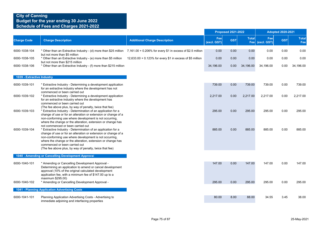|                            |                                                                                                                                                                                                                                                                                                                                                                                           |                                                           |                    | <b>Proposed 2021-2022</b> |                     |                    | <b>Adopted 2020-2021</b> |                     |
|----------------------------|-------------------------------------------------------------------------------------------------------------------------------------------------------------------------------------------------------------------------------------------------------------------------------------------------------------------------------------------------------------------------------------------|-----------------------------------------------------------|--------------------|---------------------------|---------------------|--------------------|--------------------------|---------------------|
| <b>Charge Code</b>         | <b>Charge Description</b>                                                                                                                                                                                                                                                                                                                                                                 | <b>Additional Charge Description</b>                      | Fee<br>(excl. GST) | <b>GST</b>                | <b>Total</b><br>Fee | Fee<br>(excl. GST) | <b>GST</b>               | <b>Total</b><br>Fee |
| 6000-1038-104              | * Other than an Extractive Industry - (d) more than \$25 million 7,161.00 + 0.206% for every \$1 in excess of \$2.5 million                                                                                                                                                                                                                                                               |                                                           | 0.00               | 0.00                      | 0.00                | 0.00               | 0.00                     | 0.00                |
| 6000-1038-105              | but not more than \$5 million<br>* Other than an Extractive Industry - (e) more than \$5 million                                                                                                                                                                                                                                                                                          | 12,633.00 + 0.123% for every \$1 in excess of \$5 million | 0.00               | 0.00                      | 0.00                | 0.00               | 0.00                     | 0.00                |
| 6000-1038-106              | but not more than \$215 million<br>* Other than an Extractive Industry - (f) more than \$215 million                                                                                                                                                                                                                                                                                      |                                                           | 34,196.00          | $0.00\,$                  | 34,196.00           | 34,196.00          | 0.00                     | 34,196.00           |
| 1039 - Extractive Industry |                                                                                                                                                                                                                                                                                                                                                                                           |                                                           |                    |                           |                     |                    |                          |                     |
| 6000-1039-101              | * Extractive Industry - Determining a development application<br>for an extractive industry where the development has not<br>commenced or been carried out                                                                                                                                                                                                                                |                                                           | 739.00             | 0.00                      | 739.00              | 739.00             | 0.00                     | 739.00              |
| 6000-1039-102              | * Extractive Industry - Determining a development application<br>for an extractive industry where the development has<br>commenced or been carried out                                                                                                                                                                                                                                    |                                                           | 2,217.00           | 0.00                      | 2,217.00            | 2,217.00           | 0.00                     | 2,217.00            |
| 6000-1039-103              | (The fee above plus, by way of penalty, twice that fee)<br>* Extractive Industry - Determination of an application for a<br>change of use or for an alteration or extension or change of a<br>non-conforming use where development is not occurring,<br>where the change or the alteration, extension or change has                                                                       |                                                           | 295.00             | 0.00                      | 295.00              | 295.00             | 0.00                     | 295.00              |
| 6000-1039-104              | not commenced or been carried out<br>* Extractive Industry - Determination of an application for a<br>change of use or for an alteration or extension or change of a<br>non-conforming use where development is not occurring,<br>where the change or the alteration, extension or change has<br>commenced or been carried out<br>(The fee above plus, by way of penalty, twice that fee) |                                                           | 885.00             | 0.00                      | 885.00              | 885.00             | 0.00                     | 885.00              |
|                            | 1040 - Amending or Cancelling Development Approval                                                                                                                                                                                                                                                                                                                                        |                                                           |                    |                           |                     |                    |                          |                     |
| 6000-1040-101              | * Amending or Cancelling Development Approval -<br>Determining an application to amend or cancel development<br>approval (10% of the original calculated development<br>application fee, with a minimum fee of \$147.00 up to a<br>maximum \$295.00)                                                                                                                                      |                                                           | 147.00             | 0.00                      | 147.00              | 147.00             | 0.00                     | 147.00              |
| 6000-1040-102              | * Amending or Cancelling Development Approval -                                                                                                                                                                                                                                                                                                                                           |                                                           | 295.00             | 0.00                      | 295.00              | 295.00             | 0.00                     | 295.00              |
|                            | 1041 - Planning Application Advertising Costs                                                                                                                                                                                                                                                                                                                                             |                                                           |                    |                           |                     |                    |                          |                     |
| 6000-1041-101              | Planning Application Advertising Costs - Advertising to<br>immediate adjoining and interfacing properties                                                                                                                                                                                                                                                                                 |                                                           | 80.00              | 8.00                      | 88.00               | 34.55              | 3.45                     | 38.00               |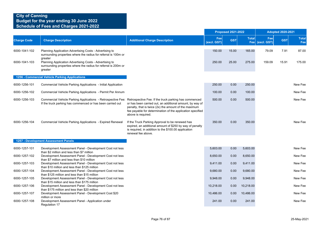|                    |                                                                                                                                                                                  |                                                                                                                                                                                                       |                    | <b>Proposed 2021-2022</b> |                     |                    | <b>Adopted 2020-2021</b> |                     |
|--------------------|----------------------------------------------------------------------------------------------------------------------------------------------------------------------------------|-------------------------------------------------------------------------------------------------------------------------------------------------------------------------------------------------------|--------------------|---------------------------|---------------------|--------------------|--------------------------|---------------------|
| <b>Charge Code</b> | <b>Charge Description</b>                                                                                                                                                        | <b>Additional Charge Description</b>                                                                                                                                                                  | Fee<br>(excl. GST) | <b>GST</b>                | <b>Total</b><br>Fee | Fee<br>(excl. GST) | <b>GST</b>               | <b>Total</b><br>Fee |
| 6000-1041-102      | Planning Application Advertising Costs - Advertising to<br>surrounding properties where the radius for referral is 100m or<br>greater                                            |                                                                                                                                                                                                       | 150.00             | 15.00                     | 165.00              | 79.09              | 7.91                     | 87.00               |
| 6000-1041-103      | Planning Application Advertising Costs - Advertising to<br>surrounding properties where the radius for referral is 200m or<br>greater                                            |                                                                                                                                                                                                       | 250.00             | 25.00                     | 275.00              | 159.09             | 15.91                    | 175.00              |
|                    | 1256 - Commercial Vehicle Parking Applications                                                                                                                                   |                                                                                                                                                                                                       |                    |                           |                     |                    |                          |                     |
| 6000-1256-101      | Commercial Vehicle Parking Applications - Initial Application                                                                                                                    |                                                                                                                                                                                                       | 250.00             | 0.00                      | 250.00              |                    |                          | New Fee             |
| 6000-1256-102      | Commercial Vehicle Parking Applications - Permit Per Annum                                                                                                                       |                                                                                                                                                                                                       | 100.00             | 0.00                      | 100.00              |                    |                          | New Fee             |
| 6000-1256-103      | Commercial Vehicle Parking Applications - Retrospective Fee: Retrospective Fee: If the truck parking has commenced<br>If the truck parking has commenced or has been carried out | or has been carried out, an additional amount, by way of<br>penalty, that is twice (2x) the amount of the maximum<br>fee payable for determination of the application specified<br>above is required. | 500.00             | 0.00                      | 500.00              |                    |                          | New Fee             |
| 6000-1256-104      | Commercial Vehicle Parking Applications - Expired Renewal                                                                                                                        | If the Truck Parking Approval to be renewed has<br>expired, an additional amount of \$250 by way of penalty<br>is required, in addition to the \$100.00 application<br>renewal fee above.             | 350.00             | 0.00                      | 350.00              |                    |                          | New Fee             |
|                    | 1257 - Development Assessment Panels                                                                                                                                             |                                                                                                                                                                                                       |                    |                           |                     |                    |                          |                     |
| 6000-1257-101      | Development Assessment Panel - Development Cost not less<br>than \$2 million and less than \$7 million                                                                           |                                                                                                                                                                                                       | 5,603.00           | 0.00                      | 5,603.00            |                    |                          | New Fee             |
| 6000-1257-102      | Development Assessment Panel - Development Cost not less<br>than \$7 million and less than \$10 million                                                                          |                                                                                                                                                                                                       | 8,650.00           | 0.00                      | 8,650.00            |                    |                          | New Fee             |
| 6000-1257-103      | Development Assessment Panel - Development Cost not less<br>than \$10 million and less than \$125 million                                                                        |                                                                                                                                                                                                       | 9,411.00           | 0.00                      | 9,411.00            |                    |                          | New Fee             |
| 6000-1257-104      | Development Assessment Panel - Development Cost not less<br>than \$125 million and less than \$15 million                                                                        |                                                                                                                                                                                                       | 9,680.00           | 0.00                      | 9,680.00            |                    |                          | New Fee             |
| 6000-1257-105      | Development Assessment Panel - Development Cost not less<br>than \$15 million and less than \$175 million                                                                        |                                                                                                                                                                                                       | 9,948.00           | 0.00                      | 9,948.00            |                    |                          | New Fee             |
| 6000-1257-106      | Development Assessment Panel - Development Cost not less<br>than \$175 million and less than \$20 million                                                                        |                                                                                                                                                                                                       | 10,218.00          | 0.00                      | 10,218.00           |                    |                          | New Fee             |
| 6000-1257-107      | Development Assessment Panel - Development Cost \$20<br>million or more                                                                                                          |                                                                                                                                                                                                       | 10,486.00          | 0.00                      | 10,486.00           |                    |                          | New Fee             |
| 6000-1257-108      | Development Assessment Panel - Application under<br>Regulation 17                                                                                                                |                                                                                                                                                                                                       | 241.00             | 0.00                      | 241.00              |                    |                          | New Fee             |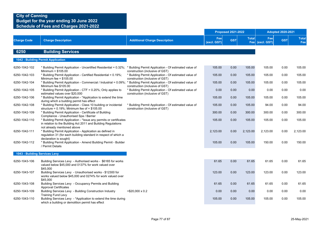|                               |                                                                                                                                                                     |                                                                                          |                    | <b>Proposed 2021-2022</b> |              |                        | <b>Adopted 2020-2021</b> |                     |
|-------------------------------|---------------------------------------------------------------------------------------------------------------------------------------------------------------------|------------------------------------------------------------------------------------------|--------------------|---------------------------|--------------|------------------------|--------------------------|---------------------|
| <b>Charge Code</b>            | <b>Charge Description</b>                                                                                                                                           | <b>Additional Charge Description</b>                                                     | Fee<br>(excl. GST) | <b>GST</b>                | <b>Total</b> | Fee<br>Fee (excl. GST) | <b>GST</b>               | <b>Total</b><br>Fee |
| 6250                          | <b>Building Services</b>                                                                                                                                            |                                                                                          |                    |                           |              |                        |                          |                     |
|                               | 1042 - Building Permit Application                                                                                                                                  |                                                                                          |                    |                           |              |                        |                          |                     |
| 6250-1042-102                 | * Building Permit Application - Uncertified Residential = 0.32%; * Building Permit Application - Of estimated value of<br>Minimum = $$105.00$                       | construction (inclusive of GST)                                                          | 105.00             | 0.00                      | 105.00       | 105.00                 | 0.00                     | 105.00              |
| 6250-1042-103                 | * Building Permit Application - Certified Residential = 0.19%;<br>Minimum fee = $$105.00$                                                                           | * Building Permit Application - Of estimated value of<br>construction (inclusive of GST) | 105.00             | 0.00                      | 105.00       | 105.00                 | 0.00                     | 105.00              |
| 6250-1042-104                 | * Building Permit Application - Commercial / Industrial = 0.09%; * Building Permit Application - Of estimated value of<br>Minimum fee \$105.00                      | construction (inclusive of GST)                                                          | 105.00             | 0.00                      | 105.00       | 105.00                 | 0.00                     | 105.00              |
| 6250-1042-105                 | * Building Permit Application - CTF = 0.20%; Only applies to<br>estimated values over \$20,000                                                                      | * Building Permit Application - Of estimated value of<br>construction (inclusive of GST) | 0.00               | 0.00                      | 0.00         | 0.00                   | 0.00                     | 0.00                |
| 6250-1042-106                 | * Building Permit Application - *Application to extend the time<br>during which a building permit has effect                                                        |                                                                                          | 105.00             | 0.00                      | 105.00       | 105.00                 | 0.00                     | 105.00              |
| 6250-1042-108                 | * Building Permit Application - Class 10 building or incidental<br>structure = $0.19\%$ ; Minimum fee of = \$105.00                                                 | * Building Permit Application - Of estimated value of<br>construction (inclusive of GST) | 105.00             | 0.00                      | 105.00       | 94.00                  | 0.00                     | 94.00               |
| 6250-1042-109                 | * Building Permit Application - Certificate of Building<br>Compliance - Unauthorised Spa / Barrier                                                                  |                                                                                          | 300.00             | 0.00                      | 300.00       | 300.00                 | 0.00                     | 300.00              |
| 6250-1042-110                 | * Building Permit Application - * Issue any permits or certificates<br>in relation to the Building Act 2011 and Building Regulations<br>not already mentioned above |                                                                                          | 105.00             | 0.00                      | 105.00       | 105.00                 | 0.00                     | 105.00              |
| 6250-1042-111                 | * Building Permit Application - Application as defined in<br>regulation 31 (for each building standard in respect of which a<br>declaration is sought)              |                                                                                          | 2,123.00           | 0.00                      | 2,123.00     | 2,123.00               | 0.00                     | 2,123.00            |
| 6250-1042-112                 | * Building Permit Application - Amend Building Permit - Builder<br>/ Permit Details                                                                                 |                                                                                          | 105.00             | 0.00                      | 105.00       | 150.00                 | 0.00                     | 150.00              |
| 1043 - Building Services Levy |                                                                                                                                                                     |                                                                                          |                    |                           |              |                        |                          |                     |
| 6250-1043-106                 | Building Services Levy - Authorised works - \$6165 for works<br>valued below \$45,000 and 0137% for work valued over<br>\$45,000                                    |                                                                                          | 61.65              | 0.00                      | 61.65        | 61.65                  | 0.00                     | 61.65               |
| 6250-1043-107                 | Building Services Levy - Unauthorised works - \$12300 for<br>works valued below \$45,000 and 0274% for work valued over<br>\$45,000                                 |                                                                                          | 123.00             | 0.00                      | 123.00       | 123.00                 | 0.00                     | 123.00              |
| 6250-1043-108                 | Building Services Levy - Occupancy Permits and Building<br><b>Approval Certificates</b>                                                                             |                                                                                          | 61.65              | 0.00                      | 61.65        | 61.65                  | 0.00                     | 61.65               |
| 6250-1043-109                 | Building Services Levy - Building Construction Industry<br><b>Training Fund Levy</b>                                                                                | $>$ \$20,000 x 0.2                                                                       | 0.00               | 0.00                      | 0.00         | 0.00                   | 0.00                     | 0.00                |
| 6250-1043-110                 | Building Services Levy - *Application to extend the time during<br>which a building or demolition permit has effect                                                 |                                                                                          | 105.00             | 0.00                      | 105.00       | 105.00                 | 0.00                     | 105.00              |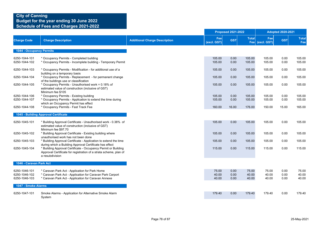|                                                 |                                                                                                                                                                    |                                      |                         | <b>Proposed 2021-2022</b> |                         |                         | <b>Adopted 2020-2021</b> |                         |
|-------------------------------------------------|--------------------------------------------------------------------------------------------------------------------------------------------------------------------|--------------------------------------|-------------------------|---------------------------|-------------------------|-------------------------|--------------------------|-------------------------|
| <b>Charge Code</b>                              | <b>Charge Description</b>                                                                                                                                          | <b>Additional Charge Description</b> | Fee<br>(excl. GST)      | <b>GST</b>                | <b>Total</b>            | Fee<br>Fee (excl. GST)  | <b>GST</b>               | <b>Total</b><br>Fee     |
| <b>1044 - Occupancy Permits</b>                 |                                                                                                                                                                    |                                      |                         |                           |                         |                         |                          |                         |
| 6250-1044-101<br>6250-1044-102                  | * Occupancy Permits - Completed building<br>* Occupancy Permits - Incomplete building - Temporary Permit                                                           |                                      | 105.00<br>105.00        | 0.00<br>0.00              | 105.00<br>105.00        | 105.00<br>105.00        | 0.00<br>0.00             | 105.00<br>105.00        |
| 6250-1044-103                                   | * Occupancy Permits - Modification - for additional use of a<br>building on a temporary basis                                                                      |                                      | 105.00                  | 0.00                      | 105.00                  | 105.00                  | 0.00                     | 105.00                  |
| 6250-1044-104                                   | * Occupancy Permits - Replacement - for permanent change<br>of the buildings use or classification                                                                 |                                      | 105.00                  | 0.00                      | 105.00                  | 105.00                  | 0.00                     | 105.00                  |
| 6250-1044-105                                   | * Occupancy Permits - Unauthorised work = 0.18% of<br>estimated value of construction (inclusive of GST)<br>Minimum fee \$105                                      |                                      | 105.00                  | 0.00                      | 105.00                  | 105.00                  | 0.00                     | 105.00                  |
| 6250-1044-106<br>6250-1044-107                  | * Occupancy Permits - Existing building<br>* Occupancy Permits - Application to extend the time during                                                             |                                      | 105.00<br>105.00        | 0.00<br>0.00              | 105.00<br>105.00        | 105.00<br>105.00        | 0.00<br>0.00             | 105.00<br>105.00        |
| 6250-1044-108                                   | which an Occupancy Permit has effect<br>* Occupancy Permits - Fast Track Fee                                                                                       |                                      | 160.00                  | 16.00                     | 176.00                  | 150.00                  | 15.00                    | 165.00                  |
|                                                 | 1045 - Building Approval Certificate                                                                                                                               |                                      |                         |                           |                         |                         |                          |                         |
| 6250-1045-101                                   | * Building Approval Certificate - Unauthorised work - 0.38% of<br>estimated value of construction (inclusive of GST)<br>Minimum fee \$97.70                        |                                      | 105.00                  | 0.00                      | 105.00                  | 105.00                  | 0.00                     | 105.00                  |
| 6250-1045-102                                   | * Building Approval Certificate - Existing building where<br>unauthorised work has not been done                                                                   |                                      | 105.00                  | 0.00                      | 105.00                  | 105.00                  | 0.00                     | 105.00                  |
| 6250-1045-103                                   | * Building Approval Certificate - Application to extend the time<br>during which a Building Approval Certificate has effect                                        |                                      | 105.00                  | 0.00                      | 105.00                  | 105.00                  | 0.00                     | 105.00                  |
| 6250-1045-104                                   | * Building Approval Certificate - Occupancy Permit or Building<br>Approval Certificate for registration of a strata scheme, plan of<br>a resubdivision             |                                      | 115.00                  | 0.00                      | 115.00                  | 115.00                  | 0.00                     | 115.00                  |
| 1046 - Caravan Park Act                         |                                                                                                                                                                    |                                      |                         |                           |                         |                         |                          |                         |
| 6250-1046-101<br>6250-1046-102<br>6250-1046-103 | * Caravan Park Act - Application for Park Home<br>* Caravan Park Act - Application for Caravan Park Carport<br>* Caravan Park Act - Application for Caravan Annexe |                                      | 75.00<br>40.00<br>40.00 | 0.00<br>0.00<br>0.00      | 75.00<br>40.00<br>40.00 | 75.00<br>40.00<br>40.00 | 0.00<br>0.00<br>0.00     | 75.00<br>40.00<br>40.00 |
| 1047 - Smoke Alarms                             |                                                                                                                                                                    |                                      |                         |                           |                         |                         |                          |                         |
| 6250-1047-101                                   | Smoke Alarms - Application for Alternative Smoke Alarm<br>System                                                                                                   |                                      | 179.40                  | 0.00                      | 179.40                  | 179.40                  | 0.00                     | 179.40                  |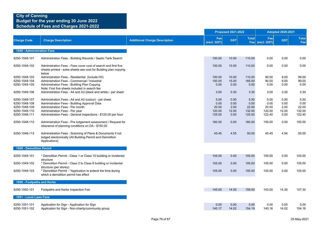|                            |                                                                                                                                             |                                      |                    | <b>Proposed 2021-2022</b> |              |                        | <b>Adopted 2020-2021</b> |                     |
|----------------------------|---------------------------------------------------------------------------------------------------------------------------------------------|--------------------------------------|--------------------|---------------------------|--------------|------------------------|--------------------------|---------------------|
| <b>Charge Code</b>         | <b>Charge Description</b>                                                                                                                   | <b>Additional Charge Description</b> | Fee<br>(excl. GST) | <b>GST</b>                | <b>Total</b> | Fee<br>Fee (excl. GST) | <b>GST</b>               | <b>Total</b><br>Fee |
| 1048 - Administration Fees |                                                                                                                                             |                                      |                    |                           |              |                        |                          |                     |
| 6250-1048-101              | Administration Fees - Building Records / Septic Tank Search                                                                                 |                                      | 100.00             | 10.00                     | 110.00       | 0.00                   | 0.00                     | 0.00                |
| 6250-1048-102              | Administration Fees - Fees cover cost of search and first five<br>sheets printed - extra sheets see cost for Building plan copying<br>below |                                      | 100.00             | 10.00                     | 110.00       | 0.00                   | 0.00                     | 0.00                |
| 6250-1048-103              | Administration Fees - Residential (include HII)                                                                                             |                                      | 100.00             | 10.00                     | 110.00       | 90.00                  | 9.00                     | 99.00               |
| 6250-1048-104              | Administration Fees - Commercial / Industrial                                                                                               |                                      | 150.00             | 15.00                     | 165.00       | 90.00                  | 9.00                     | 99.00               |
| 6250-1048-105              | Administration Fees - Building Plan Copying<br>Note: First five sheets included in search fee                                               |                                      | 0.00               | 0.00                      | 0.00         | 0.00                   | 0.00                     | 0.00                |
| 6250-1048-106              | Administration Fees - A4 and A3 (black and white) - per sheet                                                                               |                                      | 3.00               | 0.30                      | 3.30         | 3.00                   | 0.30                     | 3.30                |
| 6250-1048-107              | Administration Fees - A4 and A3 (colour) - per sheet                                                                                        |                                      | 5.00               | 0.50                      | 5.50         | 5.00                   | 0.50                     | 5.50                |
| 6250-1048-108              | Administration Fees - Building Approval Data                                                                                                |                                      | 0.00               | 0.00                      | 0.00         | 0.00                   | 0.00                     | 0.00                |
| 6250-1048-109              | Administration Fees - Per month                                                                                                             |                                      | 20.00              | 2.00                      | 22.00        | 20.00                  | 2.00                     | 22.00               |
| 6250-1048-110              | Administration Fees - Per year                                                                                                              |                                      | 120.00             | 12.00                     | 132.00       | 120.00                 | 12.00                    | 132.00              |
| 6250-1048-111              | Administration Fees - General inspections - \$120.00 per hour                                                                               |                                      | 125.00             | 0.00                      | 125.00       | 122.40                 | 0.00                     | 122.40              |
| 6250-1048-112              | Administration Fees - Pre lodgement assessment / Request for<br>clearance of planning conditions on DA - \$150.00                           |                                      | 160.00             | 0.00                      | 160.00       | 155.00                 | 0.00                     | 155.00              |
| 6250-1048-113              | Administration Fees - Scanning of Plans & Documents if not<br>lodged electronically (All Building Permit and Demolition<br>Applications)    |                                      | 45.45              | 4.55                      | 50.00        | 45.45                  | 4.54                     | 50.00               |
| 1049 - Demolition Permit   |                                                                                                                                             |                                      |                    |                           |              |                        |                          |                     |
| 6250-1049-101              | * Demolition Permit - Class 1 or Class 10 building or incidental<br>structure                                                               |                                      | 105.00             | 0.00                      | 105.00       | 105.00                 | 0.00                     | 105.00              |
| 6250-1049-102              | * Demolition Permit - Class 2 to Class 9 building or incidental<br>structure (per storey)                                                   |                                      | 105.00             | 0.00                      | 105.00       | 105.00                 | 0.00                     | 105.00              |
| 6250-1049-103              | * Demolition Permit - *Application to extend the time during<br>which a demolition permit has effect                                        |                                      | 105.00             | 0.00                      | 105.00       | 105.00                 | 0.00                     | 105.00              |
| 1050 - Footpaths and Kerbs |                                                                                                                                             |                                      |                    |                           |              |                        |                          |                     |
| 6250-1050-101              | Footpaths and Kerbs Inspection Fee                                                                                                          |                                      | 145.00             | 14.50                     | 159.50       | 143.00                 | 14.30                    | 157.30              |
| 1051 - Local Laws Fees     |                                                                                                                                             |                                      |                    |                           |              |                        |                          |                     |
| 6250-1051-101              | Application for Sign - Application for Sign                                                                                                 |                                      | 0.00               | 0.00                      | 0.00         | 0.00                   | 0.00                     | 0.00                |
| 6250-1051-102              | Application for Sign - Non-charity/community group                                                                                          |                                      | 140.17             | 14.02                     | 154.19       | 140.16                 | 14.02                    | 154.18              |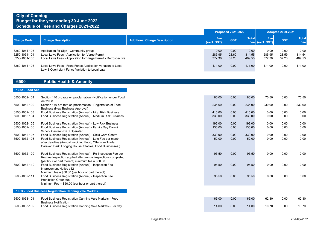|                                                 |                                                                                                                                                            |                                      |                          | <b>Proposed 2021-2022</b> |                          |                                     | <b>Adopted 2020-2021</b> |                          |
|-------------------------------------------------|------------------------------------------------------------------------------------------------------------------------------------------------------------|--------------------------------------|--------------------------|---------------------------|--------------------------|-------------------------------------|--------------------------|--------------------------|
| <b>Charge Code</b>                              | <b>Charge Description</b>                                                                                                                                  | <b>Additional Charge Description</b> | Fee<br>(excl. GST)       | <b>GST</b>                | Total                    | Fee <sup>1</sup><br>Fee (excl. GST) | <b>GST</b>               | <b>Total</b><br>Fee      |
| 6250-1051-103<br>6250-1051-104<br>6250-1051-105 | Application for Sign - Community group<br>Local Laws Fees - Application for Verge Permit<br>Local Laws Fees - Application for Verge Permit - Retrospective |                                      | 0.00<br>285.95<br>372.30 | 0.00<br>28.60<br>37.23    | 0.00<br>314.55<br>409.53 | 0.00<br>285.95<br>372.30            | 0.00<br>28.59<br>37.23   | 0.00<br>314.54<br>409.53 |
| 6250-1051-106                                   | Local Laws Fees - Front Fence Application variation to Local<br>Law & Overheight Fence Variation to Local Law                                              |                                      | 171.00                   | 0.00                      | 171.00                   | 171.00                              | 0.00                     | 171.00                   |

### **6500 Public Health & Amenity**

#### **1052 - Food Act**

| 6500-1052-101                  | Section 140 pro rata on proclamation - Notification under Food<br>Act 2008                                                                                                                                                               | 80.00            | 0.00         | 80.00            | 75.50        | 0.00         | 75.50        |
|--------------------------------|------------------------------------------------------------------------------------------------------------------------------------------------------------------------------------------------------------------------------------------|------------------|--------------|------------------|--------------|--------------|--------------|
| 6500-1052-102                  | Section 140 pro rata on proclamation - Registration of Food<br>Business (New Business Approval)                                                                                                                                          | 235.00           | 0.00         | 235.00           | 230.00       | 0.00         | 230.00       |
| 6500-1052-103<br>6500-1052-104 | Food Business Registration (Annual) - High Risk Business<br>Food Business Registration (Annual) - Medium Risk Business                                                                                                                   | 415.00<br>330.00 | 0.00<br>0.00 | 415.00<br>330.00 | 0.00<br>0.00 | 0.00<br>0.00 | 0.00<br>0.00 |
| 6500-1052-105<br>6500-1052-106 | Food Business Registration (Annual) - Low Risk Business<br>Food Business Registration (Annual) - Family Day Care &<br>School Canteen P&C Operated                                                                                        | 192.00<br>135.00 | 0.00<br>0.00 | 192.00<br>135.00 | 0.00<br>0.00 | 0.00<br>0.00 | 0.00<br>0.00 |
| 6500-1052-107<br>6500-1052-108 | Food Business Registration (Annual) - Child Care Centre<br>Food Business Registration (Annual) - Late Fee per month<br>after deadline (Annual Invoicing Food, Offensive Trade,<br>Caravan Park, Lodging House, Stables, Food Businesses) | 330.00<br>52.00  | 0.00<br>0.00 | 330.00<br>52.00  | 0.00<br>0.00 | 0.00<br>0.00 | 0.00<br>0.00 |
| 6500-1052-109                  | Food Business Registration (Annual) - Re-Inspection Fee per<br>Routine Inspection applied after annual inspections completed                                                                                                             | 95.50            | 0.00         | 95.50            | 0.00         | 0.00         | 0.00         |
| 6500-1052-110                  | (per hour or part thereof) minimum fee = $$50.00$<br>Food Business Registration (Annual) - Inspection Fee<br>Improvement Notice s62                                                                                                      | 95.50            | 0.00         | 95.50            | 0.00         | 0.00         | 0.00         |
| 6500-1052-111                  | Minimum fee = $$50.00$ (per hour or part thereof)<br>Food Business Registration (Annual) - Inspection Fee<br>Prohibition Order s65<br>Minimum Fee = $$50.00$ (per hour or part thereof)                                                  | 95.50            | 0.00         | 95.50            | 0.00         | 0.00         | 0.00         |
|                                | 1053 - Food Business Registration Canning Vale Markets                                                                                                                                                                                   |                  |              |                  |              |              |              |
| 6500-1053-101                  | Food Business Registration Canning Vale Markets - Food<br><b>Business Notification</b>                                                                                                                                                   | 65.00            | 0.00         | 65.00            | 62.30        | 0.00         | 62.30        |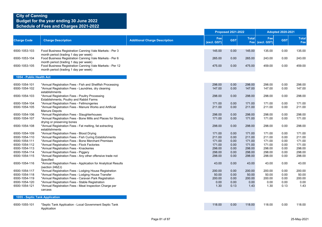|                          |                                                                                                                                           |                                      |                    | <b>Proposed 2021-2022</b> |              | <b>Adopted 2020-2021</b> |            |                     |
|--------------------------|-------------------------------------------------------------------------------------------------------------------------------------------|--------------------------------------|--------------------|---------------------------|--------------|--------------------------|------------|---------------------|
| <b>Charge Code</b>       | <b>Charge Description</b>                                                                                                                 | <b>Additional Charge Description</b> | Fee<br>(excl. GST) | <b>GST</b>                | <b>Total</b> | Fee<br>Fee (excl. GST)   | <b>GST</b> | <b>Total</b><br>Fee |
| 6500-1053-103            | Food Business Registration Canning Vale Markets - Per 3                                                                                   |                                      | 145.00             | 0.00                      | 145.00       | 135.00                   | 0.00       | 135.00              |
| 6500-1053-104            | month period (trading 1 day per week)<br>Food Business Registration Canning Vale Markets - Per 6<br>month period (trading 1 day per week) |                                      | 265.00             | 0.00                      | 265.00       | 243.00                   | 0.00       | 243.00              |
| 6500-1053-105            | Food Business Registration Canning Vale Markets - Per 12<br>month period (trading 1 day per week)                                         |                                      | 475.00             | 0.00                      | 475.00       | 459.00                   | 0.00       | 459.00              |
| 1054 - Public Health Act |                                                                                                                                           |                                      |                    |                           |              |                          |            |                     |
| 6500-1054-101            | *Annual Registration Fees - Fish and Shellfish Processing                                                                                 |                                      | 298.00             | 0.00                      | 298.00       | 298.00                   | 0.00       | 298.00              |
| 6500-1054-102            | *Annual Registration Fees - Laundries, dry cleaning<br>establishments                                                                     |                                      | 147.00             | 0.00                      | 147.00       | 147.00                   | 0.00       | 147.00              |
| 6500-1054-103            | *Annual Registration Fees - Poultry Processing<br>Establishments, Poultry and Rabbit Farms                                                |                                      | 298.00             | 0.00                      | 298.00       | 298.00                   | 0.00       | 298.00              |
| 6500-1054-104            | *Annual Registration Fees - Fellmongeries                                                                                                 |                                      | 171.00             | 0.00                      | 171.00       | 171.00                   | 0.00       | 171.00              |
| 6500-1054-105            | *Annual Registration Fees - Manure Works and Artificial<br>Manure Depots                                                                  |                                      | 211.00             | 0.00                      | 211.00       | 211.00                   | 0.00       | 211.00              |
| 6500-1054-106            | *Annual Registration Fees - Slaughterhouses                                                                                               |                                      | 298.00             | 0.00                      | 298.00       | 298.00                   | 0.00       | 298.00              |
| 6500-1054-107            | *Annual Registration Fees - Bone Mills and Places for Storing,<br>drying or preserving bones                                              |                                      | 171.00             | 0.00                      | 171.00       | 171.00                   | 0.00       | 171.00              |
| 6500-1054-108            | *Annual Registration Fees - Fat melting, fat extracting<br>establishments                                                                 |                                      | 298.00             | 0.00                      | 298.00       | 298.00                   | 0.00       | 298.00              |
| 6500-1054-109            | *Annual Registration Fees - Blood Drying                                                                                                  |                                      | 171.00             | 0.00                      | 171.00       | 171.00                   | 0.00       | 171.00              |
| 6500-1054-110            | *Annual Registration Fees - Fish Curing Establishments                                                                                    |                                      | 211.00             | 0.00                      | 211.00       | 211.00                   | 0.00       | 211.00              |
| 6500-1054-111            | *Annual Registration Fees - Bone Merchant Premises                                                                                        |                                      | 171.00             | 0.00                      | 171.00       | 171.00                   | 0.00       | 171.00              |
| 6500-1054-112            | *Annual Registration Fees - Flock Factories                                                                                               |                                      | 171.00             | 0.00                      | 171.00       | 171.00                   | 0.00       | 171.00              |
| 6500-1054-113            | *Annual Registration Fees - Knackeries                                                                                                    |                                      | 298.00             | 0.00                      | 298.00       | 298.00                   | 0.00       | 298.00              |
| 6500-1054-114            | *Annual Registration Fees - Piggery                                                                                                       |                                      | 298.00             | 0.00                      | 298.00       | 298.00                   | 0.00       | 298.00              |
| 6500-1054-115            | *Annual Registration Fees - Any other offensive trade not<br>Specified                                                                    |                                      | 298.00             | 0.00                      | 298.00       | 298.00                   | 0.00       | 298.00              |
| 6500-1054-116            | *Annual Registration Fees - Application for Analytical Results<br>(section 246ZJ)                                                         |                                      | 43.00              | 0.00                      | 43.00        | 43.00                    | 0.00       | 43.00               |
| 6500-1054-117            | *Annual Registration Fees - Lodging House Registration                                                                                    |                                      | 200.00             | 0.00                      | 200.00       | 200.00                   | 0.00       | 200.00              |
| 6500-1054-118            | *Annual Registration Fees - Lodging House Transfer                                                                                        |                                      | 50.00              | 0.00                      | 50.00        | 50.00                    | 0.00       | 50.00               |
| 6500-1054-119            | *Annual Registration Fees - Caravan Park Registration                                                                                     |                                      | 200.00             | 0.00                      | 200.00       | 200.00                   | 0.00       | 200.00              |
| 6500-1054-120            | *Annual Registration Fees - Stable Registration                                                                                           |                                      | 0.00               | 0.00                      | 0.00         | 0.00                     | 0.00       | 0.00                |
| 6500-1054-121            | *Annual Registration Fees - Meat Inspection Charge per<br>carcass                                                                         |                                      | 1.30               | 0.13                      | 1.43         | 1.30                     | 0.13       | 1.43                |
|                          | 1055 - Septic Tank Application                                                                                                            |                                      |                    |                           |              |                          |            |                     |
| 6500-1055-101            | *Septic Tank Application - Local Government Septic Tank                                                                                   |                                      | 118.00             | 0.00                      | 118.00       | 118.00                   | 0.00       | 118.00              |
|                          | Application                                                                                                                               |                                      |                    |                           |              |                          |            |                     |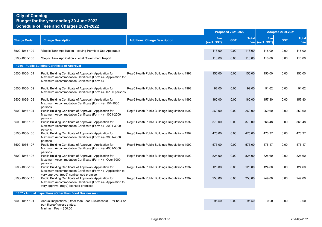|                    |                                                                                                                                                                                                                |                                                |                    | <b>Proposed 2021-2022</b> |                            |                    | <b>Adopted 2020-2021</b> |                     |
|--------------------|----------------------------------------------------------------------------------------------------------------------------------------------------------------------------------------------------------------|------------------------------------------------|--------------------|---------------------------|----------------------------|--------------------|--------------------------|---------------------|
| <b>Charge Code</b> | <b>Charge Description</b>                                                                                                                                                                                      | <b>Additional Charge Description</b>           | Fee<br>(excl. GST) | <b>GST</b>                | <b>Total</b><br><b>Fee</b> | Fee<br>(excl. GST) | <b>GST</b>               | <b>Total</b><br>Fee |
| 6500-1055-102      | *Septic Tank Application - Issuing Permit to Use Apparatus                                                                                                                                                     |                                                | 118.00             | 0.00                      | 118.00                     | 118.00             | 0.00                     | 118.00              |
| 6500-1055-103      | *Septic Tank Application - Local Government Report                                                                                                                                                             |                                                | 110.00             | 0.00                      | 110.00                     | 110.00             | 0.00                     | 110.00              |
|                    | 1056 - Public Building Certificate of Approval                                                                                                                                                                 |                                                |                    |                           |                            |                    |                          |                     |
| 6500-1056-101      | Public Building Certificate of Approval - Application for<br>Maximum Accommodation Certificate (Form 4) - Application for<br>Maximum Accommodation Certificate (Form 4)                                        | Reg 6 Health Public Buildings Regulations 1992 | 150.00             | 0.00                      | 150.00                     | 150.00             | 0.00                     | 150.00              |
| 6500-1056-102      | Public Building Certificate of Approval - Application for<br>Maximum Accommodation Certificate (Form 4) - 0-100 persons                                                                                        | Reg 6 Health Public Buildings Regulations 1992 | 92.00              | 0.00                      | 92.00                      | 91.62              | 0.00                     | 91.62               |
| 6500-1056-103      | Public Building Certificate of Approval - Application for<br>Maximum Accommodation Certificate (Form 4) - 101-1000                                                                                             | Reg 6 Health Public Buildings Regulations 1992 | 160.00             | 0.00                      | 160.00                     | 157.80             | 0.00                     | 157.80              |
| 6500-1056-104      | persons<br>Public Building Certificate of Approval - Application for<br>Maximum Accommodation Certificate (Form 4) - 1001-2000                                                                                 | Reg 6 Health Public Buildings Regulations 1992 | 260.00             | 0.00                      | 260.00                     | 259.60             | 0.00                     | 259.60              |
| 6500-1056-105      | persons<br>Public Building Certificate of Approval - Application for<br>Maximum Accommodation Certificate (Form 4) - 2001-3000                                                                                 | Reg 6 Health Public Buildings Regulations 1992 | 370.00             | 0.00                      | 370.00                     | 366.48             | 0.00                     | 366.48              |
| 6500-1056-106      | persons<br>Public Building Certificate of Approval - Application for<br>Maximum Accommodation Certificate (Form 4) - 3001-4000                                                                                 | Reg 6 Health Public Buildings Regulations 1992 | 475.00             | 0.00                      | 475.00                     | 473.37             | 0.00                     | 473.37              |
| 6500-1056-107      | persons<br>Public Building Certificate of Approval - Application for<br>Maximum Accommodation Certificate (Form 4) - 4001-5000                                                                                 | Reg 6 Health Public Buildings Regulations 1992 | 575.00             | 0.00                      | 575.00                     | 575.17             | 0.00                     | 575.17              |
| 6500-1056-108      | persons<br>Public Building Certificate of Approval - Application for<br>Maximum Accommodation Certificate (Form 4) - Over 5000                                                                                 | Reg 6 Health Public Buildings Regulations 1992 | 825.00             | 0.00                      | 825.00                     | 825.60             | 0.00                     | 825.60              |
| 6500-1056-109      | persons<br>Public Building Certificate of Approval - Application for<br>Maximum Accommodation Certificate (Form 4) - Application to                                                                            | Reg 6 Health Public Buildings Regulations 1992 | 125.00             | 0.00                      | 125.00                     | 124.60             | 0.00                     | 124.60              |
| 6500-1056-110      | vary approval (reg9) nonlicensed premise<br>Public Building Certificate of Approval - Application for<br>Maximum Accommodation Certificate (Form 4) - Application to<br>vary approval (reg9) licensed premises | Reg 6 Health Public Buildings Regulations 1992 | 250.00             | 0.00                      | 250.00                     | 249.00             | 0.00                     | 249.00              |
|                    | 1057 - Annual Inspections (Other than Food Businesses)                                                                                                                                                         |                                                |                    |                           |                            |                    |                          |                     |
| 6500-1057-101      | Annual Inspections (Other than Food Businesses) - Per hour or<br>part thereof unless stated;<br>Minimum Fee = $$50.00$                                                                                         |                                                | 95.50              | 0.00                      | 95.50                      | 0.00               | 0.00                     | 0.00                |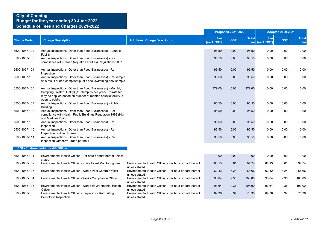|                    |                                                                                                                                                                                                            |                                                                          | <b>Proposed 2021-2022</b> |            |              | <b>Adopted 2020-2021</b> |            |                     |  |
|--------------------|------------------------------------------------------------------------------------------------------------------------------------------------------------------------------------------------------------|--------------------------------------------------------------------------|---------------------------|------------|--------------|--------------------------|------------|---------------------|--|
| <b>Charge Code</b> | <b>Charge Description</b>                                                                                                                                                                                  | <b>Additional Charge Description</b>                                     | Fee<br>(excl. GST)        | <b>GST</b> | <b>Total</b> | Fee<br>Fee (excl. GST)   | <b>GST</b> | <b>Total</b><br>Fee |  |
| 6500-1057-102      | Annual Inspections (Other than Food Businesses) - Aquatic                                                                                                                                                  |                                                                          | 95.50                     | 0.00       | 95.50        | 0.00                     | 0.00       | 0.00                |  |
| 6500-1057-103      | Facility<br>Annual Inspections (Other than Food Businesses) - For<br>compliance with Health (Aquatic Facilities) Regulations 2007                                                                          |                                                                          | 95.50                     | 0.00       | 95.50        | 0.00                     | 0.00       | 0.00                |  |
| 6500-1057-104      | Annual Inspections (Other than Food Businesses) - Re-<br>Inspection                                                                                                                                        |                                                                          | 95.50                     | 0.00       | 95.50        | 0.00                     | 0.00       | 0.00                |  |
| 6500-1057-105      | Annual Inspections (Other than Food Businesses) - Re-sample<br>as a result of non-compliant public pool swimming pool sample                                                                               |                                                                          | 95.50                     | 0.00       | 95.50        | 0.00                     | 0.00       | 0.00                |  |
| 6500-1057-106      | Annual Inspections (Other than Food Businesses) - Monthly<br>Sampling (Water Quality) (12 Samples per year) Pro-rata fee<br>may be applied based on number of months aquatic facility is<br>open to public |                                                                          | 379.00                    | 0.00       | 379.00       | 0.00                     | 0.00       | 0.00                |  |
| 6500-1057-107      | Annual Inspections (Other than Food Businesses) - Public<br><b>Building</b>                                                                                                                                |                                                                          | 95.50                     | 0.00       | 95.50        | 0.00                     | 0.00       | 0.00                |  |
| 6500-1057-108      | Annual Inspections (Other than Food Businesses) - For<br>compliance with Health Public Buildings Regulation 1992 (High<br>and Medium Risk)                                                                 |                                                                          | 95.50                     | 0.00       | 95.50        | 0.00                     | 0.00       | 0.00                |  |
| 6500-1057-109      | Annual Inspections (Other than Food Businesses) - Re-<br>Inspection                                                                                                                                        |                                                                          | 95.50                     | 0.00       | 95.50        | 0.00                     | 0.00       | 0.00                |  |
| 6500-1057-110      | Annual Inspections (Other than Food Businesses) - Re-<br>Inspection Lodging House                                                                                                                          |                                                                          | 95.50                     | 0.00       | 95.50        | 0.00                     | 0.00       | 0.00                |  |
| 6500-1057-111      | Annual Inspections (Other than Food Businesses) - Re-<br>Inspection Offensive Trade per hour                                                                                                               |                                                                          | 95.50                     | 0.00       | 95.50        | 0.00                     | 0.00       | 0.00                |  |
|                    | 1058 - Environmental Health Officer                                                                                                                                                                        |                                                                          |                           |            |              |                          |            |                     |  |
| 6500-1058-101      | Environmental Health Officer - Per hour or part thereof unless<br>stated                                                                                                                                   |                                                                          | 0.00                      | 0.00       | 0.00         | 0.00                     | 0.00       | 0.00                |  |
| 6500-1058-102      | Environmental Health Officer - Noise Event Monitoring Fee                                                                                                                                                  | Environmental Health Officer - Per hour or part thereof<br>unless stated | 86.13                     | 8.61       | 94.74        | 86.13                    | 8.61       | 94.74               |  |
| 6500-1058-103      | Environmental Health Officer - Works Pest Control Officer                                                                                                                                                  | Environmental Health Officer - Per hour or part thereof<br>unless stated | 62.42                     | 6.24       | 68.66        | 62.42                    | 6.24       | 68.66               |  |
| 6500-1058-104      | Environmental Health Officer - Works Compliance Officer                                                                                                                                                    | Environmental Health Officer - Per hour or part thereof<br>unless stated | 93.64                     | 9.36       | 103.00       | 93.64                    | 9.36       | 103.00              |  |
| 6500-1058-105      | Environmental Health Officer - Works Environmental Health<br>Officer                                                                                                                                       | Environmental Health Officer - Per hour or part thereof<br>unless stated | 93.64                     | 9.36       | 103.00       | 93.64                    | 9.36       | 103.00              |  |
| 6500-1058-106      | Environmental Health Officer - Request for Rat Baiting<br>Demolition Inspection                                                                                                                            | Environmental Health Officer - Per hour or part thereof<br>unless stated | 69.36                     | 6.94       | 76.30        | 69.36                    | 6.94       | 76.30               |  |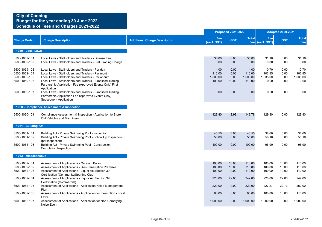|                                                                                   |                                                                                                                                                                                                                                                                                                                                                                  |                                      |                                               | <b>Proposed 2021-2022</b>             |                                               |                                             | <b>Adopted 2020-2021</b>             |                                             |
|-----------------------------------------------------------------------------------|------------------------------------------------------------------------------------------------------------------------------------------------------------------------------------------------------------------------------------------------------------------------------------------------------------------------------------------------------------------|--------------------------------------|-----------------------------------------------|---------------------------------------|-----------------------------------------------|---------------------------------------------|--------------------------------------|---------------------------------------------|
| <b>Charge Code</b>                                                                | <b>Charge Description</b>                                                                                                                                                                                                                                                                                                                                        | <b>Additional Charge Description</b> | Fee<br>(excl. GST)                            | <b>GST</b>                            | <b>Total</b>                                  | Fee<br>Fee (excl. GST)                      | <b>GST</b>                           | <b>Total</b><br>Fee                         |
| 1059 - Local Laws                                                                 |                                                                                                                                                                                                                                                                                                                                                                  |                                      |                                               |                                       |                                               |                                             |                                      |                                             |
| 6500-1059-101<br>6500-1059-102                                                    | Local Laws - Stallholders and Traders - License Fee<br>Local Laws - Stallholders and Traders - Stall Trading Charge                                                                                                                                                                                                                                              |                                      | 35.00<br>0.00                                 | 0.00<br>0.00                          | 35.00<br>0.00                                 | 31.10<br>0.00                               | 0.00<br>0.00                         | 31.10<br>0.00                               |
| 6500-1059-103<br>6500-1059-104<br>6500-1059-105<br>6500-1059-106<br>6500-1059-107 | Local Laws - Stallholders and Traders - Per day<br>Local Laws - Stallholders and Traders - Per month<br>Local Laws - Stallholders and Traders - Per annum<br>Local Laws - Stallholders and Traders - Simplified Trading<br>Partnership Application Fee (Approved Events Only) First<br>Application<br>Local Laws - Stallholders and Traders - Simplified Trading |                                      | 14.00<br>110.00<br>1,500.00<br>100.00<br>0.00 | 0.00<br>0.00<br>0.00<br>10.00<br>0.00 | 14.00<br>110.00<br>1,500.00<br>110.00<br>0.00 | 10.70<br>103.85<br>1,038.00<br>0.00<br>0.00 | 0.00<br>0.00<br>0.00<br>0.00<br>0.00 | 10.70<br>103.85<br>1,038.00<br>0.00<br>0.00 |
|                                                                                   | Partnership Application Fee (Approved Events Only)<br><b>Subsequent Application</b>                                                                                                                                                                                                                                                                              |                                      |                                               |                                       |                                               |                                             |                                      |                                             |
|                                                                                   | 1060 - Compliance Assessment & Inspection                                                                                                                                                                                                                                                                                                                        |                                      |                                               |                                       |                                               |                                             |                                      |                                             |
| 6500-1060-101                                                                     | Compliance Assessment & Inspection - Application to Store<br>Old Vehicles and Machinery                                                                                                                                                                                                                                                                          |                                      | 129.80                                        | 12.98                                 | 142.78                                        | 129.80                                      | 0.00                                 | 129.80                                      |
| 1061 - Building Act                                                               |                                                                                                                                                                                                                                                                                                                                                                  |                                      |                                               |                                       |                                               |                                             |                                      |                                             |
| 6500-1061-101<br>6500-1061-102<br>6500-1061-103                                   | Building Act - Private Swimming Pool - Inspection<br>Building Act - Private Swimming Pool - Follow Up Inspection<br>(per inspection)<br>Building Act - Private Swimming Pool - Construction                                                                                                                                                                      |                                      | 40.50<br>55.00<br>100.00                      | 0.00<br>0.00<br>0.00                  | 40.50<br>55.00<br>100.00                      | 38.60<br>56.10<br>96.90                     | 0.00<br>0.00<br>0.00                 | 38.60<br>56.10<br>96.90                     |
|                                                                                   | <b>Completion Inspection</b>                                                                                                                                                                                                                                                                                                                                     |                                      |                                               |                                       |                                               |                                             |                                      |                                             |
| 1062 - Miscellaneous                                                              |                                                                                                                                                                                                                                                                                                                                                                  |                                      |                                               |                                       |                                               |                                             |                                      |                                             |
| 6500-1062-101<br>6500-1062-102<br>6500-1062-103                                   | Assessment of Applications - Caravan Parks<br>Assessment of Applications - Skin Penetration Premises<br>Assessment of Applications - Liquor Act Section 39<br>Certification (Community/Sporting Club)                                                                                                                                                            |                                      | 100.00<br>100.00<br>100.00                    | 10.00<br>10.00<br>10.00               | 110.00<br>110.00<br>110.00                    | 100.00<br>100.00<br>100.00                  | 10.00<br>10.00<br>10.00              | 110.00<br>110.00<br>110.00                  |
| 6500-1062-104                                                                     | Assessment of Applications - Liquor Act Section 39<br>Certification (Commercial)                                                                                                                                                                                                                                                                                 |                                      | 220.00                                        | 22.00                                 | 242.00                                        | 220.00                                      | 22.00                                | 242.00                                      |
| 6500-1062-105                                                                     | Assessment of Applications - Application Noise Management<br>Plan                                                                                                                                                                                                                                                                                                |                                      | 220.00                                        | 0.00                                  | 220.00                                        | 227.27                                      | 22.73                                | 250.00                                      |
| 6500-1062-106                                                                     | Assessment of Applications - Application for Exemption - Local<br>Laws                                                                                                                                                                                                                                                                                           |                                      | 60.00                                         | 6.00                                  | 66.00                                         | 100.00                                      | 10.00                                | 110.00                                      |
| 6500-1062-107                                                                     | Assessment of Applications - Application for Non-Complying<br>Noise Event                                                                                                                                                                                                                                                                                        |                                      | 1,000.00                                      | 0.00                                  | 1,000.00                                      | 1,000.00                                    | 0.00                                 | 1,000.00                                    |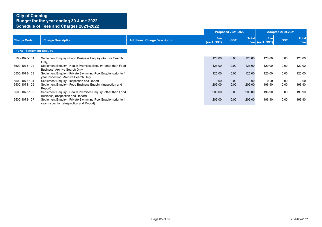|                           |                                                                                                            |                                      |                    | <b>Proposed 2021-2022</b> |                     | <b>Adopted 2020-2021</b> |            |                     |
|---------------------------|------------------------------------------------------------------------------------------------------------|--------------------------------------|--------------------|---------------------------|---------------------|--------------------------|------------|---------------------|
| <b>Charge Code</b>        | <b>Charge Description</b>                                                                                  | <b>Additional Charge Description</b> | Fee<br>(excl. GST) | <b>GST</b>                | <b>Total</b><br>Fee | Fee<br>(excl. GST)       | <b>GST</b> | <b>Total</b><br>Fee |
| 1078 - Settlement Enquiry |                                                                                                            |                                      |                    |                           |                     |                          |            |                     |
| 6500-1078-101             | Settlement Enquiry - Food Business Enquiry (Archive Search<br>Only)                                        |                                      | 125.00             | 0.00                      | 125.00              | 120.00                   | 0.00       | 120.00              |
| 6500-1078-102             | Settlement Enguiry - Health Premises Enguiry (other than Food<br><b>Business) Archive Search Only</b>      |                                      | 125.00             | 0.00                      | 125.00              | 120.00                   | 0.00       | 120.00              |
| 6500-1078-103             | Settlement Enquiry - Private Swimming Pool Enquiry (prior to 4<br>year inspection) Archive Search Only     |                                      | 125.00             | 0.00                      | 125.00              | 120.00                   | 0.00       | 120.00              |
| 6500-1078-104             | Settlement Enquiry - Inspection and Report                                                                 |                                      | 0.00               | 0.00                      | 0.00                | 0.00                     | 0.00       | 0.00                |
| 6500-1078-105             | Settlement Enguiry - Food Business Enguiry (Inspection and<br>Report)                                      |                                      | 205.00             | 0.00                      | 205.00              | 196.90                   | 0.00       | 196.90              |
| 6500-1078-106             | Settlement Enquiry - Health Premises Enquiry (other than Food<br>Business) (Inspection and Report)         |                                      | 205.00             | 0.00                      | 205.00              | 196.90                   | 0.00       | 196.90              |
| 6500-1078-107             | Settlement Enquiry - Private Swimming Pool Enquiry (prior to 4<br>year inspection) (Inspection and Report) |                                      | 205.00             | 0.00                      | 205.00              | 196.90                   | 0.00       | 196.90              |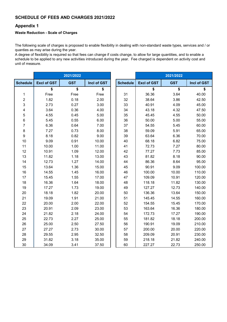### **SCHEDULE OF FEES AND CHARGES 2021/2022**

### **Appendix 1**

### **Waste Reduction - Scale of Charges**

The following scale of charges is proposed to enable flexibility in dealing with non-standard waste types, services and / or quanties as may arise during the year.

A degree of flexibility is required so that fees can change if costs change, to allow for large quantities, and to enable a schedule to be applied to any new activities introduced during the year. Fee charged is dependent on activity cost and unit of measure.

|                         |                    | 2021/2022  |             |                 |                    | 2021/2022  |             |
|-------------------------|--------------------|------------|-------------|-----------------|--------------------|------------|-------------|
| <b>Schedule</b>         | <b>Excl of GST</b> | <b>GST</b> | Incl of GST | <b>Schedule</b> | <b>Excl of GST</b> | <b>GST</b> | Incl of GST |
|                         | \$                 | \$         | \$          |                 | \$                 | \$         | \$          |
| 1                       | Free               | Free       | Free        | 31              | 36.36              | 3.64       | 40.00       |
| $\overline{\mathbf{c}}$ | 1.82               | 0.18       | 2.00        | 32              | 38.64              | 3.86       | 42.50       |
| 3                       | 2.73               | 0.27       | 3.00        | 33              | 40.91              | 4.09       | 45.00       |
| 4                       | 3.64               | 0.36       | 4.00        | 34              | 43.18              | 4.32       | 47.50       |
| 5                       | 4.55               | 0.45       | 5.00        | 35              | 45.45              | 4.55       | 50.00       |
| 6                       | 5.45               | 0.55       | 6.00        | 36              | 50.00              | 5.00       | 55.00       |
| 7                       | 6.36               | 0.64       | 7.00        | 37              | 54.55              | 5.45       | 60.00       |
| 8                       | 7.27               | 0.73       | 8.00        | 38              | 59.09              | 5.91       | 65.00       |
| $\boldsymbol{9}$        | 8.18               | 0.82       | 9.00        | 39              | 63.64              | 6.36       | 70.00       |
| 10                      | 9.09               | 0.91       | 10.00       | 40              | 68.18              | 6.82       | 75.00       |
| 11                      | 10.00              | 1.00       | 11.00       | 41              | 72.73              | 7.27       | 80.00       |
| 12                      | 10.91              | 1.09       | 12.00       | 42              | 77.27              | 7.73       | 85.00       |
| 13                      | 11.82              | 1.18       | 13.00       | 43              | 81.82              | 8.18       | 90.00       |
| 14                      | 12.73              | 1.27       | 14.00       | 44              | 86.36              | 8.64       | 95.00       |
| 15                      | 13.64              | 1.36       | 15.00       | 45              | 90.91              | 9.09       | 100.00      |
| 16                      | 14.55              | 1.45       | 16.00       | 46              | 100.00             | 10.00      | 110.00      |
| 17                      | 15.45              | 1.55       | 17.00       | 47              | 109.09             | 10.91      | 120.00      |
| 18                      | 16.36              | 1.64       | 18.00       | 48              | 118.18             | 11.82      | 130.00      |
| 19                      | 17.27              | 1.73       | 19.00       | 49              | 127.27             | 12.73      | 140.00      |
| 20                      | 18.18              | 1.82       | 20.00       | 50              | 136.36             | 13.64      | 150.00      |
| 21                      | 19.09              | 1.91       | 21.00       | 51              | 145.45             | 14.55      | 160.00      |
| 22                      | 20.00              | 2.00       | 22.00       | 52              | 154.55             | 15.45      | 170.00      |
| 23                      | 20.91              | 2.09       | 23.00       | 53              | 163.64             | 16.36      | 180.00      |
| 24                      | 21.82              | 2.18       | 24.00       | 54              | 172.73             | 17.27      | 190.00      |
| 25                      | 22.73              | 2.27       | 25.00       | 55              | 181.82             | 18.18      | 200.00      |
| 26                      | 25.00              | 2.50       | 27.50       | 56              | 190.91             | 19.09      | 210.00      |
| 27                      | 27.27              | 2.73       | 30.00       | 57              | 200.00             | 20.00      | 220.00      |
| 28                      | 29.55              | 2.95       | 32.50       | 58              | 209.09             | 20.91      | 230.00      |
| 29                      | 31.82              | 3.18       | 35.00       | 59              | 218.18             | 21.82      | 240.00      |
| 30                      | 34.09              | 3.41       | 37.50       | 60              | 227.27             | 22.73      | 250.00      |